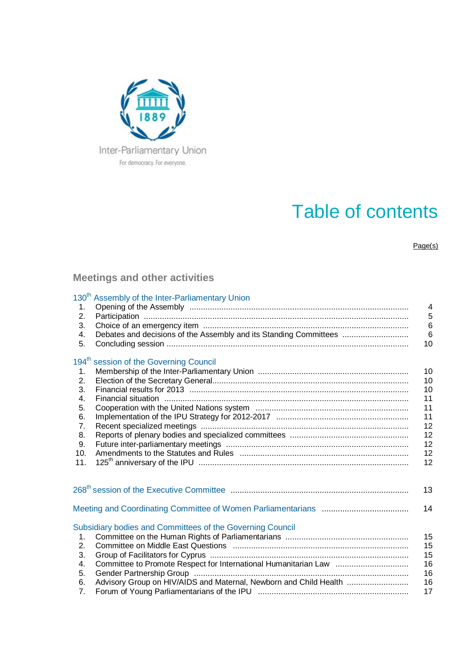

## Table of contents

Page(s)

### **Meetings and other activities**

|                   | 130 <sup>th</sup> Assembly of the Inter-Parliamentary Union       |                 |
|-------------------|-------------------------------------------------------------------|-----------------|
| $\mathbf 1$ .     |                                                                   | $\overline{4}$  |
| 2.                |                                                                   | 5               |
| 3.                |                                                                   | $6\phantom{1}6$ |
| 4.                | Debates and decisions of the Assembly and its Standing Committees | 6               |
| 5.                |                                                                   | 10              |
| $194^{\text{th}}$ | session of the Governing Council                                  |                 |
| $\mathbf{1}$ .    |                                                                   | 10              |
| 2.                |                                                                   | 10              |
| 3.                |                                                                   | 10              |
| 4.                |                                                                   | 11              |
| 5.                |                                                                   | 11              |
| 6.                |                                                                   | 11              |
| 7.                |                                                                   | 12              |
| 8.                |                                                                   | 12              |
| 9.<br>10.         |                                                                   | 12<br>12        |
| 11.               |                                                                   | 12              |
|                   |                                                                   |                 |
|                   |                                                                   | 13              |
|                   |                                                                   |                 |
|                   |                                                                   | 14              |
|                   | Subsidiary bodies and Committees of the Governing Council         |                 |
| 1.                |                                                                   | 15              |
| 2.                |                                                                   | 15              |
| 3.                |                                                                   | 15              |
| 4.                |                                                                   | 16              |
| 5.                |                                                                   | 16              |
| 6.                | Advisory Group on HIV/AIDS and Maternal, Newborn and Child Health | 16              |
| $\overline{7}$ .  |                                                                   | 17              |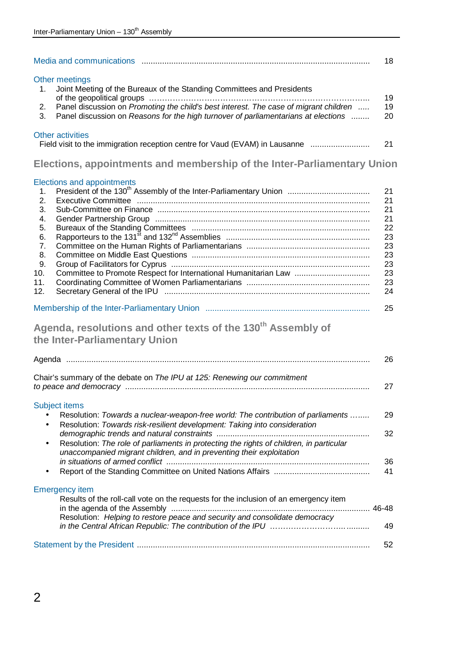|                                                                                                                                                                                                                                                                                                                                                                     | 18                                                                         |
|---------------------------------------------------------------------------------------------------------------------------------------------------------------------------------------------------------------------------------------------------------------------------------------------------------------------------------------------------------------------|----------------------------------------------------------------------------|
| Other meetings<br>Joint Meeting of the Bureaux of the Standing Committees and Presidents<br>1.<br>Panel discussion on Promoting the child's best interest. The case of migrant children<br>2.<br>3.<br>Panel discussion on Reasons for the high turnover of parliamentarians at elections                                                                           | 19<br>19<br>20                                                             |
| <b>Other activities</b><br>Field visit to the immigration reception centre for Vaud (EVAM) in Lausanne                                                                                                                                                                                                                                                              | 21                                                                         |
| Elections, appointments and membership of the Inter-Parliamentary Union                                                                                                                                                                                                                                                                                             |                                                                            |
| Elections and appointments<br>1.<br>2.<br>3.<br>4.<br>5.<br>6.<br>7.<br>8.<br>9.<br>10.<br>11.<br>12.                                                                                                                                                                                                                                                               | 21<br>21<br>21<br>21<br>22<br>23<br>23<br>23<br>23<br>23<br>23<br>24<br>25 |
| Agenda, resolutions and other texts of the 130 <sup>th</sup> Assembly of<br>the Inter-Parliamentary Union                                                                                                                                                                                                                                                           |                                                                            |
|                                                                                                                                                                                                                                                                                                                                                                     | 26                                                                         |
| Chair's summary of the debate on The IPU at 125: Renewing our commitment                                                                                                                                                                                                                                                                                            | 27                                                                         |
| Subject items<br>Resolution: Towards a nuclear-weapon-free world: The contribution of parliaments<br>Resolution: Towards risk-resilient development: Taking into consideration<br>Resolution: The role of parliaments in protecting the rights of children, in particular<br>unaccompanied migrant children, and in preventing their exploitation<br>$\blacksquare$ | 29<br>32<br>36<br>41                                                       |
| <b>Emergency item</b><br>Results of the roll-call vote on the requests for the inclusion of an emergency item<br>Resolution: Helping to restore peace and security and consolidate democracy                                                                                                                                                                        | 49                                                                         |
|                                                                                                                                                                                                                                                                                                                                                                     | 52                                                                         |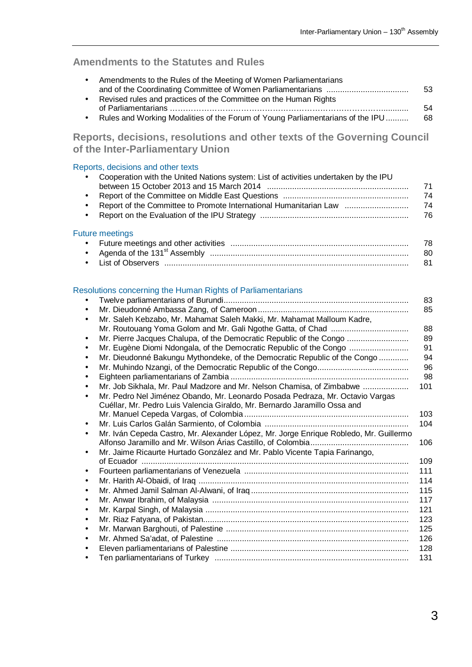### **Amendments to the Statutes and Rules**

| Amendments to the Rules of the Meeting of Women Parliamentarians                    |     |
|-------------------------------------------------------------------------------------|-----|
|                                                                                     | 53  |
| Revised rules and practices of the Committee on the Human Rights                    |     |
|                                                                                     | 54  |
| Dulas su d'Afaidice Madelitza af tha Familia a C.Vause Deillementeilens af tha IDU. | co. |

Rules and Working Modalities of the Forum of Young Parliamentarians of the IPU .......... 68

**Reports, decisions, resolutions and other texts of the Governing Council of the Inter-Parliamentary Union**

#### Reports, decisions and other texts

| $\sim 100$ | Cooperation with the United Nations system: List of activities undertaken by the IPU |     |
|------------|--------------------------------------------------------------------------------------|-----|
|            |                                                                                      | -71 |
| $\sim 100$ |                                                                                      | 74  |
|            | Report of the Committee to Promote International Humanitarian Law                    | -74 |
|            |                                                                                      | -76 |
|            |                                                                                      |     |

#### Future meetings

|  | 80 |
|--|----|
|  |    |

#### Resolutions concerning the Human Rights of Parliamentarians

|                |                                                                                       | 83  |
|----------------|---------------------------------------------------------------------------------------|-----|
|                |                                                                                       | 85  |
|                | Mr. Saleh Kebzabo, Mr. Mahamat Saleh Makki, Mr. Mahamat Malloum Kadre,                |     |
|                |                                                                                       | 88  |
| $\blacksquare$ | Mr. Pierre Jacques Chalupa, of the Democratic Republic of the Congo                   | 89  |
|                | Mr. Eugène Diomi Ndongala, of the Democratic Republic of the Congo                    | 91  |
| $\blacksquare$ | Mr. Dieudonné Bakungu Mythondeke, of the Democratic Republic of the Congo             | 94  |
|                |                                                                                       | 96  |
|                |                                                                                       | 98  |
| $\mathbf{r}$   | Mr. Job Sikhala, Mr. Paul Madzore and Mr. Nelson Chamisa, of Zimbabwe                 | 101 |
|                | Mr. Pedro Nel Jiménez Obando, Mr. Leonardo Posada Pedraza, Mr. Octavio Vargas         |     |
|                | Cuéllar, Mr. Pedro Luis Valencia Giraldo, Mr. Bernardo Jaramillo Ossa and             |     |
|                |                                                                                       | 103 |
|                |                                                                                       | 104 |
|                | Mr. Iván Cepeda Castro, Mr. Alexander López, Mr. Jorge Enrique Robledo, Mr. Guillermo |     |
|                |                                                                                       | 106 |
|                | Mr. Jaime Ricaurte Hurtado González and Mr. Pablo Vicente Tapia Farinango,            |     |
|                | of Ecuador                                                                            | 109 |
|                |                                                                                       | 111 |
| $\blacksquare$ |                                                                                       | 114 |
|                |                                                                                       | 115 |
| ٠              |                                                                                       | 117 |
| $\blacksquare$ |                                                                                       | 121 |
|                |                                                                                       | 123 |
| $\bullet$      |                                                                                       | 125 |
|                |                                                                                       | 126 |
|                |                                                                                       | 128 |
|                |                                                                                       | 131 |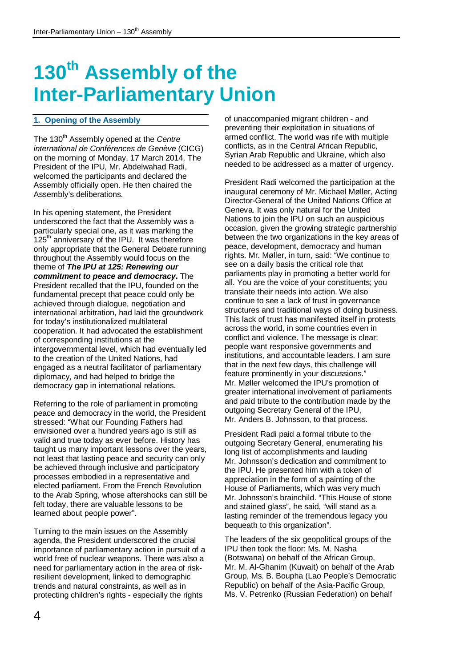# **130th Assembly of the Inter-Parliamentary Union**

#### **1. Opening of the Assembly**

The 130<sup>th</sup> Assembly opened at the *Centre international de Conférences de Genève* (CICG) on the morning of Monday, 17 March 2014. The President of the IPU, Mr. Abdelwahad Radi, welcomed the participants and declared the Assembly officially open. He then chaired the Assembly's deliberations.

In his opening statement, the President underscored the fact that the Assembly was a particularly special one, as it was marking the 125<sup>th</sup> anniversary of the IPU. It was therefore only appropriate that the General Debate running throughout the Assembly would focus on the theme of *The IPU at 125: Renewing our commitment to peace and democracy***.** The President recalled that the IPU, founded on the fundamental precept that peace could only be achieved through dialogue, negotiation and international arbitration, had laid the groundwork for today's institutionalized multilateral cooperation. It had advocated the establishment of corresponding institutions at the intergovernmental level, which had eventually led to the creation of the United Nations, had engaged as a neutral facilitator of parliamentary diplomacy, and had helped to bridge the democracy gap in international relations.

Referring to the role of parliament in promoting peace and democracy in the world, the President stressed: "What our Founding Fathers had envisioned over a hundred years ago is still as valid and true today as ever before. History has taught us many important lessons over the years, not least that lasting peace and security can only be achieved through inclusive and participatory processes embodied in a representative and elected parliament. From the French Revolution to the Arab Spring, whose aftershocks can still be felt today, there are valuable lessons to be learned about people power".

Turning to the main issues on the Assembly agenda, the President underscored the crucial importance of parliamentary action in pursuit of a world free of nuclear weapons. There was also a need for parliamentary action in the area of riskresilient development, linked to demographic trends and natural constraints, as well as in protecting children's rights - especially the rights

of unaccompanied migrant children - and preventing their exploitation in situations of armed conflict. The world was rife with multiple conflicts, as in the Central African Republic, Syrian Arab Republic and Ukraine, which also needed to be addressed as a matter of urgency.

President Radi welcomed the participation at the inaugural ceremony of Mr. Michael Møller, Acting Director-General of the United Nations Office at Geneva. It was only natural for the United Nations to join the IPU on such an auspicious occasion, given the growing strategic partnership between the two organizations in the key areas of peace, development, democracy and human rights. Mr. Møller, in turn, said: "We continue to see on a daily basis the critical role that parliaments play in promoting a better world for all. You are the voice of your constituents; you translate their needs into action. We also continue to see a lack of trust in governance structures and traditional ways of doing business. This lack of trust has manifested itself in protests across the world, in some countries even in conflict and violence. The message is clear: people want responsive governments and institutions, and accountable leaders. I am sure that in the next few days, this challenge will feature prominently in your discussions." Mr. Møller welcomed the IPU's promotion of greater international involvement of parliaments and paid tribute to the contribution made by the outgoing Secretary General of the IPU, Mr. Anders B. Johnsson, to that process.

President Radi paid a formal tribute to the outgoing Secretary General, enumerating his long list of accomplishments and lauding Mr. Johnsson's dedication and commitment to the IPU. He presented him with a token of appreciation in the form of a painting of the House of Parliaments, which was very much Mr. Johnsson's brainchild. "This House of stone and stained glass", he said, "will stand as a lasting reminder of the tremendous legacy you bequeath to this organization".

The leaders of the six geopolitical groups of the IPU then took the floor: Ms. M. Nasha (Botswana) on behalf of the African Group, Mr. M. Al-Ghanim (Kuwait) on behalf of the Arab Group, Ms. B. Boupha (Lao People's Democratic Republic) on behalf of the Asia-Pacific Group, Ms. V. Petrenko (Russian Federation) on behalf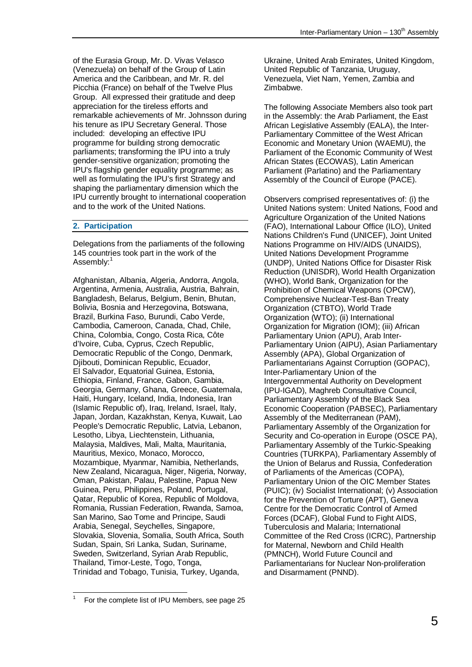of the Eurasia Group, Mr. D. Vivas Velasco (Venezuela) on behalf of the Group of Latin America and the Caribbean, and Mr. R. del Picchia (France) on behalf of the Twelve Plus Group. All expressed their gratitude and deep appreciation for the tireless efforts and remarkable achievements of Mr. Johnsson during his tenure as IPU Secretary General. Those included: developing an effective IPU programme for building strong democratic parliaments; transforming the IPU into a truly gender-sensitive organization; promoting the IPU's flagship gender equality programme; as well as formulating the IPU's first Strategy and shaping the parliamentary dimension which the IPU currently brought to international cooperation and to the work of the United Nations.

#### **2. Participation**

Delegations from the parliaments of the following 145 countries took part in the work of the Assembly:

Afghanistan, Albania, Algeria, Andorra, Angola, Argentina, Armenia, Australia, Austria, Bahrain, Bangladesh, Belarus, Belgium, Benin, Bhutan, Bolivia, Bosnia and Herzegovina, Botswana, Brazil, Burkina Faso, Burundi, Cabo Verde, Cambodia, Cameroon, Canada, Chad, Chile, China, Colombia, Congo, Costa Rica, Côte d'Ivoire, Cuba, Cyprus, Czech Republic, Democratic Republic of the Congo, Denmark, Djibouti, Dominican Republic, Ecuador, El Salvador, Equatorial Guinea, Estonia, Ethiopia, Finland, France, Gabon, Gambia, Georgia, Germany, Ghana, Greece, Guatemala, Haiti, Hungary, Iceland, India, Indonesia, Iran (Islamic Republic of), Iraq, Ireland, Israel, Italy, Japan, Jordan, Kazakhstan, Kenya, Kuwait, Lao People's Democratic Republic, Latvia, Lebanon, Lesotho, Libya, Liechtenstein, Lithuania, Malaysia, Maldives, Mali, Malta, Mauritania, Mauritius, Mexico, Monaco, Morocco, Mozambique, Myanmar, Namibia, Netherlands, New Zealand, Nicaragua, Niger, Nigeria, Norway, Oman, Pakistan, Palau, Palestine, Papua New Guinea, Peru, Philippines, Poland, Portugal, Qatar, Republic of Korea, Republic of Moldova, Romania, Russian Federation, Rwanda, Samoa, San Marino, Sao Tome and Principe, Saudi Arabia, Senegal, Seychelles, Singapore, Slovakia, Slovenia, Somalia, South Africa, South Sudan, Spain, Sri Lanka, Sudan, Suriname, Sweden, Switzerland, Syrian Arab Republic, Thailand, Timor-Leste, Togo, Tonga, Trinidad and Tobago, Tunisia, Turkey, Uganda,

Ukraine, United Arab Emirates, United Kingdom, United Republic of Tanzania, Uruguay, Venezuela, Viet Nam, Yemen, Zambia and Zimbabwe.

The following Associate Members also took part in the Assembly: the Arab Parliament, the East African Legislative Assembly (EALA), the Inter-Parliamentary Committee of the West African Economic and Monetary Union (WAEMU), the Parliament of the Economic Community of West African States (ECOWAS), Latin American Parliament (Parlatino) and the Parliamentary Assembly of the Council of Europe (PACE).

Observers comprised representatives of: (i) the United Nations system: United Nations, Food and Agriculture Organization of the United Nations (FAO), International Labour Office (ILO), United Nations Children's Fund (UNICEF), Joint United Nations Programme on HIV/AIDS (UNAIDS), United Nations Development Programme (UNDP), United Nations Office for Disaster Risk Reduction (UNISDR), World Health Organization (WHO), World Bank, Organization for the Prohibition of Chemical Weapons (OPCW), Comprehensive Nuclear-Test-Ban Treaty Organization (CTBTO), World Trade Organization (WTO); (ii) International Organization for Migration (IOM); (iii) African Parliamentary Union (APU), Arab Inter-Parliamentary Union (AIPU), Asian Parliamentary Assembly (APA), Global Organization of Parliamentarians Against Corruption (GOPAC), Inter-Parliamentary Union of the Intergovernmental Authority on Development (IPU-IGAD), Maghreb Consultative Council, Parliamentary Assembly of the Black Sea Economic Cooperation (PABSEC), Parliamentary Assembly of the Mediterranean (PAM), Parliamentary Assembly of the Organization for Security and Co-operation in Europe (OSCE PA), Parliamentary Assembly of the Turkic-Speaking Countries (TURKPA), Parliamentary Assembly of the Union of Belarus and Russia, Confederation of Parliaments of the Americas (COPA), Parliamentary Union of the OIC Member States (PUIC); (iv) Socialist International; (v) Association for the Prevention of Torture (APT), Geneva Centre for the Democratic Control of Armed Forces (DCAF), Global Fund to Fight AIDS, Tuberculosis and Malaria; International Committee of the Red Cross (ICRC), Partnership for Maternal, Newborn and Child Health (PMNCH), World Future Council and Parliamentarians for Nuclear Non-proliferation and Disarmament (PNND).

<span id="page-4-0"></span>For the complete list of IPU Members, see page 25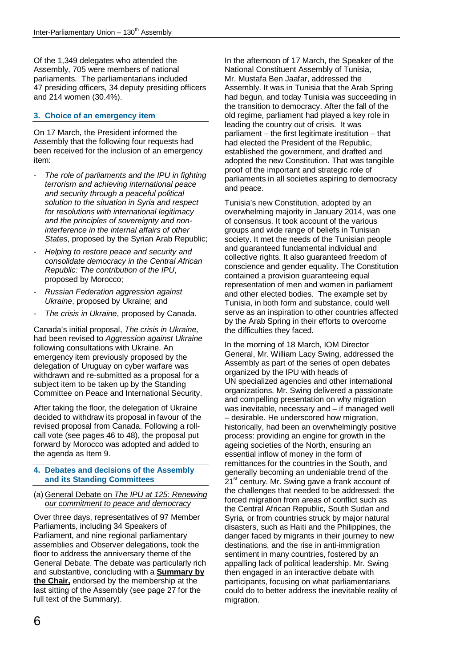Of the 1,349 delegates who attended the Assembly, 705 were members of national parliaments. The parliamentarians included 47 presiding officers, 34 deputy presiding officers and 214 women (30.4%).

#### **3. Choice of an emergency item**

On 17 March, the President informed the Assembly that the following four requests had been received for the inclusion of an emergency item:

- *The role of parliaments and the IPU in fighting terrorism and achieving international peace and security through a peaceful political solution to the situation in Syria and respect for resolutions with international legitimacy and the principles of sovereignty and noninterference in the internal affairs of other States*, proposed by the Syrian Arab Republic;
- *Helping to restore peace and security and consolidate democracy in the Central African Republic: The contribution of the IPU*, proposed by Morocco;
- *Russian Federation aggression against Ukraine*, proposed by Ukraine; and
- *The crisis in Ukraine*, proposed by Canada.

Canada's initial proposal, *The crisis in Ukraine,* had been revised to *Aggression against Ukraine* following consultations with Ukraine. An emergency item previously proposed by the delegation of Uruguay on cyber warfare was withdrawn and re-submitted as a proposal for a subject item to be taken up by the Standing Committee on Peace and International Security.

After taking the floor, the delegation of Ukraine decided to withdraw its proposal in favour of the revised proposal from Canada. Following a rollcall vote (see pages 46 to 48), the proposal put forward by Morocco was adopted and added to the agenda as Item 9.

#### **4. Debates and decisions of the Assembly and its Standing Committees**

#### (a) General Debate on *The IPU at 125: Renewing our commitment to peace and democracy*

Over three days, representatives of 97 Member Parliaments, including 34 Speakers of Parliament, and nine regional parliamentary assemblies and Observer delegations, took the floor to address the anniversary theme of the General Debate. The debate was particularly rich and substantive, concluding with a **Summary by the Chair,** endorsed by the membership at the last sitting of the Assembly (see page 27 for the full text of the Summary).

In the afternoon of 17 March, the Speaker of the National Constituent Assembly of Tunisia, Mr. Mustafa Ben Jaafar, addressed the Assembly. It was in Tunisia that the Arab Spring had begun, and today Tunisia was succeeding in the transition to democracy. After the fall of the old regime, parliament had played a key role in leading the country out of crisis. It was parliament – the first legitimate institution – that had elected the President of the Republic, established the government, and drafted and adopted the new Constitution. That was tangible proof of the important and strategic role of parliaments in all societies aspiring to democracy and peace.

Tunisia's new Constitution, adopted by an overwhelming majority in January 2014, was one of consensus. It took account of the various groups and wide range of beliefs in Tunisian society. It met the needs of the Tunisian people and guaranteed fundamental individual and collective rights. It also guaranteed freedom of conscience and gender equality. The Constitution contained a provision guaranteeing equal representation of men and women in parliament and other elected bodies. The example set by Tunisia, in both form and substance, could well serve as an inspiration to other countries affected by the Arab Spring in their efforts to overcome the difficulties they faced.

In the morning of 18 March, IOM Director General, Mr. William Lacy Swing, addressed the Assembly as part of the series of open debates organized by the IPU with heads of UN specialized agencies and other international organizations. Mr. Swing delivered a passionate and compelling presentation on why migration was inevitable, necessary and – if managed well – desirable. He underscored how migration, historically, had been an overwhelmingly positive process: providing an engine for growth in the ageing societies of the North, ensuring an essential inflow of money in the form of remittances for the countries in the South, and generally becoming an undeniable trend of the  $21<sup>st</sup>$  century. Mr. Swing gave a frank account of the challenges that needed to be addressed: the forced migration from areas of conflict such as the Central African Republic, South Sudan and Syria, or from countries struck by major natural disasters, such as Haiti and the Philippines, the danger faced by migrants in their journey to new destinations, and the rise in anti-immigration sentiment in many countries, fostered by an appalling lack of political leadership. Mr. Swing then engaged in an interactive debate with participants, focusing on what parliamentarians could do to better address the inevitable reality of migration.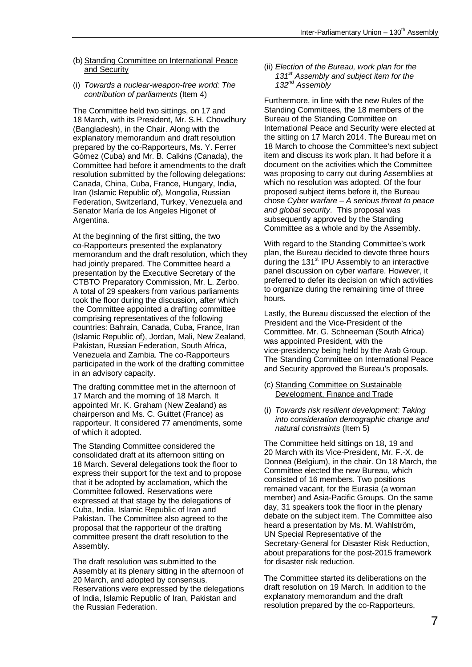- (b) Standing Committee on International Peace and Security
- (i) *Towards a nuclear-weapon-free world: The contribution of parliaments* (Item 4)

The Committee held two sittings, on 17 and 18 March, with its President, Mr. S.H. Chowdhury (Bangladesh), in the Chair. Along with the explanatory memorandum and draft resolution prepared by the co-Rapporteurs, Ms. Y. Ferrer Gómez (Cuba) and Mr. B. Calkins (Canada), the Committee had before it amendments to the draft resolution submitted by the following delegations: Canada, China, Cuba, France, Hungary, India, Iran (Islamic Republic of), Mongolia, Russian Federation, Switzerland, Turkey, Venezuela and Senator María de los Angeles Higonet of Argentina.

At the beginning of the first sitting, the two co-Rapporteurs presented the explanatory memorandum and the draft resolution, which they had jointly prepared. The Committee heard a presentation by the Executive Secretary of the CTBTO Preparatory Commission, Mr. L. Zerbo. A total of 29 speakers from various parliaments took the floor during the discussion, after which the Committee appointed a drafting committee comprising representatives of the following countries: Bahrain, Canada, Cuba, France, Iran (Islamic Republic of), Jordan, Mali, New Zealand, Pakistan, Russian Federation, South Africa, Venezuela and Zambia. The co-Rapporteurs participated in the work of the drafting committee in an advisory capacity.

The drafting committee met in the afternoon of 17 March and the morning of 18 March. It appointed Mr. K. Graham (New Zealand) as chairperson and Ms. C. Guittet (France) as rapporteur. It considered 77 amendments, some of which it adopted.

The Standing Committee considered the consolidated draft at its afternoon sitting on 18 March. Several delegations took the floor to express their support for the text and to propose that it be adopted by acclamation, which the Committee followed. Reservations were expressed at that stage by the delegations of Cuba, India, Islamic Republic of Iran and Pakistan. The Committee also agreed to the proposal that the rapporteur of the drafting committee present the draft resolution to the Assembly.

The draft resolution was submitted to the Assembly at its plenary sitting in the afternoon of 20 March, and adopted by consensus. Reservations were expressed by the delegations of India, Islamic Republic of Iran, Pakistan and the Russian Federation.

(ii) *Election of the Bureau, work plan for the 131st Assembly and subject item for the 132nd Assembly*

Furthermore, in line with the new Rules of the Standing Committees, the 18 members of the Bureau of the Standing Committee on International Peace and Security were elected at the sitting on 17 March 2014. The Bureau met on 18 March to choose the Committee's next subject item and discuss its work plan. It had before it a document on the activities which the Committee was proposing to carry out during Assemblies at which no resolution was adopted. Of the four proposed subject items before it, the Bureau chose *Cyber warfare – A serious threat to peace and global security*. This proposal was subsequently approved by the Standing Committee as a whole and by the Assembly.

With regard to the Standing Committee's work plan, the Bureau decided to devote three hours during the 131<sup>st</sup> IPU Assembly to an interactive panel discussion on cyber warfare. However, it preferred to defer its decision on which activities to organize during the remaining time of three hours.

Lastly, the Bureau discussed the election of the President and the Vice-President of the Committee. Mr. G. Schneeman (South Africa) was appointed President, with the vice-presidency being held by the Arab Group. The Standing Committee on International Peace and Security approved the Bureau's proposals.

- (c) Standing Committee on Sustainable Development, Finance and Trade
- (i) *Towards risk resilient development: Taking into consideration demographic change and natural constraints* (Item 5)

The Committee held sittings on 18, 19 and 20 March with its Vice-President, Mr. F.-X. de Donnea (Belgium), in the chair. On 18 March, the Committee elected the new Bureau, which consisted of 16 members. Two positions remained vacant, for the Eurasia (a woman member) and Asia-Pacific Groups. On the same day, 31 speakers took the floor in the plenary debate on the subject item. The Committee also heard a presentation by Ms. M. Wahlström, UN Special Representative of the Secretary-General for Disaster Risk Reduction, about preparations for the post-2015 framework for disaster risk reduction.

The Committee started its deliberations on the draft resolution on 19 March. In addition to the explanatory memorandum and the draft resolution prepared by the co-Rapporteurs,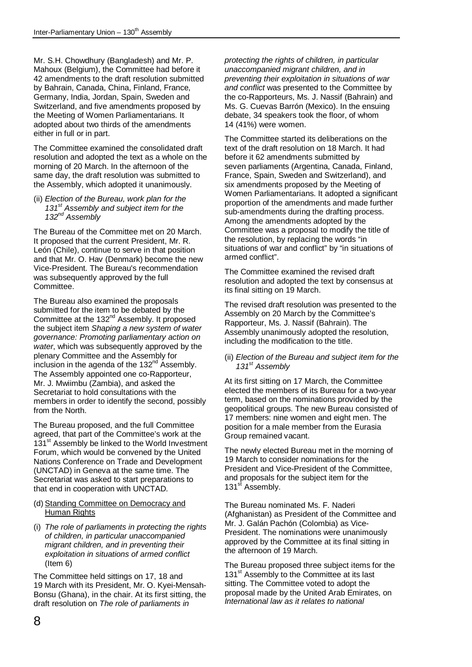Mr. S.H. Chowdhury (Bangladesh) and Mr. P. Mahoux (Belgium), the Committee had before it 42 amendments to the draft resolution submitted by Bahrain, Canada, China, Finland, France, Germany, India, Jordan, Spain, Sweden and Switzerland, and five amendments proposed by the Meeting of Women Parliamentarians. It adopted about two thirds of the amendments either in full or in part.

The Committee examined the consolidated draft resolution and adopted the text as a whole on the morning of 20 March. In the afternoon of the same day, the draft resolution was submitted to the Assembly, which adopted it unanimously.

(ii) *Election of the Bureau, work plan for the 131st Assembly and subject item for the 132nd Assembly* 

The Bureau of the Committee met on 20 March. It proposed that the current President, Mr. R. León (Chile), continue to serve in that position and that Mr. O. Hav (Denmark) become the new Vice-President. The Bureau's recommendation was subsequently approved by the full Committee.

The Bureau also examined the proposals submitted for the item to be debated by the Committee at the 132<sup>nd</sup> Assembly. It proposed the subject item *Shaping a new system of water governance: Promoting parliamentary action on water*, which was subsequently approved by the plenary Committee and the Assembly for inclusion in the agenda of the 132<sup>nd</sup> Assembly. The Assembly appointed one co-Rapporteur, Mr. J. Mwiimbu (Zambia), and asked the Secretariat to hold consultations with the members in order to identify the second, possibly from the North.

The Bureau proposed, and the full Committee agreed, that part of the Committee's work at the 131<sup>st</sup> Assembly be linked to the World Investment Forum, which would be convened by the United Nations Conference on Trade and Development (UNCTAD) in Geneva at the same time. The Secretariat was asked to start preparations to that end in cooperation with UNCTAD.

- (d) Standing Committee on Democracy and Human Rights
- (i) *The role of parliaments in protecting the rights of children, in particular unaccompanied migrant children, and in preventing their exploitation in situations of armed conflict* (Item 6)

The Committee held sittings on 17, 18 and 19 March with its President, Mr. O. Kyei-Mensah-Bonsu (Ghana), in the chair. At its first sitting, the draft resolution on *The role of parliaments in* 

*protecting the rights of children, in particular unaccompanied migrant children, and in preventing their exploitation in situations of war and conflict* was presented to the Committee by the co-Rapporteurs, Ms. J. Nassif (Bahrain) and Ms. G. Cuevas Barrón (Mexico). In the ensuing debate, 34 speakers took the floor, of whom 14 (41%) were women.

The Committee started its deliberations on the text of the draft resolution on 18 March. It had before it 62 amendments submitted by seven parliaments (Argentina, Canada, Finland, France, Spain, Sweden and Switzerland), and six amendments proposed by the Meeting of Women Parliamentarians. It adopted a significant proportion of the amendments and made further sub-amendments during the drafting process. Among the amendments adopted by the Committee was a proposal to modify the title of the resolution, by replacing the words "in situations of war and conflict" by "in situations of armed conflict".

The Committee examined the revised draft resolution and adopted the text by consensus at its final sitting on 19 March.

The revised draft resolution was presented to the Assembly on 20 March by the Committee's Rapporteur, Ms. J. Nassif (Bahrain). The Assembly unanimously adopted the resolution, including the modification to the title.

#### (ii) *Election of the Bureau and subject item for the 131st Assembly*

At its first sitting on 17 March, the Committee elected the members of its Bureau for a two-year term, based on the nominations provided by the geopolitical groups. The new Bureau consisted of 17 members: nine women and eight men. The position for a male member from the Eurasia Group remained vacant.

The newly elected Bureau met in the morning of 19 March to consider nominations for the President and Vice-President of the Committee, and proposals for the subject item for the 131<sup>st</sup> Assembly.

The Bureau nominated Ms. F. Naderi (Afghanistan) as President of the Committee and Mr. J. Galán Pachón (Colombia) as Vice-President. The nominations were unanimously approved by the Committee at its final sitting in the afternoon of 19 March.

The Bureau proposed three subject items for the 131<sup>st</sup> Assembly to the Committee at its last sitting. The Committee voted to adopt the proposal made by the United Arab Emirates, on *International law as it relates to national*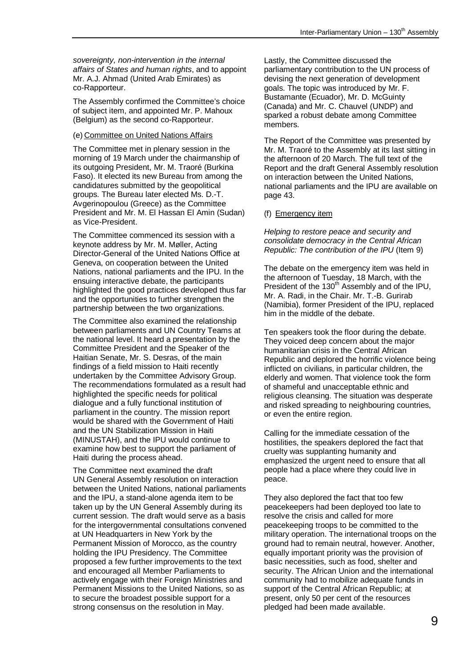*sovereignty, non-intervention in the internal affairs of States and human rights*, and to appoint Mr. A.J. Ahmad (United Arab Emirates) as co-Rapporteur.

The Assembly confirmed the Committee's choice of subject item, and appointed Mr. P. Mahoux (Belgium) as the second co-Rapporteur.

#### (e) Committee on United Nations Affairs

The Committee met in plenary session in the morning of 19 March under the chairmanship of its outgoing President, Mr. M. Traoré (Burkina Faso). It elected its new Bureau from among the candidatures submitted by the geopolitical groups. The Bureau later elected Ms. D.-T. Avgerinopoulou (Greece) as the Committee President and Mr. M. El Hassan El Amin (Sudan) as Vice-President.

The Committee commenced its session with a keynote address by Mr. M. Møller, Acting Director-General of the United Nations Office at Geneva, on cooperation between the United Nations, national parliaments and the IPU. In the ensuing interactive debate, the participants highlighted the good practices developed thus far and the opportunities to further strengthen the partnership between the two organizations.

The Committee also examined the relationship between parliaments and UN Country Teams at the national level. It heard a presentation by the Committee President and the Speaker of the Haitian Senate, Mr. S. Desras, of the main findings of a field mission to Haiti recently undertaken by the Committee Advisory Group. The recommendations formulated as a result had highlighted the specific needs for political dialogue and a fully functional institution of parliament in the country. The mission report would be shared with the Government of Haiti and the UN Stabilization Mission in Haiti (MINUSTAH), and the IPU would continue to examine how best to support the parliament of Haiti during the process ahead.

The Committee next examined the draft UN General Assembly resolution on interaction between the United Nations, national parliaments and the IPU, a stand-alone agenda item to be taken up by the UN General Assembly during its current session. The draft would serve as a basis for the intergovernmental consultations convened at UN Headquarters in New York by the Permanent Mission of Morocco, as the country holding the IPU Presidency. The Committee proposed a few further improvements to the text and encouraged all Member Parliaments to actively engage with their Foreign Ministries and Permanent Missions to the United Nations, so as to secure the broadest possible support for a strong consensus on the resolution in May.

Lastly, the Committee discussed the parliamentary contribution to the UN process of devising the next generation of development goals. The topic was introduced by Mr. F. Bustamante (Ecuador), Mr. D. McGuinty (Canada) and Mr. C. Chauvel (UNDP) and sparked a robust debate among Committee members.

The Report of the Committee was presented by Mr. M. Traoré to the Assembly at its last sitting in the afternoon of 20 March. The full text of the Report and the draft General Assembly resolution on interaction between the United Nations, national parliaments and the IPU are available on page 43.

#### (f) Emergency item

*Helping to restore peace and security and consolidate democracy in the Central African Republic: The contribution of the IPU* (Item 9)

The debate on the emergency item was held in the afternoon of Tuesday, 18 March, with the President of the 130<sup>th</sup> Assembly and of the IPU, Mr. A. Radi, in the Chair. Mr. T.-B. Gurirab (Namibia), former President of the IPU, replaced him in the middle of the debate.

Ten speakers took the floor during the debate. They voiced deep concern about the major humanitarian crisis in the Central African Republic and deplored the horrific violence being inflicted on civilians, in particular children, the elderly and women. That violence took the form of shameful and unacceptable ethnic and religious cleansing. The situation was desperate and risked spreading to neighbouring countries, or even the entire region.

Calling for the immediate cessation of the hostilities, the speakers deplored the fact that cruelty was supplanting humanity and emphasized the urgent need to ensure that all people had a place where they could live in peace.

They also deplored the fact that too few peacekeepers had been deployed too late to resolve the crisis and called for more peacekeeping troops to be committed to the military operation. The international troops on the ground had to remain neutral, however. Another, equally important priority was the provision of basic necessities, such as food, shelter and security. The African Union and the international community had to mobilize adequate funds in support of the Central African Republic; at present, only 50 per cent of the resources pledged had been made available.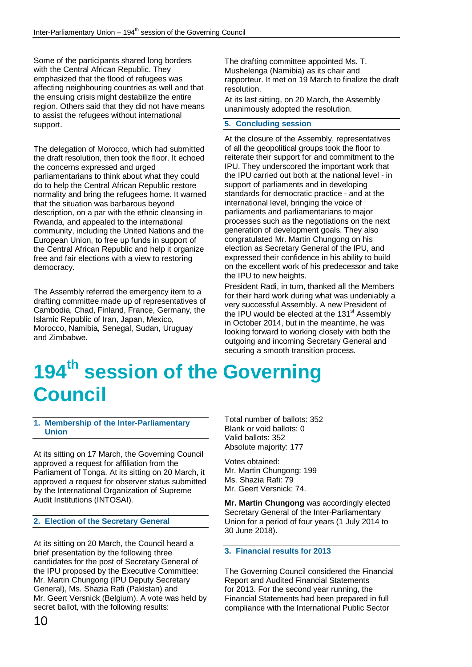Some of the participants shared long borders with the Central African Republic. They emphasized that the flood of refugees was affecting neighbouring countries as well and that the ensuing crisis might destabilize the entire region. Others said that they did not have means to assist the refugees without international support.

The delegation of Morocco, which had submitted the draft resolution, then took the floor. It echoed the concerns expressed and urged parliamentarians to think about what they could do to help the Central African Republic restore normality and bring the refugees home. It warned that the situation was barbarous beyond description, on a par with the ethnic cleansing in Rwanda, and appealed to the international community, including the United Nations and the European Union, to free up funds in support of the Central African Republic and help it organize free and fair elections with a view to restoring democracy.

The Assembly referred the emergency item to a drafting committee made up of representatives of Cambodia, Chad, Finland, France, Germany, the Islamic Republic of Iran, Japan, Mexico, Morocco, Namibia, Senegal, Sudan, Uruguay and Zimbabwe.

The drafting committee appointed Ms. T. Mushelenga (Namibia) as its chair and rapporteur. It met on 19 March to finalize the draft resolution.

At its last sitting, on 20 March, the Assembly unanimously adopted the resolution.

#### **5. Concluding session**

At the closure of the Assembly, representatives of all the geopolitical groups took the floor to reiterate their support for and commitment to the IPU. They underscored the important work that the IPU carried out both at the national level - in support of parliaments and in developing standards for democratic practice - and at the international level, bringing the voice of parliaments and parliamentarians to major processes such as the negotiations on the next generation of development goals. They also congratulated Mr. Martin Chungong on his election as Secretary General of the IPU, and expressed their confidence in his ability to build on the excellent work of his predecessor and take the IPU to new heights.

President Radi, in turn, thanked all the Members for their hard work during what was undeniably a very successful Assembly. A new President of the IPU would be elected at the 131<sup>st</sup> Assembly in October 2014, but in the meantime, he was looking forward to working closely with both the outgoing and incoming Secretary General and securing a smooth transition process.

# **194th session of the Governing Council**

**1. Membership of the Inter-Parliamentary Union**

At its sitting on 17 March, the Governing Council approved a request for affiliation from the Parliament of Tonga. At its sitting on 20 March, it approved a request for observer status submitted by the International Organization of Supreme Audit Institutions (INTOSAI).

#### **2. Election of the Secretary General**

At its sitting on 20 March, the Council heard a brief presentation by the following three candidates for the post of Secretary General of the IPU proposed by the Executive Committee: Mr. Martin Chungong (IPU Deputy Secretary General), Ms. Shazia Rafi (Pakistan) and Mr. Geert Versnick (Belgium). A vote was held by secret ballot, with the following results:

Total number of ballots: 352 Blank or void ballots: 0 Valid ballots: 352 Absolute majority: 177

Votes obtained: Mr. Martin Chungong: 199 Ms. Shazia Rafi: 79 Mr. Geert Versnick: 74.

**Mr. Martin Chungong** was accordingly elected Secretary General of the Inter-Parliamentary Union for a period of four years (1 July 2014 to 30 June 2018).

#### **3. Financial results for 2013**

The Governing Council considered the Financial Report and Audited Financial Statements for 2013. For the second year running, the Financial Statements had been prepared in full compliance with the International Public Sector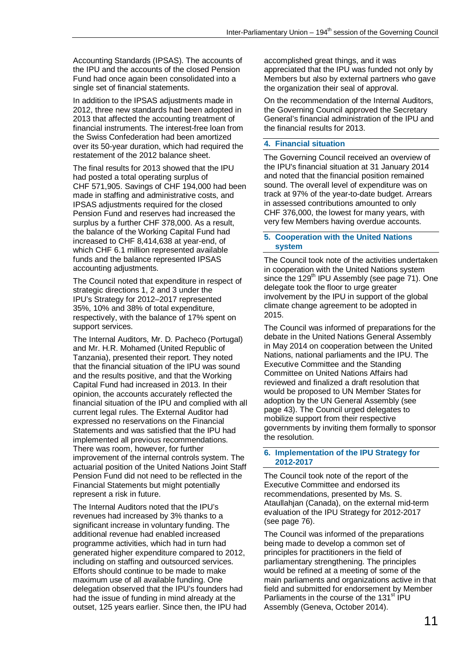Accounting Standards (IPSAS). The accounts of the IPU and the accounts of the closed Pension Fund had once again been consolidated into a single set of financial statements.

In addition to the IPSAS adjustments made in 2012, three new standards had been adopted in 2013 that affected the accounting treatment of financial instruments. The interest-free loan from the Swiss Confederation had been amortized over its 50-year duration, which had required the restatement of the 2012 balance sheet.

The final results for 2013 showed that the IPU had posted a total operating surplus of CHF 571,905. Savings of CHF 194,000 had been made in staffing and administrative costs, and IPSAS adjustments required for the closed Pension Fund and reserves had increased the surplus by a further CHF 378,000. As a result, the balance of the Working Capital Fund had increased to CHF 8,414,638 at year-end, of which CHF 6.1 million represented available funds and the balance represented IPSAS accounting adjustments.

The Council noted that expenditure in respect of strategic directions 1, 2 and 3 under the IPU's Strategy for 2012–2017 represented 35%, 10% and 38% of total expenditure, respectively, with the balance of 17% spent on support services.

The Internal Auditors, Mr. D. Pacheco (Portugal) and Mr. H.R. Mohamed (United Republic of Tanzania), presented their report. They noted that the financial situation of the IPU was sound and the results positive, and that the Working Capital Fund had increased in 2013. In their opinion, the accounts accurately reflected the financial situation of the IPU and complied with all current legal rules. The External Auditor had expressed no reservations on the Financial Statements and was satisfied that the IPU had implemented all previous recommendations. There was room, however, for further improvement of the internal controls system. The actuarial position of the United Nations Joint Staff Pension Fund did not need to be reflected in the Financial Statements but might potentially represent a risk in future.

The Internal Auditors noted that the IPU's revenues had increased by 3% thanks to a significant increase in voluntary funding. The additional revenue had enabled increased programme activities, which had in turn had generated higher expenditure compared to 2012, including on staffing and outsourced services. Efforts should continue to be made to make maximum use of all available funding. One delegation observed that the IPU's founders had had the issue of funding in mind already at the outset, 125 years earlier. Since then, the IPU had accomplished great things, and it was appreciated that the IPU was funded not only by Members but also by external partners who gave the organization their seal of approval.

On the recommendation of the Internal Auditors, the Governing Council approved the Secretary General's financial administration of the IPU and the financial results for 2013.

#### **4. Financial situation**

The Governing Council received an overview of the IPU's financial situation at 31 January 2014 and noted that the financial position remained sound. The overall level of expenditure was on track at 97% of the year-to-date budget. Arrears in assessed contributions amounted to only CHF 376,000, the lowest for many years, with very few Members having overdue accounts.

#### **5. Cooperation with the United Nations system**

The Council took note of the activities undertaken in cooperation with the United Nations system since the 129<sup>th</sup> IPU Assembly (see page 71). One delegate took the floor to urge greater involvement by the IPU in support of the global climate change agreement to be adopted in 2015.

The Council was informed of preparations for the debate in the United Nations General Assembly in May 2014 on cooperation between the United Nations, national parliaments and the IPU. The Executive Committee and the Standing Committee on United Nations Affairs had reviewed and finalized a draft resolution that would be proposed to UN Member States for adoption by the UN General Assembly (see page 43). The Council urged delegates to mobilize support from their respective governments by inviting them formally to sponsor the resolution.

#### **6. Implementation of the IPU Strategy for 2012-2017**

The Council took note of the report of the Executive Committee and endorsed its recommendations, presented by Ms. S. Ataullahjan (Canada), on the external mid-term evaluation of the IPU Strategy for 2012-2017 (see page 76).

The Council was informed of the preparations being made to develop a common set of principles for practitioners in the field of parliamentary strengthening. The principles would be refined at a meeting of some of the main parliaments and organizations active in that field and submitted for endorsement by Member Parliaments in the course of the 131<sup>st</sup> IPU Assembly (Geneva, October 2014).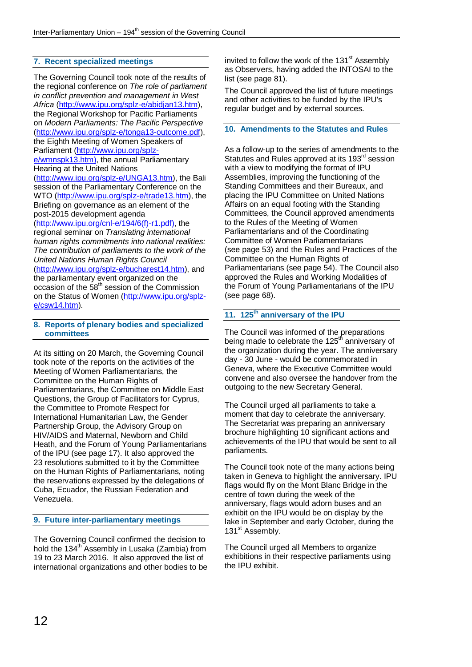#### **7. Recent specialized meetings**

The Governing Council took note of the results of the regional conference on *The role of parliament in conflict prevention and management in West Africa* [\(http://www.ipu.org/splz-e/abidjan13.htm\)](http://www.ipu.org/splz-e/abidjan13.htm), the Regional Workshop for Pacific Parliaments on *Modern Parliaments: The Pacific Perspective* [\(http://www.ipu.org/splz-e/tonga13-outcome.pdf\)](http://www.ipu.org/splz-e/tonga13-outcome.pdf), the Eighth Meeting of Women Speakers of Parliament [\(http://www.ipu.org/splz](http://www.ipu.org/cnl-e/194/6(c)-r1.pdf))[e/wmnspk13.htm\),](http://www.ipu.org/cnl-e/194/6(c)-r1.pdf)) the annual Parliamentary Hearing at the United Nations [\(http://www.ipu.org/splz-e/UNGA13.htm\)](http://www.ipu.org/splz-e/UNGA13.htm), the Bali session of the Parliamentary Conference on the WTO [\(http://www.ipu.org/splz-e/trade13.htm\)](http://www.ipu.org/splz-e/trade13.htm), the Briefing on governance as an element of the post-2015 development agenda [\(http://www.ipu.org/cnl-e/194/6\(f\)-r1.pdf\),](http://www.ipu.org/cnl-e/194/6(f)-r1.pdf)) the regional seminar on *Translating international human rights commitments into national realities: The contribution of parliaments to the work of the United Nations Human Rights Council* [\(http://www.ipu.org/splz-e/bucharest14.htm\)](http://www.ipu.org/splz-e/bucharest14.htm), and the parliamentary event organized on the occasion of the 58<sup>th</sup> session of the Commission on the Status of Women [\(http://www.ipu.org/splz](http://www.ipu.org/splz-e/csw14.htm)[e/csw14.htm\)](http://www.ipu.org/splz-e/csw14.htm).

#### **8. Reports of plenary bodies and specialized committees**

At its sitting on 20 March, the Governing Council took note of the reports on the activities of the Meeting of Women Parliamentarians, the Committee on the Human Rights of Parliamentarians, the Committee on Middle East Questions, the Group of Facilitators for Cyprus, the Committee to Promote Respect for International Humanitarian Law, the Gender Partnership Group, the Advisory Group on HIV/AIDS and Maternal, Newborn and Child Heath, and the Forum of Young Parliamentarians of the IPU (see page 17). It also approved the 23 resolutions submitted to it by the Committee on the Human Rights of Parliamentarians, noting the reservations expressed by the delegations of Cuba, Ecuador, the Russian Federation and Venezuela.

#### **9. Future inter-parliamentary meetings**

The Governing Council confirmed the decision to hold the 134<sup>th</sup> Assembly in Lusaka (Zambia) from 19 to 23 March 2016. It also approved the list of international organizations and other bodies to be

invited to follow the work of the 131<sup>st</sup> Assembly as Observers, having added the INTOSAI to the list (see page 81).

The Council approved the list of future meetings and other activities to be funded by the IPU's regular budget and by external sources.

#### **10. Amendments to the Statutes and Rules**

As a follow-up to the series of amendments to the Statutes and Rules approved at its 193<sup>rd</sup> session with a view to modifying the format of IPU Assemblies, improving the functioning of the Standing Committees and their Bureaux, and placing the IPU Committee on United Nations Affairs on an equal footing with the Standing Committees, the Council approved amendments to the Rules of the Meeting of Women Parliamentarians and of the Coordinating Committee of Women Parliamentarians (see page 53) and the Rules and Practices of the Committee on the Human Rights of Parliamentarians (see page 54). The Council also approved the Rules and Working Modalities of the Forum of Young Parliamentarians of the IPU (see page 68).

#### **11. 125th anniversary of the IPU**

The Council was informed of the preparations being made to celebrate the 125<sup>th</sup> anniversary of the organization during the year. The anniversary day - 30 June - would be commemorated in Geneva, where the Executive Committee would convene and also oversee the handover from the outgoing to the new Secretary General.

The Council urged all parliaments to take a moment that day to celebrate the anniversary. The Secretariat was preparing an anniversary brochure highlighting 10 significant actions and achievements of the IPU that would be sent to all parliaments.

The Council took note of the many actions being taken in Geneva to highlight the anniversary. IPU flags would fly on the Mont Blanc Bridge in the centre of town during the week of the anniversary, flags would adorn buses and an exhibit on the IPU would be on display by the lake in September and early October, during the 131<sup>st</sup> Assembly.

The Council urged all Members to organize exhibitions in their respective parliaments using the IPU exhibit.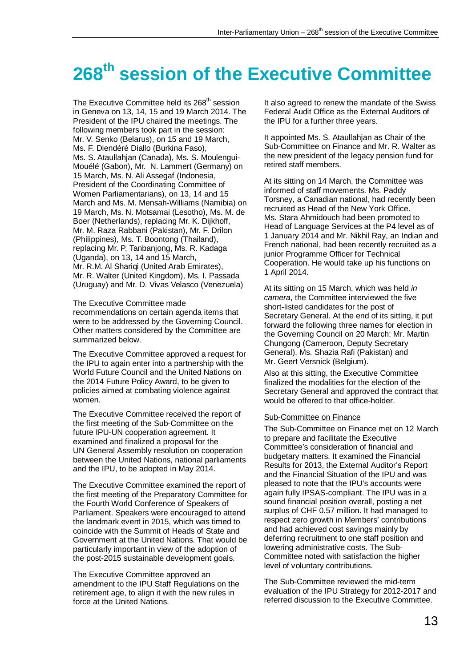# **268th session of the Executive Committee**

The Executive Committee held its 268<sup>th</sup> session in Geneva on 13, 14, 15 and 19 March 2014. The President of the IPU chaired the meetings. The following members took part in the session: Mr. V. Senko (Belarus), on 15 and 19 March, Ms. F. Diendéré Diallo (Burkina Faso), Ms. S. Ataullahjan (Canada), Ms. S. Moulengui-Mouélé (Gabon), Mr. N. Lammert (Germany) on 15 March, Ms. N. Ali Assegaf (Indonesia, President of the Coordinating Committee of Women Parliamentarians), on 13, 14 and 15 March and Ms. M. Mensah-Williams (Namibia) on 19 March, Ms. N. Motsamai (Lesotho), Ms. M. de Boer (Netherlands), replacing Mr. K. Dijkhoff, Mr. M. Raza Rabbani (Pakistan), Mr. F. Drilon (Philippines), Ms. T. Boontong (Thailand), replacing Mr. P. Tanbanjong, Ms. R. Kadaga (Uganda), on 13, 14 and 15 March, Mr. R.M. Al Sharigi (United Arab Emirates), Mr. R. Walter (United Kingdom), Ms. I. Passada (Uruguay) and Mr. D. Vivas Velasco (Venezuela)

The Executive Committee made recommendations on certain agenda items that were to be addressed by the Governing Council. Other matters considered by the Committee are summarized below.

The Executive Committee approved a request for the IPU to again enter into a partnership with the World Future Council and the United Nations on the 2014 Future Policy Award, to be given to policies aimed at combating violence against women.

The Executive Committee received the report of the first meeting of the Sub-Committee on the future IPU-UN cooperation agreement. It examined and finalized a proposal for the UN General Assembly resolution on cooperation between the United Nations, national parliaments and the IPU, to be adopted in May 2014.

The Executive Committee examined the report of the first meeting of the Preparatory Committee for the Fourth World Conference of Speakers of Parliament. Speakers were encouraged to attend the landmark event in 2015, which was timed to coincide with the Summit of Heads of State and Government at the United Nations. That would be particularly important in view of the adoption of the post-2015 sustainable development goals.

The Executive Committee approved an amendment to the IPU Staff Regulations on the retirement age, to align it with the new rules in force at the United Nations.

It also agreed to renew the mandate of the Swiss Federal Audit Office as the External Auditors of the IPU for a further three years.

It appointed Ms. S. Ataullahjan as Chair of the Sub-Committee on Finance and Mr. R. Walter as the new president of the legacy pension fund for retired staff members.

At its sitting on 14 March, the Committee was informed of staff movements. Ms. Paddy Torsney, a Canadian national, had recently been recruited as Head of the New York Office. Ms. Stara Ahmidouch had been promoted to Head of Language Services at the P4 level as of 1 January 2014 and Mr. Nikhil Ray, an Indian and French national, had been recently recruited as a junior Programme Officer for Technical Cooperation. He would take up his functions on 1 April 2014.

At its sitting on 15 March, which was held *in camera*, the Committee interviewed the five short-listed candidates for the post of Secretary General. At the end of its sitting, it put forward the following three names for election in the Governing Council on 20 March: Mr. Martin Chungong (Cameroon, Deputy Secretary General), Ms. Shazia Rafi (Pakistan) and Mr. Geert Versnick (Belgium).

Also at this sitting, the Executive Committee finalized the modalities for the election of the Secretary General and approved the contract that would be offered to that office-holder.

#### Sub-Committee on Finance

The Sub-Committee on Finance met on 12 March to prepare and facilitate the Executive Committee's consideration of financial and budgetary matters. It examined the Financial Results for 2013, the External Auditor's Report and the Financial Situation of the IPU and was pleased to note that the IPU's accounts were again fully IPSAS-compliant. The IPU was in a sound financial position overall, posting a net surplus of CHF 0.57 million. It had managed to respect zero growth in Members' contributions and had achieved cost savings mainly by deferring recruitment to one staff position and lowering administrative costs. The Sub-Committee noted with satisfaction the higher level of voluntary contributions.

The Sub-Committee reviewed the mid-term evaluation of the IPU Strategy for 2012-2017 and referred discussion to the Executive Committee.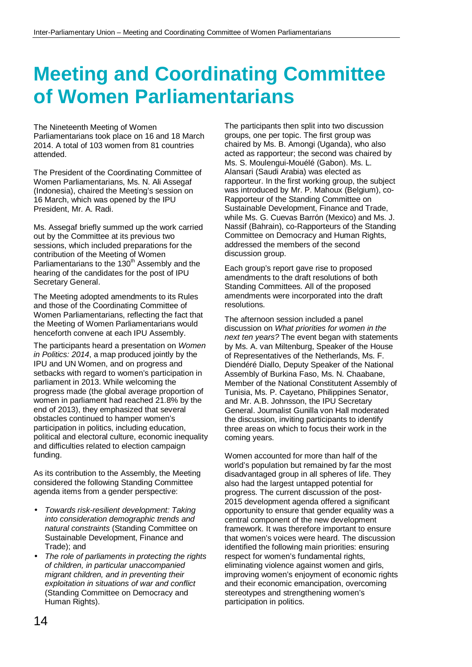# **Meeting and Coordinating Committee of Women Parliamentarians**

#### The Nineteenth Meeting of Women

Parliamentarians took place on 16 and 18 March 2014. A total of 103 women from 81 countries attended.

The President of the Coordinating Committee of Women Parliamentarians, Ms. N. Ali Assegaf (Indonesia), chaired the Meeting's session on 16 March, which was opened by the IPU President, Mr. A. Radi.

Ms. Assegaf briefly summed up the work carried out by the Committee at its previous two sessions, which included preparations for the contribution of the Meeting of Women Parliamentarians to the  $130<sup>th</sup>$  Assembly and the hearing of the candidates for the post of IPU Secretary General.

The Meeting adopted amendments to its Rules and those of the Coordinating Committee of Women Parliamentarians, reflecting the fact that the Meeting of Women Parliamentarians would henceforth convene at each IPU Assembly.

The participants heard a presentation on *Women in Politics: 2014*, a map produced jointly by the IPU and UN Women, and on progress and setbacks with regard to women's participation in parliament in 2013. While welcoming the progress made (the global average proportion of women in parliament had reached 21.8% by the end of 2013), they emphasized that several obstacles continued to hamper women's participation in politics, including education, political and electoral culture, economic inequality and difficulties related to election campaign funding.

As its contribution to the Assembly, the Meeting considered the following Standing Committee agenda items from a gender perspective:

- *Towards risk-resilient development: Taking into consideration demographic trends and natural constraints* (Standing Committee on Sustainable Development, Finance and Trade); and
- *The role of parliaments in protecting the rights of children, in particular unaccompanied migrant children, and in preventing their exploitation in situations of war and conflict* (Standing Committee on Democracy and Human Rights).

The participants then split into two discussion groups, one per topic. The first group was chaired by Ms. B. Amongi (Uganda), who also acted as rapporteur; the second was chaired by Ms. S. Moulengui-Mouélé (Gabon). Ms. L. Alansari (Saudi Arabia) was elected as rapporteur. In the first working group, the subject was introduced by Mr. P. Mahoux (Belgium), co-Rapporteur of the Standing Committee on Sustainable Development, Finance and Trade, while Ms. G. Cuevas Barrón (Mexico) and Ms. J. Nassif (Bahrain), co-Rapporteurs of the Standing Committee on Democracy and Human Rights, addressed the members of the second discussion group.

Each group's report gave rise to proposed amendments to the draft resolutions of both Standing Committees. All of the proposed amendments were incorporated into the draft resolutions.

The afternoon session included a panel discussion on *What priorities for women in the next ten years?* The event began with statements by Ms. A. van Miltenburg, Speaker of the House of Representatives of the Netherlands, Ms. F. Diendéré Diallo, Deputy Speaker of the National Assembly of Burkina Faso, Ms. N. Chaabane, Member of the National Constitutent Assembly of Tunisia, Ms. P. Cayetano, Philippines Senator, and Mr. A.B. Johnsson, the IPU Secretary General. Journalist Gunilla von Hall moderated the discussion, inviting participants to identify three areas on which to focus their work in the coming years.

Women accounted for more than half of the world's population but remained by far the most disadvantaged group in all spheres of life. They also had the largest untapped potential for progress. The current discussion of the post-2015 development agenda offered a significant opportunity to ensure that gender equality was a central component of the new development framework. It was therefore important to ensure that women's voices were heard. The discussion identified the following main priorities: ensuring respect for women's fundamental rights, eliminating violence against women and girls, improving women's enjoyment of economic rights and their economic emancipation, overcoming stereotypes and strengthening women's participation in politics.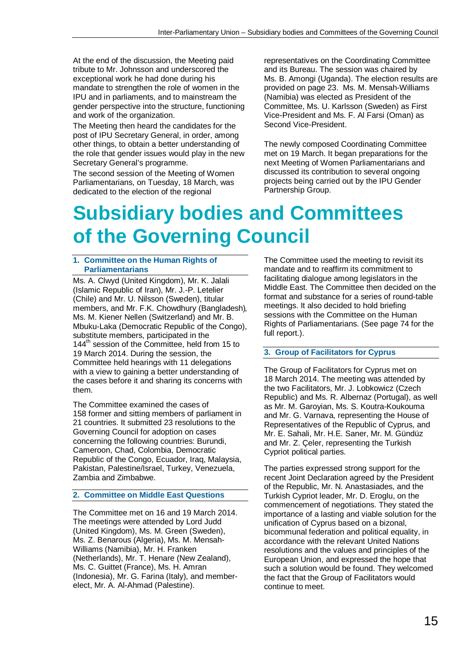At the end of the discussion, the Meeting paid tribute to Mr. Johnsson and underscored the exceptional work he had done during his mandate to strengthen the role of women in the IPU and in parliaments, and to mainstream the gender perspective into the structure, functioning and work of the organization.

The Meeting then heard the candidates for the post of IPU Secretary General, in order, among other things, to obtain a better understanding of the role that gender issues would play in the new Secretary General's programme.

The second session of the Meeting of Women Parliamentarians, on Tuesday, 18 March, was dedicated to the election of the regional

representatives on the Coordinating Committee and its Bureau. The session was chaired by Ms. B. Amongi (Uganda). The election results are provided on page 23. Ms. M. Mensah-Williams (Namibia) was elected as President of the Committee, Ms. U. Karlsson (Sweden) as First Vice-President and Ms. F. Al Farsi (Oman) as Second Vice-President.

The newly composed Coordinating Committee met on 19 March. It began preparations for the next Meeting of Women Parliamentarians and discussed its contribution to several ongoing projects being carried out by the IPU Gender Partnership Group.

# **Subsidiary bodies and Committees of the Governing Council**

#### **1. Committee on the Human Rights of Parliamentarians**

Ms. A. Clwyd (United Kingdom), Mr. K. Jalali (Islamic Republic of Iran), Mr. J.-P. Letelier (Chile) and Mr. U. Nilsson (Sweden), titular members, and Mr. F.K. Chowdhury (Bangladesh), Ms. M. Kiener Nellen (Switzerland) and Mr. B. Mbuku-Laka (Democratic Republic of the Congo), substitute members, participated in the 144<sup>th</sup> session of the Committee, held from 15 to 19 March 2014. During the session, the Committee held hearings with 11 delegations with a view to gaining a better understanding of the cases before it and sharing its concerns with them.

The Committee examined the cases of 158 former and sitting members of parliament in 21 countries. It submitted 23 resolutions to the Governing Council for adoption on cases concerning the following countries: Burundi, Cameroon, Chad, Colombia, Democratic Republic of the Congo, Ecuador, Iraq, Malaysia, Pakistan, Palestine/Israel, Turkey, Venezuela, Zambia and Zimbabwe.

#### **2. Committee on Middle East Questions**

The Committee met on 16 and 19 March 2014. The meetings were attended by Lord Judd (United Kingdom), Ms. M. Green (Sweden), Ms. Z. Benarous (Algeria), Ms. M. Mensah-Williams (Namibia), Mr. H. Franken (Netherlands), Mr. T. Henare (New Zealand), Ms. C. Guittet (France), Ms. H. Amran (Indonesia), Mr. G. Farina (Italy), and memberelect, Mr. A. Al-Ahmad (Palestine).

The Committee used the meeting to revisit its mandate and to reaffirm its commitment to facilitating dialogue among legislators in the Middle East. The Committee then decided on the format and substance for a series of round-table meetings. It also decided to hold briefing sessions with the Committee on the Human Rights of Parliamentarians. (See page 74 for the full report.).

#### **3. Group of Facilitators for Cyprus**

The Group of Facilitators for Cyprus met on 18 March 2014. The meeting was attended by the two Facilitators, Mr. J. Lobkowicz (Czech Republic) and Ms. R. Albernaz (Portugal), as well as Mr. M. Garoyian, Ms. S. Koutra-Koukouma and Mr. G. Varnava, representing the House of Representatives of the Republic of Cyprus, and Mr. E. Sahali, Mr. H.E. Saner, Mr. M. Gündüz and Mr. Z. Çeler, representing the Turkish Cypriot political parties.

The parties expressed strong support for the recent Joint Declaration agreed by the President of the Republic, Mr. N. Anastasiades, and the Turkish Cypriot leader, Mr. D. Eroglu, on the commencement of negotiations. They stated the importance of a lasting and viable solution for the unification of Cyprus based on a bizonal, bicommunal federation and political equality, in accordance with the relevant United Nations resolutions and the values and principles of the European Union, and expressed the hope that such a solution would be found. They welcomed the fact that the Group of Facilitators would continue to meet.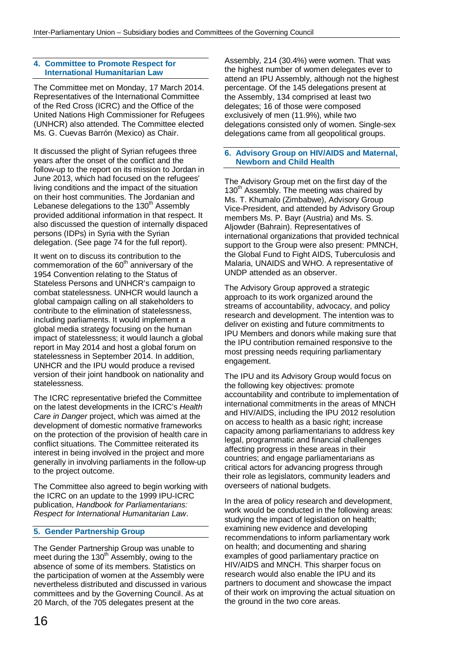#### **4. Committee to Promote Respect for International Humanitarian Law**

The Committee met on Monday, 17 March 2014. Representatives of the International Committee of the Red Cross (ICRC) and the Office of the United Nations High Commissioner for Refugees (UNHCR) also attended. The Committee elected Ms. G. Cuevas Barrón (Mexico) as Chair.

It discussed the plight of Syrian refugees three years after the onset of the conflict and the follow-up to the report on its mission to Jordan in June 2013, which had focused on the refugees' living conditions and the impact of the situation on their host communities. The Jordanian and Lebanese delegations to the 130<sup>th</sup> Assembly provided additional information in that respect. It also discussed the question of internally dispaced persons (IDPs) in Syria with the Syrian delegation. (See page 74 for the full report).

It went on to discuss its contribution to the commemoration of the  $60<sup>th</sup>$  anniversary of the 1954 Convention relating to the Status of Stateless Persons and UNHCR's campaign to combat statelessness. UNHCR would launch a global campaign calling on all stakeholders to contribute to the elimination of statelessness, including parliaments. It would implement a global media strategy focusing on the human impact of statelessness; it would launch a global report in May 2014 and host a global forum on statelessness in September 2014. In addition, UNHCR and the IPU would produce a revised version of their joint handbook on nationality and statelessness.

The ICRC representative briefed the Committee on the latest developments in the ICRC's *Health Care in Danger* project, which was aimed at the development of domestic normative frameworks on the protection of the provision of health care in conflict situations. The Committee reiterated its interest in being involved in the project and more generally in involving parliaments in the follow-up to the project outcome.

The Committee also agreed to begin working with the ICRC on an update to the 1999 IPU-ICRC publication, *Handbook for Parliamentarians: Respect for International Humanitarian Law*.

#### **5. Gender Partnership Group**

The Gender Partnership Group was unable to meet during the 130<sup>th</sup> Assembly, owing to the absence of some of its members. Statistics on the participation of women at the Assembly were nevertheless distributed and discussed in various committees and by the Governing Council. As at 20 March, of the 705 delegates present at the

Assembly, 214 (30.4%) were women. That was the highest number of women delegates ever to attend an IPU Assembly, although not the highest percentage. Of the 145 delegations present at the Assembly, 134 comprised at least two delegates; 16 of those were composed exclusively of men (11.9%), while two delegations consisted only of women. Single-sex delegations came from all geopolitical groups.

#### **6. Advisory Group on HIV/AIDS and Maternal, Newborn and Child Health**

The Advisory Group met on the first day of the 130<sup>th</sup> Assembly. The meeting was chaired by Ms. T. Khumalo (Zimbabwe), Advisory Group Vice-President, and attended by Advisory Group members Ms. P. Bayr (Austria) and Ms. S. Aljowder (Bahrain). Representatives of international organizations that provided technical support to the Group were also present: PMNCH, the Global Fund to Fight AIDS, Tuberculosis and Malaria, UNAIDS and WHO. A representative of UNDP attended as an observer.

The Advisory Group approved a strategic approach to its work organized around the streams of accountability, advocacy, and policy research and development. The intention was to deliver on existing and future commitments to IPU Members and donors while making sure that the IPU contribution remained responsive to the most pressing needs requiring parliamentary engagement.

The IPU and its Advisory Group would focus on the following key objectives: promote accountability and contribute to implementation of international commitments in the areas of MNCH and HIV/AIDS, including the IPU 2012 resolution on access to health as a basic right; increase capacity among parliamentarians to address key legal, programmatic and financial challenges affecting progress in these areas in their countries; and engage parliamentarians as critical actors for advancing progress through their role as legislators, community leaders and overseers of national budgets.

In the area of policy research and development, work would be conducted in the following areas: studying the impact of legislation on health; examining new evidence and developing recommendations to inform parliamentary work on health; and documenting and sharing examples of good parliamentary practice on HIV/AIDS and MNCH. This sharper focus on research would also enable the IPU and its partners to document and showcase the impact of their work on improving the actual situation on the ground in the two core areas.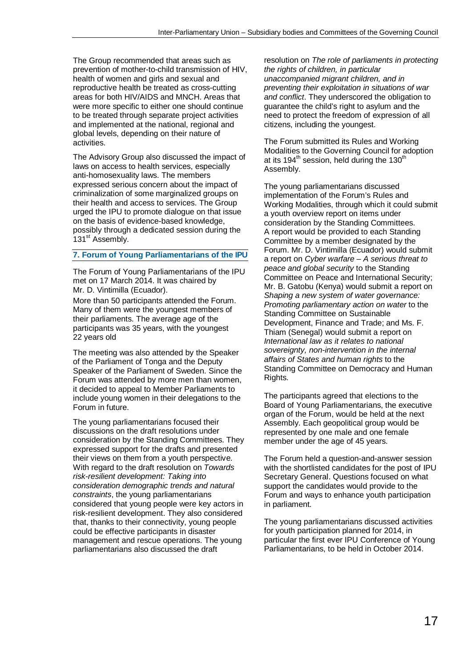The Group recommended that areas such as prevention of mother-to-child transmission of HIV, health of women and girls and sexual and reproductive health be treated as cross-cutting areas for both HIV/AIDS and MNCH. Areas that were more specific to either one should continue to be treated through separate project activities and implemented at the national, regional and global levels, depending on their nature of activities.

The Advisory Group also discussed the impact of laws on access to health services, especially anti-homosexuality laws. The members expressed serious concern about the impact of criminalization of some marginalized groups on their health and access to services. The Group urged the IPU to promote dialogue on that issue on the basis of evidence-based knowledge, possibly through a dedicated session during the 131<sup>st</sup> Assembly.

#### **7. Forum of Young Parliamentarians of the IPU**

The Forum of Young Parliamentarians of the IPU met on 17 March 2014. It was chaired by Mr. D. Vintimilla (Ecuador).

More than 50 participants attended the Forum. Many of them were the youngest members of their parliaments. The average age of the participants was 35 years, with the youngest 22 years old

The meeting was also attended by the Speaker of the Parliament of Tonga and the Deputy Speaker of the Parliament of Sweden. Since the Forum was attended by more men than women, it decided to appeal to Member Parliaments to include young women in their delegations to the Forum in future.

The young parliamentarians focused their discussions on the draft resolutions under consideration by the Standing Committees. They expressed support for the drafts and presented their views on them from a youth perspective. With regard to the draft resolution on *Towards risk-resilient development: Taking into consideration demographic trends and natural constraints*, the young parliamentarians considered that young people were key actors in risk-resilient development. They also considered that, thanks to their connectivity, young people could be effective participants in disaster management and rescue operations. The young parliamentarians also discussed the draft

resolution on *The role of parliaments in protecting the rights of children, in particular unaccompanied migrant children, and in preventing their exploitation in situations of war and conflict*. They underscored the obligation to guarantee the child's right to asylum and the need to protect the freedom of expression of all citizens, including the youngest.

The Forum submitted its Rules and Working Modalities to the Governing Council for adoption at its 194<sup>th</sup> session, held during the 130<sup>th</sup> Assembly.

The young parliamentarians discussed implementation of the Forum's Rules and Working Modalities, through which it could submit a youth overview report on items under consideration by the Standing Committees. A report would be provided to each Standing Committee by a member designated by the Forum. Mr. D. Vintimilla (Ecuador) would submit a report on *Cyber warfare – A serious threat to peace and global security* to the Standing Committee on Peace and International Security; Mr. B. Gatobu (Kenya) would submit a report on *Shaping a new system of water governance: Promoting parliamentary action on water* to the Standing Committee on Sustainable Development, Finance and Trade; and Ms. F. Thiam (Senegal) would submit a report on *International law as it relates to national sovereignty, non-intervention in the internal affairs of States and human rights* to the Standing Committee on Democracy and Human Rights.

The participants agreed that elections to the Board of Young Parliamentarians, the executive organ of the Forum, would be held at the next Assembly. Each geopolitical group would be represented by one male and one female member under the age of 45 years.

The Forum held a question-and-answer session with the shortlisted candidates for the post of IPU Secretary General. Questions focused on what support the candidates would provide to the Forum and ways to enhance youth participation in parliament.

The young parliamentarians discussed activities for youth participation planned for 2014, in particular the first ever IPU Conference of Young Parliamentarians, to be held in October 2014.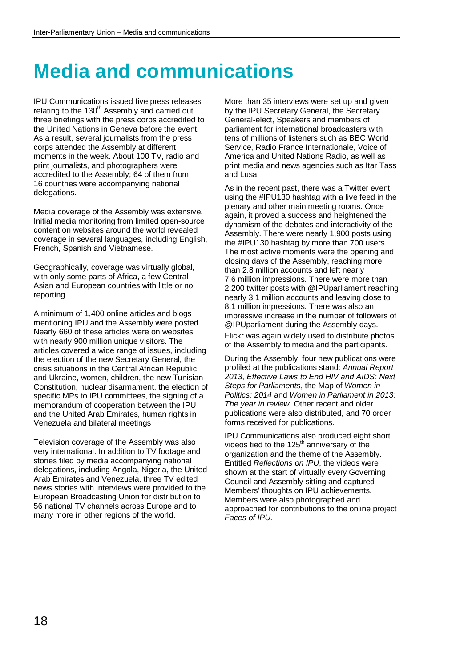# **Media and communications**

IPU Communications issued five press releases relating to the 130<sup>th</sup> Assembly and carried out three briefings with the press corps accredited to the United Nations in Geneva before the event. As a result, several journalists from the press corps attended the Assembly at different moments in the week. About 100 TV, radio and print journalists, and photographers were accredited to the Assembly; 64 of them from 16 countries were accompanying national delegations.

Media coverage of the Assembly was extensive. Initial media monitoring from limited open-source content on websites around the world revealed coverage in several languages, including English, French, Spanish and Vietnamese.

Geographically, coverage was virtually global, with only some parts of Africa, a few Central Asian and European countries with little or no reporting.

A minimum of 1,400 online articles and blogs mentioning IPU and the Assembly were posted. Nearly 660 of these articles were on websites with nearly 900 million unique visitors. The articles covered a wide range of issues, including the election of the new Secretary General, the crisis situations in the Central African Republic and Ukraine, women, children, the new Tunisian Constitution, nuclear disarmament, the election of specific MPs to IPU committees, the signing of a memorandum of cooperation between the IPU and the United Arab Emirates, human rights in Venezuela and bilateral meetings

Television coverage of the Assembly was also very international. In addition to TV footage and stories filed by media accompanying national delegations, including Angola, Nigeria, the United Arab Emirates and Venezuela, three TV edited news stories with interviews were provided to the European Broadcasting Union for distribution to 56 national TV channels across Europe and to many more in other regions of the world.

More than 35 interviews were set up and given by the IPU Secretary General, the Secretary General-elect, Speakers and members of parliament for international broadcasters with tens of millions of listeners such as BBC World Service, Radio France Internationale, Voice of America and United Nations Radio, as well as print media and news agencies such as Itar Tass and Lusa.

As in the recent past, there was a Twitter event using the #IPU130 hashtag with a live feed in the plenary and other main meeting rooms. Once again, it proved a success and heightened the dynamism of the debates and interactivity of the Assembly. There were nearly 1,900 posts using the #IPU130 hashtag by more than 700 users. The most active moments were the opening and closing days of the Assembly, reaching more than 2.8 million accounts and left nearly 7.6 million impressions. There were more than 2,200 twitter posts with @IPUparliament reaching nearly 3.1 million accounts and leaving close to 8.1 million impressions. There was also an impressive increase in the number of followers of @IPUparliament during the Assembly days. Flickr was again widely used to distribute photos of the Assembly to media and the participants.

During the Assembly, four new publications were profiled at the publications stand: *Annual Report 2013*, *Effective Laws to End HIV and AIDS: Next Steps for Parliaments*, the Map of *Women in Politics: 2014* and *Women in Parliament in 2013: The year in review*. Other recent and older publications were also distributed, and 70 order forms received for publications.

IPU Communications also produced eight short videos tied to the 125<sup>th</sup> anniversary of the organization and the theme of the Assembly. Entitled *Reflections on IPU*, the videos were shown at the start of virtually every Governing Council and Assembly sitting and captured Members' thoughts on IPU achievements. Members were also photographed and approached for contributions to the online project *Faces of IPU.*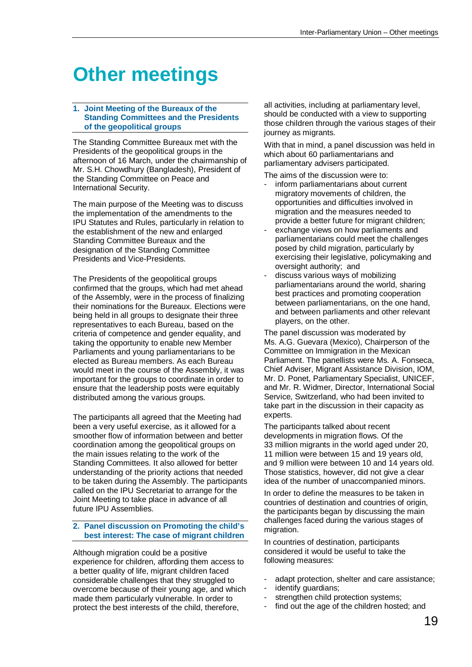## **Other meetings**

#### **1. Joint Meeting of the Bureaux of the Standing Committees and the Presidents of the geopolitical groups**

The Standing Committee Bureaux met with the Presidents of the geopolitical groups in the afternoon of 16 March, under the chairmanship of Mr. S.H. Chowdhury (Bangladesh), President of the Standing Committee on Peace and International Security.

The main purpose of the Meeting was to discuss the implementation of the amendments to the IPU Statutes and Rules, particularly in relation to the establishment of the new and enlarged Standing Committee Bureaux and the designation of the Standing Committee Presidents and Vice-Presidents.

The Presidents of the geopolitical groups confirmed that the groups, which had met ahead of the Assembly, were in the process of finalizing their nominations for the Bureaux. Elections were being held in all groups to designate their three representatives to each Bureau, based on the criteria of competence and gender equality, and taking the opportunity to enable new Member Parliaments and young parliamentarians to be elected as Bureau members. As each Bureau would meet in the course of the Assembly, it was important for the groups to coordinate in order to ensure that the leadership posts were equitably distributed among the various groups.

The participants all agreed that the Meeting had been a very useful exercise, as it allowed for a smoother flow of information between and better coordination among the geopolitical groups on the main issues relating to the work of the Standing Committees. It also allowed for better understanding of the priority actions that needed to be taken during the Assembly. The participants called on the IPU Secretariat to arrange for the Joint Meeting to take place in advance of all future IPU Assemblies.

#### **2. Panel discussion on Promoting the child's best interest: The case of migrant children**

Although migration could be a positive experience for children, affording them access to a better quality of life, migrant children faced considerable challenges that they struggled to overcome because of their young age, and which made them particularly vulnerable. In order to protect the best interests of the child, therefore,

all activities, including at parliamentary level, should be conducted with a view to supporting those children through the various stages of their journey as migrants.

With that in mind, a panel discussion was held in which about 60 parliamentarians and parliamentary advisers participated.

The aims of the discussion were to:

- inform parliamentarians about current migratory movements of children, the opportunities and difficulties involved in migration and the measures needed to provide a better future for migrant children;
- exchange views on how parliaments and parliamentarians could meet the challenges posed by child migration, particularly by exercising their legislative, policymaking and oversight authority; and
- discuss various ways of mobilizing parliamentarians around the world, sharing best practices and promoting cooperation between parliamentarians, on the one hand, and between parliaments and other relevant players, on the other.

The panel discussion was moderated by Ms. A.G. Guevara (Mexico), Chairperson of the Committee on Immigration in the Mexican Parliament. The panellists were Ms. A. Fonseca, Chief Adviser, Migrant Assistance Division, IOM, Mr. D. Ponet, Parliamentary Specialist, UNICEF, and Mr. R. Widmer, Director, International Social Service, Switzerland, who had been invited to take part in the discussion in their capacity as experts.

The participants talked about recent developments in migration flows. Of the 33 million migrants in the world aged under 20, 11 million were between 15 and 19 years old, and 9 million were between 10 and 14 years old. Those statistics, however, did not give a clear idea of the number of unaccompanied minors.

In order to define the measures to be taken in countries of destination and countries of origin, the participants began by discussing the main challenges faced during the various stages of migration.

In countries of destination, participants considered it would be useful to take the following measures:

- adapt protection, shelter and care assistance;
- identify guardians;
- strengthen child protection systems;
- find out the age of the children hosted; and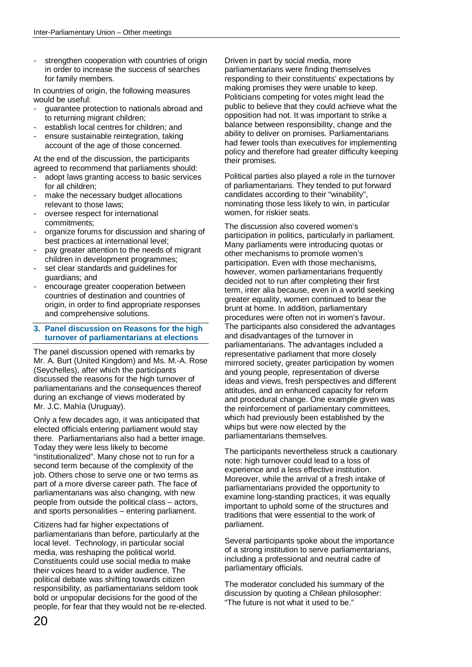strengthen cooperation with countries of origin in order to increase the success of searches for family members.

In countries of origin, the following measures would be useful:

- guarantee protection to nationals abroad and to returning migrant children;
- establish local centres for children; and
- ensure sustainable reintegration, taking account of the age of those concerned.

At the end of the discussion, the participants agreed to recommend that parliaments should:

- adopt laws granting access to basic services for all children;
- make the necessary budget allocations relevant to those laws;
- oversee respect for international commitments;
- organize forums for discussion and sharing of best practices at international level;
- pay greater attention to the needs of migrant children in development programmes;
- set clear standards and guidelines for guardians; and
- encourage greater cooperation between countries of destination and countries of origin, in order to find appropriate responses and comprehensive solutions.

#### **3. Panel discussion on Reasons for the high turnover of parliamentarians at elections**

The panel discussion opened with remarks by Mr. A. Burt (United Kingdom) and Ms. M.-A. Rose (Seychelles), after which the participants discussed the reasons for the high turnover of parliamentarians and the consequences thereof during an exchange of views moderated by Mr. J.C. Mahía (Uruguay).

Only a few decades ago, it was anticipated that elected officials entering parliament would stay there. Parliamentarians also had a better image. Today they were less likely to become "institutionalized". Many chose not to run for a second term because of the complexity of the job. Others chose to serve one or two terms as part of a more diverse career path. The face of parliamentarians was also changing, with new people from outside the political class – actors, and sports personalities – entering parliament.

Citizens had far higher expectations of parliamentarians than before, particularly at the local level. Technology, in particular social media, was reshaping the political world. Constituents could use social media to make their voices heard to a wider audience. The political debate was shifting towards citizen responsibility, as parliamentarians seldom took bold or unpopular decisions for the good of the people, for fear that they would not be re-elected. Driven in part by social media, more parliamentarians were finding themselves responding to their constituents' expectations by making promises they were unable to keep. Politicians competing for votes might lead the public to believe that they could achieve what the opposition had not. It was important to strike a balance between responsibility, change and the ability to deliver on promises. Parliamentarians had fewer tools than executives for implementing policy and therefore had greater difficulty keeping their promises.

Political parties also played a role in the turnover of parliamentarians. They tended to put forward candidates according to their "winability", nominating those less likely to win, in particular women, for riskier seats.

The discussion also covered women's participation in politics, particularly in parliament. Many parliaments were introducing quotas or other mechanisms to promote women's participation. Even with those mechanisms, however, women parliamentarians frequently decided not to run after completing their first term, inter alia because, even in a world seeking greater equality, women continued to bear the brunt at home. In addition, parliamentary procedures were often not in women's favour. The participants also considered the advantages and disadvantages of the turnover in parliamentarians. The advantages included a representative parliament that more closely mirrored society, greater participation by women and young people, representation of diverse ideas and views, fresh perspectives and different attitudes, and an enhanced capacity for reform and procedural change. One example given was the reinforcement of parliamentary committees, which had previously been established by the whips but were now elected by the parliamentarians themselves.

The participants nevertheless struck a cautionary note: high turnover could lead to a loss of experience and a less effective institution. Moreover, while the arrival of a fresh intake of parliamentarians provided the opportunity to examine long-standing practices, it was equally important to uphold some of the structures and traditions that were essential to the work of parliament.

Several participants spoke about the importance of a strong institution to serve parliamentarians, including a professional and neutral cadre of parliamentary officials.

The moderator concluded his summary of the discussion by quoting a Chilean philosopher: "The future is not what it used to be."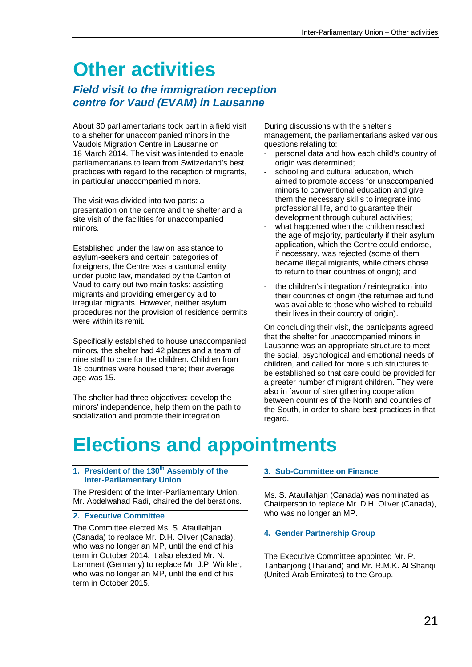### **Other activities**

### *Field visit to the immigration reception centre for Vaud (EVAM) in Lausanne*

About 30 parliamentarians took part in a field visit to a shelter for unaccompanied minors in the Vaudois Migration Centre in Lausanne on 18 March 2014. The visit was intended to enable parliamentarians to learn from Switzerland's best practices with regard to the reception of migrants, in particular unaccompanied minors.

The visit was divided into two parts: a presentation on the centre and the shelter and a site visit of the facilities for unaccompanied minors.

Established under the law on assistance to asylum-seekers and certain categories of foreigners, the Centre was a cantonal entity under public law, mandated by the Canton of Vaud to carry out two main tasks: assisting migrants and providing emergency aid to irregular migrants. However, neither asylum procedures nor the provision of residence permits were within its remit.

Specifically established to house unaccompanied minors, the shelter had 42 places and a team of nine staff to care for the children. Children from 18 countries were housed there; their average age was 15.

The shelter had three objectives: develop the minors' independence, help them on the path to socialization and promote their integration.

During discussions with the shelter's management, the parliamentarians asked various questions relating to:

- personal data and how each child's country of origin was determined;
- schooling and cultural education, which aimed to promote access for unaccompanied minors to conventional education and give them the necessary skills to integrate into professional life, and to guarantee their development through cultural activities;
- what happened when the children reached the age of majority, particularly if their asylum application, which the Centre could endorse, if necessary, was rejected (some of them became illegal migrants, while others chose to return to their countries of origin); and
- the children's integration / reintegration into their countries of origin (the returnee aid fund was available to those who wished to rebuild their lives in their country of origin).

On concluding their visit, the participants agreed that the shelter for unaccompanied minors in Lausanne was an appropriate structure to meet the social, psychological and emotional needs of children, and called for more such structures to be established so that care could be provided for a greater number of migrant children. They were also in favour of strengthening cooperation between countries of the North and countries of the South, in order to share best practices in that regard.

# **Elections and appointments**

#### 1. President of the 130<sup>th</sup> Assembly of the **Inter-Parliamentary Union**

The President of the Inter-Parliamentary Union, Mr. Abdelwahad Radi, chaired the deliberations.

#### **2. Executive Committee**

The Committee elected Ms. S. Ataullahjan (Canada) to replace Mr. D.H. Oliver (Canada), who was no longer an MP, until the end of his term in October 2014. It also elected Mr. N. Lammert (Germany) to replace Mr. J.P. Winkler, who was no longer an MP, until the end of his term in October 2015.

**3. Sub-Committee on Finance** 

Ms. S. Ataullahjan (Canada) was nominated as Chairperson to replace Mr. D.H. Oliver (Canada), who was no longer an MP.

#### **4. Gender Partnership Group**

The Executive Committee appointed Mr. P. Tanbanjong (Thailand) and Mr. R.M.K. Al Shariqi (United Arab Emirates) to the Group.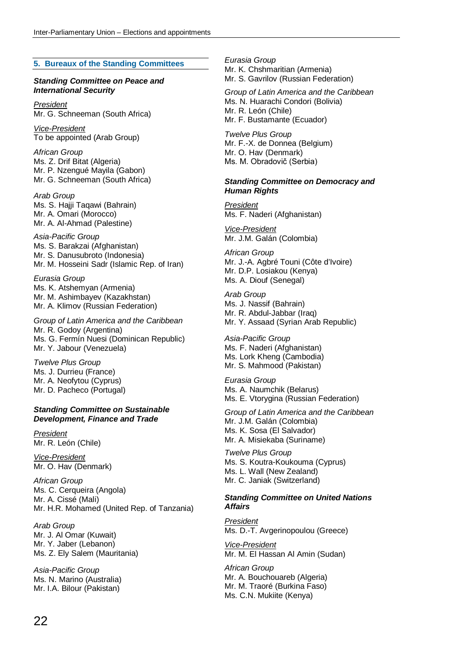#### **5. Bureaux of the Standing Committees**

*Standing Committee on Peace and International Security*

*President* Mr. G. Schneeman (South Africa)

*Vice-President* To be appointed (Arab Group)

*African Group* Ms. Z. Drif Bitat (Algeria) Mr. P. Nzengué Mayila (Gabon) Mr. G. Schneeman (South Africa)

*Arab Group* Ms. S. Hajji Taqawi (Bahrain) Mr. A. Omari (Morocco) Mr. A. Al-Ahmad (Palestine)

*Asia-Pacific Group* Ms. S. Barakzai (Afghanistan) Mr. S. Danusubroto (Indonesia) Mr. M. Hosseini Sadr (Islamic Rep. of Iran)

*Eurasia Group* Ms. K. Atshemyan (Armenia) Mr. M. Ashimbayev (Kazakhstan) Mr. A. Klimov (Russian Federation)

*Group of Latin America and the Caribbean* Mr. R. Godoy (Argentina) Ms. G. Fermín Nuesi (Dominican Republic) Mr. Y. Jabour (Venezuela)

*Twelve Plus Group* Ms. J. Durrieu (France) Mr. A. Neofytou (Cyprus) Mr. D. Pacheco (Portugal)

#### *Standing Committee on Sustainable Development, Finance and Trade*

*President* Mr. R. León (Chile)

*Vice-President* Mr. O. Hav (Denmark)

*African Group* Ms. C. Cerqueira (Angola) Mr. A. Cissé (Mali) Mr. H.R. Mohamed (United Rep. of Tanzania)

*Arab Group* Mr. J. Al Omar (Kuwait) Mr. Y. Jaber (Lebanon) Ms. Z. Ely Salem (Mauritania)

*Asia-Pacific Group* Ms. N. Marino (Australia) Mr. I.A. Bilour (Pakistan)

*Eurasia Group* Mr. K. Chshmaritian (Armenia) Mr. S. Gavrilov (Russian Federation)

*Group of Latin America and the Caribbean* Ms. N. Huarachi Condori (Bolivia) Mr. R. León (Chile) Mr. F. Bustamante (Ecuador)

*Twelve Plus Group* Mr. F.-X. de Donnea (Belgium) Mr. O. Hav (Denmark) Ms. M. Obradovič (Serbia)

#### *Standing Committee on Democracy and Human Rights*

*President* Ms. F. Naderi (Afghanistan)

*Vice-President* Mr. J.M. Galán (Colombia)

*African Group* Mr. J.-A. Agbré Touni (Côte d'Ivoire) Mr. D.P. Losiakou (Kenya) Ms. A. Diouf (Senegal)

*Arab Group* Ms. J. Nassif (Bahrain) Mr. R. Abdul-Jabbar (Iraq) Mr. Y. Assaad (Syrian Arab Republic)

*Asia-Pacific Group* Ms. F. Naderi (Afghanistan) Ms. Lork Kheng (Cambodia) Mr. S. Mahmood (Pakistan)

*Eurasia Group* Ms. A. Naumchik (Belarus) Ms. E. Vtorygina (Russian Federation)

*Group of Latin America and the Caribbean* Mr. J.M. Galán (Colombia) Ms. K. Sosa (El Salvador) Mr. A. Misiekaba (Suriname)

*Twelve Plus Group* Ms. S. Koutra-Koukouma (Cyprus) Ms. L. Wall (New Zealand) Mr. C. Janiak (Switzerland)

#### *Standing Committee on United Nations Affairs*

*President* Ms. D.-T. Avgerinopoulou (Greece)

*Vice-President* Mr. M. El Hassan Al Amin (Sudan)

*African Group* Mr. A. Bouchouareb (Algeria) Mr. M. Traoré (Burkina Faso) Ms. C.N. Mukiite (Kenya)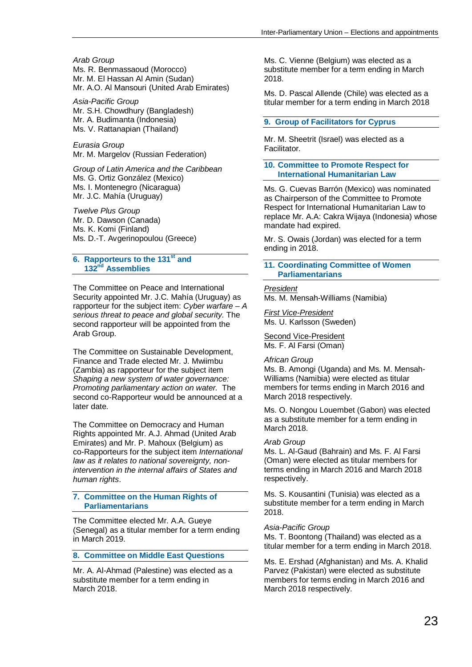*Arab Group* Ms. R. Benmassaoud (Morocco) Mr. M. El Hassan Al Amin (Sudan) Mr. A.O. Al Mansouri (United Arab Emirates)

*Asia-Pacific Group* Mr. S.H. Chowdhury (Bangladesh) Mr. A. Budimanta (Indonesia) Ms. V. Rattanapian (Thailand)

*Eurasia Group* Mr. M. Margelov (Russian Federation)

*Group of Latin America and the Caribbean* Ms. G. Ortiz González (Mexico) Ms. I. Montenegro (Nicaragua) Mr. J.C. Mahía (Uruguay)

*Twelve Plus Group* Mr. D. Dawson (Canada) Ms. K. Komi (Finland) Ms. D.-T. Avgerinopoulou (Greece)

#### **6. Rapporteurs to the 131st and** 132<sup>nd</sup> Assemblies

The Committee on Peace and International Security appointed Mr. J.C. Mahía (Uruguay) as rapporteur for the subject item: *Cyber warfare – A serious threat to peace and global security.* The second rapporteur will be appointed from the Arab Group.

The Committee on Sustainable Development, Finance and Trade elected Mr. J. Mwiimbu (Zambia) as rapporteur for the subject item *Shaping a new system of water governance: Promoting parliamentary action on water.* The second co-Rapporteur would be announced at a later date.

The Committee on Democracy and Human Rights appointed Mr. A.J. Ahmad (United Arab Emirates) and Mr. P. Mahoux (Belgium) as co-Rapporteurs for the subject item *International law as it relates to national sovereignty, nonintervention in the internal affairs of States and human rights*.

#### **7. Committee on the Human Rights of Parliamentarians**

The Committee elected Mr. A.A. Gueye (Senegal) as a titular member for a term ending in March 2019.

**8. Committee on Middle East Questions** 

Mr. A. Al-Ahmad (Palestine) was elected as a substitute member for a term ending in March 2018.

Ms. C. Vienne (Belgium) was elected as a substitute member for a term ending in March 2018.

Ms. D. Pascal Allende (Chile) was elected as a titular member for a term ending in March 2018

#### **9. Group of Facilitators for Cyprus**

Mr. M. Sheetrit (Israel) was elected as a Facilitator.

#### **10. Committee to Promote Respect for International Humanitarian Law**

Ms. G. Cuevas Barrón (Mexico) was nominated as Chairperson of the Committee to Promote Respect for International Humanitarian Law to replace Mr. A.A: Cakra Wijaya (Indonesia) whose mandate had expired.

Mr. S. Owais (Jordan) was elected for a term ending in 2018.

#### **11. Coordinating Committee of Women Parliamentarians**

#### *President*

Ms. M. Mensah-Williams (Namibia)

*First Vice-President* Ms. U. Karlsson (Sweden)

Second Vice-President Ms. F. Al Farsi (Oman)

#### *African Group*

Ms. B. Amongi (Uganda) and Ms. M. Mensah-Williams (Namibia) were elected as titular members for terms ending in March 2016 and March 2018 respectively.

Ms. O. Nongou Louembet (Gabon) was elected as a substitute member for a term ending in March 2018.

#### *Arab Group*

Ms. L. Al-Gaud (Bahrain) and Ms. F. Al Farsi (Oman) were elected as titular members for terms ending in March 2016 and March 2018 respectively.

Ms. S. Kousantini (Tunisia) was elected as a substitute member for a term ending in March 2018.

#### *Asia-Pacific Group*

Ms. T. Boontong (Thailand) was elected as a titular member for a term ending in March 2018.

Ms. E. Ershad (Afghanistan) and Ms. A. Khalid Parvez (Pakistan) were elected as substitute members for terms ending in March 2016 and March 2018 respectively.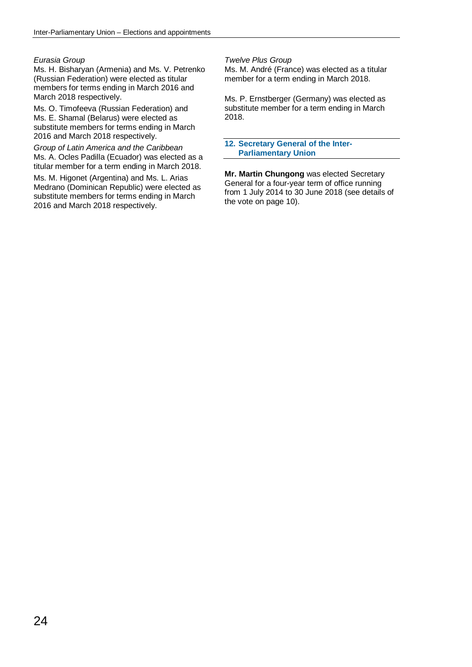#### *Eurasia Group*

Ms. H. Bisharyan (Armenia) and Ms. V. Petrenko (Russian Federation) were elected as titular members for terms ending in March 2016 and March 2018 respectively.

Ms. O. Timofeeva (Russian Federation) and Ms. E. Shamal (Belarus) were elected as substitute members for terms ending in March 2016 and March 2018 respectively.

*Group of Latin America and the Caribbean* Ms. A. Ocles Padilla (Ecuador) was elected as a titular member for a term ending in March 2018.

Ms. M. Higonet (Argentina) and Ms. L. Arias Medrano (Dominican Republic) were elected as substitute members for terms ending in March 2016 and March 2018 respectively.

#### *Twelve Plus Group*

Ms. M. André (France) was elected as a titular member for a term ending in March 2018.

Ms. P. Ernstberger (Germany) was elected as substitute member for a term ending in March 2018.

#### **12. Secretary General of the Inter-Parliamentary Union**

**Mr. Martin Chungong** was elected Secretary General for a four-year term of office running from 1 July 2014 to 30 June 2018 (see details of the vote on page 10).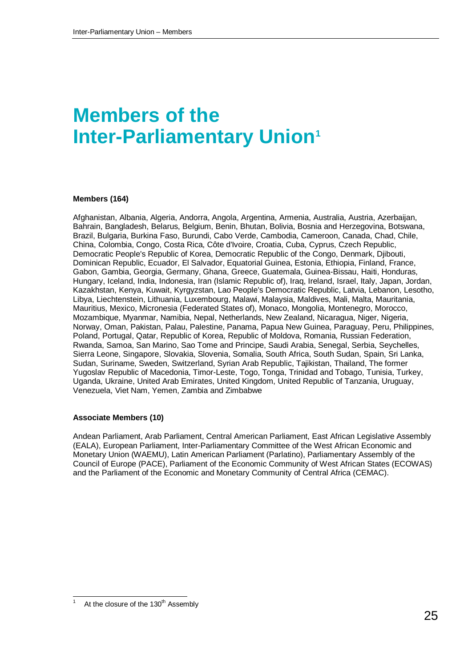## **Members of the Inter-Parliamentary Union<sup>[1](#page-24-0)</sup>**

#### **Members (164)**

Afghanistan, Albania, Algeria, Andorra, Angola, Argentina, Armenia, Australia, Austria, Azerbaijan, Bahrain, Bangladesh, Belarus, Belgium, Benin, Bhutan, Bolivia, Bosnia and Herzegovina, Botswana, Brazil, Bulgaria, Burkina Faso, Burundi, Cabo Verde, Cambodia, Cameroon, Canada, Chad, Chile, China, Colombia, Congo, Costa Rica, Côte d'Ivoire, Croatia, Cuba, Cyprus, Czech Republic, Democratic People's Republic of Korea, Democratic Republic of the Congo, Denmark, Djibouti, Dominican Republic, Ecuador, El Salvador, Equatorial Guinea, Estonia, Ethiopia, Finland, France, Gabon, Gambia, Georgia, Germany, Ghana, Greece, Guatemala, Guinea-Bissau, Haiti, Honduras, Hungary, Iceland, India, Indonesia, Iran (Islamic Republic of), Iraq, Ireland, Israel, Italy, Japan, Jordan, Kazakhstan, Kenya, Kuwait, Kyrgyzstan, Lao People's Democratic Republic, Latvia, Lebanon, Lesotho, Libya, Liechtenstein, Lithuania, Luxembourg, Malawi, Malaysia, Maldives, Mali, Malta, Mauritania, Mauritius, Mexico, Micronesia (Federated States of), Monaco, Mongolia, Montenegro, Morocco, Mozambique, Myanmar, Namibia, Nepal, Netherlands, New Zealand, Nicaragua, Niger, Nigeria, Norway, Oman, Pakistan, Palau, Palestine, Panama, Papua New Guinea, Paraguay, Peru, Philippines, Poland, Portugal, Qatar, Republic of Korea, Republic of Moldova, Romania, Russian Federation, Rwanda, Samoa, San Marino, Sao Tome and Principe, Saudi Arabia, Senegal, Serbia, Seychelles, Sierra Leone, Singapore, Slovakia, Slovenia, Somalia, South Africa, South Sudan, Spain, Sri Lanka, Sudan, Suriname, Sweden, Switzerland, Syrian Arab Republic, Tajikistan, Thailand, The former Yugoslav Republic of Macedonia, Timor-Leste, Togo, Tonga, Trinidad and Tobago, Tunisia, Turkey, Uganda, Ukraine, United Arab Emirates, United Kingdom, United Republic of Tanzania, Uruguay, Venezuela, Viet Nam, Yemen, Zambia and Zimbabwe

#### **Associate Members (10)**

Andean Parliament, Arab Parliament, Central American Parliament, East African Legislative Assembly (EALA), European Parliament, Inter-Parliamentary Committee of the West African Economic and Monetary Union (WAEMU), Latin American Parliament (Parlatino), Parliamentary Assembly of the Council of Europe (PACE), Parliament of the Economic Community of West African States (ECOWAS) and the Parliament of the Economic and Monetary Community of Central Africa (CEMAC).

<span id="page-24-0"></span>At the closure of the 130<sup>th</sup> Assembly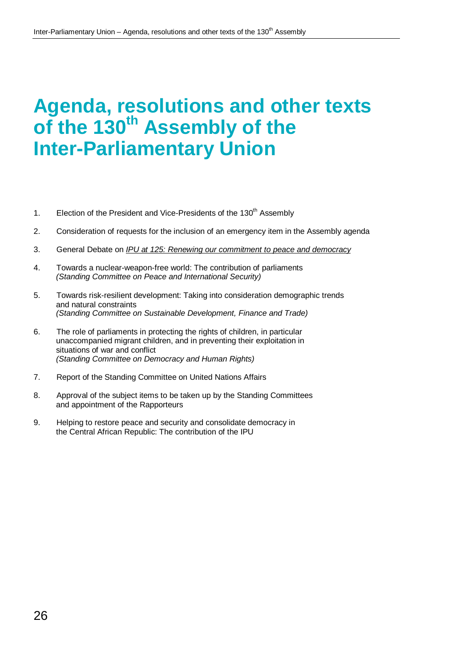### **Agenda, resolutions and other texts of the 130th Assembly of the Inter-Parliamentary Union**

- 1. Election of the President and Vice-Presidents of the 130<sup>th</sup> Assembly
- 2. Consideration of requests for the inclusion of an emergency item in the Assembly agenda
- 3. General Debate on *IPU at 125: Renewing our commitment to peace and democracy*
- 4. Towards a nuclear-weapon-free world: The contribution of parliaments *(Standing Committee on Peace and International Security)*
- 5. Towards risk-resilient development: Taking into consideration demographic trends and natural constraints *(Standing Committee on Sustainable Development, Finance and Trade)*
- 6. The role of parliaments in protecting the rights of children, in particular unaccompanied migrant children, and in preventing their exploitation in situations of war and conflict *(Standing Committee on Democracy and Human Rights)*
- 7. Report of the Standing Committee on United Nations Affairs
- 8. Approval of the subject items to be taken up by the Standing Committees and appointment of the Rapporteurs
- 9. Helping to restore peace and security and consolidate democracy in the Central African Republic: The contribution of the IPU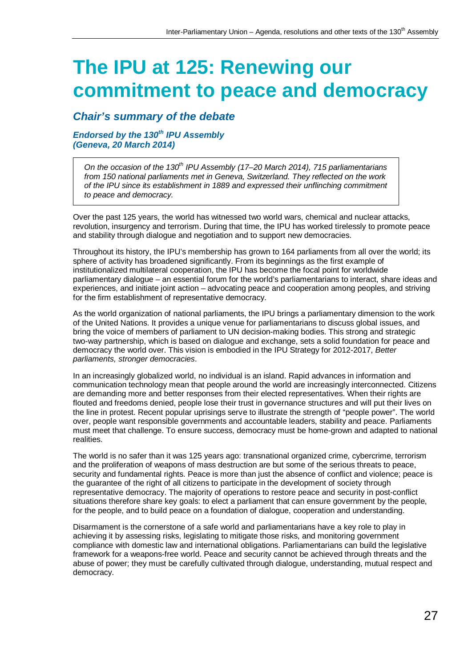## **The IPU at 125: Renewing our commitment to peace and democracy**

### *Chair's summary of the debate*

#### *Endorsed by the 130th IPU Assembly (Geneva, 20 March 2014)*

*On the occasion of the 130th IPU Assembly (17–20 March 2014), 715 parliamentarians from 150 national parliaments met in Geneva, Switzerland. They reflected on the work of the IPU since its establishment in 1889 and expressed their unflinching commitment to peace and democracy.*

Over the past 125 years, the world has witnessed two world wars, chemical and nuclear attacks, revolution, insurgency and terrorism. During that time, the IPU has worked tirelessly to promote peace and stability through dialogue and negotiation and to support new democracies.

Throughout its history, the IPU's membership has grown to 164 parliaments from all over the world; its sphere of activity has broadened significantly. From its beginnings as the first example of institutionalized multilateral cooperation, the IPU has become the focal point for worldwide parliamentary dialogue – an essential forum for the world's parliamentarians to interact, share ideas and experiences, and initiate joint action – advocating peace and cooperation among peoples, and striving for the firm establishment of representative democracy.

As the world organization of national parliaments, the IPU brings a parliamentary dimension to the work of the United Nations. It provides a unique venue for parliamentarians to discuss global issues, and bring the voice of members of parliament to UN decision-making bodies. This strong and strategic two-way partnership, which is based on dialogue and exchange, sets a solid foundation for peace and democracy the world over. This vision is embodied in the IPU Strategy for 2012-2017, *Better parliaments, stronger democracies*.

In an increasingly globalized world, no individual is an island. Rapid advances in information and communication technology mean that people around the world are increasingly interconnected. Citizens are demanding more and better responses from their elected representatives. When their rights are flouted and freedoms denied, people lose their trust in governance structures and will put their lives on the line in protest. Recent popular uprisings serve to illustrate the strength of "people power". The world over, people want responsible governments and accountable leaders, stability and peace. Parliaments must meet that challenge. To ensure success, democracy must be home-grown and adapted to national realities.

The world is no safer than it was 125 years ago: transnational organized crime, cybercrime, terrorism and the proliferation of weapons of mass destruction are but some of the serious threats to peace, security and fundamental rights. Peace is more than just the absence of conflict and violence; peace is the guarantee of the right of all citizens to participate in the development of society through representative democracy. The majority of operations to restore peace and security in post-conflict situations therefore share key goals: to elect a parliament that can ensure government by the people, for the people, and to build peace on a foundation of dialogue, cooperation and understanding.

Disarmament is the cornerstone of a safe world and parliamentarians have a key role to play in achieving it by assessing risks, legislating to mitigate those risks, and monitoring government compliance with domestic law and international obligations. Parliamentarians can build the legislative framework for a weapons-free world. Peace and security cannot be achieved through threats and the abuse of power; they must be carefully cultivated through dialogue, understanding, mutual respect and democracy.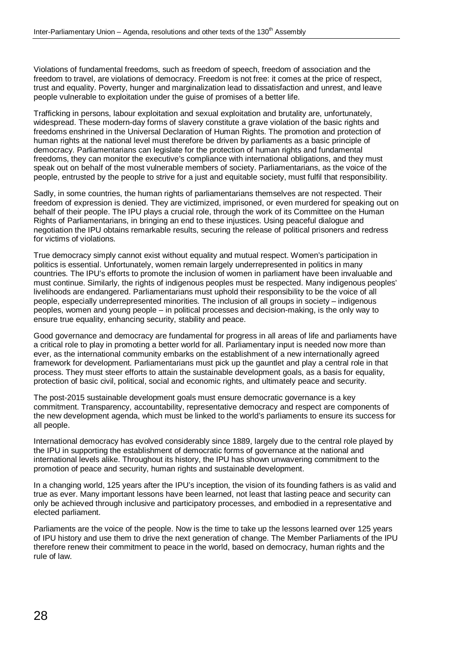Violations of fundamental freedoms, such as freedom of speech, freedom of association and the freedom to travel, are violations of democracy. Freedom is not free: it comes at the price of respect, trust and equality. Poverty, hunger and marginalization lead to dissatisfaction and unrest, and leave people vulnerable to exploitation under the guise of promises of a better life.

Trafficking in persons, labour exploitation and sexual exploitation and brutality are, unfortunately, widespread. These modern-day forms of slavery constitute a grave violation of the basic rights and freedoms enshrined in the Universal Declaration of Human Rights. The promotion and protection of human rights at the national level must therefore be driven by parliaments as a basic principle of democracy. Parliamentarians can legislate for the protection of human rights and fundamental freedoms, they can monitor the executive's compliance with international obligations, and they must speak out on behalf of the most vulnerable members of society. Parliamentarians, as the voice of the people, entrusted by the people to strive for a just and equitable society, must fulfil that responsibility.

Sadly, in some countries, the human rights of parliamentarians themselves are not respected. Their freedom of expression is denied. They are victimized, imprisoned, or even murdered for speaking out on behalf of their people. The IPU plays a crucial role, through the work of its Committee on the Human Rights of Parliamentarians, in bringing an end to these injustices. Using peaceful dialogue and negotiation the IPU obtains remarkable results, securing the release of political prisoners and redress for victims of violations.

True democracy simply cannot exist without equality and mutual respect. Women's participation in politics is essential. Unfortunately, women remain largely underrepresented in politics in many countries. The IPU's efforts to promote the inclusion of women in parliament have been invaluable and must continue. Similarly, the rights of indigenous peoples must be respected. Many indigenous peoples' livelihoods are endangered. Parliamentarians must uphold their responsibility to be the voice of all people, especially underrepresented minorities. The inclusion of all groups in society – indigenous peoples, women and young people – in political processes and decision-making, is the only way to ensure true equality, enhancing security, stability and peace.

Good governance and democracy are fundamental for progress in all areas of life and parliaments have a critical role to play in promoting a better world for all. Parliamentary input is needed now more than ever, as the international community embarks on the establishment of a new internationally agreed framework for development. Parliamentarians must pick up the gauntlet and play a central role in that process. They must steer efforts to attain the sustainable development goals, as a basis for equality, protection of basic civil, political, social and economic rights, and ultimately peace and security.

The post-2015 sustainable development goals must ensure democratic governance is a key commitment. Transparency, accountability, representative democracy and respect are components of the new development agenda, which must be linked to the world's parliaments to ensure its success for all people.

International democracy has evolved considerably since 1889, largely due to the central role played by the IPU in supporting the establishment of democratic forms of governance at the national and international levels alike. Throughout its history, the IPU has shown unwavering commitment to the promotion of peace and security, human rights and sustainable development.

In a changing world, 125 years after the IPU's inception, the vision of its founding fathers is as valid and true as ever. Many important lessons have been learned, not least that lasting peace and security can only be achieved through inclusive and participatory processes, and embodied in a representative and elected parliament.

Parliaments are the voice of the people. Now is the time to take up the lessons learned over 125 years of IPU history and use them to drive the next generation of change. The Member Parliaments of the IPU therefore renew their commitment to peace in the world, based on democracy, human rights and the rule of law.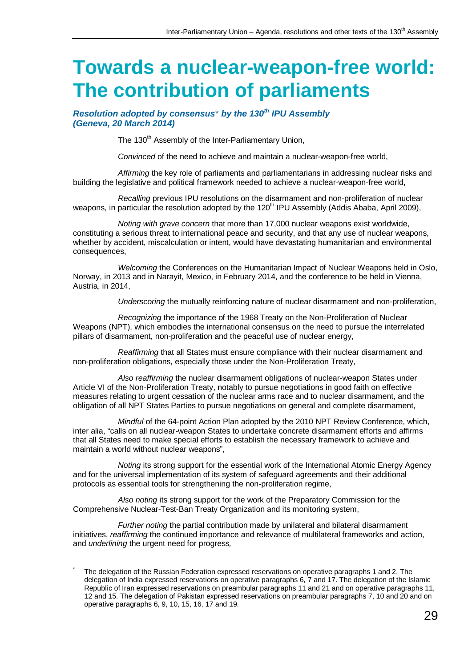## **Towards a nuclear-weapon-free world: The contribution of parliaments**

*Resolution adopted by consensus*[\\*](#page-28-0) *by the 130th IPU Assembly (Geneva, 20 March 2014)*

The 130<sup>th</sup> Assembly of the Inter-Parliamentary Union,

*Convinced* of the need to achieve and maintain a nuclear-weapon-free world,

*Affirming* the key role of parliaments and parliamentarians in addressing nuclear risks and building the legislative and political framework needed to achieve a nuclear-weapon-free world,

*Recalling* previous IPU resolutions on the disarmament and non-proliferation of nuclear weapons, in particular the resolution adopted by the 120<sup>th</sup> IPU Assembly (Addis Ababa, April 2009).

*Noting with grave concern* that more than 17,000 nuclear weapons exist worldwide, constituting a serious threat to international peace and security, and that any use of nuclear weapons, whether by accident, miscalculation or intent, would have devastating humanitarian and environmental consequences,

*Welcoming* the Conferences on the Humanitarian Impact of Nuclear Weapons held in Oslo, Norway, in 2013 and in Narayit, Mexico, in February 2014, and the conference to be held in Vienna, Austria, in 2014,

*Underscoring* the mutually reinforcing nature of nuclear disarmament and non-proliferation,

*Recognizing* the importance of the 1968 Treaty on the Non-Proliferation of Nuclear Weapons (NPT), which embodies the international consensus on the need to pursue the interrelated pillars of disarmament, non-proliferation and the peaceful use of nuclear energy,

*Reaffirming* that all States must ensure compliance with their nuclear disarmament and non-proliferation obligations, especially those under the Non-Proliferation Treaty,

*Also reaffirming* the nuclear disarmament obligations of nuclear-weapon States under Article VI of the Non-Proliferation Treaty, notably to pursue negotiations in good faith on effective measures relating to urgent cessation of the nuclear arms race and to nuclear disarmament, and the obligation of all NPT States Parties to pursue negotiations on general and complete disarmament,

*Mindful* of the 64-point Action Plan adopted by the 2010 NPT Review Conference, which, inter alia, "calls on all nuclear-weapon States to undertake concrete disarmament efforts and affirms that all States need to make special efforts to establish the necessary framework to achieve and maintain a world without nuclear weapons",

*Noting* its strong support for the essential work of the International Atomic Energy Agency and for the universal implementation of its system of safeguard agreements and their additional protocols as essential tools for strengthening the non-proliferation regime,

*Also noting* its strong support for the work of the Preparatory Commission for the Comprehensive Nuclear-Test-Ban Treaty Organization and its monitoring system,

*Further noting* the partial contribution made by unilateral and bilateral disarmament initiatives, *reaffirming* the continued importance and relevance of multilateral frameworks and action, and *underlining* the urgent need for progress*,*

<span id="page-28-0"></span>The delegation of the Russian Federation expressed reservations on operative paragraphs 1 and 2. The delegation of India expressed reservations on operative paragraphs 6, 7 and 17. The delegation of the Islamic Republic of Iran expressed reservations on preambular paragraphs 11 and 21 and on operative paragraphs 11, 12 and 15. The delegation of Pakistan expressed reservations on preambular paragraphs 7, 10 and 20 and on operative paragraphs 6, 9, 10, 15, 16, 17 and 19.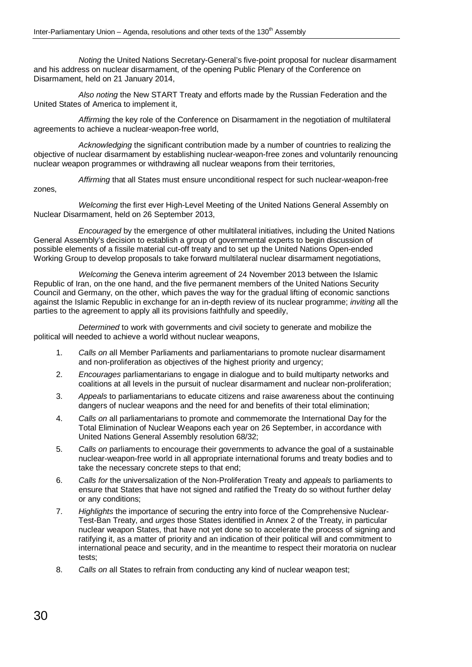*Noting* the United Nations Secretary-General's five-point proposal for nuclear disarmament and his address on nuclear disarmament, of the opening Public Plenary of the Conference on Disarmament, held on 21 January 2014,

*Also noting* the New START Treaty and efforts made by the Russian Federation and the United States of America to implement it,

*Affirming* the key role of the Conference on Disarmament in the negotiation of multilateral agreements to achieve a nuclear-weapon-free world,

*Acknowledging* the significant contribution made by a number of countries to realizing the objective of nuclear disarmament by establishing nuclear-weapon-free zones and voluntarily renouncing nuclear weapon programmes or withdrawing all nuclear weapons from their territories,

*Affirming* that all States must ensure unconditional respect for such nuclear-weapon-free

zones,

*Welcoming* the first ever High-Level Meeting of the United Nations General Assembly on Nuclear Disarmament, held on 26 September 2013,

*Encouraged* by the emergence of other multilateral initiatives, including the United Nations General Assembly's decision to establish a group of governmental experts to begin discussion of possible elements of a fissile material cut-off treaty and to set up the United Nations Open-ended Working Group to develop proposals to take forward multilateral nuclear disarmament negotiations,

*Welcoming* the Geneva interim agreement of 24 November 2013 between the Islamic Republic of Iran, on the one hand, and the five permanent members of the United Nations Security Council and Germany, on the other, which paves the way for the gradual lifting of economic sanctions against the Islamic Republic in exchange for an in-depth review of its nuclear programme; *inviting* all the parties to the agreement to apply all its provisions faithfully and speedily,

*Determined* to work with governments and civil society to generate and mobilize the political will needed to achieve a world without nuclear weapons,

- 1. *Calls on* all Member Parliaments and parliamentarians to promote nuclear disarmament and non-proliferation as objectives of the highest priority and urgency;
- 2. *Encourages* parliamentarians to engage in dialogue and to build multiparty networks and coalitions at all levels in the pursuit of nuclear disarmament and nuclear non-proliferation;
- 3. *Appeals* to parliamentarians to educate citizens and raise awareness about the continuing dangers of nuclear weapons and the need for and benefits of their total elimination;
- 4. *Calls on* all parliamentarians to promote and commemorate the International Day for the Total Elimination of Nuclear Weapons each year on 26 September, in accordance with United Nations General Assembly resolution 68/32;
- 5. *Calls on* parliaments to encourage their governments to advance the goal of a sustainable nuclear-weapon-free world in all appropriate international forums and treaty bodies and to take the necessary concrete steps to that end;
- 6. *Calls for* the universalization of the Non-Proliferation Treaty and *appeals* to parliaments to ensure that States that have not signed and ratified the Treaty do so without further delay or any conditions;
- 7. *Highlights* the importance of securing the entry into force of the Comprehensive Nuclear-Test-Ban Treaty, and *urges* those States identified in Annex 2 of the Treaty, in particular nuclear weapon States, that have not yet done so to accelerate the process of signing and ratifying it, as a matter of priority and an indication of their political will and commitment to international peace and security, and in the meantime to respect their moratoria on nuclear tests;
- 8. *Calls on* all States to refrain from conducting any kind of nuclear weapon test;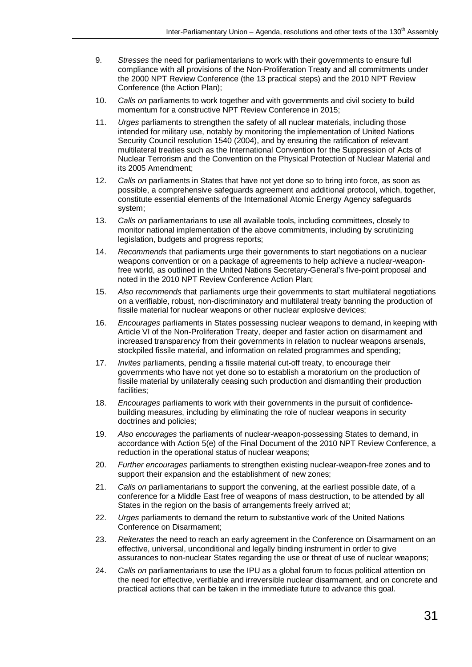- 9. *Stresses* the need for parliamentarians to work with their governments to ensure full compliance with all provisions of the Non-Proliferation Treaty and all commitments under the 2000 NPT Review Conference (the 13 practical steps) and the 2010 NPT Review Conference (the Action Plan);
- 10. *Calls on* parliaments to work together and with governments and civil society to build momentum for a constructive NPT Review Conference in 2015;
- 11. *Urges* parliaments to strengthen the safety of all nuclear materials, including those intended for military use, notably by monitoring the implementation of United Nations Security Council resolution 1540 (2004), and by ensuring the ratification of relevant multilateral treaties such as the International Convention for the Suppression of Acts of Nuclear Terrorism and the Convention on the Physical Protection of Nuclear Material and its 2005 Amendment;
- 12. *Calls on* parliaments in States that have not yet done so to bring into force, as soon as possible, a comprehensive safeguards agreement and additional protocol, which, together, constitute essential elements of the International Atomic Energy Agency safeguards system;
- 13. *Calls on* parliamentarians to use all available tools, including committees, closely to monitor national implementation of the above commitments, including by scrutinizing legislation, budgets and progress reports;
- 14. *Recommends* that parliaments urge their governments to start negotiations on a nuclear weapons convention or on a package of agreements to help achieve a nuclear-weaponfree world, as outlined in the United Nations Secretary-General's five-point proposal and noted in the 2010 NPT Review Conference Action Plan;
- 15. *Also recommends* that parliaments urge their governments to start multilateral negotiations on a verifiable, robust, non-discriminatory and multilateral treaty banning the production of fissile material for nuclear weapons or other nuclear explosive devices;
- 16. *Encourages* parliaments in States possessing nuclear weapons to demand, in keeping with Article VI of the Non-Proliferation Treaty, deeper and faster action on disarmament and increased transparency from their governments in relation to nuclear weapons arsenals, stockpiled fissile material, and information on related programmes and spending;
- 17. *Invites* parliaments, pending a fissile material cut-off treaty, to encourage their governments who have not yet done so to establish a moratorium on the production of fissile material by unilaterally ceasing such production and dismantling their production facilities;
- 18. *Encourages* parliaments to work with their governments in the pursuit of confidencebuilding measures, including by eliminating the role of nuclear weapons in security doctrines and policies;
- 19. *Also encourages* the parliaments of nuclear-weapon-possessing States to demand, in accordance with Action 5(e) of the Final Document of the 2010 NPT Review Conference, a reduction in the operational status of nuclear weapons;
- 20. *Further encourages* parliaments to strengthen existing nuclear-weapon-free zones and to support their expansion and the establishment of new zones;
- 21. *Calls on* parliamentarians to support the convening, at the earliest possible date, of a conference for a Middle East free of weapons of mass destruction, to be attended by all States in the region on the basis of arrangements freely arrived at;
- 22. *Urges* parliaments to demand the return to substantive work of the United Nations Conference on Disarmament;
- 23. *Reiterates* the need to reach an early agreement in the Conference on Disarmament on an effective, universal, unconditional and legally binding instrument in order to give assurances to non-nuclear States regarding the use or threat of use of nuclear weapons;
- 24. *Calls on* parliamentarians to use the IPU as a global forum to focus political attention on the need for effective, verifiable and irreversible nuclear disarmament, and on concrete and practical actions that can be taken in the immediate future to advance this goal.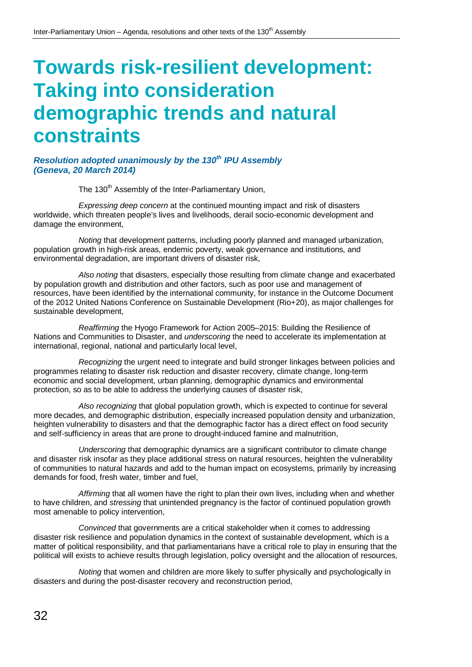# **Towards risk-resilient development: Taking into consideration demographic trends and natural constraints**

#### *Resolution adopted unanimously by the 130th IPU Assembly (Geneva, 20 March 2014)*

The 130<sup>th</sup> Assembly of the Inter-Parliamentary Union,

*Expressing deep concern* at the continued mounting impact and risk of disasters worldwide, which threaten people's lives and livelihoods, derail socio-economic development and damage the environment,

*Noting* that development patterns, including poorly planned and managed urbanization, population growth in high-risk areas, endemic poverty, weak governance and institutions, and environmental degradation, are important drivers of disaster risk,

*Also noting* that disasters, especially those resulting from climate change and exacerbated by population growth and distribution and other factors, such as poor use and management of resources, have been identified by the international community, for instance in the Outcome Document of the 2012 United Nations Conference on Sustainable Development (Rio+20), as major challenges for sustainable development,

*Reaffirming* the Hyogo Framework for Action 2005–2015: Building the Resilience of Nations and Communities to Disaster, and *underscoring* the need to accelerate its implementation at international, regional, national and particularly local level,

*Recognizing* the urgent need to integrate and build stronger linkages between policies and programmes relating to disaster risk reduction and disaster recovery, climate change, long-term economic and social development, urban planning, demographic dynamics and environmental protection, so as to be able to address the underlying causes of disaster risk,

*Also recognizing* that global population growth, which is expected to continue for several more decades, and demographic distribution, especially increased population density and urbanization, heighten vulnerability to disasters and that the demographic factor has a direct effect on food security and self-sufficiency in areas that are prone to drought-induced famine and malnutrition,

*Underscoring* that demographic dynamics are a significant contributor to climate change and disaster risk insofar as they place additional stress on natural resources, heighten the vulnerability of communities to natural hazards and add to the human impact on ecosystems, primarily by increasing demands for food, fresh water, timber and fuel,

*Affirming* that all women have the right to plan their own lives, including when and whether to have children, and *stressing* that unintended pregnancy is the factor of continued population growth most amenable to policy intervention,

*Convinced* that governments are a critical stakeholder when it comes to addressing disaster risk resilience and population dynamics in the context of sustainable development, which is a matter of political responsibility, and that parliamentarians have a critical role to play in ensuring that the political will exists to achieve results through legislation, policy oversight and the allocation of resources,

*Noting* that women and children are more likely to suffer physically and psychologically in disasters and during the post-disaster recovery and reconstruction period,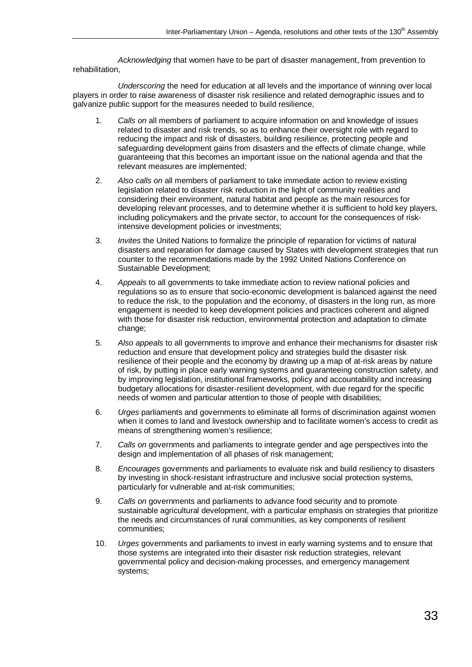*Acknowledging* that women have to be part of disaster management, from prevention to rehabilitation,

*Underscoring* the need for education at all levels and the importance of winning over local players in order to raise awareness of disaster risk resilience and related demographic issues and to galvanize public support for the measures needed to build resilience,

- 1. *Calls on* all members of parliament to acquire information on and knowledge of issues related to disaster and risk trends, so as to enhance their oversight role with regard to reducing the impact and risk of disasters, building resilience, protecting people and safeguarding development gains from disasters and the effects of climate change, while guaranteeing that this becomes an important issue on the national agenda and that the relevant measures are implemented;
- 2. *Also calls on* all members of parliament to take immediate action to review existing legislation related to disaster risk reduction in the light of community realities and considering their environment, natural habitat and people as the main resources for developing relevant processes, and to determine whether it is sufficient to hold key players, including policymakers and the private sector, to account for the consequences of riskintensive development policies or investments;
- 3. *Invites* the United Nations to formalize the principle of reparation for victims of natural disasters and reparation for damage caused by States with development strategies that run counter to the recommendations made by the 1992 United Nations Conference on Sustainable Development;
- 4. *Appeals* to all governments to take immediate action to review national policies and regulations so as to ensure that socio-economic development is balanced against the need to reduce the risk, to the population and the economy, of disasters in the long run, as more engagement is needed to keep development policies and practices coherent and aligned with those for disaster risk reduction, environmental protection and adaptation to climate change:
- 5. *Also appeals* to all governments to improve and enhance their mechanisms for disaster risk reduction and ensure that development policy and strategies build the disaster risk resilience of their people and the economy by drawing up a map of at-risk areas by nature of risk, by putting in place early warning systems and guaranteeing construction safety, and by improving legislation, institutional frameworks, policy and accountability and increasing budgetary allocations for disaster-resilient development, with due regard for the specific needs of women and particular attention to those of people with disabilities;
- 6. *Urges* parliaments and governments to eliminate all forms of discrimination against women when it comes to land and livestock ownership and to facilitate women's access to credit as means of strengthening women's resilience;
- 7. *Calls on* governments and parliaments to integrate gender and age perspectives into the design and implementation of all phases of risk management;
- 8. *Encourages* governments and parliaments to evaluate risk and build resiliency to disasters by investing in shock-resistant infrastructure and inclusive social protection systems, particularly for vulnerable and at-risk communities;
- 9. *Calls on* governments and parliaments to advance food security and to promote sustainable agricultural development, with a particular emphasis on strategies that prioritize the needs and circumstances of rural communities, as key components of resilient communities;
- 10. *Urges* governments and parliaments to invest in early warning systems and to ensure that those systems are integrated into their disaster risk reduction strategies, relevant governmental policy and decision-making processes, and emergency management systems;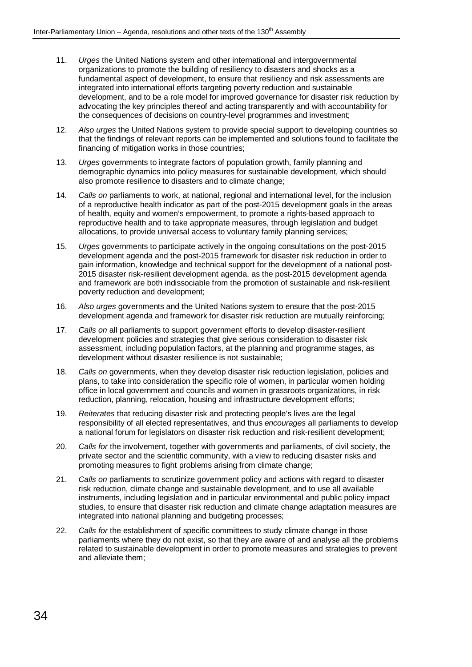- 11. *Urges* the United Nations system and other international and intergovernmental organizations to promote the building of resiliency to disasters and shocks as a fundamental aspect of development, to ensure that resiliency and risk assessments are integrated into international efforts targeting poverty reduction and sustainable development, and to be a role model for improved governance for disaster risk reduction by advocating the key principles thereof and acting transparently and with accountability for the consequences of decisions on country-level programmes and investment;
- 12. *Also urges* the United Nations system to provide special support to developing countries so that the findings of relevant reports can be implemented and solutions found to facilitate the financing of mitigation works in those countries;
- 13. *Urges* governments to integrate factors of population growth, family planning and demographic dynamics into policy measures for sustainable development, which should also promote resilience to disasters and to climate change;
- 14*. Calls on* parliaments to work, at national, regional and international level, for the inclusion of a reproductive health indicator as part of the post-2015 development goals in the areas of health, equity and women's empowerment, to promote a rights-based approach to reproductive health and to take appropriate measures, through legislation and budget allocations, to provide universal access to voluntary family planning services;
- 15. *Urges* governments to participate actively in the ongoing consultations on the post-2015 development agenda and the post-2015 framework for disaster risk reduction in order to gain information, knowledge and technical support for the development of a national post-2015 disaster risk-resilient development agenda, as the post-2015 development agenda and framework are both indissociable from the promotion of sustainable and risk-resilient poverty reduction and development;
- 16. *Also urges* governments and the United Nations system to ensure that the post-2015 development agenda and framework for disaster risk reduction are mutually reinforcing;
- 17. *Calls on* all parliaments to support government efforts to develop disaster-resilient development policies and strategies that give serious consideration to disaster risk assessment, including population factors, at the planning and programme stages, as development without disaster resilience is not sustainable;
- 18. *Calls on* governments, when they develop disaster risk reduction legislation, policies and plans, to take into consideration the specific role of women, in particular women holding office in local government and councils and women in grassroots organizations, in risk reduction, planning, relocation, housing and infrastructure development efforts;
- 19. *Reiterates* that reducing disaster risk and protecting people's lives are the legal responsibility of all elected representatives, and thus *encourages* all parliaments to develop a national forum for legislators on disaster risk reduction and risk-resilient development;
- 20. *Calls for* the involvement, together with governments and parliaments, of civil society, the private sector and the scientific community, with a view to reducing disaster risks and promoting measures to fight problems arising from climate change;
- 21. *Calls on* parliaments to scrutinize government policy and actions with regard to disaster risk reduction, climate change and sustainable development, and to use all available instruments, including legislation and in particular environmental and public policy impact studies, to ensure that disaster risk reduction and climate change adaptation measures are integrated into national planning and budgeting processes;
- 22. *Calls for* the establishment of specific committees to study climate change in those parliaments where they do not exist, so that they are aware of and analyse all the problems related to sustainable development in order to promote measures and strategies to prevent and alleviate them;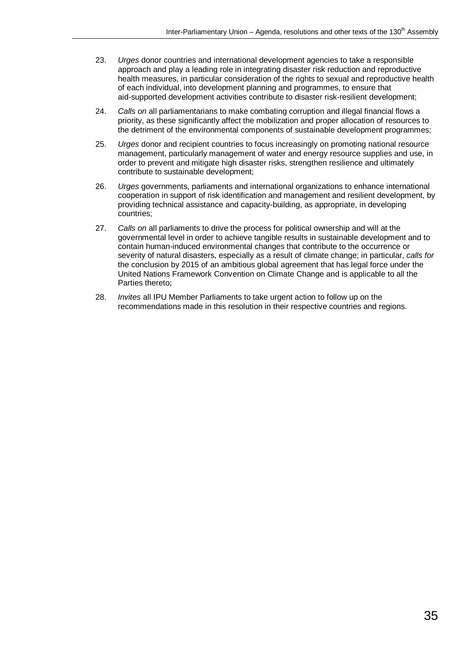- 23. *Urges* donor countries and international development agencies to take a responsible approach and play a leading role in integrating disaster risk reduction and reproductive health measures, in particular consideration of the rights to sexual and reproductive health of each individual, into development planning and programmes, to ensure that aid-supported development activities contribute to disaster risk-resilient development;
- 24. *Calls on* all parliamentarians to make combating corruption and illegal financial flows a priority, as these significantly affect the mobilization and proper allocation of resources to the detriment of the environmental components of sustainable development programmes;
- 25. *Urges* donor and recipient countries to focus increasingly on promoting national resource management, particularly management of water and energy resource supplies and use, in order to prevent and mitigate high disaster risks, strengthen resilience and ultimately contribute to sustainable development;
- 26. *Urges* governments, parliaments and international organizations to enhance international cooperation in support of risk identification and management and resilient development, by providing technical assistance and capacity-building, as appropriate, in developing countries;
- 27. *Calls on* all parliaments to drive the process for political ownership and will at the governmental level in order to achieve tangible results in sustainable development and to contain human-induced environmental changes that contribute to the occurrence or severity of natural disasters, especially as a result of climate change; in particular, *calls for* the conclusion by 2015 of an ambitious global agreement that has legal force under the United Nations Framework Convention on Climate Change and is applicable to all the Parties thereto;
- 28. *Invites* all IPU Member Parliaments to take urgent action to follow up on the recommendations made in this resolution in their respective countries and regions.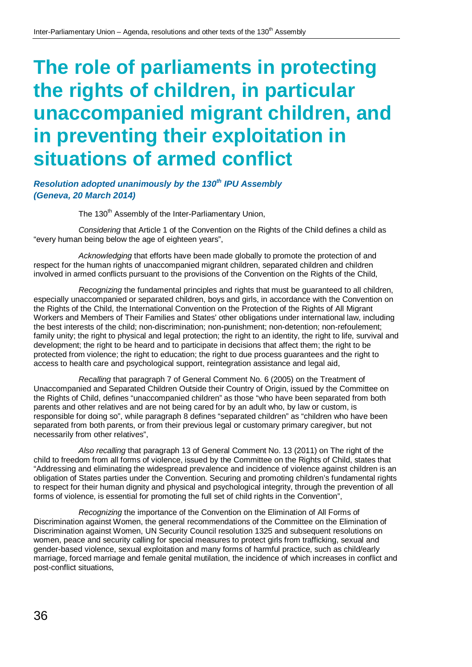# **The role of parliaments in protecting the rights of children, in particular unaccompanied migrant children, and in preventing their exploitation in situations of armed conflict**

#### *Resolution adopted unanimously by the 130th IPU Assembly (Geneva, 20 March 2014)*

The 130<sup>th</sup> Assembly of the Inter-Parliamentary Union,

*Considering* that Article 1 of the Convention on the Rights of the Child defines a child as "every human being below the age of eighteen years",

*Acknowledging* that efforts have been made globally to promote the protection of and respect for the human rights of unaccompanied migrant children, separated children and children involved in armed conflicts pursuant to the provisions of the Convention on the Rights of the Child,

*Recognizing* the fundamental principles and rights that must be guaranteed to all children, especially unaccompanied or separated children, boys and girls, in accordance with the Convention on the Rights of the Child, the International Convention on the Protection of the Rights of All Migrant Workers and Members of Their Families and States' other obligations under international law, including the best interests of the child; non-discrimination; non-punishment; non-detention; non-refoulement; family unity; the right to physical and legal protection; the right to an identity, the right to life, survival and development; the right to be heard and to participate in decisions that affect them; the right to be protected from violence; the right to education; the right to due process guarantees and the right to access to health care and psychological support, reintegration assistance and legal aid,

*Recalling* that paragraph 7 of General Comment No. 6 (2005) on the Treatment of Unaccompanied and Separated Children Outside their Country of Origin, issued by the Committee on the Rights of Child, defines "unaccompanied children" as those "who have been separated from both parents and other relatives and are not being cared for by an adult who, by law or custom, is responsible for doing so", while paragraph 8 defines "separated children" as "children who have been separated from both parents, or from their previous legal or customary primary caregiver, but not necessarily from other relatives",

*Also recalling* that paragraph 13 of General Comment No. 13 (2011) on The right of the child to freedom from all forms of violence, issued by the Committee on the Rights of Child, states that "Addressing and eliminating the widespread prevalence and incidence of violence against children is an obligation of States parties under the Convention. Securing and promoting children's fundamental rights to respect for their human dignity and physical and psychological integrity, through the prevention of all forms of violence, is essential for promoting the full set of child rights in the Convention",

*Recognizing* the importance of the Convention on the Elimination of All Forms of Discrimination against Women, the general recommendations of the Committee on the Elimination of Discrimination against Women, UN Security Council resolution 1325 and subsequent resolutions on women, peace and security calling for special measures to protect girls from trafficking, sexual and gender-based violence, sexual exploitation and many forms of harmful practice, such as child/early marriage, forced marriage and female genital mutilation, the incidence of which increases in conflict and post-conflict situations,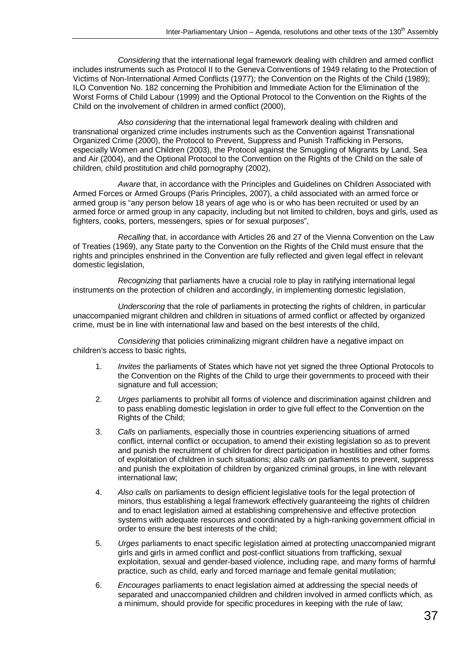*Considering* that the international legal framework dealing with children and armed conflict includes instruments such as Protocol II to the Geneva Conventions of 1949 relating to the Protection of Victims of Non-International Armed Conflicts (1977); the Convention on the Rights of the Child (1989); ILO Convention No. 182 concerning the Prohibition and Immediate Action for the Elimination of the Worst Forms of Child Labour (1999) and the Optional Protocol to the Convention on the Rights of the Child on the involvement of children in armed conflict (2000),

*Also considering* that the international legal framework dealing with children and transnational organized crime includes instruments such as the Convention against Transnational Organized Crime (2000), the Protocol to Prevent, Suppress and Punish Trafficking in Persons, especially Women and Children (2003), the Protocol against the Smuggling of Migrants by Land, Sea and Air (2004), and the Optional Protocol to the Convention on the Rights of the Child on the sale of children, child prostitution and child pornography (2002),

*Aware* that, in accordance with the Principles and Guidelines on Children Associated with Armed Forces or Armed Groups (Paris Principles, 2007), a child associated with an armed force or armed group is "any person below 18 years of age who is or who has been recruited or used by an armed force or armed group in any capacity, including but not limited to children, boys and girls, used as fighters, cooks, porters, messengers, spies or for sexual purposes",

*Recalling* that, in accordance with Articles 26 and 27 of the Vienna Convention on the Law of Treaties (1969), any State party to the Convention on the Rights of the Child must ensure that the rights and principles enshrined in the Convention are fully reflected and given legal effect in relevant domestic legislation,

*Recognizing* that parliaments have a crucial role to play in ratifying international legal instruments on the protection of children and accordingly, in implementing domestic legislation,

*Underscoring* that the role of parliaments in protecting the rights of children, in particular unaccompanied migrant children and children in situations of armed conflict or affected by organized crime, must be in line with international law and based on the best interests of the child,

*Considering* that policies criminalizing migrant children have a negative impact on children's access to basic rights,

- 1. *Invites* the parliaments of States which have not yet signed the three Optional Protocols to the Convention on the Rights of the Child to urge their governments to proceed with their signature and full accession;
- 2. *Urges* parliaments to prohibit all forms of violence and discrimination against children and to pass enabling domestic legislation in order to give full effect to the Convention on the Rights of the Child;
- 3. *Calls* on parliaments, especially those in countries experiencing situations of armed conflict, internal conflict or occupation, to amend their existing legislation so as to prevent and punish the recruitment of children for direct participation in hostilities and other forms of exploitation of children in such situations; also *calls on* parliaments to prevent, suppress and punish the exploitation of children by organized criminal groups, in line with relevant international law;
- 4. *Also calls* on parliaments to design efficient legislative tools for the legal protection of minors, thus establishing a legal framework effectively guaranteeing the rights of children and to enact legislation aimed at establishing comprehensive and effective protection systems with adequate resources and coordinated by a high-ranking government official in order to ensure the best interests of the child;
- 5. *Urges* parliaments to enact specific legislation aimed at protecting unaccompanied migrant girls and girls in armed conflict and post-conflict situations from trafficking, sexual exploitation, sexual and gender-based violence, including rape, and many forms of harmful practice, such as child, early and forced marriage and female genital mutilation;
- 6. *Encourages* parliaments to enact legislation aimed at addressing the special needs of separated and unaccompanied children and children involved in armed conflicts which, as a minimum, should provide for specific procedures in keeping with the rule of law;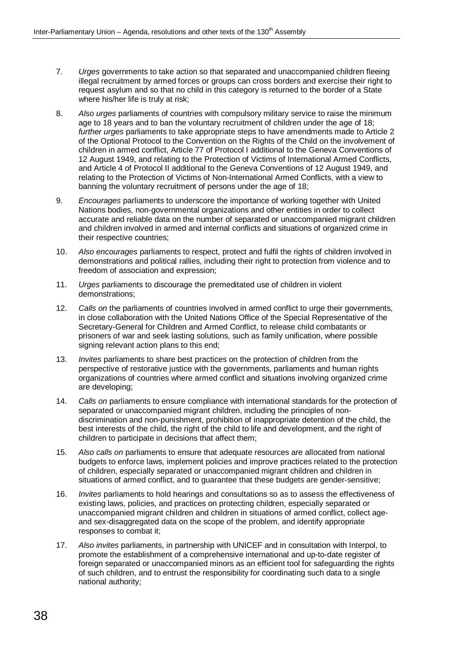- 7. *Urges* governments to take action so that separated and unaccompanied children fleeing illegal recruitment by armed forces or groups can cross borders and exercise their right to request asylum and so that no child in this category is returned to the border of a State where his/her life is truly at risk;
- 8. *Also urges* parliaments of countries with compulsory military service to raise the minimum age to 18 years and to ban the voluntary recruitment of children under the age of 18; *further urges* parliaments to take appropriate steps to have amendments made to Article 2 of the Optional Protocol to the Convention on the Rights of the Child on the involvement of children in armed conflict, Article 77 of Protocol I additional to the Geneva Conventions of 12 August 1949, and relating to the Protection of Victims of International Armed Conflicts, and Article 4 of Protocol II additional to the Geneva Conventions of 12 August 1949, and relating to the Protection of Victims of Non-International Armed Conflicts, with a view to banning the voluntary recruitment of persons under the age of 18;
- 9. *Encourages* parliaments to underscore the importance of working together with United Nations bodies, non-governmental organizations and other entities in order to collect accurate and reliable data on the number of separated or unaccompanied migrant children and children involved in armed and internal conflicts and situations of organized crime in their respective countries;
- 10. *Also encourages* parliaments to respect, protect and fulfil the rights of children involved in demonstrations and political rallies, including their right to protection from violence and to freedom of association and expression;
- 11. *Urges* parliaments to discourage the premeditated use of children in violent demonstrations;
- 12. *Calls on* the parliaments of countries involved in armed conflict to urge their governments, in close collaboration with the United Nations Office of the Special Representative of the Secretary-General for Children and Armed Conflict, to release child combatants or prisoners of war and seek lasting solutions, such as family unification, where possible signing relevant action plans to this end;
- 13. *Invites* parliaments to share best practices on the protection of children from the perspective of restorative justice with the governments, parliaments and human rights organizations of countries where armed conflict and situations involving organized crime are developing;
- 14. *Calls on* parliaments to ensure compliance with international standards for the protection of separated or unaccompanied migrant children, including the principles of nondiscrimination and non-punishment, prohibition of inappropriate detention of the child, the best interests of the child, the right of the child to life and development, and the right of children to participate in decisions that affect them;
- 15. *Also calls on* parliaments to ensure that adequate resources are allocated from national budgets to enforce laws, implement policies and improve practices related to the protection of children, especially separated or unaccompanied migrant children and children in situations of armed conflict, and to guarantee that these budgets are gender-sensitive;
- 16. *Invites* parliaments to hold hearings and consultations so as to assess the effectiveness of existing laws, policies, and practices on protecting children, especially separated or unaccompanied migrant children and children in situations of armed conflict, collect ageand sex-disaggregated data on the scope of the problem, and identify appropriate responses to combat it;
- 17. *Also invites* parliaments, in partnership with UNICEF and in consultation with Interpol, to promote the establishment of a comprehensive international and up-to-date register of foreign separated or unaccompanied minors as an efficient tool for safeguarding the rights of such children, and to entrust the responsibility for coordinating such data to a single national authority;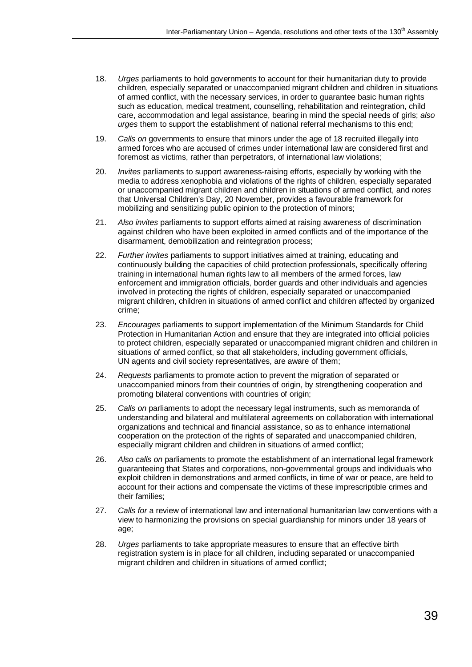- 18. *Urges* parliaments to hold governments to account for their humanitarian duty to provide children, especially separated or unaccompanied migrant children and children in situations of armed conflict, with the necessary services, in order to guarantee basic human rights such as education, medical treatment, counselling, rehabilitation and reintegration, child care, accommodation and legal assistance, bearing in mind the special needs of girls; *also urges* them to support the establishment of national referral mechanisms to this end;
- 19. *Calls on* governments to ensure that minors under the age of 18 recruited illegally into armed forces who are accused of crimes under international law are considered first and foremost as victims, rather than perpetrators, of international law violations;
- 20. *Invites* parliaments to support awareness-raising efforts, especially by working with the media to address xenophobia and violations of the rights of children, especially separated or unaccompanied migrant children and children in situations of armed conflict, and *notes* that Universal Children's Day, 20 November, provides a favourable framework for mobilizing and sensitizing public opinion to the protection of minors;
- 21. *Also invites* parliaments to support efforts aimed at raising awareness of discrimination against children who have been exploited in armed conflicts and of the importance of the disarmament, demobilization and reintegration process;
- 22. *Further invites* parliaments to support initiatives aimed at training, educating and continuously building the capacities of child protection professionals, specifically offering training in international human rights law to all members of the armed forces, law enforcement and immigration officials, border guards and other individuals and agencies involved in protecting the rights of children, especially separated or unaccompanied migrant children, children in situations of armed conflict and children affected by organized crime;
- 23. *Encourages* parliaments to support implementation of the Minimum Standards for Child Protection in Humanitarian Action and ensure that they are integrated into official policies to protect children, especially separated or unaccompanied migrant children and children in situations of armed conflict, so that all stakeholders, including government officials, UN agents and civil society representatives, are aware of them;
- 24. *Requests* parliaments to promote action to prevent the migration of separated or unaccompanied minors from their countries of origin, by strengthening cooperation and promoting bilateral conventions with countries of origin;
- 25. *Calls on* parliaments to adopt the necessary legal instruments, such as memoranda of understanding and bilateral and multilateral agreements on collaboration with international organizations and technical and financial assistance, so as to enhance international cooperation on the protection of the rights of separated and unaccompanied children, especially migrant children and children in situations of armed conflict;
- 26. *Also calls on* parliaments to promote the establishment of an international legal framework guaranteeing that States and corporations, non-governmental groups and individuals who exploit children in demonstrations and armed conflicts, in time of war or peace, are held to account for their actions and compensate the victims of these imprescriptible crimes and their families;
- 27. *Calls for* a review of international law and international humanitarian law conventions with a view to harmonizing the provisions on special guardianship for minors under 18 years of age;
- 28. *Urges* parliaments to take appropriate measures to ensure that an effective birth registration system is in place for all children, including separated or unaccompanied migrant children and children in situations of armed conflict;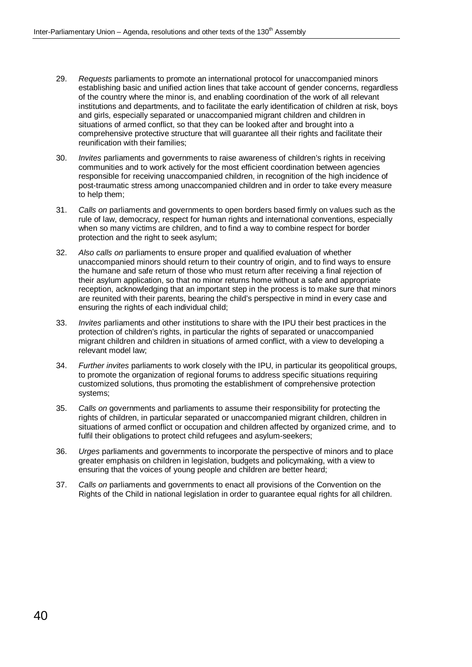- 29. *Requests* parliaments to promote an international protocol for unaccompanied minors establishing basic and unified action lines that take account of gender concerns, regardless of the country where the minor is, and enabling coordination of the work of all relevant institutions and departments, and to facilitate the early identification of children at risk, boys and girls, especially separated or unaccompanied migrant children and children in situations of armed conflict, so that they can be looked after and brought into a comprehensive protective structure that will guarantee all their rights and facilitate their reunification with their families;
- 30. *Invites* parliaments and governments to raise awareness of children's rights in receiving communities and to work actively for the most efficient coordination between agencies responsible for receiving unaccompanied children, in recognition of the high incidence of post-traumatic stress among unaccompanied children and in order to take every measure to help them;
- 31. *Calls on* parliaments and governments to open borders based firmly on values such as the rule of law, democracy, respect for human rights and international conventions, especially when so many victims are children, and to find a way to combine respect for border protection and the right to seek asylum;
- 32. *Also calls on* parliaments to ensure proper and qualified evaluation of whether unaccompanied minors should return to their country of origin, and to find ways to ensure the humane and safe return of those who must return after receiving a final rejection of their asylum application, so that no minor returns home without a safe and appropriate reception, acknowledging that an important step in the process is to make sure that minors are reunited with their parents, bearing the child's perspective in mind in every case and ensuring the rights of each individual child;
- 33. *Invites* parliaments and other institutions to share with the IPU their best practices in the protection of children's rights, in particular the rights of separated or unaccompanied migrant children and children in situations of armed conflict, with a view to developing a relevant model law;
- 34. *Further invites* parliaments to work closely with the IPU, in particular its geopolitical groups, to promote the organization of regional forums to address specific situations requiring customized solutions, thus promoting the establishment of comprehensive protection systems;
- 35. *Calls on* governments and parliaments to assume their responsibility for protecting the rights of children, in particular separated or unaccompanied migrant children, children in situations of armed conflict or occupation and children affected by organized crime, and to fulfil their obligations to protect child refugees and asylum-seekers;
- 36. *Urges* parliaments and governments to incorporate the perspective of minors and to place greater emphasis on children in legislation, budgets and policymaking, with a view to ensuring that the voices of young people and children are better heard;
- 37. *Calls on* parliaments and governments to enact all provisions of the Convention on the Rights of the Child in national legislation in order to guarantee equal rights for all children.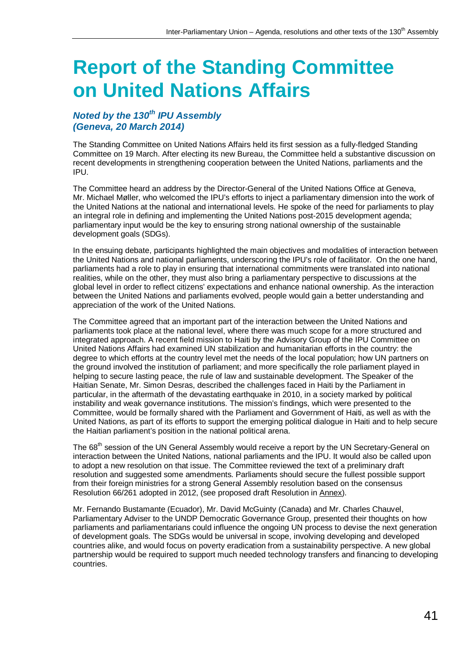# **Report of the Standing Committee on United Nations Affairs**

### *Noted by the 130th IPU Assembly (Geneva, 20 March 2014)*

The Standing Committee on United Nations Affairs held its first session as a fully-fledged Standing Committee on 19 March. After electing its new Bureau, the Committee held a substantive discussion on recent developments in strengthening cooperation between the United Nations, parliaments and the IPU.

The Committee heard an address by the Director-General of the United Nations Office at Geneva, Mr. Michael Møller, who welcomed the IPU's efforts to inject a parliamentary dimension into the work of the United Nations at the national and international levels. He spoke of the need for parliaments to play an integral role in defining and implementing the United Nations post-2015 development agenda; parliamentary input would be the key to ensuring strong national ownership of the sustainable development goals (SDGs).

In the ensuing debate, participants highlighted the main objectives and modalities of interaction between the United Nations and national parliaments, underscoring the IPU's role of facilitator. On the one hand, parliaments had a role to play in ensuring that international commitments were translated into national realities, while on the other, they must also bring a parliamentary perspective to discussions at the global level in order to reflect citizens' expectations and enhance national ownership. As the interaction between the United Nations and parliaments evolved, people would gain a better understanding and appreciation of the work of the United Nations.

The Committee agreed that an important part of the interaction between the United Nations and parliaments took place at the national level, where there was much scope for a more structured and integrated approach. A recent field mission to Haiti by the Advisory Group of the IPU Committee on United Nations Affairs had examined UN stabilization and humanitarian efforts in the country: the degree to which efforts at the country level met the needs of the local population; how UN partners on the ground involved the institution of parliament; and more specifically the role parliament played in helping to secure lasting peace, the rule of law and sustainable development. The Speaker of the Haitian Senate, Mr. Simon Desras, described the challenges faced in Haiti by the Parliament in particular, in the aftermath of the devastating earthquake in 2010, in a society marked by political instability and weak governance institutions. The mission's findings, which were presented to the Committee, would be formally shared with the Parliament and Government of Haiti, as well as with the United Nations, as part of its efforts to support the emerging political dialogue in Haiti and to help secure the Haitian parliament's position in the national political arena.

The 68<sup>th</sup> session of the UN General Assembly would receive a report by the UN Secretary-General on interaction between the United Nations, national parliaments and the IPU. It would also be called upon to adopt a new resolution on that issue. The Committee reviewed the text of a preliminary draft resolution and suggested some amendments. Parliaments should secure the fullest possible support from their foreign ministries for a strong General Assembly resolution based on the consensus Resolution 66/261 adopted in 2012, (see proposed draft Resolution in Annex).

Mr. Fernando Bustamante (Ecuador), Mr. David McGuinty (Canada) and Mr. Charles Chauvel, Parliamentary Adviser to the UNDP Democratic Governance Group, presented their thoughts on how parliaments and parliamentarians could influence the ongoing UN process to devise the next generation of development goals. The SDGs would be universal in scope, involving developing and developed countries alike, and would focus on poverty eradication from a sustainability perspective. A new global partnership would be required to support much needed technology transfers and financing to developing countries.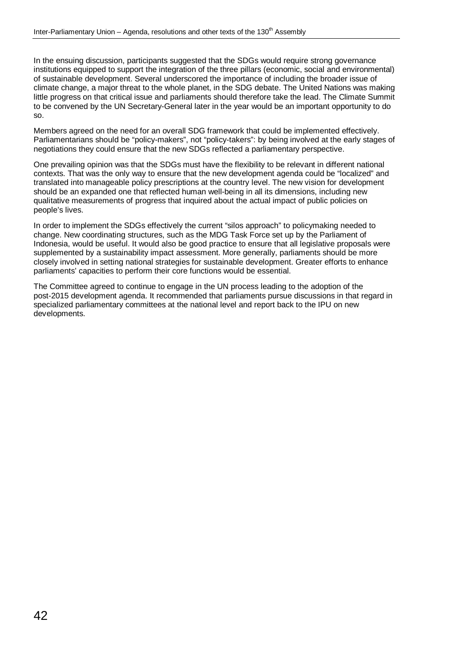In the ensuing discussion, participants suggested that the SDGs would require strong governance institutions equipped to support the integration of the three pillars (economic, social and environmental) of sustainable development. Several underscored the importance of including the broader issue of climate change, a major threat to the whole planet, in the SDG debate. The United Nations was making little progress on that critical issue and parliaments should therefore take the lead. The Climate Summit to be convened by the UN Secretary-General later in the year would be an important opportunity to do so.

Members agreed on the need for an overall SDG framework that could be implemented effectively. Parliamentarians should be "policy-makers", not "policy-takers": by being involved at the early stages of negotiations they could ensure that the new SDGs reflected a parliamentary perspective.

One prevailing opinion was that the SDGs must have the flexibility to be relevant in different national contexts. That was the only way to ensure that the new development agenda could be "localized" and translated into manageable policy prescriptions at the country level. The new vision for development should be an expanded one that reflected human well-being in all its dimensions, including new qualitative measurements of progress that inquired about the actual impact of public policies on people's lives.

In order to implement the SDGs effectively the current "silos approach" to policymaking needed to change. New coordinating structures, such as the MDG Task Force set up by the Parliament of Indonesia, would be useful. It would also be good practice to ensure that all legislative proposals were supplemented by a sustainability impact assessment. More generally, parliaments should be more closely involved in setting national strategies for sustainable development. Greater efforts to enhance parliaments' capacities to perform their core functions would be essential.

The Committee agreed to continue to engage in the UN process leading to the adoption of the post-2015 development agenda. It recommended that parliaments pursue discussions in that regard in specialized parliamentary committees at the national level and report back to the IPU on new developments.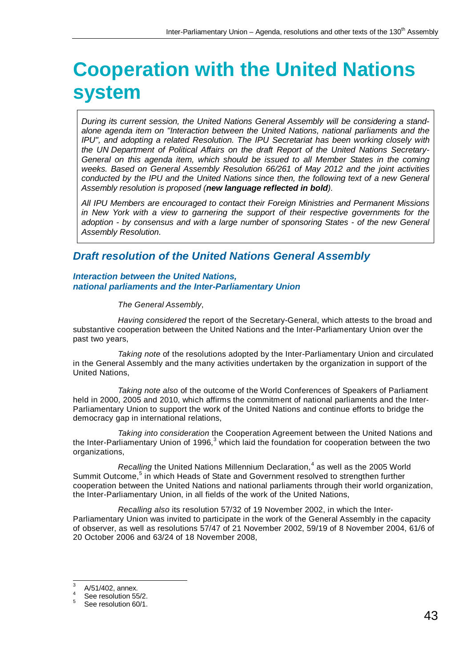# **Cooperation with the United Nations system**

*During its current session, the United Nations General Assembly will be considering a standalone agenda item on "Interaction between the United Nations, national parliaments and the IPU", and adopting a related Resolution. The IPU Secretariat has been working closely with the UN Department of Political Affairs on the draft Report of the United Nations Secretary-General on this agenda item, which should be issued to all Member States in the coming weeks. Based on General Assembly Resolution 66/261 of May 2012 and the joint activities*  conducted by the IPU and the United Nations since then, the following text of a new General *Assembly resolution is proposed (new language reflected in bold).* 

*All IPU Members are encouraged to contact their Foreign Ministries and Permanent Missions in New York with a view to garnering the support of their respective governments for the adoption - by consensus and with a large number of sponsoring States - of the new General Assembly Resolution.*

## *Draft resolution of the United Nations General Assembly*

#### *Interaction between the United Nations, national parliaments and the Inter-Parliamentary Union*

*The General Assembly*,

*Having considered* the report of the Secretary-General, which attests to the broad and substantive cooperation between the United Nations and the Inter-Parliamentary Union over the past two years,

*Taking note* of the resolutions adopted by the Inter-Parliamentary Union and circulated in the General Assembly and the many activities undertaken by the organization in support of the United Nations,

*Taking note also* of the outcome of the World Conferences of Speakers of Parliament held in 2000, 2005 and 2010, which affirms the commitment of national parliaments and the Inter-Parliamentary Union to support the work of the United Nations and continue efforts to bridge the democracy gap in international relations,

*Taking into consideration* the Cooperation Agreement between the United Nations and the Inter-Parliamentary Union of 1996, $3$  which laid the foundation for cooperation between the two organizations,

*Recalling* the United Nations Millennium Declaration,<sup>[4](#page-42-1)</sup> as well as the 2005 World Summit Outcome,<sup>[5](#page-42-2)</sup> in which Heads of State and Government resolved to strengthen further cooperation between the United Nations and national parliaments through their world organization, the Inter-Parliamentary Union, in all fields of the work of the United Nations,

*Recalling also* its resolution 57/32 of 19 November 2002, in which the Inter-Parliamentary Union was invited to participate in the work of the General Assembly in the capacity of observer, as well as resolutions 57/47 of 21 November 2002, 59/19 of 8 November 2004, 61/6 of 20 October 2006 and 63/24 of 18 November 2008,

<span id="page-42-1"></span><span id="page-42-0"></span> $\frac{3}{4}$  A/51/402, annex.<br>
See resolution 55/2.<br>
See resolution 60/1.

<span id="page-42-2"></span>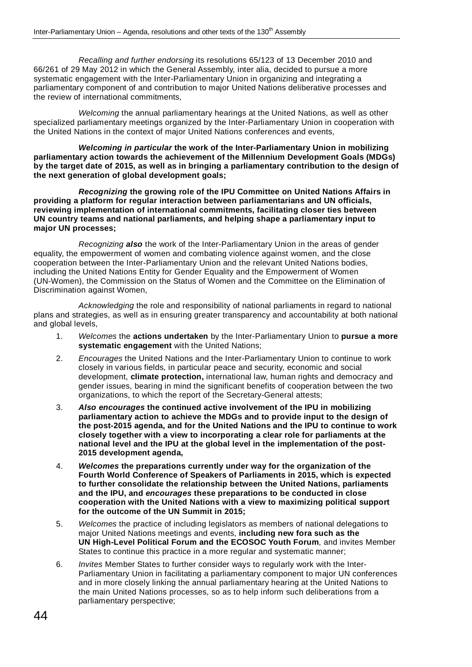*Recalling and further endorsing* its resolutions 65/123 of 13 December 2010 and 66/261 of 29 May 2012 in which the General Assembly, inter alia, decided to pursue a more systematic engagement with the Inter-Parliamentary Union in organizing and integrating a parliamentary component of and contribution to major United Nations deliberative processes and the review of international commitments,

*Welcoming* the annual parliamentary hearings at the United Nations, as well as other specialized parliamentary meetings organized by the Inter-Parliamentary Union in cooperation with the United Nations in the context of major United Nations conferences and events,

*Welcoming in particular* **the work of the Inter-Parliamentary Union in mobilizing parliamentary action towards the achievement of the Millennium Development Goals (MDGs) by the target date of 2015, as well as in bringing a parliamentary contribution to the design of the next generation of global development goals;**

*Recognizing* **the growing role of the IPU Committee on United Nations Affairs in providing a platform for regular interaction between parliamentarians and UN officials, reviewing implementation of international commitments, facilitating closer ties between UN country teams and national parliaments, and helping shape a parliamentary input to major UN processes;**

*Recognizing also* the work of the Inter-Parliamentary Union in the areas of gender equality, the empowerment of women and combating violence against women, and the close cooperation between the Inter-Parliamentary Union and the relevant United Nations bodies, including the United Nations Entity for Gender Equality and the Empowerment of Women (UN-Women), the Commission on the Status of Women and the Committee on the Elimination of Discrimination against Women,

*Acknowledging* the role and responsibility of national parliaments in regard to national plans and strategies, as well as in ensuring greater transparency and accountability at both national and global levels,

- 1. *Welcomes* the **actions undertaken** by the Inter-Parliamentary Union to **pursue a more systematic engagement** with the United Nations;
- 2. *Encourages* the United Nations and the Inter-Parliamentary Union to continue to work closely in various fields, in particular peace and security, economic and social development, **climate protection,** international law, human rights and democracy and gender issues, bearing in mind the significant benefits of cooperation between the two organizations, to which the report of the Secretary-General attests;
- 3. *Also encourages* **the continued active involvement of the IPU in mobilizing parliamentary action to achieve the MDGs and to provide input to the design of the post-2015 agenda, and for the United Nations and the IPU to continue to work closely together with a view to incorporating a clear role for parliaments at the national level and the IPU at the global level in the implementation of the post-2015 development agenda,**
- 4. *Welcomes* **the preparations currently under way for the organization of the Fourth World Conference of Speakers of Parliaments in 2015, which is expected to further consolidate the relationship between the United Nations, parliaments and the IPU, and** *encourages* **these preparations to be conducted in close cooperation with the United Nations with a view to maximizing political support for the outcome of the UN Summit in 2015;**
- 5. *Welcomes* the practice of including legislators as members of national delegations to major United Nations meetings and events, **including new fora such as the UN High-Level Political Forum and the ECOSOC Youth Forum**, and invites Member States to continue this practice in a more regular and systematic manner;
- 6. *Invites* Member States to further consider ways to regularly work with the Inter-Parliamentary Union in facilitating a parliamentary component to major UN conferences and in more closely linking the annual parliamentary hearing at the United Nations to the main United Nations processes, so as to help inform such deliberations from a parliamentary perspective;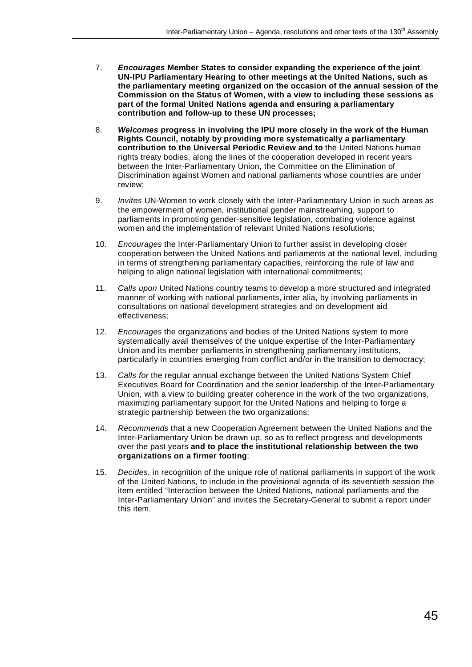- 7. *Encourages* **Member States to consider expanding the experience of the joint UN-IPU Parliamentary Hearing to other meetings at the United Nations, such as the parliamentary meeting organized on the occasion of the annual session of the Commission on the Status of Women, with a view to including these sessions as part of the formal United Nations agenda and ensuring a parliamentary contribution and follow-up to these UN processes;**
- 8. *Welcomes* **progress in involving the IPU more closely in the work of the Human Rights Council, notably by providing more systematically a parliamentary contribution to the Universal Periodic Review and to** the United Nations human rights treaty bodies, along the lines of the cooperation developed in recent years between the Inter-Parliamentary Union, the Committee on the Elimination of Discrimination against Women and national parliaments whose countries are under review;
- 9. *Invites* UN-Women to work closely with the Inter-Parliamentary Union in such areas as the empowerment of women, institutional gender mainstreaming, support to parliaments in promoting gender-sensitive legislation, combating violence against women and the implementation of relevant United Nations resolutions;
- 10. *Encourages* the Inter-Parliamentary Union to further assist in developing closer cooperation between the United Nations and parliaments at the national level, including in terms of strengthening parliamentary capacities, reinforcing the rule of law and helping to align national legislation with international commitments;
- 11. *Calls upon* United Nations country teams to develop a more structured and integrated manner of working with national parliaments, inter alia, by involving parliaments in consultations on national development strategies and on development aid effectiveness;
- 12. *Encourages* the organizations and bodies of the United Nations system to more systematically avail themselves of the unique expertise of the Inter-Parliamentary Union and its member parliaments in strengthening parliamentary institutions, particularly in countries emerging from conflict and/or in the transition to democracy;
- 13. *Calls for* the regular annual exchange between the United Nations System Chief Executives Board for Coordination and the senior leadership of the Inter-Parliamentary Union, with a view to building greater coherence in the work of the two organizations, maximizing parliamentary support for the United Nations and helping to forge a strategic partnership between the two organizations;
- 14. *Recommends* that a new Cooperation Agreement between the United Nations and the Inter-Parliamentary Union be drawn up, so as to reflect progress and developments over the past years **and to place the institutional relationship between the two organizations on a firmer footing**;
- 15. *Decides*, in recognition of the unique role of national parliaments in support of the work of the United Nations, to include in the provisional agenda of its seventieth session the item entitled "Interaction between the United Nations, national parliaments and the Inter-Parliamentary Union" and invites the Secretary-General to submit a report under this item.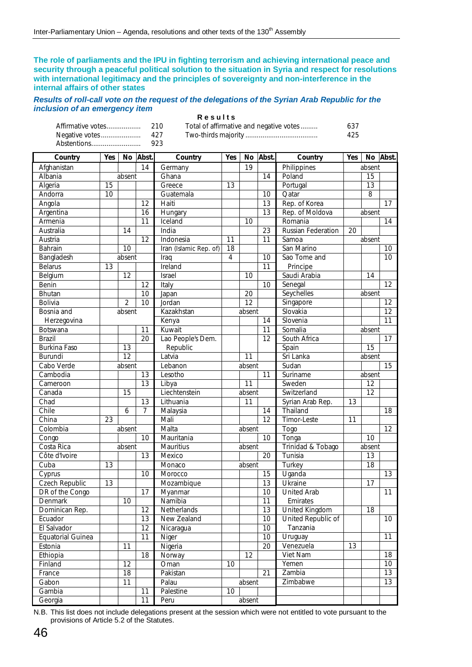**The role of parliaments and the IPU in fighting terrorism and achieving international peace and security through a peaceful political solution to the situation in Syria and respect for resolutions with international legitimacy and the principles of sovereignty and non-interference in the internal affairs of other states**

#### *Results of roll-call vote on the request of the delegations of the Syrian Arab Republic for the inclusion of an emergency item*

Abstentions.......................... 923

**R e s u l t s** Affirmative votes.................. 210 Total of affirmative and negative votes ......... 637 Negative votes..................... 427 Two-thirds majority ...................................... 425

| Country                  | Yes             | No              | Abst.           | Country                | Yes             |                 | No Abst.        | Country            | Yes             |                 | No Abst.        |
|--------------------------|-----------------|-----------------|-----------------|------------------------|-----------------|-----------------|-----------------|--------------------|-----------------|-----------------|-----------------|
| Afghanistan              |                 |                 | 14              | Germany                |                 | 19              |                 | Philippines        |                 | absent          |                 |
| Albania                  |                 | absent          |                 | Ghana                  |                 |                 | 14              | Poland             |                 | $\overline{15}$ |                 |
| Algeria                  | $\overline{15}$ |                 |                 | Greece                 | $\overline{13}$ |                 |                 | Portugal           |                 | 13              |                 |
| Andorra                  | 10              |                 |                 | Guatemala              |                 |                 | 10              | Qatar              |                 | 8               |                 |
| Angola                   |                 |                 | $\overline{12}$ | Haiti                  |                 |                 | 13              | Rep. of Korea      |                 |                 | 17              |
| Argentina                |                 |                 | 16              | Hungary                |                 |                 | 13              | Rep. of Moldova    |                 | absent          |                 |
| Armenia                  |                 |                 | 11              | Iceland                |                 | 10              |                 | Romania            |                 |                 | 14              |
| Australia                |                 | 14              |                 | India                  |                 |                 | 23              | Russian Federation | 20              |                 |                 |
| Austria                  |                 |                 | 12              | Indonesia              | 11              |                 | 11              | Samoa              |                 | absent          |                 |
| Bahrain                  |                 | 10              |                 | Iran (Islamic Rep. of) | 18              |                 |                 | San Marino         |                 |                 | 10              |
| Bangladesh               |                 | absent          |                 | Iraq                   | $\overline{4}$  |                 | 10              | Sao Tome and       |                 |                 | 10              |
| <b>Belarus</b>           | 13              |                 |                 | Ireland                |                 |                 | 11              | Principe           |                 |                 |                 |
| Belgium                  |                 | $\overline{12}$ |                 | Israel                 |                 | 10              |                 | Saudi Arabia       |                 | 14              |                 |
| Benin                    |                 |                 | $\overline{12}$ | Italy                  |                 |                 | $\overline{10}$ | Senegal            |                 |                 | 12              |
| <b>Bhutan</b>            |                 |                 | 10              | Japan                  |                 | 20              |                 | Seychelles         |                 | absent          |                 |
| Bolivia                  |                 | $\overline{2}$  | 10              | Jordan                 |                 | $\overline{12}$ |                 | Singapore          |                 |                 | 12              |
| Bosnia and               |                 | absent          |                 | Kazakhstan             |                 | absent          |                 | Slovakia           |                 |                 | 12              |
| Herzegovina              |                 |                 |                 | Kenya                  |                 |                 | $\overline{14}$ | Slovenia           |                 |                 | 11              |
| Botswana                 |                 |                 | 11              | Kuwait                 |                 |                 | 11              | Somalia            |                 | absent          |                 |
| <b>Brazil</b>            |                 |                 | $\overline{20}$ | Lao People's Dem.      |                 |                 | 12              | South Africa       |                 |                 | 17              |
| Burkina Faso             |                 | 13              |                 | Republic               |                 |                 |                 | Spain              |                 | 15              |                 |
| Burundi                  |                 | 12              |                 | Latvia                 |                 | $\overline{11}$ |                 | Sri Lanka          |                 | absent          |                 |
| Cabo Verde               |                 | absent          |                 | Lebanon                |                 | absent          |                 | Sudan              |                 |                 | 15              |
| Cambodia                 |                 |                 | 13              | Lesotho                |                 |                 | 11              | Suriname           |                 | absent          |                 |
| Cameroon                 |                 |                 | 13              | Libya                  |                 | $\overline{11}$ |                 | Sweden             |                 | 12              |                 |
| Canada                   |                 | 15              |                 | Liechtenstein          |                 | absent          |                 | Switzerland        |                 | 12              |                 |
| Chad                     |                 |                 | 13              | Lithuania              |                 | 11              |                 | Syrian Arab Rep.   | 13              |                 |                 |
| Chile                    |                 | 6               | 7               | Malaysia               |                 |                 | 14              | Thailand           |                 |                 | 18              |
| China                    | 23              |                 |                 | Mali                   |                 |                 | $\overline{12}$ | Timor-Leste        | 11              |                 |                 |
| Colombia                 |                 | absent          |                 | Malta                  |                 | absent          |                 | Togo               |                 |                 | 12              |
| Congo                    |                 |                 | 10              | Mauritania             |                 |                 | 10              | Tonga              |                 | 10              |                 |
| Costa Rica               |                 | absent          |                 | Mauritius              |                 | absent          |                 | Trinidad & Tobago  |                 | absent          |                 |
| Côte d'Ivoire            |                 |                 | 13              | Mexico                 |                 |                 | 20              | Tunisia            |                 | 13              |                 |
| Cuba                     | $\overline{13}$ |                 |                 | Monaco                 |                 | absent          |                 | Turkey             |                 | $\overline{18}$ |                 |
| Cyprus                   |                 |                 | 10              | Morocco                |                 |                 | 15              | Uganda             |                 |                 | $\overline{13}$ |
| Czech Republic           | 13              |                 |                 | Mozambique             |                 |                 | 13              | Ukraine            |                 | 17              |                 |
| DR of the Congo          |                 |                 | 17              | Myanmar                |                 |                 | 10              | <b>United Arab</b> |                 |                 | 11              |
| Denmark                  |                 | 10              |                 | Namibia                |                 |                 | 11              | Emirates           |                 |                 |                 |
| Dominican Rep.           |                 |                 | $\overline{12}$ | Netherlands            |                 |                 | $\overline{13}$ | United Kingdom     |                 | 18              |                 |
| Ecuador                  |                 |                 | 13              | New Zealand            |                 |                 | 10              | United Republic of |                 |                 | 10              |
| El Salvador              |                 |                 | 12              | Nicaragua              |                 |                 | 10              | Tanzania           |                 |                 |                 |
| <b>Equatorial Guinea</b> |                 |                 | 11              | Niger                  |                 |                 | 10              | Uruguay            |                 |                 | 11              |
| Estonia                  |                 | 11              |                 | Nigeria                |                 |                 | 20              | Venezuela          | $\overline{13}$ |                 |                 |
| Ethiopia                 |                 |                 | 18              | Norway                 |                 | 12              |                 | Viet Nam           |                 |                 | 18              |
| Finland                  |                 | 12              |                 |                        | 10              |                 |                 | Yemen              |                 |                 | 10              |
| France                   |                 | 18              |                 | Oman<br>Pakistan       |                 |                 | 21              | Zambia             |                 |                 | 13              |
| Gabon                    |                 | $\overline{11}$ |                 | Palau                  |                 | absent          |                 | Zimbabwe           |                 |                 | 13              |
| Gambia                   |                 |                 |                 |                        | 10              |                 |                 |                    |                 |                 |                 |
|                          |                 |                 | 11              | Palestine              |                 |                 |                 |                    |                 |                 |                 |
| Georgia                  |                 |                 | 11              | Peru                   |                 | absent          |                 |                    |                 |                 |                 |

N.B. This list does not include delegations present at the session which were not entitled to vote pursuant to the provisions of Article 5.2 of the Statutes.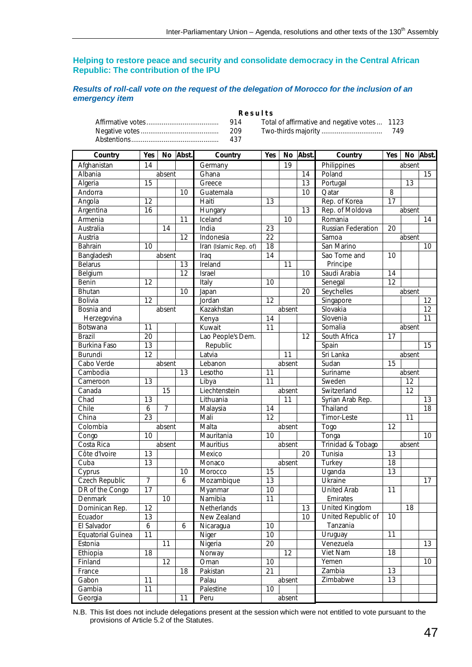#### **Helping to restore peace and security and consolidate democracy in the Central African Republic: The contribution of the IPU**

#### *Results of roll-call vote on the request of the delegation of Morocco for the inclusion of an emergency item*

|                |         |        |       | Results                |     |    |          |                                               |     |           |       |
|----------------|---------|--------|-------|------------------------|-----|----|----------|-----------------------------------------------|-----|-----------|-------|
|                |         |        |       | 914<br>209<br>437      |     |    |          | Total of affirmative and negative votes  1123 | 749 |           |       |
| Country        | Yes     | No     | Abst. | Country                | Yes | No | Abst.    | Country                                       | Yes | <b>No</b> | Abst. |
| Afghanistan    | 14      |        |       | Germany                |     | 19 |          | Philippines                                   |     | absent    |       |
| Albania        |         | absent |       | Ghana                  |     |    | 14       | Poland                                        |     |           | 15    |
| Algeria        | 15      |        |       | Greece                 |     |    | 13       | Portugal                                      |     | 13        |       |
| Andorra        |         |        | 10    | Guatemala              |     |    | 10       | Qatar                                         | 8   |           |       |
| Angola         | 12      |        |       | Haiti                  | 13  |    |          | Rep. of Korea                                 | 17  |           |       |
| Argentina      | 16      |        |       | Hungary                |     |    | 13       | Rep. of Moldova                               |     | absent    |       |
| Armenia        |         |        | 11    | Iceland                |     | 10 |          | Romania                                       |     |           | 14    |
| Australia      |         | 14     |       | India                  | 23  |    |          | <b>Russian Federation</b>                     | 20  |           |       |
| Austria        |         |        | 12    | Indonesia              | 22  |    |          | Samoa                                         |     | absent    |       |
| Bahrain        | $10 \,$ |        |       | Iran (Islamic Rep. of) | 18  |    |          | San Marino                                    |     |           | 10    |
| Bangladesh     |         | absent |       | Iraq                   | 14  |    |          | Sao Tome and                                  | 10  |           |       |
| <b>Belarus</b> |         |        | 13    | Ireland                |     | 11 |          | Principe                                      |     |           |       |
| Rolgium        |         |        | 12    | leraal                 |     |    | $1 \cap$ | Saudi Arahia                                  | 14  |           |       |

| <b>Bahrain</b>           | 10              |                 |                 | Iran (Islamic Rep. of) | 18              |        |                 | San Marino         |                 |                 | 10              |
|--------------------------|-----------------|-----------------|-----------------|------------------------|-----------------|--------|-----------------|--------------------|-----------------|-----------------|-----------------|
| Bangladesh               |                 | absent          |                 | Iraq                   | 14              |        |                 | Sao Tome and       | 10              |                 |                 |
| <b>Belarus</b>           |                 |                 | 13              | Ireland                |                 | 11     |                 | Principe           |                 |                 |                 |
| Belgium                  |                 |                 | $\overline{12}$ | Israel                 |                 |        | 10              | Saudi Arabia       | 14              |                 |                 |
| Benin                    | 12              |                 |                 | Italy                  | 10              |        |                 | Senegal            | 12              |                 |                 |
| Bhutan                   |                 |                 | 10              | Japan                  |                 |        | 20              | Seychelles         |                 | absent          |                 |
| Bolivia                  | 12              |                 |                 | Jordan                 | $\overline{12}$ |        |                 | Singapore          |                 |                 | 12              |
| Bosnia and               |                 | absent          |                 | Kazakhstan             |                 | absent |                 | Slovakia           |                 |                 | 12              |
| Herzegovina              |                 |                 |                 | Kenya                  | $\overline{14}$ |        |                 | Slovenia           |                 |                 | $\overline{11}$ |
| Botswana                 | 11              |                 |                 | Kuwait                 | 11              |        |                 | Somalia            |                 | absent          |                 |
| <b>Brazil</b>            | $\overline{20}$ |                 |                 | Lao People's Dem.      |                 |        | 12              | South Africa       | 17              |                 |                 |
| Burkina Faso             | $\overline{13}$ |                 |                 | Republic               |                 |        |                 | Spain              |                 |                 | $\overline{15}$ |
| Burundi                  | 12              |                 |                 | Latvia                 |                 | 11     |                 | Sri Lanka          |                 | absent          |                 |
| Cabo Verde               |                 | absent          |                 | Lebanon                |                 | absent |                 | Sudan              | 15              |                 |                 |
| Cambodia                 |                 |                 | 13              | Lesotho                | 11              |        |                 | Suriname           |                 | absent          |                 |
| Cameroon                 | $\overline{13}$ |                 |                 | Libya                  | $\overline{11}$ |        |                 | Sweden             |                 | $\overline{12}$ |                 |
| Canada                   |                 | $\overline{15}$ |                 | Liechtenstein          |                 | absent |                 | Switzerland        |                 | 12              |                 |
| Chad                     | $\overline{13}$ |                 |                 | Lithuania              |                 | 11     |                 | Syrian Arab Rep.   |                 |                 | 13              |
| Chile                    | 6               | $\overline{7}$  |                 | Malaysia               | 14              |        |                 | Thailand           |                 |                 | 18              |
| $\overline{Ch}$ ina      | $\overline{23}$ |                 |                 | Mali                   | 12              |        |                 | Timor-Leste        |                 | 11              |                 |
| Colombia                 |                 | absent          |                 | Malta                  |                 | absent |                 | Togo               | 12              |                 |                 |
| Congo                    | 10              |                 |                 | Mauritania             | $\overline{10}$ |        |                 | Tonga              |                 |                 | 10              |
| Costa Rica               |                 | absent          |                 | Mauritius              |                 | absent |                 | Trinidad & Tobago  |                 | absent          |                 |
| Côte d'Ivoire            | 13              |                 |                 | Mexico                 |                 |        | $\overline{20}$ | Tunisia            | $\overline{13}$ |                 |                 |
| Cuba                     | $\overline{13}$ |                 |                 | Monaco                 |                 | absent |                 | Turkey             | $\overline{18}$ |                 |                 |
| Cyprus                   |                 |                 | $\overline{10}$ | Morocco                | $\overline{15}$ |        |                 | Uganda             | 13              |                 |                 |
| Czech Republic           | $\overline{7}$  |                 | 6               | Mozambique             | $\overline{13}$ |        |                 | Ukraine            |                 |                 | 17              |
| DR of the Congo          | $\overline{17}$ |                 |                 | Myanmar                | $\overline{10}$ |        |                 | <b>United Arab</b> | 11              |                 |                 |
| Denmark                  |                 | 10              |                 | Namibia                | 11              |        |                 | Emirates           |                 |                 |                 |
| Dominican Rep.           | $\overline{12}$ |                 |                 | Netherlands            |                 |        | 13              | United Kingdom     |                 | 18              |                 |
| Ecuador                  | $\overline{13}$ |                 |                 | New Zealand            |                 |        | 10              | United Republic of | 10              |                 |                 |
| El Salvador              | 6               |                 | 6               | Nicaragua              | 10              |        |                 | Tanzania           |                 |                 |                 |
| <b>Equatorial Guinea</b> | 11              |                 |                 | Niger                  | 10              |        |                 | Uruguay            | 11              |                 |                 |
| Estonia                  |                 | 11              |                 | Nigeria                | 20              |        |                 | Venezuela          |                 |                 | 13              |
| Ethiopia                 | 18              |                 |                 | Norway                 |                 | 12     |                 | Viet Nam           | 18              |                 |                 |
| Finland                  |                 | 12              |                 | Oman                   | 10              |        |                 | Yemen              |                 |                 | 10              |
| France                   |                 |                 | 18              | Pakistan               | $\overline{21}$ |        |                 | Zambia             | $\overline{13}$ |                 |                 |
| Gabon                    | 11              |                 |                 | Palau                  |                 | absent |                 | Zimbabwe           | 13              |                 |                 |
| Gambia                   | 11              |                 |                 | Palestine              | $\overline{10}$ |        |                 |                    |                 |                 |                 |
| Georgia                  |                 |                 | 11              | Peru                   |                 | absent |                 |                    |                 |                 |                 |
|                          |                 |                 |                 |                        |                 |        |                 |                    |                 |                 |                 |

N.B. This list does not include delegations present at the session which were not entitled to vote pursuant to the provisions of Article 5.2 of the Statutes.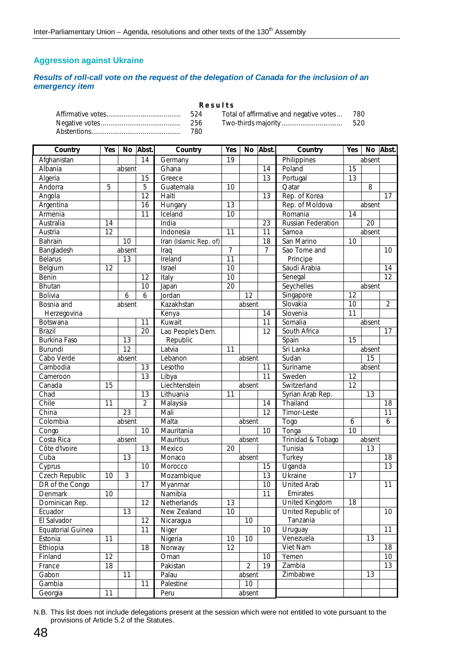#### **Aggression against Ukraine**

#### *Results of roll-call vote on the request of the delegation of Canada for the inclusion of an emergency item*

#### **R e s u l t s**

| 524  |
|------|
| -256 |
| 780  |

Affirmative votes....................................... 524 Total of affirmative and negative votes... 780

Negative votes.......................................... 256 Two-thirds majority ................................ 520

| Afghanistan<br>14<br>Philippines<br>Germany<br>19<br>absent<br>14<br>Poland<br>15<br>Albania<br>Ghana<br>absent<br>13<br>Portugal<br>13<br>Algeria<br>15<br>Greece<br>5<br>8<br>Andorra<br>5<br>Guatemala<br>10<br>Qatar<br>12<br>Haiti<br>Rep. of Korea<br>Angola<br>13<br>17<br>16<br>13<br>Rep. of Moldova<br>Argentina<br>Hungary<br>absent<br>11<br>10<br>14<br>Armenia<br>Iceland<br>Romania<br>India<br>Russian Federation<br>20<br>Australia<br>14<br>23 |
|------------------------------------------------------------------------------------------------------------------------------------------------------------------------------------------------------------------------------------------------------------------------------------------------------------------------------------------------------------------------------------------------------------------------------------------------------------------|
|                                                                                                                                                                                                                                                                                                                                                                                                                                                                  |
|                                                                                                                                                                                                                                                                                                                                                                                                                                                                  |
|                                                                                                                                                                                                                                                                                                                                                                                                                                                                  |
|                                                                                                                                                                                                                                                                                                                                                                                                                                                                  |
|                                                                                                                                                                                                                                                                                                                                                                                                                                                                  |
|                                                                                                                                                                                                                                                                                                                                                                                                                                                                  |
|                                                                                                                                                                                                                                                                                                                                                                                                                                                                  |
|                                                                                                                                                                                                                                                                                                                                                                                                                                                                  |
| 12<br>Indonesia<br>11<br>11<br>Austria<br>Samoa<br>absent                                                                                                                                                                                                                                                                                                                                                                                                        |
| Bahrain<br>10<br>18<br>San Marino<br>10<br>Iran (Islamic Rep. of)                                                                                                                                                                                                                                                                                                                                                                                                |
| $\overline{7}$<br>$\overline{7}$<br>Bangladesh<br>Sao Tome and<br>10<br>absent<br>Iraq                                                                                                                                                                                                                                                                                                                                                                           |
| $\overline{11}$<br>13<br>Ireland<br><b>Belarus</b><br>Principe                                                                                                                                                                                                                                                                                                                                                                                                   |
| Saudi Arabia<br>12<br>10<br>14<br>Belgium<br><b>Israel</b>                                                                                                                                                                                                                                                                                                                                                                                                       |
| 10<br>Senegal<br>12<br>Benin<br>$\overline{1}2$<br>Italy                                                                                                                                                                                                                                                                                                                                                                                                         |
| Seychelles<br>20<br><b>Bhutan</b><br>10<br>absent<br>Japan                                                                                                                                                                                                                                                                                                                                                                                                       |
| $\overline{12}$<br>$\overline{12}$<br>Singapore<br>Bolivia<br>6<br>6<br>Jordan                                                                                                                                                                                                                                                                                                                                                                                   |
| Slovakia<br>10<br>$\overline{2}$<br>Bosnia and<br>Kazakhstan<br>absent<br>absent                                                                                                                                                                                                                                                                                                                                                                                 |
| 11<br>Slovenia<br>14<br>Herzegovina<br>Kenya                                                                                                                                                                                                                                                                                                                                                                                                                     |
| Kuwait<br>11<br>Somalia<br>11<br>Botswana<br>absent                                                                                                                                                                                                                                                                                                                                                                                                              |
| 20<br>South Africa<br>17<br><b>Brazil</b><br>Lao People's Dem.<br>12                                                                                                                                                                                                                                                                                                                                                                                             |
| 13<br><b>Burkina Faso</b><br>15<br>Republic<br>Spain                                                                                                                                                                                                                                                                                                                                                                                                             |
| $\overline{12}$<br>Burundi<br>Latvia<br>11<br>Sri Lanka<br>absent                                                                                                                                                                                                                                                                                                                                                                                                |
| Cabo Verde<br>Sudan<br>15<br>Lebanon<br>absent<br>absent                                                                                                                                                                                                                                                                                                                                                                                                         |
| Cambodia<br>13<br>Lesotho<br>11<br>Suriname<br>absent                                                                                                                                                                                                                                                                                                                                                                                                            |
| 13<br>11<br>12<br>Cameroon<br>Libya<br>Sweden                                                                                                                                                                                                                                                                                                                                                                                                                    |
| Liechtenstein<br>12<br>Canada<br>15<br>Switzerland<br>absent                                                                                                                                                                                                                                                                                                                                                                                                     |
| 13<br>Chad<br>Lithuania<br>11<br>13<br>Syrian Arab Rep.                                                                                                                                                                                                                                                                                                                                                                                                          |
| Chile<br>$\overline{2}$<br>14<br>Thailand<br>11<br>Malaysia<br>18                                                                                                                                                                                                                                                                                                                                                                                                |
| $\overline{23}$<br>$\overline{12}$<br>China<br>Mali<br>Timor-Leste<br>11                                                                                                                                                                                                                                                                                                                                                                                         |
| Colombia<br>Malta<br>6<br>6<br>absent<br>Togo<br>absent                                                                                                                                                                                                                                                                                                                                                                                                          |
| Mauritania<br>10<br>$\overline{Cong}$<br>10<br>10<br>Tonga                                                                                                                                                                                                                                                                                                                                                                                                       |
| Costa Rica<br>Trinidad & Tobago<br>Mauritius<br>absent<br>absent<br>absent                                                                                                                                                                                                                                                                                                                                                                                       |
| Côte d'Ivoire<br>20<br>13<br>Mexico<br>Tunisia<br>13                                                                                                                                                                                                                                                                                                                                                                                                             |
| Cuba<br>$\overline{13}$<br>Turkey<br>Monaco<br>absent<br>18                                                                                                                                                                                                                                                                                                                                                                                                      |
| Cyprus<br>Morocco<br>Uganda<br>13<br>10<br>15                                                                                                                                                                                                                                                                                                                                                                                                                    |
| Czech Republic<br>3<br>13<br>10<br>Mozambique<br>Ukraine<br>17                                                                                                                                                                                                                                                                                                                                                                                                   |
| DR of the Congo<br>10<br>United Arab<br>17<br>Myanmar<br>11                                                                                                                                                                                                                                                                                                                                                                                                      |
| Namibia<br>Denmark<br>10<br>11<br>Emirates                                                                                                                                                                                                                                                                                                                                                                                                                       |
| 12<br>United Kingdom<br>18<br>Netherlands<br>13<br>Dominican Rep.                                                                                                                                                                                                                                                                                                                                                                                                |
| United Republic of<br>13<br>10<br>New Zealand<br>10<br>Ecuador                                                                                                                                                                                                                                                                                                                                                                                                   |
| El Salvador<br>12<br>10<br>Tanzania<br>Nicaragua                                                                                                                                                                                                                                                                                                                                                                                                                 |
| 11<br>Uruguay<br><b>Equatorial Guinea</b><br>11<br>Niger<br>10                                                                                                                                                                                                                                                                                                                                                                                                   |
| Venezuela<br>13<br>Estonia<br>Nigeria<br>10<br>11<br>10                                                                                                                                                                                                                                                                                                                                                                                                          |
| Viet Nam<br>18<br>Ethiopia<br>Norway<br>12<br>18                                                                                                                                                                                                                                                                                                                                                                                                                 |
| Yemen<br>10<br>12<br>Finland<br>10<br>Oman                                                                                                                                                                                                                                                                                                                                                                                                                       |
| $\overline{13}$<br>$\overline{2}$<br>Zambia<br>18<br>19<br>France<br>Pakistan                                                                                                                                                                                                                                                                                                                                                                                    |
| 13<br>Zimbabwe<br>Gabon<br>11<br>Palau<br>absent                                                                                                                                                                                                                                                                                                                                                                                                                 |
| Gambia<br>11<br>Palestine<br>10                                                                                                                                                                                                                                                                                                                                                                                                                                  |
| 11<br>Georgia<br>Peru<br>absent                                                                                                                                                                                                                                                                                                                                                                                                                                  |

N.B. This list does not include delegations present at the session which were not entitled to vote pursuant to the provisions of Article 5.2 of the Statutes.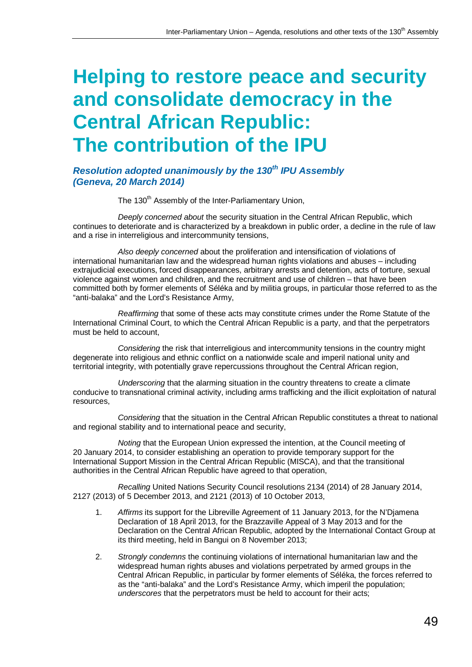# **Helping to restore peace and security and consolidate democracy in the Central African Republic: The contribution of the IPU**

### *Resolution adopted unanimously by the 130th IPU Assembly (Geneva, 20 March 2014)*

The 130<sup>th</sup> Assembly of the Inter-Parliamentary Union,

*Deeply concerned about* the security situation in the Central African Republic, which continues to deteriorate and is characterized by a breakdown in public order, a decline in the rule of law and a rise in interreligious and intercommunity tensions,

*Also deeply concerned* about the proliferation and intensification of violations of international humanitarian law and the widespread human rights violations and abuses – including extrajudicial executions, forced disappearances, arbitrary arrests and detention, acts of torture, sexual violence against women and children, and the recruitment and use of children – that have been committed both by former elements of Séléka and by militia groups, in particular those referred to as the "anti-balaka" and the Lord's Resistance Army,

*Reaffirming* that some of these acts may constitute crimes under the Rome Statute of the International Criminal Court, to which the Central African Republic is a party, and that the perpetrators must be held to account,

*Considering* the risk that interreligious and intercommunity tensions in the country might degenerate into religious and ethnic conflict on a nationwide scale and imperil national unity and territorial integrity, with potentially grave repercussions throughout the Central African region,

*Underscoring* that the alarming situation in the country threatens to create a climate conducive to transnational criminal activity, including arms trafficking and the illicit exploitation of natural resources,

*Considering* that the situation in the Central African Republic constitutes a threat to national and regional stability and to international peace and security,

*Noting* that the European Union expressed the intention, at the Council meeting of 20 January 2014, to consider establishing an operation to provide temporary support for the International Support Mission in the Central African Republic (MISCA), and that the transitional authorities in the Central African Republic have agreed to that operation,

*Recalling* United Nations Security Council resolutions 2134 (2014) of 28 January 2014, 2127 (2013) of 5 December 2013, and 2121 (2013) of 10 October 2013,

- 1. *Affirms* its support for the Libreville Agreement of 11 January 2013, for the N'Djamena Declaration of 18 April 2013, for the Brazzaville Appeal of 3 May 2013 and for the Declaration on the Central African Republic, adopted by the International Contact Group at its third meeting, held in Bangui on 8 November 2013;
- 2. *Strongly condemns* the continuing violations of international humanitarian law and the widespread human rights abuses and violations perpetrated by armed groups in the Central African Republic, in particular by former elements of Séléka, the forces referred to as the "anti-balaka" and the Lord's Resistance Army, which imperil the population; *underscores* that the perpetrators must be held to account for their acts;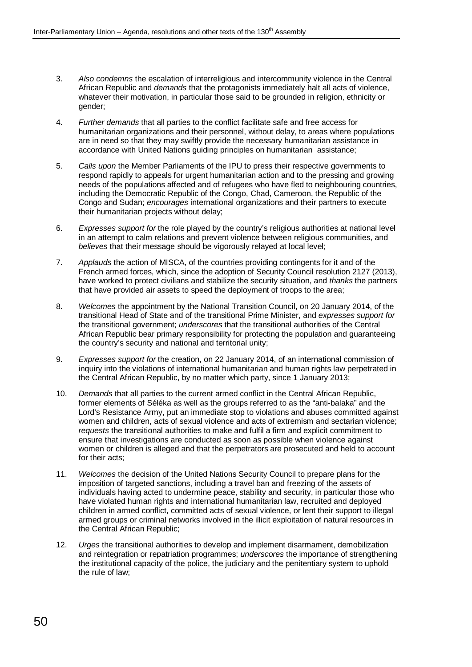- 3. *Also condemns* the escalation of interreligious and intercommunity violence in the Central African Republic and *demands* that the protagonists immediately halt all acts of violence, whatever their motivation, in particular those said to be grounded in religion, ethnicity or gender;
- 4. *Further demands* that all parties to the conflict facilitate safe and free access for humanitarian organizations and their personnel, without delay, to areas where populations are in need so that they may swiftly provide the necessary humanitarian assistance in accordance with United Nations guiding principles on humanitarian assistance;
- 5. *Calls upon* the Member Parliaments of the IPU to press their respective governments to respond rapidly to appeals for urgent humanitarian action and to the pressing and growing needs of the populations affected and of refugees who have fled to neighbouring countries, including the Democratic Republic of the Congo, Chad, Cameroon, the Republic of the Congo and Sudan; *encourages* international organizations and their partners to execute their humanitarian projects without delay;
- 6. *Expresses support for* the role played by the country's religious authorities at national level in an attempt to calm relations and prevent violence between religious communities, and *believes* that their message should be vigorously relayed at local level;
- 7. *Applauds* the action of MISCA, of the countries providing contingents for it and of the French armed forces, which, since the adoption of Security Council resolution 2127 (2013), have worked to protect civilians and stabilize the security situation, and *thanks* the partners that have provided air assets to speed the deployment of troops to the area;
- 8. *Welcomes* the appointment by the National Transition Council, on 20 January 2014, of the transitional Head of State and of the transitional Prime Minister, and *expresses support for* the transitional government; *underscores* that the transitional authorities of the Central African Republic bear primary responsibility for protecting the population and guaranteeing the country's security and national and territorial unity;
- 9. *Expresses support for* the creation, on 22 January 2014, of an international commission of inquiry into the violations of international humanitarian and human rights law perpetrated in the Central African Republic, by no matter which party, since 1 January 2013;
- 10. *Demands* that all parties to the current armed conflict in the Central African Republic, former elements of Séléka as well as the groups referred to as the "anti-balaka" and the Lord's Resistance Army, put an immediate stop to violations and abuses committed against women and children, acts of sexual violence and acts of extremism and sectarian violence; *requests* the transitional authorities to make and fulfil a firm and explicit commitment to ensure that investigations are conducted as soon as possible when violence against women or children is alleged and that the perpetrators are prosecuted and held to account for their acts;
- 11. *Welcomes* the decision of the United Nations Security Council to prepare plans for the imposition of targeted sanctions, including a travel ban and freezing of the assets of individuals having acted to undermine peace, stability and security, in particular those who have violated human rights and international humanitarian law, recruited and deployed children in armed conflict, committed acts of sexual violence, or lent their support to illegal armed groups or criminal networks involved in the illicit exploitation of natural resources in the Central African Republic;
- 12. *Urges* the transitional authorities to develop and implement disarmament, demobilization and reintegration or repatriation programmes; *underscores* the importance of strengthening the institutional capacity of the police, the judiciary and the penitentiary system to uphold the rule of law;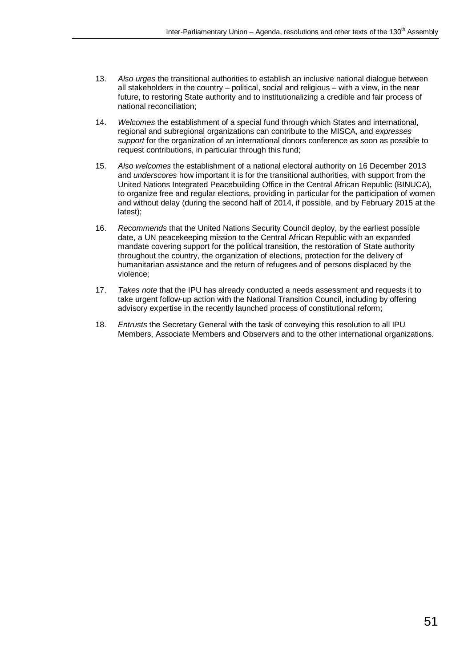- 13. *Also urges* the transitional authorities to establish an inclusive national dialogue between all stakeholders in the country – political, social and religious – with a view, in the near future, to restoring State authority and to institutionalizing a credible and fair process of national reconciliation;
- 14. *Welcomes* the establishment of a special fund through which States and international, regional and subregional organizations can contribute to the MISCA, and *expresses support* for the organization of an international donors conference as soon as possible to request contributions, in particular through this fund;
- 15. *Also welcomes* the establishment of a national electoral authority on 16 December 2013 and *underscores* how important it is for the transitional authorities, with support from the United Nations Integrated Peacebuilding Office in the Central African Republic (BINUCA), to organize free and regular elections, providing in particular for the participation of women and without delay (during the second half of 2014, if possible, and by February 2015 at the latest);
- 16. *Recommends* that the United Nations Security Council deploy, by the earliest possible date, a UN peacekeeping mission to the Central African Republic with an expanded mandate covering support for the political transition, the restoration of State authority throughout the country, the organization of elections, protection for the delivery of humanitarian assistance and the return of refugees and of persons displaced by the violence;
- 17. *Takes note* that the IPU has already conducted a needs assessment and requests it to take urgent follow-up action with the National Transition Council, including by offering advisory expertise in the recently launched process of constitutional reform;
- 18. *Entrusts* the Secretary General with the task of conveying this resolution to all IPU Members, Associate Members and Observers and to the other international organizations.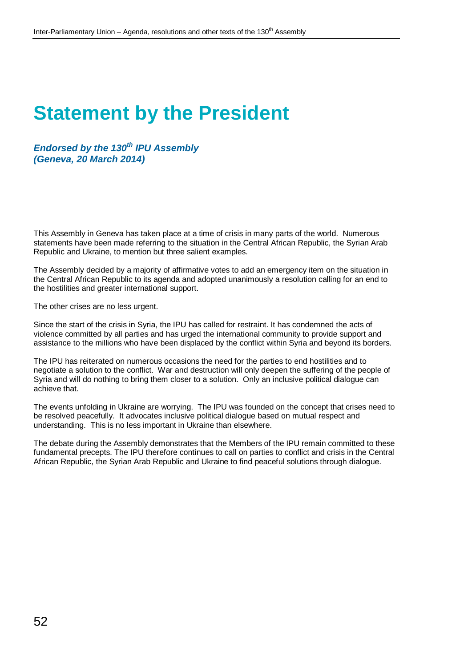## **Statement by the President**

*Endorsed by the 130th IPU Assembly (Geneva, 20 March 2014)*

This Assembly in Geneva has taken place at a time of crisis in many parts of the world. Numerous statements have been made referring to the situation in the Central African Republic, the Syrian Arab Republic and Ukraine, to mention but three salient examples.

The Assembly decided by a majority of affirmative votes to add an emergency item on the situation in the Central African Republic to its agenda and adopted unanimously a resolution calling for an end to the hostilities and greater international support.

The other crises are no less urgent.

Since the start of the crisis in Syria, the IPU has called for restraint. It has condemned the acts of violence committed by all parties and has urged the international community to provide support and assistance to the millions who have been displaced by the conflict within Syria and beyond its borders.

The IPU has reiterated on numerous occasions the need for the parties to end hostilities and to negotiate a solution to the conflict. War and destruction will only deepen the suffering of the people of Syria and will do nothing to bring them closer to a solution. Only an inclusive political dialogue can achieve that.

The events unfolding in Ukraine are worrying. The IPU was founded on the concept that crises need to be resolved peacefully. It advocates inclusive political dialogue based on mutual respect and understanding. This is no less important in Ukraine than elsewhere.

The debate during the Assembly demonstrates that the Members of the IPU remain committed to these fundamental precepts. The IPU therefore continues to call on parties to conflict and crisis in the Central African Republic, the Syrian Arab Republic and Ukraine to find peaceful solutions through dialogue.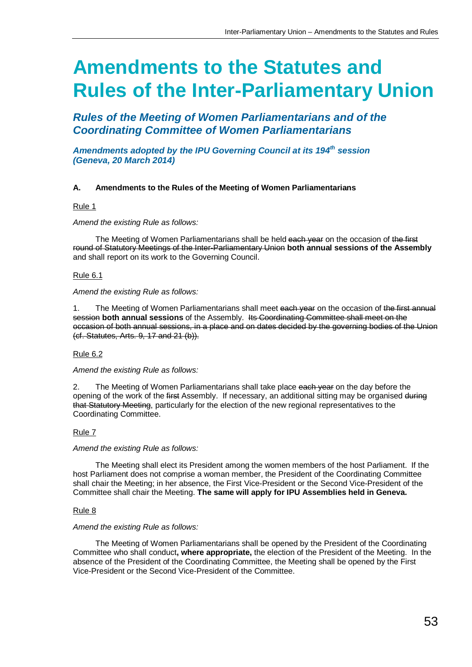# **Amendments to the Statutes and Rules of the Inter-Parliamentary Union**

### *Rules of the Meeting of Women Parliamentarians and of the Coordinating Committee of Women Parliamentarians*

#### *Amendments adopted by the IPU Governing Council at its 194th session (Geneva, 20 March 2014)*

#### **A. Amendments to the Rules of the Meeting of Women Parliamentarians**

#### Rule 1

#### *Amend the existing Rule as follows:*

The Meeting of Women Parliamentarians shall be held each year on the occasion of the first round of Statutory Meetings of the Inter-Parliamentary Union **both annual sessions of the Assembly**  and shall report on its work to the Governing Council.

#### Rule 6.1

#### *Amend the existing Rule as follows:*

1. The Meeting of Women Parliamentarians shall meet each year on the occasion of the first annual session **both annual sessions** of the Assembly. Its Coordinating Committee shall meet on the occasion of both annual sessions, in a place and on dates decided by the governing bodies of the Union (cf. Statutes, Arts. 9, 17 and 21 (b)).

#### Rule 6.2

#### *Amend the existing Rule as follows:*

2. The Meeting of Women Parliamentarians shall take place each year on the day before the opening of the work of the first Assembly. If necessary, an additional sitting may be organised during that Statutory Meeting, particularly for the election of the new regional representatives to the Coordinating Committee.

#### Rule 7

#### *Amend the existing Rule as follows:*

The Meeting shall elect its President among the women members of the host Parliament. If the host Parliament does not comprise a woman member, the President of the Coordinating Committee shall chair the Meeting; in her absence, the First Vice-President or the Second Vice-President of the Committee shall chair the Meeting. **The same will apply for IPU Assemblies held in Geneva.**

#### Rule 8

#### *Amend the existing Rule as follows:*

The Meeting of Women Parliamentarians shall be opened by the President of the Coordinating Committee who shall conduct**, where appropriate,** the election of the President of the Meeting. In the absence of the President of the Coordinating Committee, the Meeting shall be opened by the First Vice-President or the Second Vice-President of the Committee.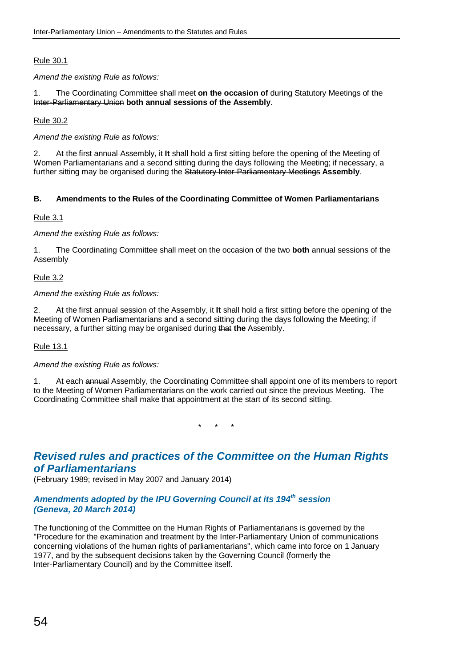#### Rule 30.1

*Amend the existing Rule as follows:*

1. The Coordinating Committee shall meet **on the occasion of** during Statutory Meetings of the Inter-Parliamentary Union **both annual sessions of the Assembly**.

#### Rule 30.2

*Amend the existing Rule as follows:*

2. At the first annual Assembly, it **It** shall hold a first sitting before the opening of the Meeting of Women Parliamentarians and a second sitting during the days following the Meeting; if necessary, a further sitting may be organised during the Statutory Inter-Parliamentary Meetings **Assembly**.

#### **B. Amendments to the Rules of the Coordinating Committee of Women Parliamentarians**

#### Rule 3.1

*Amend the existing Rule as follows:*

1. The Coordinating Committee shall meet on the occasion of the two **both** annual sessions of the Assembly

#### Rule 3.2

*Amend the existing Rule as follows:*

2. At the first annual session of the Assembly, it **It** shall hold a first sitting before the opening of the Meeting of Women Parliamentarians and a second sitting during the days following the Meeting; if necessary, a further sitting may be organised during that **the** Assembly.

#### Rule 13.1

*Amend the existing Rule as follows:*

1. At each annual Assembly, the Coordinating Committee shall appoint one of its members to report to the Meeting of Women Parliamentarians on the work carried out since the previous Meeting. The Coordinating Committee shall make that appointment at the start of its second sitting.

\* \* \*

### *Revised rules and practices of the Committee on the Human Rights of Parliamentarians*

(February 1989; revised in May 2007 and January 2014)

#### *Amendments adopted by the IPU Governing Council at its 194th session (Geneva, 20 March 2014)*

The functioning of the Committee on the Human Rights of Parliamentarians is governed by the "Procedure for the examination and treatment by the Inter-Parliamentary Union of communications concerning violations of the human rights of parliamentarians", which came into force on 1 January 1977, and by the subsequent decisions taken by the Governing Council (formerly the Inter-Parliamentary Council) and by the Committee itself.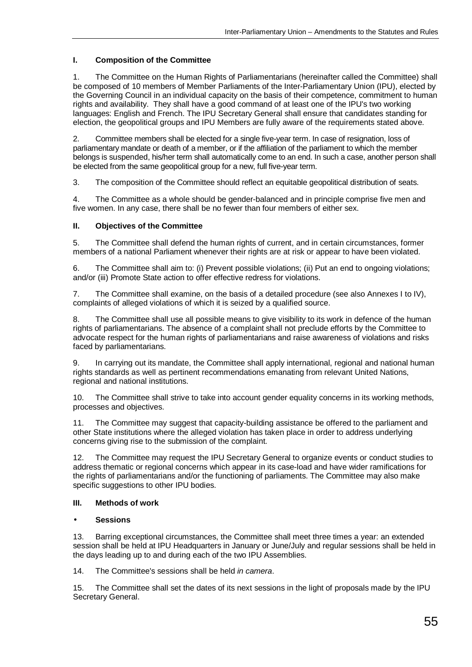#### **I. Composition of the Committee**

1. The Committee on the Human Rights of Parliamentarians (hereinafter called the Committee) shall be composed of 10 members of Member Parliaments of the Inter-Parliamentary Union (IPU), elected by the Governing Council in an individual capacity on the basis of their competence, commitment to human rights and availability. They shall have a good command of at least one of the IPU's two working languages: English and French. The IPU Secretary General shall ensure that candidates standing for election, the geopolitical groups and IPU Members are fully aware of the requirements stated above.

2. Committee members shall be elected for a single five-year term. In case of resignation, loss of parliamentary mandate or death of a member, or if the affiliation of the parliament to which the member belongs is suspended, his/her term shall automatically come to an end. In such a case, another person shall be elected from the same geopolitical group for a new, full five-year term.

3. The composition of the Committee should reflect an equitable geopolitical distribution of seats.

4. The Committee as a whole should be gender-balanced and in principle comprise five men and five women. In any case, there shall be no fewer than four members of either sex.

#### **II. Objectives of the Committee**

5. The Committee shall defend the human rights of current, and in certain circumstances, former members of a national Parliament whenever their rights are at risk or appear to have been violated.

6. The Committee shall aim to: (i) Prevent possible violations; (ii) Put an end to ongoing violations; and/or (iii) Promote State action to offer effective redress for violations.

7. The Committee shall examine, on the basis of a detailed procedure (see also Annexes I to IV), complaints of alleged violations of which it is seized by a qualified source.

8. The Committee shall use all possible means to give visibility to its work in defence of the human rights of parliamentarians. The absence of a complaint shall not preclude efforts by the Committee to advocate respect for the human rights of parliamentarians and raise awareness of violations and risks faced by parliamentarians.

9. In carrying out its mandate, the Committee shall apply international, regional and national human rights standards as well as pertinent recommendations emanating from relevant United Nations, regional and national institutions.

10. The Committee shall strive to take into account gender equality concerns in its working methods, processes and objectives.

11. The Committee may suggest that capacity-building assistance be offered to the parliament and other State institutions where the alleged violation has taken place in order to address underlying concerns giving rise to the submission of the complaint.

12. The Committee may request the IPU Secretary General to organize events or conduct studies to address thematic or regional concerns which appear in its case-load and have wider ramifications for the rights of parliamentarians and/or the functioning of parliaments. The Committee may also make specific suggestions to other IPU bodies.

#### **III. Methods of work**

#### **Sessions**

13. Barring exceptional circumstances, the Committee shall meet three times a year: an extended session shall be held at IPU Headquarters in January or June/July and regular sessions shall be held in the days leading up to and during each of the two IPU Assemblies.

14. The Committee's sessions shall be held *in camera*.

15. The Committee shall set the dates of its next sessions in the light of proposals made by the IPU Secretary General.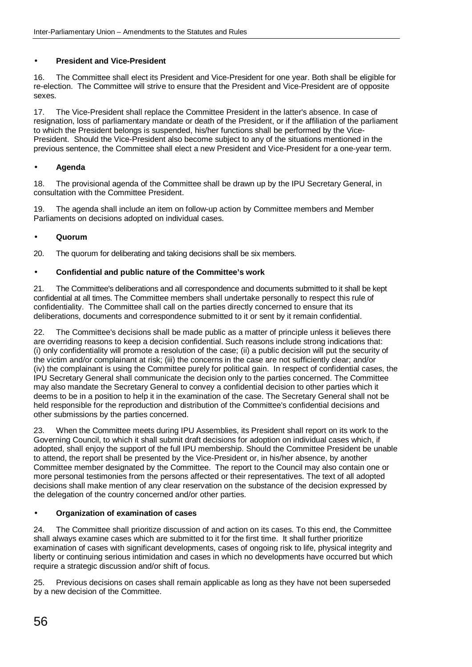#### **President and Vice-President**

16. The Committee shall elect its President and Vice-President for one year. Both shall be eligible for re-election. The Committee will strive to ensure that the President and Vice-President are of opposite sexes.

17. The Vice-President shall replace the Committee President in the latter's absence. In case of resignation, loss of parliamentary mandate or death of the President, or if the affiliation of the parliament to which the President belongs is suspended, his/her functions shall be performed by the Vice-President. Should the Vice-President also become subject to any of the situations mentioned in the previous sentence, the Committee shall elect a new President and Vice-President for a one-year term.

#### **Agenda**

18. The provisional agenda of the Committee shall be drawn up by the IPU Secretary General, in consultation with the Committee President.

19. The agenda shall include an item on follow-up action by Committee members and Member Parliaments on decisions adopted on individual cases.

#### **Quorum**

20. The quorum for deliberating and taking decisions shall be six members.

#### **Confidential and public nature of the Committee's work**

21. The Committee's deliberations and all correspondence and documents submitted to it shall be kept confidential at all times. The Committee members shall undertake personally to respect this rule of confidentiality. The Committee shall call on the parties directly concerned to ensure that its deliberations, documents and correspondence submitted to it or sent by it remain confidential.

22. The Committee's decisions shall be made public as a matter of principle unless it believes there are overriding reasons to keep a decision confidential. Such reasons include strong indications that: (i) only confidentiality will promote a resolution of the case; (ii) a public decision will put the security of the victim and/or complainant at risk; (iii) the concerns in the case are not sufficiently clear; and/or (iv) the complainant is using the Committee purely for political gain. In respect of confidential cases, the IPU Secretary General shall communicate the decision only to the parties concerned. The Committee may also mandate the Secretary General to convey a confidential decision to other parties which it deems to be in a position to help it in the examination of the case. The Secretary General shall not be held responsible for the reproduction and distribution of the Committee's confidential decisions and other submissions by the parties concerned.

23. When the Committee meets during IPU Assemblies, its President shall report on its work to the Governing Council, to which it shall submit draft decisions for adoption on individual cases which, if adopted, shall enjoy the support of the full IPU membership. Should the Committee President be unable to attend, the report shall be presented by the Vice-President or, in his/her absence, by another Committee member designated by the Committee. The report to the Council may also contain one or more personal testimonies from the persons affected or their representatives. The text of all adopted decisions shall make mention of any clear reservation on the substance of the decision expressed by the delegation of the country concerned and/or other parties.

#### **Organization of examination of cases** t.

24. The Committee shall prioritize discussion of and action on its cases. To this end, the Committee shall always examine cases which are submitted to it for the first time. It shall further prioritize examination of cases with significant developments, cases of ongoing risk to life, physical integrity and liberty or continuing serious intimidation and cases in which no developments have occurred but which require a strategic discussion and/or shift of focus.

25. Previous decisions on cases shall remain applicable as long as they have not been superseded by a new decision of the Committee.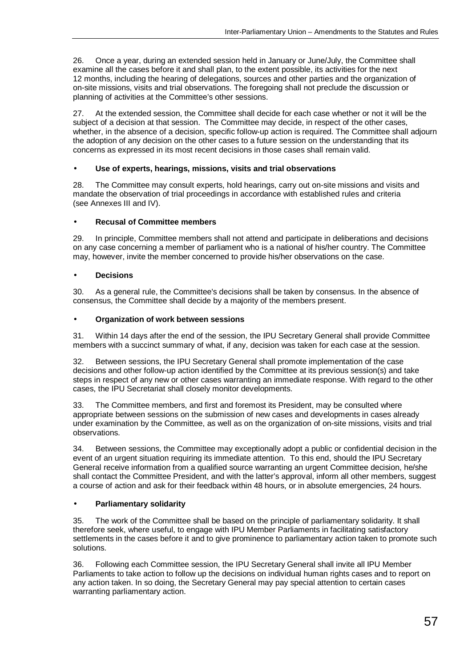26. Once a year, during an extended session held in January or June/July, the Committee shall examine all the cases before it and shall plan, to the extent possible, its activities for the next 12 months, including the hearing of delegations, sources and other parties and the organization of on-site missions, visits and trial observations. The foregoing shall not preclude the discussion or planning of activities at the Committee's other sessions.

27. At the extended session, the Committee shall decide for each case whether or not it will be the subject of a decision at that session. The Committee may decide, in respect of the other cases, whether, in the absence of a decision, specific follow-up action is required. The Committee shall adjourn the adoption of any decision on the other cases to a future session on the understanding that its concerns as expressed in its most recent decisions in those cases shall remain valid.

#### **Use of experts, hearings, missions, visits and trial observations**

28. The Committee may consult experts, hold hearings, carry out on-site missions and visits and mandate the observation of trial proceedings in accordance with established rules and criteria (see Annexes III and IV).

#### **Recusal of Committee members**

29. In principle, Committee members shall not attend and participate in deliberations and decisions on any case concerning a member of parliament who is a national of his/her country. The Committee may, however, invite the member concerned to provide his/her observations on the case.

#### **Decisions**

30. As a general rule, the Committee's decisions shall be taken by consensus. In the absence of consensus, the Committee shall decide by a majority of the members present.

#### **Organization of work between sessions**

31. Within 14 days after the end of the session, the IPU Secretary General shall provide Committee members with a succinct summary of what, if any, decision was taken for each case at the session.

32. Between sessions, the IPU Secretary General shall promote implementation of the case decisions and other follow-up action identified by the Committee at its previous session(s) and take steps in respect of any new or other cases warranting an immediate response. With regard to the other cases, the IPU Secretariat shall closely monitor developments.

33. The Committee members, and first and foremost its President, may be consulted where appropriate between sessions on the submission of new cases and developments in cases already under examination by the Committee, as well as on the organization of on-site missions, visits and trial observations.

34. Between sessions, the Committee may exceptionally adopt a public or confidential decision in the event of an urgent situation requiring its immediate attention. To this end, should the IPU Secretary General receive information from a qualified source warranting an urgent Committee decision, he/she shall contact the Committee President, and with the latter's approval, inform all other members, suggest a course of action and ask for their feedback within 48 hours, or in absolute emergencies, 24 hours.

#### **Parliamentary solidarity**  $\ddot{\phantom{a}}$

35. The work of the Committee shall be based on the principle of parliamentary solidarity. It shall therefore seek, where useful, to engage with IPU Member Parliaments in facilitating satisfactory settlements in the cases before it and to give prominence to parliamentary action taken to promote such solutions.

36. Following each Committee session, the IPU Secretary General shall invite all IPU Member Parliaments to take action to follow up the decisions on individual human rights cases and to report on any action taken. In so doing, the Secretary General may pay special attention to certain cases warranting parliamentary action.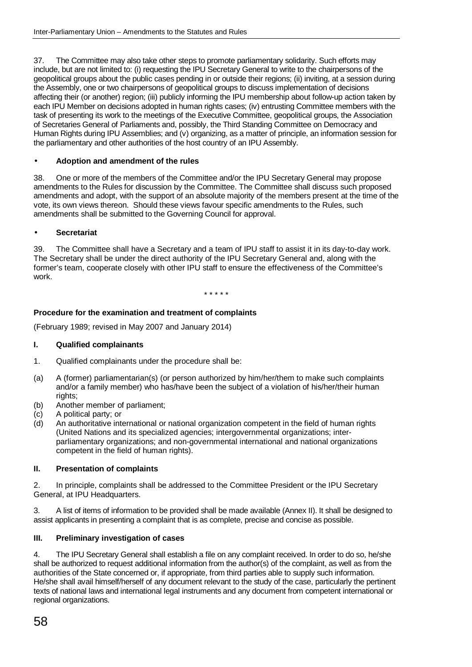37. The Committee may also take other steps to promote parliamentary solidarity. Such efforts may include, but are not limited to: (i) requesting the IPU Secretary General to write to the chairpersons of the geopolitical groups about the public cases pending in or outside their regions; (ii) inviting, at a session during the Assembly, one or two chairpersons of geopolitical groups to discuss implementation of decisions affecting their (or another) region; (iii) publicly informing the IPU membership about follow-up action taken by each IPU Member on decisions adopted in human rights cases; (iv) entrusting Committee members with the task of presenting its work to the meetings of the Executive Committee, geopolitical groups, the Association of Secretaries General of Parliaments and, possibly, the Third Standing Committee on Democracy and Human Rights during IPU Assemblies; and (v) organizing, as a matter of principle, an information session for the parliamentary and other authorities of the host country of an IPU Assembly.

#### **Adoption and amendment of the rules**

38. One or more of the members of the Committee and/or the IPU Secretary General may propose amendments to the Rules for discussion by the Committee. The Committee shall discuss such proposed amendments and adopt, with the support of an absolute majority of the members present at the time of the vote, its own views thereon. Should these views favour specific amendments to the Rules, such amendments shall be submitted to the Governing Council for approval.

#### **Secretariat**  ÷.

39. The Committee shall have a Secretary and a team of IPU staff to assist it in its day-to-day work. The Secretary shall be under the direct authority of the IPU Secretary General and, along with the former's team, cooperate closely with other IPU staff to ensure the effectiveness of the Committee's work.

\* \* \* \* \*

#### **Procedure for the examination and treatment of complaints**

(February 1989; revised in May 2007 and January 2014)

#### **I. Qualified complainants**

- 1. Qualified complainants under the procedure shall be:
- (a) A (former) parliamentarian(s) (or person authorized by him/her/them to make such complaints and/or a family member) who has/have been the subject of a violation of his/her/their human rights:
- (b) Another member of parliament;
- (c) A political party; or<br>(d) An authoritative inte
- An authoritative international or national organization competent in the field of human rights (United Nations and its specialized agencies; intergovernmental organizations; interparliamentary organizations; and non-governmental international and national organizations competent in the field of human rights).

#### **II. Presentation of complaints**

2. In principle, complaints shall be addressed to the Committee President or the IPU Secretary General, at IPU Headquarters.

3. A list of items of information to be provided shall be made available (Annex II). It shall be designed to assist applicants in presenting a complaint that is as complete, precise and concise as possible.

#### **III. Preliminary investigation of cases**

4. The IPU Secretary General shall establish a file on any complaint received. In order to do so, he/she shall be authorized to request additional information from the author(s) of the complaint, as well as from the authorities of the State concerned or, if appropriate, from third parties able to supply such information. He/she shall avail himself/herself of any document relevant to the study of the case, particularly the pertinent texts of national laws and international legal instruments and any document from competent international or regional organizations.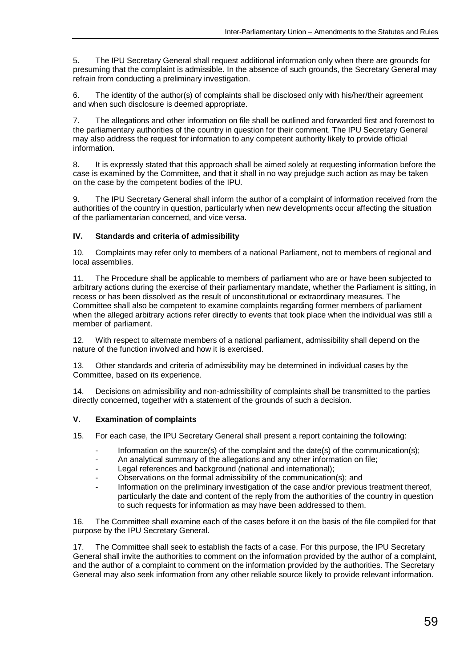5. The IPU Secretary General shall request additional information only when there are grounds for presuming that the complaint is admissible. In the absence of such grounds, the Secretary General may refrain from conducting a preliminary investigation.

6. The identity of the author(s) of complaints shall be disclosed only with his/her/their agreement and when such disclosure is deemed appropriate.

7. The allegations and other information on file shall be outlined and forwarded first and foremost to the parliamentary authorities of the country in question for their comment. The IPU Secretary General may also address the request for information to any competent authority likely to provide official information.

8. It is expressly stated that this approach shall be aimed solely at requesting information before the case is examined by the Committee, and that it shall in no way prejudge such action as may be taken on the case by the competent bodies of the IPU.

9. The IPU Secretary General shall inform the author of a complaint of information received from the authorities of the country in question, particularly when new developments occur affecting the situation of the parliamentarian concerned, and vice versa.

#### **IV. Standards and criteria of admissibility**

10. Complaints may refer only to members of a national Parliament, not to members of regional and local assemblies.

11. The Procedure shall be applicable to members of parliament who are or have been subjected to arbitrary actions during the exercise of their parliamentary mandate, whether the Parliament is sitting, in recess or has been dissolved as the result of unconstitutional or extraordinary measures. The Committee shall also be competent to examine complaints regarding former members of parliament when the alleged arbitrary actions refer directly to events that took place when the individual was still a member of parliament.

12. With respect to alternate members of a national parliament, admissibility shall depend on the nature of the function involved and how it is exercised.

13. Other standards and criteria of admissibility may be determined in individual cases by the Committee, based on its experience.

14. Decisions on admissibility and non-admissibility of complaints shall be transmitted to the parties directly concerned, together with a statement of the grounds of such a decision.

#### **V. Examination of complaints**

15. For each case, the IPU Secretary General shall present a report containing the following:

- Information on the source(s) of the complaint and the date(s) of the communication(s);
- An analytical summary of the allegations and any other information on file;
- Legal references and background (national and international);
- Observations on the formal admissibility of the communication(s); and
- Information on the preliminary investigation of the case and/or previous treatment thereof, particularly the date and content of the reply from the authorities of the country in question to such requests for information as may have been addressed to them.

16. The Committee shall examine each of the cases before it on the basis of the file compiled for that purpose by the IPU Secretary General.

17. The Committee shall seek to establish the facts of a case. For this purpose, the IPU Secretary General shall invite the authorities to comment on the information provided by the author of a complaint, and the author of a complaint to comment on the information provided by the authorities. The Secretary General may also seek information from any other reliable source likely to provide relevant information.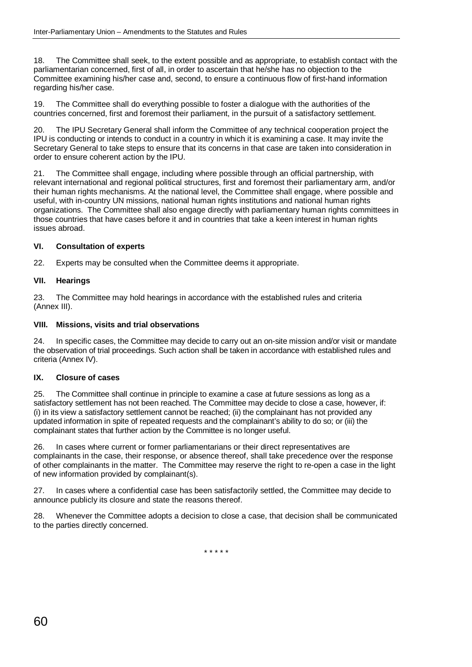18. The Committee shall seek, to the extent possible and as appropriate, to establish contact with the parliamentarian concerned, first of all, in order to ascertain that he/she has no objection to the Committee examining his/her case and, second, to ensure a continuous flow of first-hand information regarding his/her case.

19. The Committee shall do everything possible to foster a dialogue with the authorities of the countries concerned, first and foremost their parliament, in the pursuit of a satisfactory settlement.

20. The IPU Secretary General shall inform the Committee of any technical cooperation project the IPU is conducting or intends to conduct in a country in which it is examining a case. It may invite the Secretary General to take steps to ensure that its concerns in that case are taken into consideration in order to ensure coherent action by the IPU.

21. The Committee shall engage, including where possible through an official partnership, with relevant international and regional political structures, first and foremost their parliamentary arm, and/or their human rights mechanisms. At the national level, the Committee shall engage, where possible and useful, with in-country UN missions, national human rights institutions and national human rights organizations. The Committee shall also engage directly with parliamentary human rights committees in those countries that have cases before it and in countries that take a keen interest in human rights issues abroad.

#### **VI. Consultation of experts**

22. Experts may be consulted when the Committee deems it appropriate.

#### **VII. Hearings**

23. The Committee may hold hearings in accordance with the established rules and criteria (Annex III).

#### **VIII. Missions, visits and trial observations**

24. In specific cases, the Committee may decide to carry out an on-site mission and/or visit or mandate the observation of trial proceedings. Such action shall be taken in accordance with established rules and criteria (Annex IV).

#### **IX. Closure of cases**

25. The Committee shall continue in principle to examine a case at future sessions as long as a satisfactory settlement has not been reached. The Committee may decide to close a case, however, if: (i) in its view a satisfactory settlement cannot be reached; (ii) the complainant has not provided any updated information in spite of repeated requests and the complainant's ability to do so; or (iii) the complainant states that further action by the Committee is no longer useful.

26. In cases where current or former parliamentarians or their direct representatives are complainants in the case, their response, or absence thereof, shall take precedence over the response of other complainants in the matter. The Committee may reserve the right to re-open a case in the light of new information provided by complainant(s).

27. In cases where a confidential case has been satisfactorily settled, the Committee may decide to announce publicly its closure and state the reasons thereof.

28. Whenever the Committee adopts a decision to close a case, that decision shall be communicated to the parties directly concerned.

\* \* \* \* \*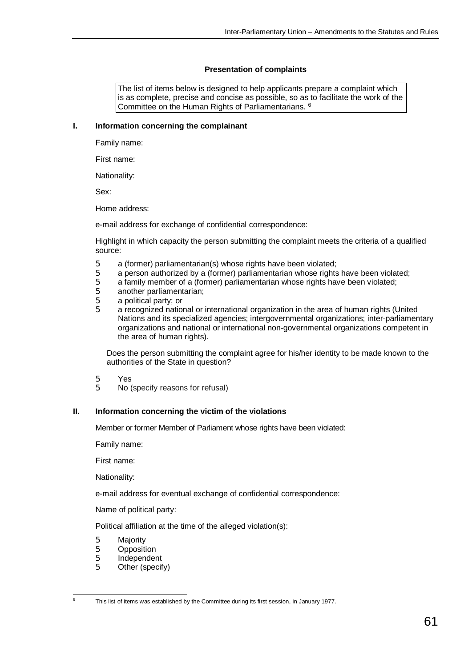#### **Presentation of complaints**

The list of items below is designed to help applicants prepare a complaint which is as complete, precise and concise as possible, so as to facilitate the work of the Committee on the Human Rights of Parliamentarians. [6](#page-60-0)

#### **I. Information concerning the complainant**

Family name:

First name:

Nationality:

Sex:

Home address:

e-mail address for exchange of confidential correspondence:

Highlight in which capacity the person submitting the complaint meets the criteria of a qualified source:

- 5 a (former) parliamentarian(s) whose rights have been violated;<br>5 a person authorized by a (former) parliamentarian whose rights
- 5 a person authorized by a (former) parliamentarian whose rights have been violated;<br>5 a family member of a (former) parliamentarian whose rights have been violated;
- 5 a family member of a (former) parliamentarian whose rights have been violated;<br>5 another parliamentarian:
- 5 another parliamentarian;<br>5 a political party; or
- 5 a political party; or<br>5 a recognized natio
- a recognized national or international organization in the area of human rights (United Nations and its specialized agencies; intergovernmental organizations; inter-parliamentary organizations and national or international non-governmental organizations competent in the area of human rights).

Does the person submitting the complaint agree for his/her identity to be made known to the authorities of the State in question?

- 5 Yes<br>5 No
- No (specify reasons for refusal)

#### **II. Information concerning the victim of the violations**

Member or former Member of Parliament whose rights have been violated:

Family name:

First name:

Nationality:

e-mail address for eventual exchange of confidential correspondence:

Name of political party:

Political affiliation at the time of the alleged violation(s):

- 5 Majority<br>5 Oppositi
- 5 Opposition<br>5 Independer
- 5 Independent<br>5 Other (specif
- Other (specify)

<span id="page-60-0"></span> $6$  This list of items was established by the Committee during its first session, in January 1977.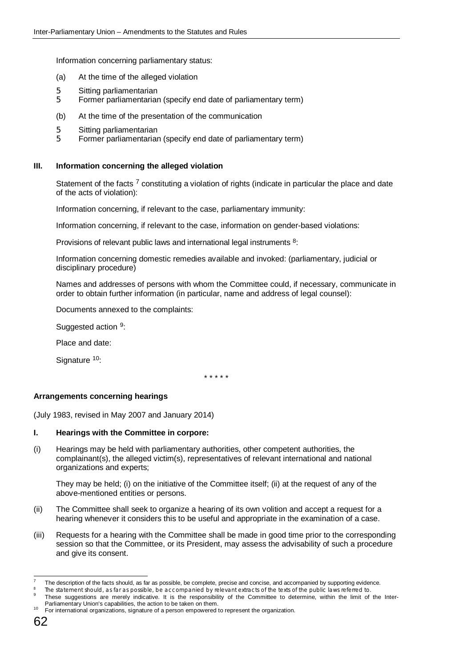Information concerning parliamentary status:

- (a) At the time of the alleged violation
- 5 Sitting parliamentarian<br>5 Former parliamentarian
- 5 Former parliamentarian (specify end date of parliamentary term)
- (b) At the time of the presentation of the communication
- 5 Sitting parliamentarian<br>5 Former parliamentarian
- 5 Former parliamentarian (specify end date of parliamentary term)

#### **III. Information concerning the alleged violation**

Statement of the facts<sup>[7](#page-61-0)</sup> constituting a violation of rights (indicate in particular the place and date of the acts of violation):

Information concerning, if relevant to the case, parliamentary immunity:

Information concerning, if relevant to the case, information on gender-based violations:

Provisions of relevant public laws and international legal instruments <sup>[8](#page-61-1)</sup>:

Information concerning domestic remedies available and invoked: (parliamentary, judicial or disciplinary procedure)

Names and addresses of persons with whom the Committee could, if necessary, communicate in order to obtain further information (in particular, name and address of legal counsel):

Documents annexed to the complaints:

Suggested action [9:](#page-61-2)

Place and date:

Signature [10](#page-61-3):

\* \* \* \* \*

#### **Arrangements concerning hearings**

(July 1983, revised in May 2007 and January 2014)

#### **I. Hearings with the Committee in corpore:**

(i) Hearings may be held with parliamentary authorities, other competent authorities, the complainant(s), the alleged victim(s), representatives of relevant international and national organizations and experts;

They may be held; (i) on the initiative of the Committee itself; (ii) at the request of any of the above-mentioned entities or persons.

- (ii) The Committee shall seek to organize a hearing of its own volition and accept a request for a hearing whenever it considers this to be useful and appropriate in the examination of a case.
- (iii) Requests for a hearing with the Committee shall be made in good time prior to the corresponding session so that the Committee, or its President, may assess the advisability of such a procedure and give its consent.

<span id="page-61-0"></span>The description of the facts should, as far as possible, be complete, precise and concise, and accompanied by supporting evidence.

<span id="page-61-2"></span><span id="page-61-1"></span><sup>&</sup>lt;sup>8</sup> The statement should, as far as possible, be accompanied by relevant extracts of the texts of the public laws referred to.<br><sup>9</sup> These suggestions are merely indicative. It is the responsibility of the Committee to deter

<span id="page-61-3"></span>Parliamentary Union's capabilities, the action to be taken on them. <sup>10</sup> For international organizations, signature of a person empowered to represent the organization.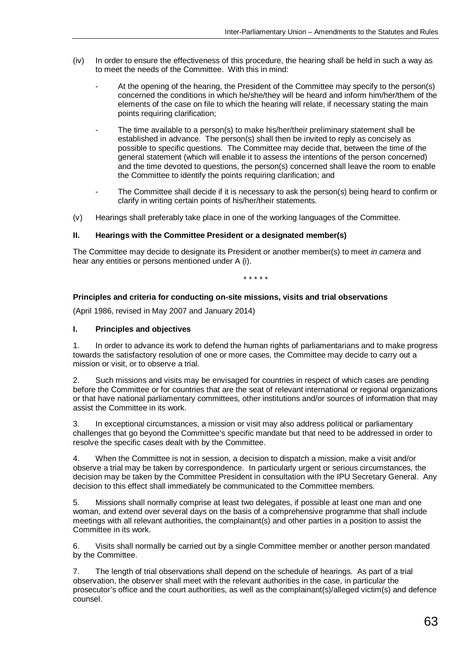- (iv) In order to ensure the effectiveness of this procedure, the hearing shall be held in such a way as to meet the needs of the Committee. With this in mind:
	- At the opening of the hearing, the President of the Committee may specify to the person(s) concerned the conditions in which he/she/they will be heard and inform him/her/them of the elements of the case on file to which the hearing will relate, if necessary stating the main points requiring clarification;
	- The time available to a person(s) to make his/her/their preliminary statement shall be established in advance. The person(s) shall then be invited to reply as concisely as possible to specific questions. The Committee may decide that, between the time of the general statement (which will enable it to assess the intentions of the person concerned) and the time devoted to questions, the person(s) concerned shall leave the room to enable the Committee to identify the points requiring clarification; and
	- The Committee shall decide if it is necessary to ask the person(s) being heard to confirm or clarify in writing certain points of his/her/their statements.
- (v) Hearings shall preferably take place in one of the working languages of the Committee.

#### **II. Hearings with the Committee President or a designated member(s)**

The Committee may decide to designate its President or another member(s) to meet *in camera* and hear any entities or persons mentioned under A (i).

\* \* \* \* \*

#### **Principles and criteria for conducting on-site missions, visits and trial observations**

(April 1986, revised in May 2007 and January 2014)

#### **I. Principles and objectives**

1. In order to advance its work to defend the human rights of parliamentarians and to make progress towards the satisfactory resolution of one or more cases, the Committee may decide to carry out a mission or visit, or to observe a trial.

2. Such missions and visits may be envisaged for countries in respect of which cases are pending before the Committee or for countries that are the seat of relevant international or regional organizations or that have national parliamentary committees, other institutions and/or sources of information that may assist the Committee in its work.

3. In exceptional circumstances, a mission or visit may also address political or parliamentary challenges that go beyond the Committee's specific mandate but that need to be addressed in order to resolve the specific cases dealt with by the Committee.

4. When the Committee is not in session, a decision to dispatch a mission, make a visit and/or observe a trial may be taken by correspondence. In particularly urgent or serious circumstances, the decision may be taken by the Committee President in consultation with the IPU Secretary General. Any decision to this effect shall immediately be communicated to the Committee members.

5. Missions shall normally comprise at least two delegates, if possible at least one man and one woman, and extend over several days on the basis of a comprehensive programme that shall include meetings with all relevant authorities, the complainant(s) and other parties in a position to assist the Committee in its work.

6. Visits shall normally be carried out by a single Committee member or another person mandated by the Committee.

7. The length of trial observations shall depend on the schedule of hearings. As part of a trial observation, the observer shall meet with the relevant authorities in the case, in particular the prosecutor's office and the court authorities, as well as the complainant(s)/alleged victim(s) and defence counsel.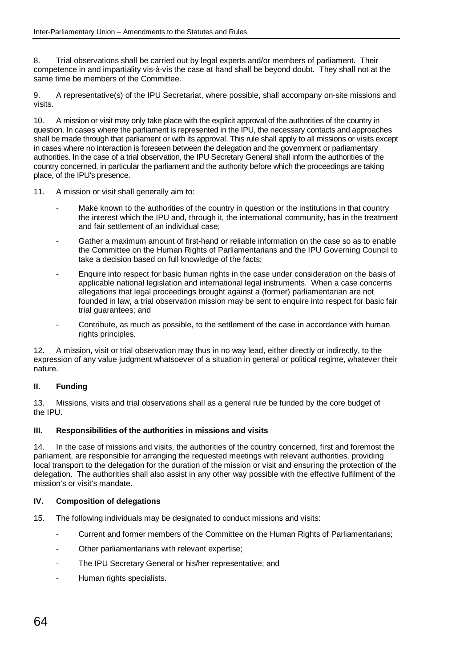8. Trial observations shall be carried out by legal experts and/or members of parliament. Their competence in and impartiality vis-à-vis the case at hand shall be beyond doubt. They shall not at the same time be members of the Committee.

9. A representative(s) of the IPU Secretariat, where possible, shall accompany on-site missions and visits.

10. A mission or visit may only take place with the explicit approval of the authorities of the country in question. In cases where the parliament is represented in the IPU, the necessary contacts and approaches shall be made through that parliament or with its approval. This rule shall apply to all missions or visits except in cases where no interaction is foreseen between the delegation and the government or parliamentary authorities. In the case of a trial observation, the IPU Secretary General shall inform the authorities of the country concerned, in particular the parliament and the authority before which the proceedings are taking place, of the IPU's presence.

- 11. A mission or visit shall generally aim to:
	- Make known to the authorities of the country in question or the institutions in that country the interest which the IPU and, through it, the international community, has in the treatment and fair settlement of an individual case;
	- Gather a maximum amount of first-hand or reliable information on the case so as to enable the Committee on the Human Rights of Parliamentarians and the IPU Governing Council to take a decision based on full knowledge of the facts;
	- Enquire into respect for basic human rights in the case under consideration on the basis of applicable national legislation and international legal instruments. When a case concerns allegations that legal proceedings brought against a (former) parliamentarian are not founded in law, a trial observation mission may be sent to enquire into respect for basic fair trial guarantees; and
	- Contribute, as much as possible, to the settlement of the case in accordance with human rights principles.

12. A mission, visit or trial observation may thus in no way lead, either directly or indirectly, to the expression of any value judgment whatsoever of a situation in general or political regime, whatever their nature.

#### **II. Funding**

13. Missions, visits and trial observations shall as a general rule be funded by the core budget of the IPU.

#### **III. Responsibilities of the authorities in missions and visits**

14. In the case of missions and visits, the authorities of the country concerned, first and foremost the parliament, are responsible for arranging the requested meetings with relevant authorities, providing local transport to the delegation for the duration of the mission or visit and ensuring the protection of the delegation. The authorities shall also assist in any other way possible with the effective fulfilment of the mission's or visit's mandate.

#### **IV. Composition of delegations**

15. The following individuals may be designated to conduct missions and visits:

- Current and former members of the Committee on the Human Rights of Parliamentarians;
- Other parliamentarians with relevant expertise;
- The IPU Secretary General or his/her representative; and
- Human rights specialists.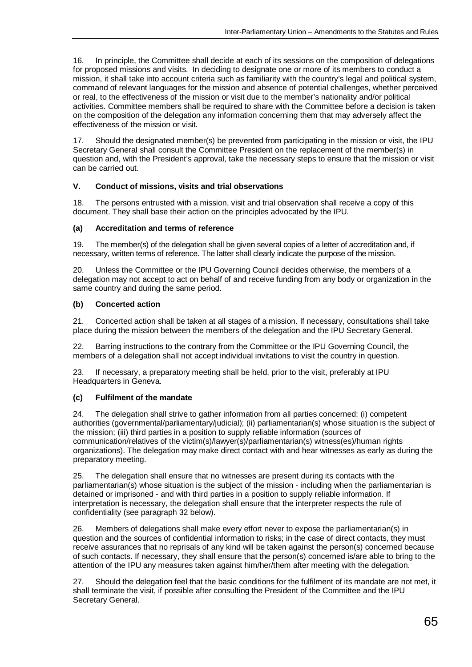16. In principle, the Committee shall decide at each of its sessions on the composition of delegations for proposed missions and visits. In deciding to designate one or more of its members to conduct a mission, it shall take into account criteria such as familiarity with the country's legal and political system, command of relevant languages for the mission and absence of potential challenges, whether perceived or real, to the effectiveness of the mission or visit due to the member's nationality and/or political activities. Committee members shall be required to share with the Committee before a decision is taken on the composition of the delegation any information concerning them that may adversely affect the effectiveness of the mission or visit.

17. Should the designated member(s) be prevented from participating in the mission or visit, the IPU Secretary General shall consult the Committee President on the replacement of the member(s) in question and, with the President's approval, take the necessary steps to ensure that the mission or visit can be carried out.

#### **V. Conduct of missions, visits and trial observations**

18. The persons entrusted with a mission, visit and trial observation shall receive a copy of this document. They shall base their action on the principles advocated by the IPU.

#### **(a) Accreditation and terms of reference**

19. The member(s) of the delegation shall be given several copies of a letter of accreditation and, if necessary, written terms of reference. The latter shall clearly indicate the purpose of the mission.

20. Unless the Committee or the IPU Governing Council decides otherwise, the members of a delegation may not accept to act on behalf of and receive funding from any body or organization in the same country and during the same period.

#### **(b) Concerted action**

21. Concerted action shall be taken at all stages of a mission. If necessary, consultations shall take place during the mission between the members of the delegation and the IPU Secretary General.

22. Barring instructions to the contrary from the Committee or the IPU Governing Council, the members of a delegation shall not accept individual invitations to visit the country in question.

23. If necessary, a preparatory meeting shall be held, prior to the visit, preferably at IPU Headquarters in Geneva.

#### **(c) Fulfilment of the mandate**

24. The delegation shall strive to gather information from all parties concerned: (i) competent authorities (governmental/parliamentary/judicial); (ii) parliamentarian(s) whose situation is the subject of the mission; (iii) third parties in a position to supply reliable information (sources of communication/relatives of the victim(s)/lawyer(s)/parliamentarian(s) witness(es)/human rights organizations). The delegation may make direct contact with and hear witnesses as early as during the preparatory meeting.

25. The delegation shall ensure that no witnesses are present during its contacts with the parliamentarian(s) whose situation is the subject of the mission - including when the parliamentarian is detained or imprisoned - and with third parties in a position to supply reliable information. If interpretation is necessary, the delegation shall ensure that the interpreter respects the rule of confidentiality (see paragraph 32 below).

26. Members of delegations shall make every effort never to expose the parliamentarian(s) in question and the sources of confidential information to risks; in the case of direct contacts, they must receive assurances that no reprisals of any kind will be taken against the person(s) concerned because of such contacts. If necessary, they shall ensure that the person(s) concerned is/are able to bring to the attention of the IPU any measures taken against him/her/them after meeting with the delegation.

27. Should the delegation feel that the basic conditions for the fulfilment of its mandate are not met, it shall terminate the visit, if possible after consulting the President of the Committee and the IPU Secretary General.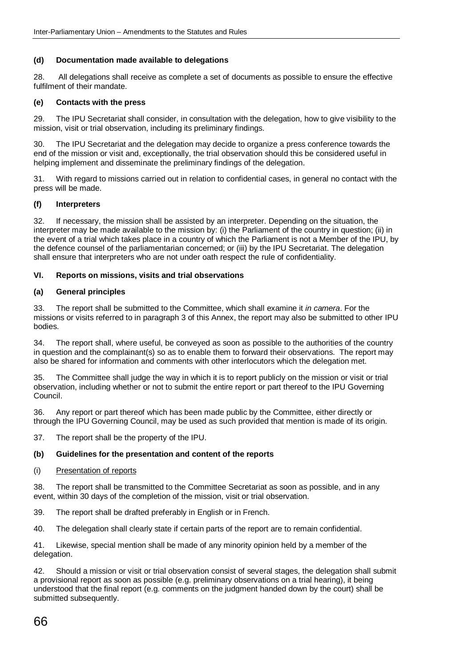#### **(d) Documentation made available to delegations**

28. All delegations shall receive as complete a set of documents as possible to ensure the effective fulfilment of their mandate.

#### **(e) Contacts with the press**

29. The IPU Secretariat shall consider, in consultation with the delegation, how to give visibility to the mission, visit or trial observation, including its preliminary findings.

30. The IPU Secretariat and the delegation may decide to organize a press conference towards the end of the mission or visit and, exceptionally, the trial observation should this be considered useful in helping implement and disseminate the preliminary findings of the delegation.

31. With regard to missions carried out in relation to confidential cases, in general no contact with the press will be made.

#### **(f) Interpreters**

32. If necessary, the mission shall be assisted by an interpreter. Depending on the situation, the interpreter may be made available to the mission by: (i) the Parliament of the country in question; (ii) in the event of a trial which takes place in a country of which the Parliament is not a Member of the IPU, by the defence counsel of the parliamentarian concerned; or (iii) by the IPU Secretariat. The delegation shall ensure that interpreters who are not under oath respect the rule of confidentiality.

#### **VI. Reports on missions, visits and trial observations**

#### **(a) General principles**

33. The report shall be submitted to the Committee, which shall examine it *in camera*. For the missions or visits referred to in paragraph 3 of this Annex, the report may also be submitted to other IPU bodies.

34. The report shall, where useful, be conveyed as soon as possible to the authorities of the country in question and the complainant(s) so as to enable them to forward their observations. The report may also be shared for information and comments with other interlocutors which the delegation met.

35. The Committee shall judge the way in which it is to report publicly on the mission or visit or trial observation, including whether or not to submit the entire report or part thereof to the IPU Governing Council.

36. Any report or part thereof which has been made public by the Committee, either directly or through the IPU Governing Council, may be used as such provided that mention is made of its origin.

37. The report shall be the property of the IPU.

#### **(b) Guidelines for the presentation and content of the reports**

#### (i) Presentation of reports

38. The report shall be transmitted to the Committee Secretariat as soon as possible, and in any event, within 30 days of the completion of the mission, visit or trial observation.

39. The report shall be drafted preferably in English or in French.

40. The delegation shall clearly state if certain parts of the report are to remain confidential.

41. Likewise, special mention shall be made of any minority opinion held by a member of the delegation.

42. Should a mission or visit or trial observation consist of several stages, the delegation shall submit a provisional report as soon as possible (e.g. preliminary observations on a trial hearing), it being understood that the final report (e.g. comments on the judgment handed down by the court) shall be submitted subsequently.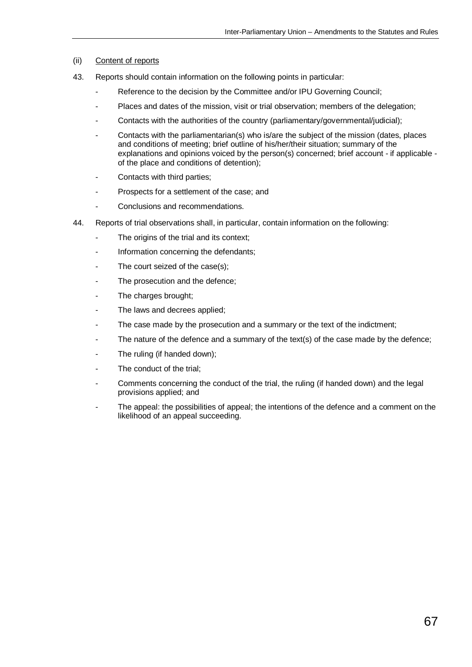#### (ii) Content of reports

- 43. Reports should contain information on the following points in particular:
	- Reference to the decision by the Committee and/or IPU Governing Council;
	- Places and dates of the mission, visit or trial observation; members of the delegation;
	- Contacts with the authorities of the country (parliamentary/governmental/judicial);
	- Contacts with the parliamentarian(s) who is/are the subject of the mission (dates, places and conditions of meeting; brief outline of his/her/their situation; summary of the explanations and opinions voiced by the person(s) concerned; brief account - if applicable of the place and conditions of detention);
	- Contacts with third parties;
	- Prospects for a settlement of the case; and
	- Conclusions and recommendations.
- 44. Reports of trial observations shall, in particular, contain information on the following:
	- The origins of the trial and its context;
	- Information concerning the defendants;
	- The court seized of the case(s):
	- The prosecution and the defence;
	- The charges brought;
	- The laws and decrees applied;
	- The case made by the prosecution and a summary or the text of the indictment;
	- The nature of the defence and a summary of the text(s) of the case made by the defence;
	- The ruling (if handed down);
	- The conduct of the trial;
	- Comments concerning the conduct of the trial, the ruling (if handed down) and the legal provisions applied; and
	- The appeal: the possibilities of appeal; the intentions of the defence and a comment on the likelihood of an appeal succeeding.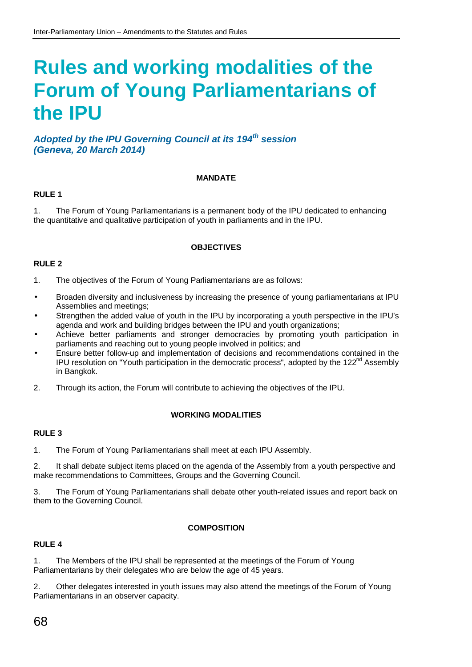# **Rules and working modalities of the Forum of Young Parliamentarians of the IPU**

*Adopted by the IPU Governing Council at its 194th session (Geneva, 20 March 2014)*

#### **MANDATE**

#### **RULE 1**

1. The Forum of Young Parliamentarians is a permanent body of the IPU dedicated to enhancing the quantitative and qualitative participation of youth in parliaments and in the IPU.

#### **OBJECTIVES**

#### **RULE 2**

- 1. The objectives of the Forum of Young Parliamentarians are as follows:
- Broaden diversity and inclusiveness by increasing the presence of young parliamentarians at IPU Assemblies and meetings;
- Strengthen the added value of youth in the IPU by incorporating a youth perspective in the IPU's agenda and work and building bridges between the IPU and youth organizations;
- Achieve better parliaments and stronger democracies by promoting youth participation in parliaments and reaching out to young people involved in politics; and
- Ensure better follow-up and implementation of decisions and recommendations contained in the IPU resolution on "Youth participation in the democratic process", adopted by the  $122<sup>nd</sup>$  Assembly in Bangkok.
- 2. Through its action, the Forum will contribute to achieving the objectives of the IPU.

#### **WORKING MODALITIES**

#### **RULE 3**

1. The Forum of Young Parliamentarians shall meet at each IPU Assembly.

2. It shall debate subject items placed on the agenda of the Assembly from a youth perspective and make recommendations to Committees, Groups and the Governing Council.

3. The Forum of Young Parliamentarians shall debate other youth-related issues and report back on them to the Governing Council.

#### **COMPOSITION**

#### **RULE 4**

1. The Members of the IPU shall be represented at the meetings of the Forum of Young Parliamentarians by their delegates who are below the age of 45 years.

2. Other delegates interested in youth issues may also attend the meetings of the Forum of Young Parliamentarians in an observer capacity.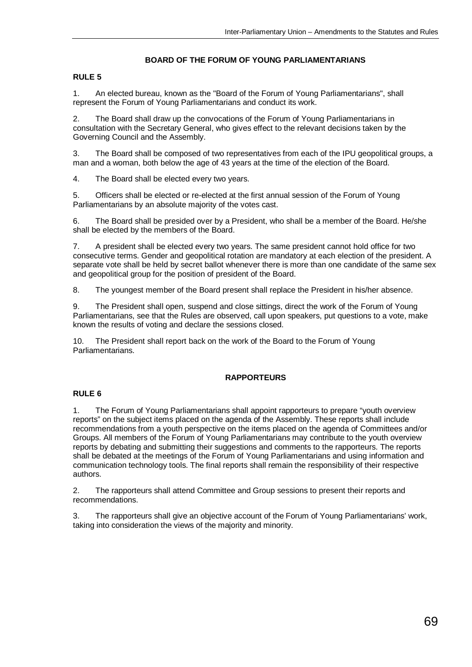#### **BOARD OF THE FORUM OF YOUNG PARLIAMENTARIANS**

#### **RULE 5**

1. An elected bureau, known as the "Board of the Forum of Young Parliamentarians", shall represent the Forum of Young Parliamentarians and conduct its work.

2. The Board shall draw up the convocations of the Forum of Young Parliamentarians in consultation with the Secretary General, who gives effect to the relevant decisions taken by the Governing Council and the Assembly.

3. The Board shall be composed of two representatives from each of the IPU geopolitical groups, a man and a woman, both below the age of 43 years at the time of the election of the Board.

4. The Board shall be elected every two years.

5. Officers shall be elected or re-elected at the first annual session of the Forum of Young Parliamentarians by an absolute majority of the votes cast.

6. The Board shall be presided over by a President, who shall be a member of the Board. He/she shall be elected by the members of the Board.

7. A president shall be elected every two years. The same president cannot hold office for two consecutive terms. Gender and geopolitical rotation are mandatory at each election of the president. A separate vote shall be held by secret ballot whenever there is more than one candidate of the same sex and geopolitical group for the position of president of the Board.

8. The youngest member of the Board present shall replace the President in his/her absence.

9. The President shall open, suspend and close sittings, direct the work of the Forum of Young Parliamentarians, see that the Rules are observed, call upon speakers, put questions to a vote, make known the results of voting and declare the sessions closed.

10. The President shall report back on the work of the Board to the Forum of Young Parliamentarians.

#### **RAPPORTEURS**

#### **RULE 6**

1. The Forum of Young Parliamentarians shall appoint rapporteurs to prepare "youth overview reports" on the subject items placed on the agenda of the Assembly. These reports shall include recommendations from a youth perspective on the items placed on the agenda of Committees and/or Groups. All members of the Forum of Young Parliamentarians may contribute to the youth overview reports by debating and submitting their suggestions and comments to the rapporteurs. The reports shall be debated at the meetings of the Forum of Young Parliamentarians and using information and communication technology tools. The final reports shall remain the responsibility of their respective authors.

2. The rapporteurs shall attend Committee and Group sessions to present their reports and recommendations.

3. The rapporteurs shall give an objective account of the Forum of Young Parliamentarians' work, taking into consideration the views of the majority and minority.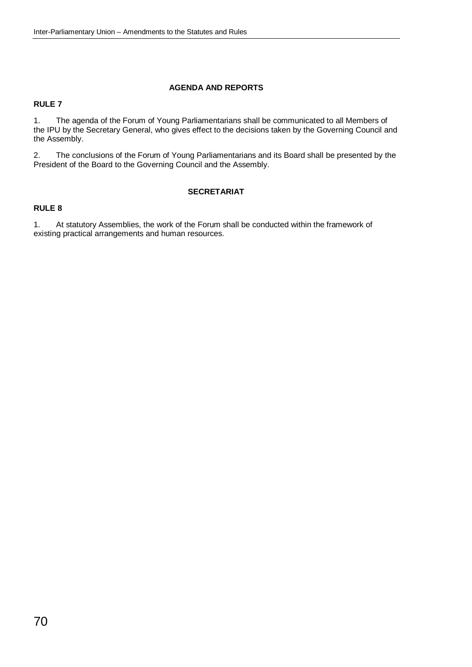### **AGENDA AND REPORTS**

### **RULE 7**

1. The agenda of the Forum of Young Parliamentarians shall be communicated to all Members of the IPU by the Secretary General, who gives effect to the decisions taken by the Governing Council and the Assembly.

2. The conclusions of the Forum of Young Parliamentarians and its Board shall be presented by the President of the Board to the Governing Council and the Assembly.

#### **SECRETARIAT**

#### **RULE 8**

1. At statutory Assemblies, the work of the Forum shall be conducted within the framework of existing practical arrangements and human resources.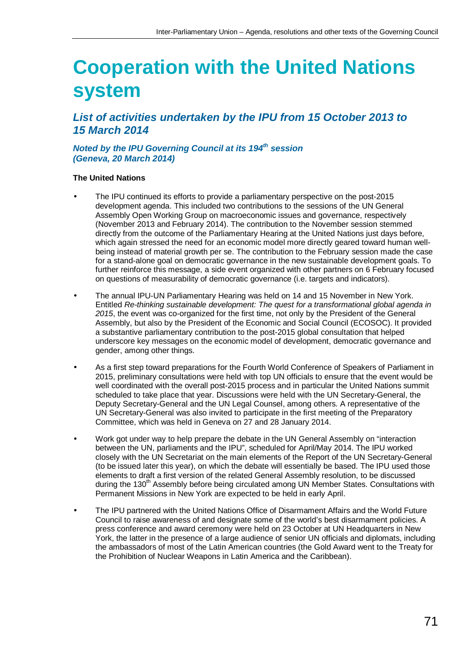# **Cooperation with the United Nations system**

## *List of activities undertaken by the IPU from 15 October 2013 to 15 March 2014*

### *Noted by the IPU Governing Council at its 194th session (Geneva, 20 March 2014)*

#### **The United Nations**

- The IPU continued its efforts to provide a parliamentary perspective on the post-2015 development agenda. This included two contributions to the sessions of the UN General Assembly Open Working Group on macroeconomic issues and governance, respectively (November 2013 and February 2014). The contribution to the November session stemmed directly from the outcome of the Parliamentary Hearing at the United Nations just days before, which again stressed the need for an economic model more directly geared toward human wellbeing instead of material growth per se. The contribution to the February session made the case for a stand-alone goal on democratic governance in the new sustainable development goals. To further reinforce this message, a side event organized with other partners on 6 February focused on questions of measurability of democratic governance (i.e. targets and indicators).
- The annual IPU-UN Parliamentary Hearing was held on 14 and 15 November in New York. Entitled *Re-thinking sustainable development: The quest for a transformational global agenda in 2015*, the event was co-organized for the first time, not only by the President of the General Assembly, but also by the President of the Economic and Social Council (ECOSOC). It provided a substantive parliamentary contribution to the post-2015 global consultation that helped underscore key messages on the economic model of development, democratic governance and gender, among other things.
- As a first step toward preparations for the Fourth World Conference of Speakers of Parliament in 2015, preliminary consultations were held with top UN officials to ensure that the event would be well coordinated with the overall post-2015 process and in particular the United Nations summit scheduled to take place that year. Discussions were held with the UN Secretary-General, the Deputy Secretary-General and the UN Legal Counsel, among others. A representative of the UN Secretary-General was also invited to participate in the first meeting of the Preparatory Committee, which was held in Geneva on 27 and 28 January 2014.
- Work got under way to help prepare the debate in the UN General Assembly on "interaction between the UN, parliaments and the IPU", scheduled for April/May 2014. The IPU worked closely with the UN Secretariat on the main elements of the Report of the UN Secretary-General (to be issued later this year), on which the debate will essentially be based. The IPU used those elements to draft a first version of the related General Assembly resolution, to be discussed during the 130<sup>th</sup> Assembly before being circulated among UN Member States. Consultations with Permanent Missions in New York are expected to be held in early April.
- The IPU partnered with the United Nations Office of Disarmament Affairs and the World Future Council to raise awareness of and designate some of the world's best disarmament policies. A press conference and award ceremony were held on 23 October at UN Headquarters in New York, the latter in the presence of a large audience of senior UN officials and diplomats, including the ambassadors of most of the Latin American countries (the Gold Award went to the Treaty for the Prohibition of Nuclear Weapons in Latin America and the Caribbean).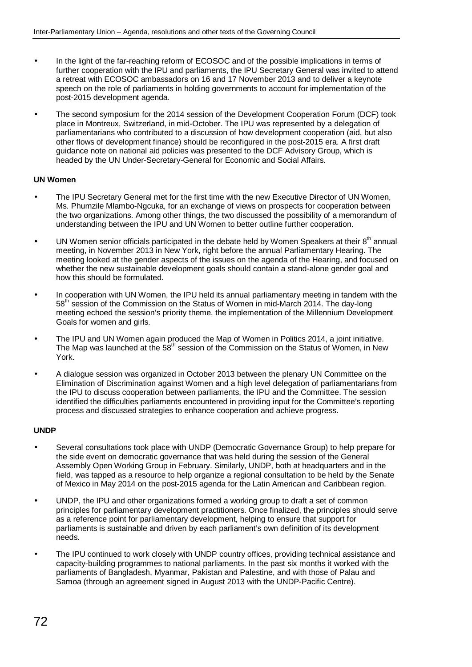- In the light of the far-reaching reform of ECOSOC and of the possible implications in terms of further cooperation with the IPU and parliaments, the IPU Secretary General was invited to attend a retreat with ECOSOC ambassadors on 16 and 17 November 2013 and to deliver a keynote speech on the role of parliaments in holding governments to account for implementation of the post-2015 development agenda.
- The second symposium for the 2014 session of the Development Cooperation Forum (DCF) took place in Montreux, Switzerland, in mid-October. The IPU was represented by a delegation of parliamentarians who contributed to a discussion of how development cooperation (aid, but also other flows of development finance) should be reconfigured in the post-2015 era. A first draft guidance note on national aid policies was presented to the DCF Advisory Group, which is headed by the UN Under-Secretary-General for Economic and Social Affairs.

#### **UN Women**

- The IPU Secretary General met for the first time with the new Executive Director of UN Women, Ms. Phumzile Mlambo-Ngcuka, for an exchange of views on prospects for cooperation between the two organizations. Among other things, the two discussed the possibility of a memorandum of understanding between the IPU and UN Women to better outline further cooperation.
- UN Women senior officials participated in the debate held by Women Speakers at their 8<sup>th</sup> annual meeting, in November 2013 in New York, right before the annual Parliamentary Hearing. The meeting looked at the gender aspects of the issues on the agenda of the Hearing, and focused on whether the new sustainable development goals should contain a stand-alone gender goal and how this should be formulated.
- In cooperation with UN Women, the IPU held its annual parliamentary meeting in tandem with the 58<sup>th</sup> session of the Commission on the Status of Women in mid-March 2014. The day-long meeting echoed the session's priority theme, the implementation of the Millennium Development Goals for women and girls.
- The IPU and UN Women again produced the Map of Women in Politics 2014, a joint initiative. The Map was launched at the 58<sup>th</sup> session of the Commission on the Status of Women, in New York.
- A dialogue session was organized in October 2013 between the plenary UN Committee on the Elimination of Discrimination against Women and a high level delegation of parliamentarians from the IPU to discuss cooperation between parliaments, the IPU and the Committee. The session identified the difficulties parliaments encountered in providing input for the Committee's reporting process and discussed strategies to enhance cooperation and achieve progress.

#### **UNDP**

- Several consultations took place with UNDP (Democratic Governance Group) to help prepare for the side event on democratic governance that was held during the session of the General Assembly Open Working Group in February. Similarly, UNDP, both at headquarters and in the field, was tapped as a resource to help organize a regional consultation to be held by the Senate of Mexico in May 2014 on the post-2015 agenda for the Latin American and Caribbean region.
- UNDP, the IPU and other organizations formed a working group to draft a set of common principles for parliamentary development practitioners. Once finalized, the principles should serve as a reference point for parliamentary development, helping to ensure that support for parliaments is sustainable and driven by each parliament's own definition of its development needs.
- The IPU continued to work closely with UNDP country offices, providing technical assistance and capacity-building programmes to national parliaments. In the past six months it worked with the parliaments of Bangladesh, Myanmar, Pakistan and Palestine, and with those of Palau and Samoa (through an agreement signed in August 2013 with the UNDP-Pacific Centre).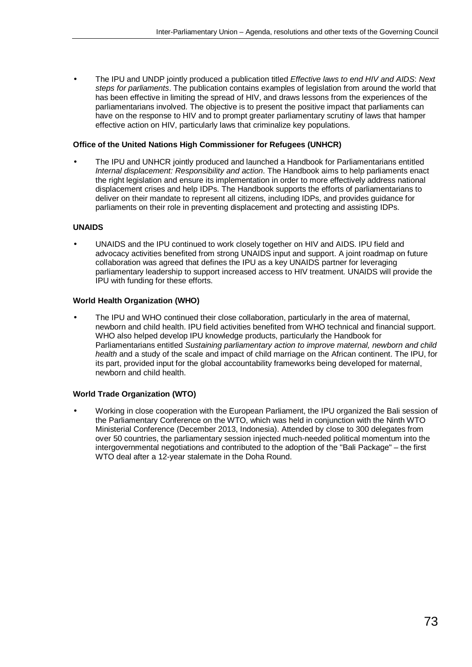The IPU and UNDP jointly produced a publication titled *Effective laws to end HIV and AIDS*: *Next steps for parliaments*. The publication contains examples of legislation from around the world that has been effective in limiting the spread of HIV, and draws lessons from the experiences of the parliamentarians involved. The objective is to present the positive impact that parliaments can have on the response to HIV and to prompt greater parliamentary scrutiny of laws that hamper effective action on HIV, particularly laws that criminalize key populations.

### **Office of the United Nations High Commissioner for Refugees (UNHCR)**

The IPU and UNHCR jointly produced and launched a Handbook for Parliamentarians entitled *Internal displacement: Responsibility and action*. The Handbook aims to help parliaments enact the right legislation and ensure its implementation in order to more effectively address national displacement crises and help IDPs. The Handbook supports the efforts of parliamentarians to deliver on their mandate to represent all citizens, including IDPs, and provides guidance for parliaments on their role in preventing displacement and protecting and assisting IDPs.

### **UNAIDS**

UNAIDS and the IPU continued to work closely together on HIV and AIDS. IPU field and advocacy activities benefited from strong UNAIDS input and support. A joint roadmap on future collaboration was agreed that defines the IPU as a key UNAIDS partner for leveraging parliamentary leadership to support increased access to HIV treatment. UNAIDS will provide the IPU with funding for these efforts.

### **World Health Organization (WHO)**

The IPU and WHO continued their close collaboration, particularly in the area of maternal, newborn and child health. IPU field activities benefited from WHO technical and financial support. WHO also helped develop IPU knowledge products, particularly the Handbook for Parliamentarians entitled *Sustaining parliamentary action to improve maternal, newborn and child health* and a study of the scale and impact of child marriage on the African continent. The IPU, for its part, provided input for the global accountability frameworks being developed for maternal, newborn and child health.

# **World Trade Organization (WTO)**

Working in close cooperation with the European Parliament, the IPU organized the Bali session of the Parliamentary Conference on the WTO, which was held in conjunction with the Ninth WTO Ministerial Conference (December 2013, Indonesia). Attended by close to 300 delegates from over 50 countries, the parliamentary session injected much-needed political momentum into the intergovernmental negotiations and contributed to the adoption of the "Bali Package" – the first WTO deal after a 12-year stalemate in the Doha Round.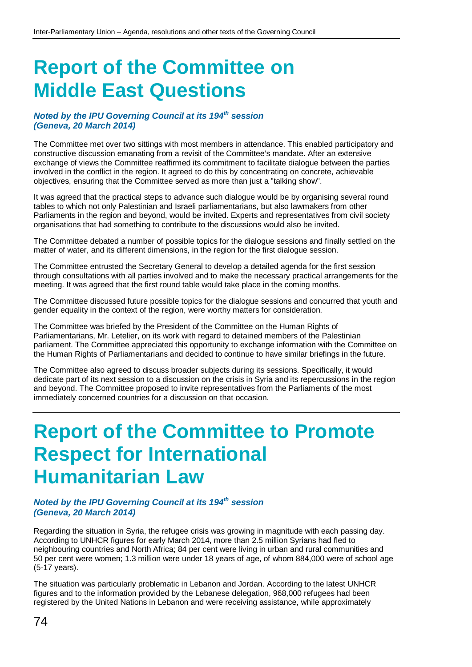# **Report of the Committee on Middle East Questions**

# *Noted by the IPU Governing Council at its 194th session (Geneva, 20 March 2014)*

The Committee met over two sittings with most members in attendance. This enabled participatory and constructive discussion emanating from a revisit of the Committee's mandate. After an extensive exchange of views the Committee reaffirmed its commitment to facilitate dialogue between the parties involved in the conflict in the region. It agreed to do this by concentrating on concrete, achievable objectives, ensuring that the Committee served as more than just a "talking show".

It was agreed that the practical steps to advance such dialogue would be by organising several round tables to which not only Palestinian and Israeli parliamentarians, but also lawmakers from other Parliaments in the region and beyond, would be invited. Experts and representatives from civil society organisations that had something to contribute to the discussions would also be invited.

The Committee debated a number of possible topics for the dialogue sessions and finally settled on the matter of water, and its different dimensions, in the region for the first dialogue session.

The Committee entrusted the Secretary General to develop a detailed agenda for the first session through consultations with all parties involved and to make the necessary practical arrangements for the meeting. It was agreed that the first round table would take place in the coming months.

The Committee discussed future possible topics for the dialogue sessions and concurred that youth and gender equality in the context of the region, were worthy matters for consideration.

The Committee was briefed by the President of the Committee on the Human Rights of Parliamentarians, Mr. Letelier, on its work with regard to detained members of the Palestinian parliament. The Committee appreciated this opportunity to exchange information with the Committee on the Human Rights of Parliamentarians and decided to continue to have similar briefings in the future.

The Committee also agreed to discuss broader subjects during its sessions. Specifically, it would dedicate part of its next session to a discussion on the crisis in Syria and its repercussions in the region and beyond. The Committee proposed to invite representatives from the Parliaments of the most immediately concerned countries for a discussion on that occasion.

# **Report of the Committee to Promote Respect for International Humanitarian Law**

# *Noted by the IPU Governing Council at its 194th session (Geneva, 20 March 2014)*

Regarding the situation in Syria, the refugee crisis was growing in magnitude with each passing day. According to UNHCR figures for early March 2014, more than 2.5 million Syrians had fled to neighbouring countries and North Africa; 84 per cent were living in urban and rural communities and 50 per cent were women; 1.3 million were under 18 years of age, of whom 884,000 were of school age (5-17 years).

The situation was particularly problematic in Lebanon and Jordan. According to the latest UNHCR figures and to the information provided by the Lebanese delegation, 968,000 refugees had been registered by the United Nations in Lebanon and were receiving assistance, while approximately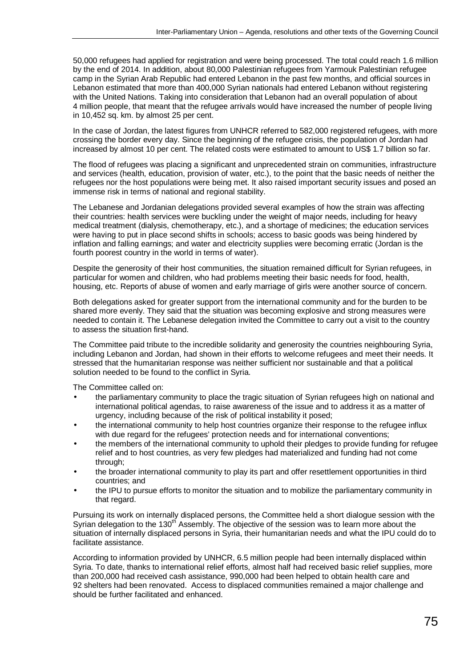50,000 refugees had applied for registration and were being processed. The total could reach 1.6 million by the end of 2014. In addition, about 80,000 Palestinian refugees from Yarmouk Palestinian refugee camp in the Syrian Arab Republic had entered Lebanon in the past few months, and official sources in Lebanon estimated that more than 400,000 Syrian nationals had entered Lebanon without registering with the United Nations. Taking into consideration that Lebanon had an overall population of about 4 million people, that meant that the refugee arrivals would have increased the number of people living in 10,452 sq. km. by almost 25 per cent.

In the case of Jordan, the latest figures from UNHCR referred to 582,000 registered refugees, with more crossing the border every day. Since the beginning of the refugee crisis, the population of Jordan had increased by almost 10 per cent. The related costs were estimated to amount to US\$ 1.7 billion so far.

The flood of refugees was placing a significant and unprecedented strain on communities, infrastructure and services (health, education, provision of water, etc.), to the point that the basic needs of neither the refugees nor the host populations were being met. It also raised important security issues and posed an immense risk in terms of national and regional stability.

The Lebanese and Jordanian delegations provided several examples of how the strain was affecting their countries: health services were buckling under the weight of major needs, including for heavy medical treatment (dialysis, chemotherapy, etc.), and a shortage of medicines; the education services were having to put in place second shifts in schools; access to basic goods was being hindered by inflation and falling earnings; and water and electricity supplies were becoming erratic (Jordan is the fourth poorest country in the world in terms of water).

Despite the generosity of their host communities, the situation remained difficult for Syrian refugees, in particular for women and children, who had problems meeting their basic needs for food, health, housing, etc. Reports of abuse of women and early marriage of girls were another source of concern.

Both delegations asked for greater support from the international community and for the burden to be shared more evenly. They said that the situation was becoming explosive and strong measures were needed to contain it. The Lebanese delegation invited the Committee to carry out a visit to the country to assess the situation first-hand.

The Committee paid tribute to the incredible solidarity and generosity the countries neighbouring Syria, including Lebanon and Jordan, had shown in their efforts to welcome refugees and meet their needs. It stressed that the humanitarian response was neither sufficient nor sustainable and that a political solution needed to be found to the conflict in Syria.

The Committee called on:

- the parliamentary community to place the tragic situation of Syrian refugees high on national and international political agendas, to raise awareness of the issue and to address it as a matter of urgency, including because of the risk of political instability it posed;
- the international community to help host countries organize their response to the refugee influx with due regard for the refugees' protection needs and for international conventions;
- the members of the international community to uphold their pledges to provide funding for refugee relief and to host countries, as very few pledges had materialized and funding had not come through;
- the broader international community to play its part and offer resettlement opportunities in third countries; and
- the IPU to pursue efforts to monitor the situation and to mobilize the parliamentary community in that regard.

Pursuing its work on internally displaced persons, the Committee held a short dialogue session with the Syrian delegation to the 130<sup>th</sup> Assembly. The objective of the session was to learn more about the situation of internally displaced persons in Syria, their humanitarian needs and what the IPU could do to facilitate assistance.

According to information provided by UNHCR, 6.5 million people had been internally displaced within Syria. To date, thanks to international relief efforts, almost half had received basic relief supplies, more than 200,000 had received cash assistance, 990,000 had been helped to obtain health care and 92 shelters had been renovated. Access to displaced communities remained a major challenge and should be further facilitated and enhanced.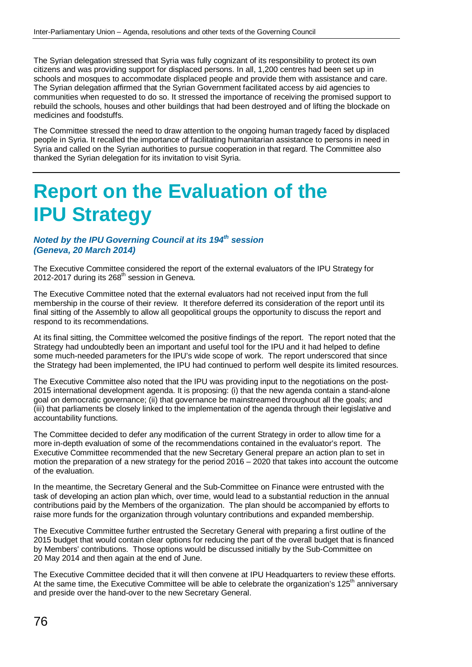The Syrian delegation stressed that Syria was fully cognizant of its responsibility to protect its own citizens and was providing support for displaced persons. In all, 1,200 centres had been set up in schools and mosques to accommodate displaced people and provide them with assistance and care. The Syrian delegation affirmed that the Syrian Government facilitated access by aid agencies to communities when requested to do so. It stressed the importance of receiving the promised support to rebuild the schools, houses and other buildings that had been destroyed and of lifting the blockade on medicines and foodstuffs.

The Committee stressed the need to draw attention to the ongoing human tragedy faced by displaced people in Syria. It recalled the importance of facilitating humanitarian assistance to persons in need in Syria and called on the Syrian authorities to pursue cooperation in that regard. The Committee also thanked the Syrian delegation for its invitation to visit Syria.

# **Report on the Evaluation of the IPU Strategy**

# *Noted by the IPU Governing Council at its 194th session (Geneva, 20 March 2014)*

The Executive Committee considered the report of the external evaluators of the IPU Strategy for 2012-2017 during its 268<sup>th</sup> session in Geneva.

The Executive Committee noted that the external evaluators had not received input from the full membership in the course of their review. It therefore deferred its consideration of the report until its final sitting of the Assembly to allow all geopolitical groups the opportunity to discuss the report and respond to its recommendations.

At its final sitting, the Committee welcomed the positive findings of the report. The report noted that the Strategy had undoubtedly been an important and useful tool for the IPU and it had helped to define some much-needed parameters for the IPU's wide scope of work. The report underscored that since the Strategy had been implemented, the IPU had continued to perform well despite its limited resources.

The Executive Committee also noted that the IPU was providing input to the negotiations on the post-2015 international development agenda. It is proposing: (i) that the new agenda contain a stand-alone goal on democratic governance; (ii) that governance be mainstreamed throughout all the goals; and (iii) that parliaments be closely linked to the implementation of the agenda through their legislative and accountability functions.

The Committee decided to defer any modification of the current Strategy in order to allow time for a more in-depth evaluation of some of the recommendations contained in the evaluator's report. The Executive Committee recommended that the new Secretary General prepare an action plan to set in motion the preparation of a new strategy for the period 2016 – 2020 that takes into account the outcome of the evaluation.

In the meantime, the Secretary General and the Sub-Committee on Finance were entrusted with the task of developing an action plan which, over time, would lead to a substantial reduction in the annual contributions paid by the Members of the organization. The plan should be accompanied by efforts to raise more funds for the organization through voluntary contributions and expanded membership.

The Executive Committee further entrusted the Secretary General with preparing a first outline of the 2015 budget that would contain clear options for reducing the part of the overall budget that is financed by Members' contributions. Those options would be discussed initially by the Sub-Committee on 20 May 2014 and then again at the end of June.

The Executive Committee decided that it will then convene at IPU Headquarters to review these efforts. At the same time, the Executive Committee will be able to celebrate the organization's  $125<sup>th</sup>$  anniversary and preside over the hand-over to the new Secretary General.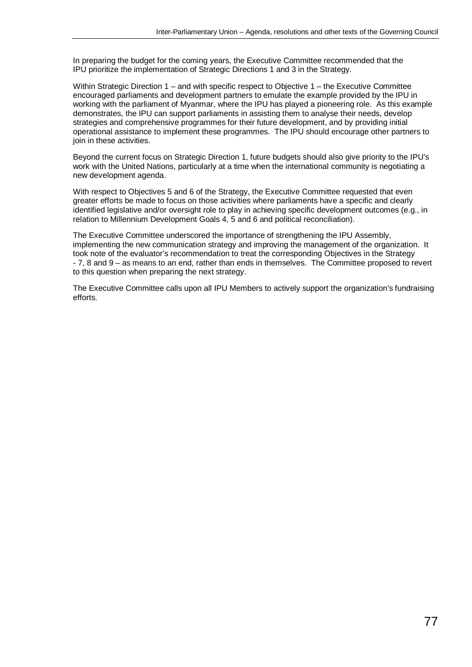In preparing the budget for the coming years, the Executive Committee recommended that the IPU prioritize the implementation of Strategic Directions 1 and 3 in the Strategy.

Within Strategic Direction 1 – and with specific respect to Objective 1 – the Executive Committee encouraged parliaments and development partners to emulate the example provided by the IPU in working with the parliament of Myanmar, where the IPU has played a pioneering role. As this example demonstrates, the IPU can support parliaments in assisting them to analyse their needs, develop strategies and comprehensive programmes for their future development, and by providing initial operational assistance to implement these programmes. The IPU should encourage other partners to join in these activities.

Beyond the current focus on Strategic Direction 1, future budgets should also give priority to the IPU's work with the United Nations, particularly at a time when the international community is negotiating a new development agenda.

With respect to Objectives 5 and 6 of the Strategy, the Executive Committee requested that even greater efforts be made to focus on those activities where parliaments have a specific and clearly identified legislative and/or oversight role to play in achieving specific development outcomes (e.g., in relation to Millennium Development Goals 4, 5 and 6 and political reconciliation).

The Executive Committee underscored the importance of strengthening the IPU Assembly, implementing the new communication strategy and improving the management of the organization. It took note of the evaluator's recommendation to treat the corresponding Objectives in the Strategy - 7, 8 and 9 – as means to an end, rather than ends in themselves. The Committee proposed to revert to this question when preparing the next strategy.

The Executive Committee calls upon all IPU Members to actively support the organization's fundraising efforts.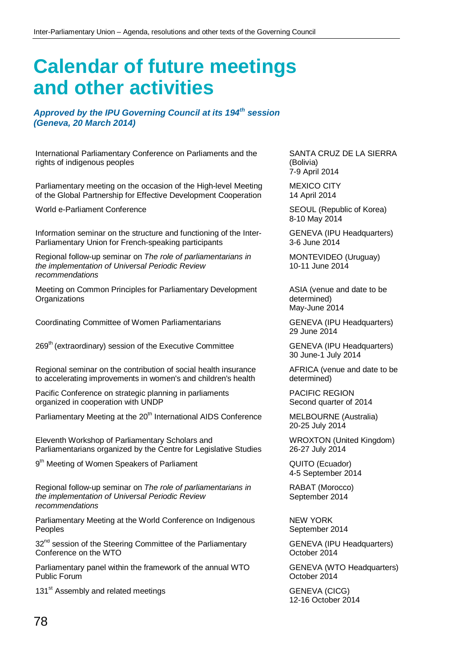# **Calendar of future meetings and other activities**

# *Approved by the IPU Governing Council at its 194th session (Geneva, 20 March 2014)*

International Parliamentary Conference on Parliaments and the rights of indigenous peoples

Parliamentary meeting on the occasion of the High-level Meeting of the Global Partnership for Effective Development Cooperation

World e-Parliament Conference SEOUL (Republic of Korea)

Information seminar on the structure and functioning of the Inter-Parliamentary Union for French-speaking participants

Regional follow-up seminar on *The role of parliamentarians in the implementation of Universal Periodic Review recommendations*

Meeting on Common Principles for Parliamentary Development **Organizations** 

Coordinating Committee of Women Parliamentarians GENEVA (IPU Headquarters)

269<sup>th</sup> (extraordinary) session of the Executive Committee GENEVA (IPU Headquarters)

Regional seminar on the contribution of social health insurance to accelerating improvements in women's and children's health

Pacific Conference on strategic planning in parliaments organized in cooperation with UNDP

Parliamentary Meeting at the 20<sup>th</sup> International AIDS Conference MELBOURNE (Australia)

Eleventh Workshop of Parliamentary Scholars and Parliamentarians organized by the Centre for Legislative Studies

9<sup>th</sup> Meeting of Women Speakers of Parliament **QUITO** (Ecuador)

Regional follow-up seminar on *The role of parliamentarians in the implementation of Universal Periodic Review recommendations*

Parliamentary Meeting at the World Conference on Indigenous Peoples

32<sup>nd</sup> session of the Steering Committee of the Parliamentary Conference on the WTO

Parliamentary panel within the framework of the annual WTO Public Forum

131<sup>st</sup> Assembly and related meetings GENEVA (CICG)

SANTA CRUZ DE LA SIERRA (Bolivia) 7-9 April 2014

MEXICO CITY 14 April 2014

8-10 May 2014

GENEVA (IPU Headquarters) 3-6 June 2014

MONTEVIDEO (Uruguay) 10-11 June 2014

ASIA (venue and date to be determined) May-June 2014

29 June 2014

30 June-1 July 2014

AFRICA (venue and date to be determined)

PACIFIC REGION Second quarter of 2014

20-25 July 2014

WROXTON (United Kingdom) 26-27 July 2014

4-5 September 2014

RABAT (Morocco) September 2014

NEW YORK September 2014

GENEVA (IPU Headquarters) October 2014

GENEVA (WTO Headquarters) October 2014

12-16 October 2014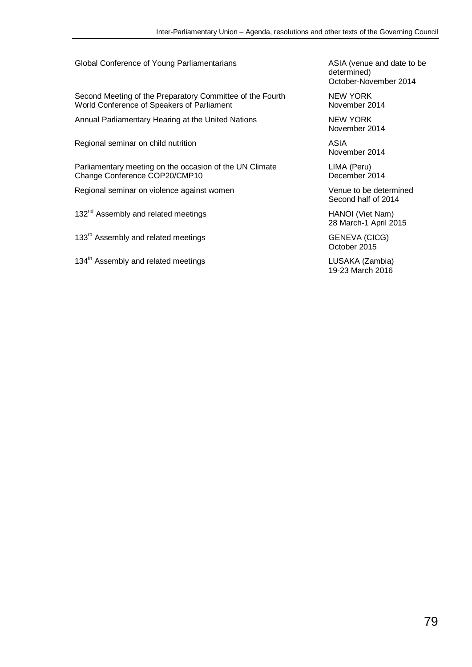#### Global Conference of Young Parliamentarians ASIA (venue and date to be

Second Meeting of the Preparatory Committee of the Fourth World Conference of Speakers of Parliament

Annual Parliamentary Hearing at the United Nations NEW YORK

Regional seminar on child nutrition ASIA

Parliamentary meeting on the occasion of the UN Climate Change Conference COP20/CMP10

Regional seminar on violence against women vectors of venue to be determined

132<sup>nd</sup> Assembly and related meetings **HANOI** (Viet Nam)

133<sup>rd</sup> Assembly and related meetings GENEVA (CICG)

134<sup>th</sup> Assembly and related meetings **LUSAKA** (Zambia)

determined) October-November 2014

NEW YORK November 2014

November 2014

November 2014

LIMA (Peru) December 2014

Second half of 2014

28 March-1 April 2015

October 2015

19-23 March 2016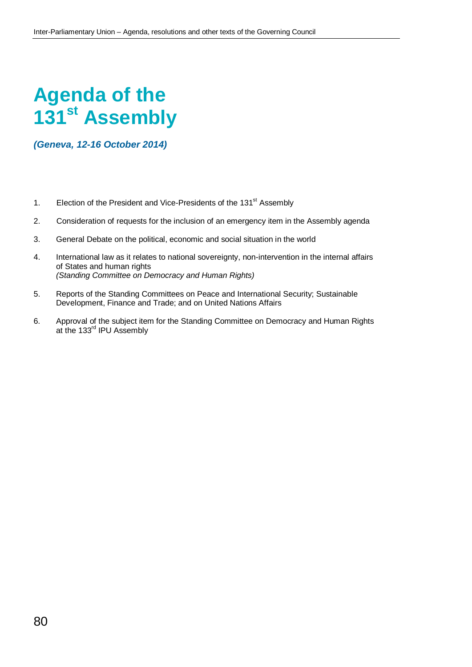# **Agenda of the 131st Assembly**

*(Geneva, 12-16 October 2014)*

- 1. Election of the President and Vice-Presidents of the 131<sup>st</sup> Assembly
- 2. Consideration of requests for the inclusion of an emergency item in the Assembly agenda
- 3. General Debate on the political, economic and social situation in the world
- 4. International law as it relates to national sovereignty, non-intervention in the internal affairs of States and human rights *(Standing Committee on Democracy and Human Rights)*
- 5. Reports of the Standing Committees on Peace and International Security; Sustainable Development, Finance and Trade; and on United Nations Affairs
- 6. Approval of the subject item for the Standing Committee on Democracy and Human Rights at the 133<sup>rd</sup> IPU Assembly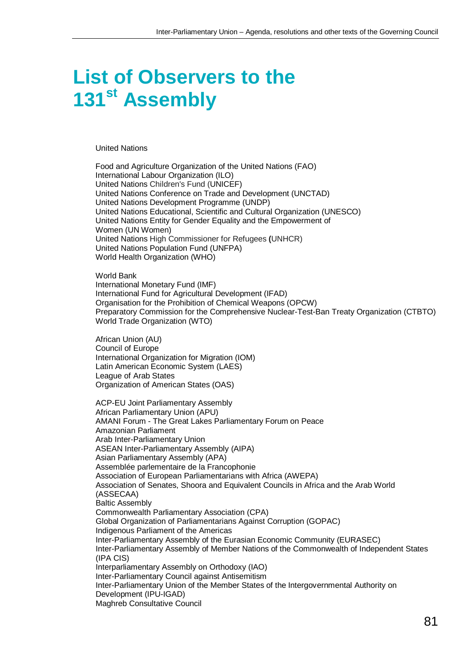# **List of Observers to the 131st Assembly**

United Nations

Food and Agriculture Organization of the United Nations (FAO) International Labour Organization (ILO) United Nations Children's Fund (UNICEF) United Nations Conference on Trade and Development (UNCTAD) United Nations Development Programme (UNDP) United Nations Educational, Scientific and Cultural Organization (UNESCO) United Nations Entity for Gender Equality and the Empowerment of Women (UN Women) United Nations High Commissioner for Refugees **(**UNHCR) United Nations Population Fund (UNFPA) World Health Organization (WHO)

World Bank International Monetary Fund (IMF) International Fund for Agricultural Development (IFAD) Organisation for the Prohibition of Chemical Weapons (OPCW) Preparatory Commission for the Comprehensive Nuclear-Test-Ban Treaty Organization (CTBTO) World Trade Organization (WTO)

African Union (AU) Council of Europe International Organization for Migration (IOM) Latin American Economic System (LAES) League of Arab States Organization of American States (OAS)

ACP-EU Joint Parliamentary Assembly African Parliamentary Union (APU) AMANI Forum - The Great Lakes Parliamentary Forum on Peace Amazonian Parliament Arab Inter-Parliamentary Union ASEAN Inter-Parliamentary Assembly (AIPA) Asian Parliamentary Assembly (APA) Assemblée parlementaire de la Francophonie Association of European Parliamentarians with Africa (AWEPA) Association of Senates, Shoora and Equivalent Councils in Africa and the Arab World (ASSECAA) Baltic Assembly Commonwealth Parliamentary Association (CPA) Global Organization of Parliamentarians Against Corruption (GOPAC) Indigenous Parliament of the Americas Inter-Parliamentary Assembly of the Eurasian Economic Community (EURASEC) Inter-Parliamentary Assembly of Member Nations of the Commonwealth of Independent States (IPA CIS) Interparliamentary Assembly on Orthodoxy (IAO) Inter-Parliamentary Council against Antisemitism Inter-Parliamentary Union of the Member States of the Intergovernmental Authority on Development (IPU-IGAD) Maghreb Consultative Council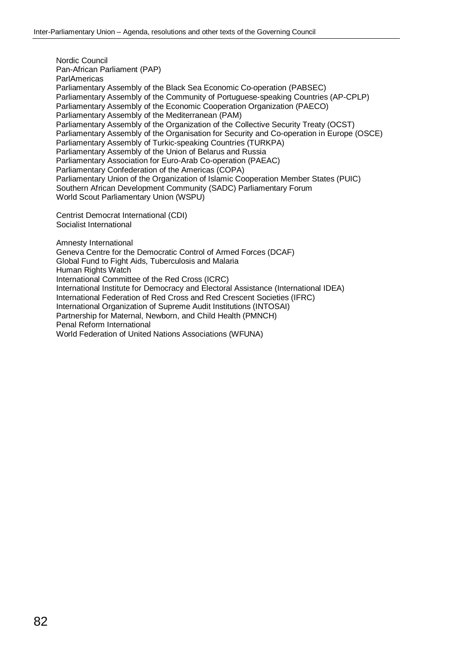Nordic Council Pan-African Parliament (PAP) **ParlAmericas** Parliamentary Assembly of the Black Sea Economic Co-operation (PABSEC) Parliamentary Assembly of the Community of Portuguese-speaking Countries (AP-CPLP) Parliamentary Assembly of the Economic Cooperation Organization (PAECO) Parliamentary Assembly of the Mediterranean (PAM) Parliamentary Assembly of the Organization of the Collective Security Treaty (OCST) Parliamentary Assembly of the Organisation for Security and Co-operation in Europe (OSCE) Parliamentary Assembly of Turkic-speaking Countries (TURKPA) Parliamentary Assembly of the Union of Belarus and Russia Parliamentary Association for Euro-Arab Co-operation (PAEAC) Parliamentary Confederation of the Americas (COPA) Parliamentary Union of the Organization of Islamic Cooperation Member States (PUIC) Southern African Development Community (SADC) Parliamentary Forum World Scout Parliamentary Union (WSPU) Centrist Democrat International (CDI) Socialist International

Amnesty International Geneva Centre for the Democratic Control of Armed Forces (DCAF) Global Fund to Fight Aids, Tuberculosis and Malaria Human Rights Watch International Committee of the Red Cross (ICRC) International Institute for Democracy and Electoral Assistance (International IDEA) International Federation of Red Cross and Red Crescent Societies (IFRC) International Organization of Supreme Audit Institutions (INTOSAI) Partnership for Maternal, Newborn, and Child Health (PMNCH) Penal Reform International World Federation of United Nations Associations (WFUNA)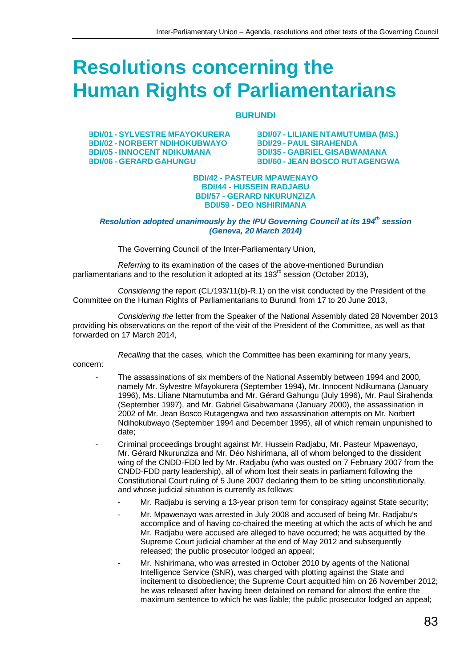# **Resolutions concerning the Human Rights of Parliamentarians**

#### **BURUNDI**

**BDI/01 - SYLVESTRE MFAYOKURERA BDI/07 - LILIANE NTAMUTUMBA (MS.) BDI/02 - NORBERT NDIHOKUBWAYO BDI/29 - PAUL SIRAHENDA BDI/05 - INNOCENT NDIKUMANA BDI/35 - GABRIEL GISABWAMANA**

**BDI/06 - GERARD GAHUNGU BDI/60 - JEAN BOSCO RUTAGENGWA**

#### **BDI/42 - PASTEUR MPAWENAYO BDI/44 - HUSSEIN RADJABU BDI/57 - GERARD NKURUNZIZA BDI/59 - DEO NSHIRIMANA**

#### *Resolution adopted unanimously by the IPU Governing Council at its 194<sup>th</sup> session (Geneva, 20 March 2014)*

The Governing Council of the Inter-Parliamentary Union,

*Referring* to its examination of the cases of the above-mentioned Burundian parliamentarians and to the resolution it adopted at its 193<sup>rd</sup> session (October 2013),

*Considering* the report (CL/193/11(b)-R.1) on the visit conducted by the President of the Committee on the Human Rights of Parliamentarians to Burundi from 17 to 20 June 2013,

*Considering the* letter from the Speaker of the National Assembly dated 28 November 2013 providing his observations on the report of the visit of the President of the Committee, as well as that forwarded on 17 March 2014,

*Recalling* that the cases, which the Committee has been examining for many years,

concern:

- The assassinations of six members of the National Assembly between 1994 and 2000, namely Mr. Sylvestre Mfayokurera (September 1994), Mr. Innocent Ndikumana (January 1996), Ms. Liliane Ntamutumba and Mr. Gérard Gahungu (July 1996), Mr. Paul Sirahenda (September 1997), and Mr. Gabriel Gisabwamana (January 2000), the assassination in 2002 of Mr. Jean Bosco Rutagengwa and two assassination attempts on Mr. Norbert Ndihokubwayo (September 1994 and December 1995), all of which remain unpunished to date;
	- Criminal proceedings brought against Mr. Hussein Radjabu, Mr. Pasteur Mpawenayo, Mr. Gérard Nkurunziza and Mr. Déo Nshirimana, all of whom belonged to the dissident wing of the CNDD-FDD led by Mr. Radjabu (who was ousted on 7 February 2007 from the CNDD-FDD party leadership), all of whom lost their seats in parliament following the Constitutional Court ruling of 5 June 2007 declaring them to be sitting unconstitutionally, and whose judicial situation is currently as follows:
		- Mr. Radjabu is serving a 13-year prison term for conspiracy against State security;
		- Mr. Mpawenayo was arrested in July 2008 and accused of being Mr. Radjabu's accomplice and of having co-chaired the meeting at which the acts of which he and Mr. Radjabu were accused are alleged to have occurred; he was acquitted by the Supreme Court judicial chamber at the end of May 2012 and subsequently released; the public prosecutor lodged an appeal;
		- Mr. Nshirimana, who was arrested in October 2010 by agents of the National Intelligence Service (SNR), was charged with plotting against the State and incitement to disobedience; the Supreme Court acquitted him on 26 November 2012; he was released after having been detained on remand for almost the entire the maximum sentence to which he was liable; the public prosecutor lodged an appeal;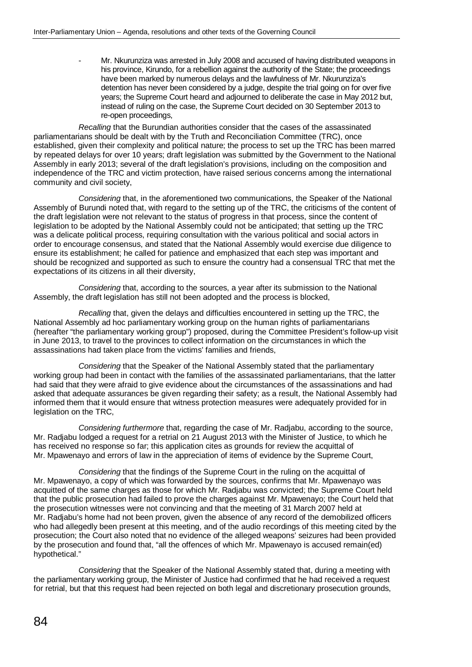Mr. Nkurunziza was arrested in July 2008 and accused of having distributed weapons in his province, Kirundo, for a rebellion against the authority of the State; the proceedings have been marked by numerous delays and the lawfulness of Mr. Nkurunziza's detention has never been considered by a judge, despite the trial going on for over five years; the Supreme Court heard and adjourned to deliberate the case in May 2012 but, instead of ruling on the case, the Supreme Court decided on 30 September 2013 to re-open proceedings,

*Recalling* that the Burundian authorities consider that the cases of the assassinated parliamentarians should be dealt with by the Truth and Reconciliation Committee (TRC), once established, given their complexity and political nature; the process to set up the TRC has been marred by repeated delays for over 10 years; draft legislation was submitted by the Government to the National Assembly in early 2013; several of the draft legislation's provisions, including on the composition and independence of the TRC and victim protection, have raised serious concerns among the international community and civil society,

*Considering* that, in the aforementioned two communications, the Speaker of the National Assembly of Burundi noted that, with regard to the setting up of the TRC, the criticisms of the content of the draft legislation were not relevant to the status of progress in that process, since the content of legislation to be adopted by the National Assembly could not be anticipated; that setting up the TRC was a delicate political process, requiring consultation with the various political and social actors in order to encourage consensus, and stated that the National Assembly would exercise due diligence to ensure its establishment; he called for patience and emphasized that each step was important and should be recognized and supported as such to ensure the country had a consensual TRC that met the expectations of its citizens in all their diversity,

*Considering* that, according to the sources, a year after its submission to the National Assembly, the draft legislation has still not been adopted and the process is blocked,

*Recalling* that, given the delays and difficulties encountered in setting up the TRC, the National Assembly ad hoc parliamentary working group on the human rights of parliamentarians (hereafter "the parliamentary working group") proposed, during the Committee President's follow-up visit in June 2013, to travel to the provinces to collect information on the circumstances in which the assassinations had taken place from the victims' families and friends,

*Considering* that the Speaker of the National Assembly stated that the parliamentary working group had been in contact with the families of the assassinated parliamentarians, that the latter had said that they were afraid to give evidence about the circumstances of the assassinations and had asked that adequate assurances be given regarding their safety; as a result, the National Assembly had informed them that it would ensure that witness protection measures were adequately provided for in legislation on the TRC,

*Considering furthermore* that, regarding the case of Mr. Radjabu, according to the source, Mr. Radjabu lodged a request for a retrial on 21 August 2013 with the Minister of Justice, to which he has received no response so far; this application cites as grounds for review the acquittal of Mr. Mpawenayo and errors of law in the appreciation of items of evidence by the Supreme Court,

*Considering* that the findings of the Supreme Court in the ruling on the acquittal of Mr. Mpawenayo, a copy of which was forwarded by the sources, confirms that Mr. Mpawenayo was acquitted of the same charges as those for which Mr. Radjabu was convicted; the Supreme Court held that the public prosecution had failed to prove the charges against Mr. Mpawenayo; the Court held that the prosecution witnesses were not convincing and that the meeting of 31 March 2007 held at Mr. Radjabu's home had not been proven, given the absence of any record of the demobilized officers who had allegedly been present at this meeting, and of the audio recordings of this meeting cited by the prosecution; the Court also noted that no evidence of the alleged weapons' seizures had been provided by the prosecution and found that, "all the offences of which Mr. Mpawenayo is accused remain(ed) hypothetical."

*Considering* that the Speaker of the National Assembly stated that, during a meeting with the parliamentary working group, the Minister of Justice had confirmed that he had received a request for retrial, but that this request had been rejected on both legal and discretionary prosecution grounds,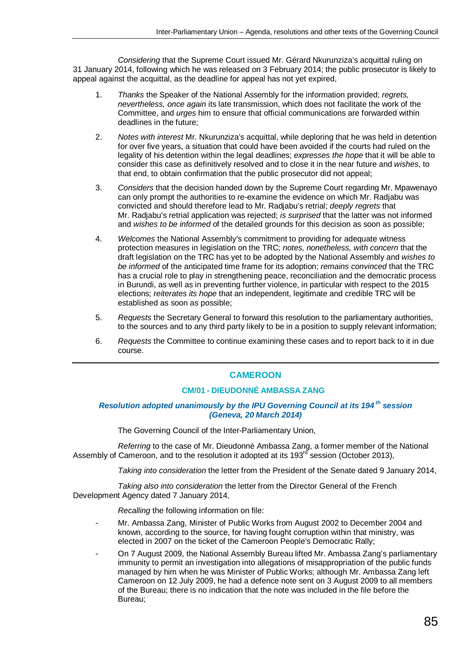*Considering* that the Supreme Court issued Mr. Gérard Nkurunziza's acquittal ruling on 31 January 2014, following which he was released on 3 February 2014; the public prosecutor is likely to appeal against the acquittal, as the deadline for appeal has not yet expired,

- 1. *Thanks* the Speaker of the National Assembly for the information provided; *regrets, nevertheless, once again* its late transmission, which does not facilitate the work of the Committee, and *urges* him to ensure that official communications are forwarded within deadlines in the future;
- 2. *Notes with interest* Mr. Nkurunziza's acquittal, while deploring that he was held in detention for over five years, a situation that could have been avoided if the courts had ruled on the legality of his detention within the legal deadlines; *expresses the hope* that it will be able to consider this case as definitively resolved and to close it in the near future and *wishes*, to that end, to obtain confirmation that the public prosecutor did not appeal;
- 3. *Considers* that the decision handed down by the Supreme Court regarding Mr. Mpawenayo can only prompt the authorities to re-examine the evidence on which Mr. Radjabu was convicted and should therefore lead to Mr. Radjabu's retrial; *deeply regrets* that Mr. Radjabu's retrial application was rejected; *is surprised* that the latter was not informed and *wishes to be informed* of the detailed grounds for this decision as soon as possible;
- 4. *Welcomes* the National Assembly's commitment to providing for adequate witness protection measures in legislation on the TRC; *notes, nonetheless, with concern* that the draft legislation on the TRC has yet to be adopted by the National Assembly and *wishes to be informed* of the anticipated time frame for its adoption; *remains convinced* that the TRC has a crucial role to play in strengthening peace, reconciliation and the democratic process in Burundi, as well as in preventing further violence, in particular with respect to the 2015 elections; *reiterates its hope* that an independent, legitimate and credible TRC will be established as soon as possible;
- 5. *Requests* the Secretary General to forward this resolution to the parliamentary authorities, to the sources and to any third party likely to be in a position to supply relevant information;
- 6. *Requests* the Committee to continue examining these cases and to report back to it in due course.

# **CAMEROON**

#### **CM/01 - DIEUDONNÉ AMBASSA ZANG**

#### *Resolution adopted unanimously by the IPU Governing Council at its 194 th session (Geneva, 20 March 2014)*

The Governing Council of the Inter-Parliamentary Union,

*Referring* to the case of Mr. Dieudonné Ambassa Zang, a former member of the National Assembly of Cameroon, and to the resolution it adopted at its 193<sup>rd</sup> session (October 2013),

*Taking into consideration* the letter from the President of the Senate dated 9 January 2014,

*Taking also into consideration* the letter from the Director General of the French Development Agency dated 7 January 2014,

*Recalling* the following information on file:

- Mr. Ambassa Zang, Minister of Public Works from August 2002 to December 2004 and known, according to the source, for having fought corruption within that ministry, was elected in 2007 on the ticket of the Cameroon People's Democratic Rally;
- On 7 August 2009, the National Assembly Bureau lifted Mr. Ambassa Zang's parliamentary immunity to permit an investigation into allegations of misappropriation of the public funds managed by him when he was Minister of Public Works; although Mr. Ambassa Zang left Cameroon on 12 July 2009, he had a defence note sent on 3 August 2009 to all members of the Bureau; there is no indication that the note was included in the file before the Bureau;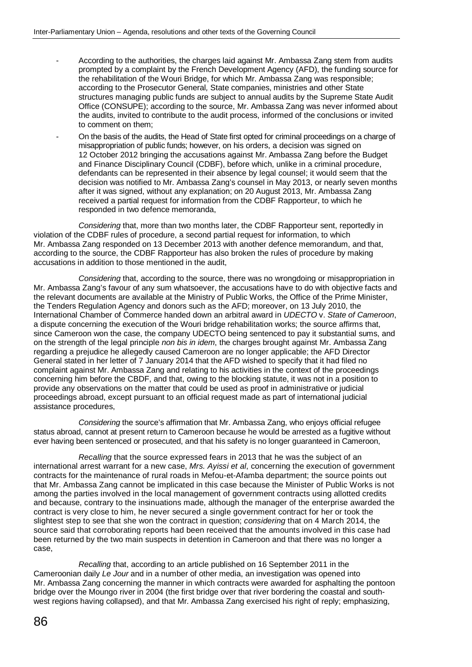- According to the authorities, the charges laid against Mr. Ambassa Zang stem from audits prompted by a complaint by the French Development Agency (AFD), the funding source for the rehabilitation of the Wouri Bridge, for which Mr. Ambassa Zang was responsible; according to the Prosecutor General*,* State companies, ministries and other State structures managing public funds are subject to annual audits by the Supreme State Audit Office (CONSUPE); according to the source, Mr. Ambassa Zang was never informed about the audits, invited to contribute to the audit process, informed of the conclusions or invited to comment on them;
- On the basis of the audits, the Head of State first opted for criminal proceedings on a charge of misappropriation of public funds; however, on his orders, a decision was signed on 12 October 2012 bringing the accusations against Mr. Ambassa Zang before the Budget and Finance Disciplinary Council (CDBF), before which, unlike in a criminal procedure, defendants can be represented in their absence by legal counsel; it would seem that the decision was notified to Mr. Ambassa Zang's counsel in May 2013, or nearly seven months after it was signed, without any explanation; on 20 August 2013, Mr. Ambassa Zang received a partial request for information from the CDBF Rapporteur, to which he responded in two defence memoranda,

*Considering* that, more than two months later, the CDBF Rapporteur sent, reportedly in violation of the CDBF rules of procedure, a second partial request for information, to which Mr. Ambassa Zang responded on 13 December 2013 with another defence memorandum, and that, according to the source, the CDBF Rapporteur has also broken the rules of procedure by making accusations in addition to those mentioned in the audit,

*Considering* that, according to the source, there was no wrongdoing or misappropriation in Mr. Ambassa Zang's favour of any sum whatsoever, the accusations have to do with objective facts and the relevant documents are available at the Ministry of Public Works, the Office of the Prime Minister, the Tenders Regulation Agency and donors such as the AFD; moreover, on 13 July 2010, the International Chamber of Commerce handed down an arbitral award in *UDECTO* v. *State of Cameroon*, a dispute concerning the execution of the Wouri bridge rehabilitation works; the source affirms that, since Cameroon won the case, the company UDECTO being sentenced to pay it substantial sums, and on the strength of the legal principle *non bis in idem*, the charges brought against Mr. Ambassa Zang regarding a prejudice he allegedly caused Cameroon are no longer applicable; the AFD Director General stated in her letter of 7 January 2014 that the AFD wished to specify that it had filed no complaint against Mr. Ambassa Zang and relating to his activities in the context of the proceedings concerning him before the CBDF, and that, owing to the blocking statute, it was not in a position to provide any observations on the matter that could be used as proof in administrative or judicial proceedings abroad, except pursuant to an official request made as part of international judicial assistance procedures,

*Considering* the source's affirmation that Mr. Ambassa Zang, who enjoys official refugee status abroad, cannot at present return to Cameroon because he would be arrested as a fugitive without ever having been sentenced or prosecuted, and that his safety is no longer guaranteed in Cameroon,

*Recalling* that the source expressed fears in 2013 that he was the subject of an international arrest warrant for a new case, *Mrs. Ayissi et al*, concerning the execution of government contracts for the maintenance of rural roads in Mefou-et-Afamba department; the source points out that Mr. Ambassa Zang cannot be implicated in this case because the Minister of Public Works is not among the parties involved in the local management of government contracts using allotted credits and because, contrary to the insinuations made, although the manager of the enterprise awarded the contract is very close to him, he never secured a single government contract for her or took the slightest step to see that she won the contract in question; *considering* that on 4 March 2014, the source said that corroborating reports had been received that the amounts involved in this case had been returned by the two main suspects in detention in Cameroon and that there was no longer a case,

*Recalling* that, according to an article published on 16 September 2011 in the Cameroonian daily *Le Jour* and in a number of other media, an investigation was opened into Mr. Ambassa Zang concerning the manner in which contracts were awarded for asphalting the pontoon bridge over the Moungo river in 2004 (the first bridge over that river bordering the coastal and southwest regions having collapsed), and that Mr. Ambassa Zang exercised his right of reply; emphasizing,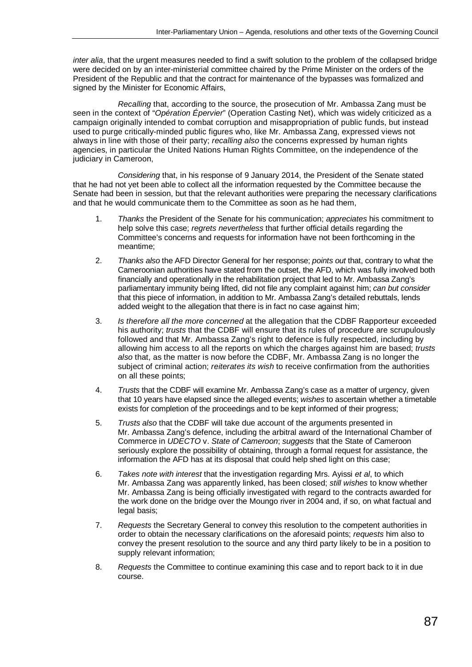*inter alia*, that the urgent measures needed to find a swift solution to the problem of the collapsed bridge were decided on by an inter-ministerial committee chaired by the Prime Minister on the orders of the President of the Republic and that the contract for maintenance of the bypasses was formalized and signed by the Minister for Economic Affairs,

*Recalling* that, according to the source, the prosecution of Mr. Ambassa Zang must be seen in the context of "*Opération Épervier*" (Operation Casting Net), which was widely criticized as a campaign originally intended to combat corruption and misappropriation of public funds, but instead used to purge critically-minded public figures who, like Mr. Ambassa Zang, expressed views not always in line with those of their party; *recalling also* the concerns expressed by human rights agencies, in particular the United Nations Human Rights Committee, on the independence of the judiciary in Cameroon,

*Considering* that, in his response of 9 January 2014, the President of the Senate stated that he had not yet been able to collect all the information requested by the Committee because the Senate had been in session, but that the relevant authorities were preparing the necessary clarifications and that he would communicate them to the Committee as soon as he had them,

- 1. *Thanks* the President of the Senate for his communication; *appreciates* his commitment to help solve this case; *regrets nevertheless* that further official details regarding the Committee's concerns and requests for information have not been forthcoming in the meantime;
- 2. *Thanks also* the AFD Director General for her response; *points out* that, contrary to what the Cameroonian authorities have stated from the outset, the AFD, which was fully involved both financially and operationally in the rehabilitation project that led to Mr. Ambassa Zang's parliamentary immunity being lifted, did not file any complaint against him; *can but consider* that this piece of information, in addition to Mr. Ambassa Zang's detailed rebuttals, lends added weight to the allegation that there is in fact no case against him;
- 3. *Is therefore all the more concerned* at the allegation that the CDBF Rapporteur exceeded his authority; *trusts* that the CDBF will ensure that its rules of procedure are scrupulously followed and that Mr. Ambassa Zang's right to defence is fully respected, including by allowing him access to all the reports on which the charges against him are based; *trusts also* that, as the matter is now before the CDBF, Mr. Ambassa Zang is no longer the subject of criminal action; *reiterates its wish* to receive confirmation from the authorities on all these points;
- 4. *Trusts* that the CDBF will examine Mr. Ambassa Zang's case as a matter of urgency, given that 10 years have elapsed since the alleged events; *wishes* to ascertain whether a timetable exists for completion of the proceedings and to be kept informed of their progress;
- 5. *Trusts also* that the CDBF will take due account of the arguments presented in Mr. Ambassa Zang's defence, including the arbitral award of the International Chamber of Commerce in *UDECTO* v. *State of Cameroon*; *suggests* that the State of Cameroon seriously explore the possibility of obtaining, through a formal request for assistance, the information the AFD has at its disposal that could help shed light on this case;
- 6. *Takes note with interest* that the investigation regarding Mrs. Ayissi *et al*, to which Mr. Ambassa Zang was apparently linked, has been closed; *still wishes* to know whether Mr. Ambassa Zang is being officially investigated with regard to the contracts awarded for the work done on the bridge over the Moungo river in 2004 and, if so, on what factual and legal basis:
- 7. *Requests* the Secretary General to convey this resolution to the competent authorities in order to obtain the necessary clarifications on the aforesaid points; *requests* him also to convey the present resolution to the source and any third party likely to be in a position to supply relevant information;
- 8. *Requests* the Committee to continue examining this case and to report back to it in due course.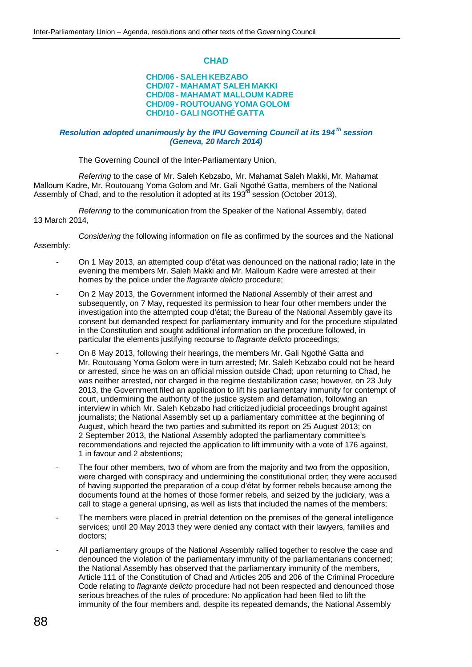### **CHAD**

#### **CHD/06 - SALEH KEBZABO CHD/07 - MAHAMAT SALEH MAKKI CHD/08 - MAHAMAT MALLOUM KADRE CHD/09 - ROUTOUANG YOMA GOLOM CHD/10 - GALI NGOTHÉ GATTA**

#### *Resolution adopted unanimously by the IPU Governing Council at its 194<sup>th</sup> session (Geneva, 20 March 2014)*

The Governing Council of the Inter-Parliamentary Union,

*Referring* to the case of Mr. Saleh Kebzabo, Mr. Mahamat Saleh Makki, Mr. Mahamat Malloum Kadre, Mr. Routouang Yoma Golom and Mr. Gali Ngothé Gatta, members of the National Assembly of Chad, and to the resolution it adopted at its  $193<sup>rd</sup>$  session (October 2013),

*Referring* to the communication from the Speaker of the National Assembly, dated 13 March 2014,

*Considering* the following information on file as confirmed by the sources and the National Assembly:

- On 1 May 2013, an attempted coup d'état was denounced on the national radio; late in the evening the members Mr. Saleh Makki and Mr. Malloum Kadre were arrested at their homes by the police under the *flagrante delicto* procedure;
- On 2 May 2013, the Government informed the National Assembly of their arrest and subsequently, on 7 May, requested its permission to hear four other members under the investigation into the attempted coup d'état; the Bureau of the National Assembly gave its consent but demanded respect for parliamentary immunity and for the procedure stipulated in the Constitution and sought additional information on the procedure followed, in particular the elements justifying recourse to *flagrante delicto* proceedings;
- On 8 May 2013, following their hearings, the members Mr. Gali Ngothé Gatta and Mr. Routouang Yoma Golom were in turn arrested; Mr. Saleh Kebzabo could not be heard or arrested, since he was on an official mission outside Chad; upon returning to Chad, he was neither arrested, nor charged in the regime destabilization case; however, on 23 July 2013, the Government filed an application to lift his parliamentary immunity for contempt of court, undermining the authority of the justice system and defamation, following an interview in which Mr. Saleh Kebzabo had criticized judicial proceedings brought against journalists; the National Assembly set up a parliamentary committee at the beginning of August, which heard the two parties and submitted its report on 25 August 2013; on 2 September 2013, the National Assembly adopted the parliamentary committee's recommendations and rejected the application to lift immunity with a vote of 176 against, 1 in favour and 2 abstentions;
- The four other members, two of whom are from the majority and two from the opposition, were charged with conspiracy and undermining the constitutional order; they were accused of having supported the preparation of a coup d'état by former rebels because among the documents found at the homes of those former rebels, and seized by the judiciary, was a call to stage a general uprising, as well as lists that included the names of the members;
- The members were placed in pretrial detention on the premises of the general intelligence services; until 20 May 2013 they were denied any contact with their lawyers, families and doctors;
- All parliamentary groups of the National Assembly rallied together to resolve the case and denounced the violation of the parliamentary immunity of the parliamentarians concerned; the National Assembly has observed that the parliamentary immunity of the members, Article 111 of the Constitution of Chad and Articles 205 and 206 of the Criminal Procedure Code relating to *flagrante delicto* procedure had not been respected and denounced those serious breaches of the rules of procedure: No application had been filed to lift the immunity of the four members and, despite its repeated demands, the National Assembly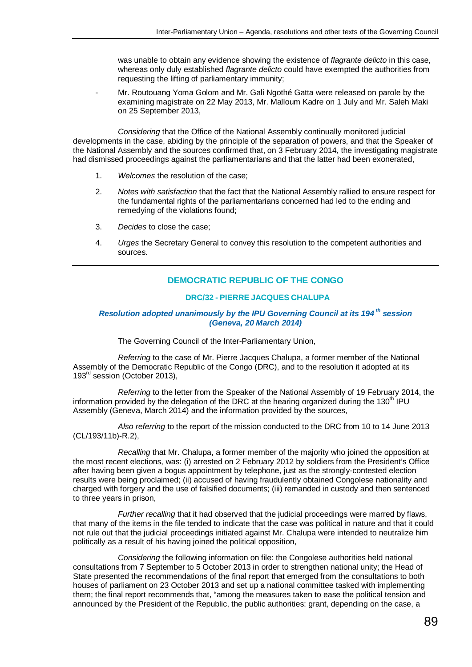was unable to obtain any evidence showing the existence of *flagrante delicto* in this case, whereas only duly established *flagrante delicto* could have exempted the authorities from requesting the lifting of parliamentary immunity;

- Mr. Routouang Yoma Golom and Mr. Gali Ngothé Gatta were released on parole by the examining magistrate on 22 May 2013, Mr. Malloum Kadre on 1 July and Mr. Saleh Maki on 25 September 2013,

*Considering* that the Office of the National Assembly continually monitored judicial developments in the case, abiding by the principle of the separation of powers, and that the Speaker of the National Assembly and the sources confirmed that, on 3 February 2014, the investigating magistrate had dismissed proceedings against the parliamentarians and that the latter had been exonerated,

- 1. *Welcomes* the resolution of the case;
- 2. *Notes with satisfaction* that the fact that the National Assembly rallied to ensure respect for the fundamental rights of the parliamentarians concerned had led to the ending and remedying of the violations found;
- 3. *Decides* to close the case;
- 4. *Urges* the Secretary General to convey this resolution to the competent authorities and sources.

# **DEMOCRATIC REPUBLIC OF THE CONGO**

# **DRC/32 - PIERRE JACQUES CHALUPA**

#### *Resolution adopted unanimously by the IPU Governing Council at its 194 th session (Geneva, 20 March 2014)*

The Governing Council of the Inter-Parliamentary Union,

*Referring* to the case of Mr. Pierre Jacques Chalupa, a former member of the National Assembly of the Democratic Republic of the Congo (DRC), and to the resolution it adopted at its 193<sup>rd</sup> session (October 2013),

*Referring* to the letter from the Speaker of the National Assembly of 19 February 2014, the information provided by the delegation of the DRC at the hearing organized during the 130<sup>th</sup> IPU Assembly (Geneva, March 2014) and the information provided by the sources,

*Also referring* to the report of the mission conducted to the DRC from 10 to 14 June 2013 (CL/193/11b)-R.2),

*Recalling* that Mr. Chalupa, a former member of the majority who joined the opposition at the most recent elections, was: (i) arrested on 2 February 2012 by soldiers from the President's Office after having been given a bogus appointment by telephone, just as the strongly-contested election results were being proclaimed; (ii) accused of having fraudulently obtained Congolese nationality and charged with forgery and the use of falsified documents; (iii) remanded in custody and then sentenced to three years in prison,

*Further recalling* that it had observed that the judicial proceedings were marred by flaws, that many of the items in the file tended to indicate that the case was political in nature and that it could not rule out that the judicial proceedings initiated against Mr. Chalupa were intended to neutralize him politically as a result of his having joined the political opposition,

*Considering* the following information on file: the Congolese authorities held national consultations from 7 September to 5 October 2013 in order to strengthen national unity; the Head of State presented the recommendations of the final report that emerged from the consultations to both houses of parliament on 23 October 2013 and set up a national committee tasked with implementing them; the final report recommends that, "among the measures taken to ease the political tension and announced by the President of the Republic, the public authorities: grant, depending on the case, a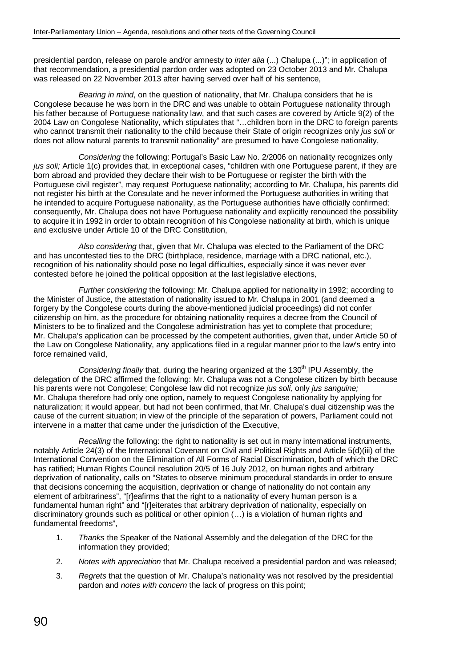presidential pardon, release on parole and/or amnesty to *inter alia* (...) Chalupa (...)"; in application of that recommendation, a presidential pardon order was adopted on 23 October 2013 and Mr. Chalupa was released on 22 November 2013 after having served over half of his sentence,

*Bearing in mind*, on the question of nationality, that Mr. Chalupa considers that he is Congolese because he was born in the DRC and was unable to obtain Portuguese nationality through his father because of Portuguese nationality law, and that such cases are covered by Article 9(2) of the 2004 Law on Congolese Nationality, which stipulates that "…children born in the DRC to foreign parents who cannot transmit their nationality to the child because their State of origin recognizes only *jus soli* or does not allow natural parents to transmit nationality" are presumed to have Congolese nationality,

*Considering* the following: Portugal's Basic Law No. 2/2006 on nationality recognizes only *jus soli;* Article 1(c) provides that, in exceptional cases, "children with one Portuguese parent, if they are born abroad and provided they declare their wish to be Portuguese or register the birth with the Portuguese civil register", may request Portuguese nationality; according to Mr. Chalupa, his parents did not register his birth at the Consulate and he never informed the Portuguese authorities in writing that he intended to acquire Portuguese nationality, as the Portuguese authorities have officially confirmed; consequently, Mr. Chalupa does not have Portuguese nationality and explicitly renounced the possibility to acquire it in 1992 in order to obtain recognition of his Congolese nationality at birth, which is unique and exclusive under Article 10 of the DRC Constitution,

*Also considering* that, given that Mr. Chalupa was elected to the Parliament of the DRC and has uncontested ties to the DRC (birthplace, residence, marriage with a DRC national, etc.), recognition of his nationality should pose no legal difficulties, especially since it was never ever contested before he joined the political opposition at the last legislative elections,

*Further considering* the following: Mr. Chalupa applied for nationality in 1992; according to the Minister of Justice, the attestation of nationality issued to Mr. Chalupa in 2001 (and deemed a forgery by the Congolese courts during the above-mentioned judicial proceedings) did not confer citizenship on him, as the procedure for obtaining nationality requires a decree from the Council of Ministers to be to finalized and the Congolese administration has yet to complete that procedure; Mr. Chalupa's application can be processed by the competent authorities, given that, under Article 50 of the Law on Congolese Nationality, any applications filed in a regular manner prior to the law's entry into force remained valid,

*Considering finally that, during the hearing organized at the 130<sup>th</sup> IPU Assembly, the* delegation of the DRC affirmed the following: Mr. Chalupa was not a Congolese citizen by birth because his parents were not Congolese; Congolese law did not recognize *jus soli,* only *jus sanguine;* Mr. Chalupa therefore had only one option, namely to request Congolese nationality by applying for naturalization; it would appear, but had not been confirmed, that Mr. Chalupa's dual citizenship was the cause of the current situation; in view of the principle of the separation of powers, Parliament could not intervene in a matter that came under the jurisdiction of the Executive,

*Recalling* the following: the right to nationality is set out in many international instruments, notably Article 24(3) of the International Covenant on Civil and Political Rights and Article 5(d)(iii) of the International Convention on the Elimination of All Forms of Racial Discrimination, both of which the DRC has ratified; Human Rights Council resolution 20/5 of 16 July 2012, on human rights and arbitrary deprivation of nationality, calls on "States to observe minimum procedural standards in order to ensure that decisions concerning the acquisition, deprivation or change of nationality do not contain any element of arbitrariness", "[r]eafirms that the right to a nationality of every human person is a fundamental human right" and "[r]eiterates that arbitrary deprivation of nationality, especially on discriminatory grounds such as political or other opinion (…) is a violation of human rights and fundamental freedoms",

- 1. *Thanks* the Speaker of the National Assembly and the delegation of the DRC for the information they provided;
- 2. *Notes with appreciation* that Mr. Chalupa received a presidential pardon and was released;
- 3. *Regrets* that the question of Mr. Chalupa's nationality was not resolved by the presidential pardon and *notes with concern* the lack of progress on this point;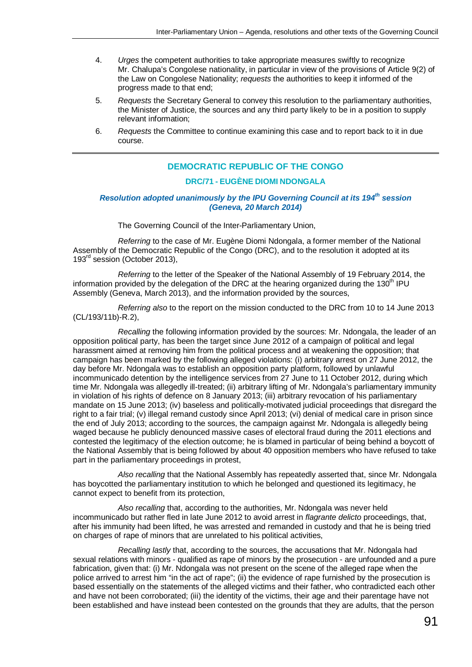- 4. *Urges* the competent authorities to take appropriate measures swiftly to recognize Mr. Chalupa's Congolese nationality, in particular in view of the provisions of Article 9(2) of the Law on Congolese Nationality; *requests* the authorities to keep it informed of the progress made to that end;
- 5. *Requests* the Secretary General to convey this resolution to the parliamentary authorities, the Minister of Justice, the sources and any third party likely to be in a position to supply relevant information;
- 6. *Requests* the Committee to continue examining this case and to report back to it in due course.

# **DEMOCRATIC REPUBLIC OF THE CONGO**

# **DRC/71 - EUGÈNE DIOMI NDONGALA**

#### *Resolution adopted unanimously by the IPU Governing Council at its 194th session (Geneva, 20 March 2014)*

The Governing Council of the Inter-Parliamentary Union,

*Referring* to the case of Mr. Eugène Diomi Ndongala, a former member of the National Assembly of the Democratic Republic of the Congo (DRC), and to the resolution it adopted at its 193<sup>rd</sup> session (October 2013),

*Referring* to the letter of the Speaker of the National Assembly of 19 February 2014, the information provided by the delegation of the DRC at the hearing organized during the 130<sup>th</sup> IPU Assembly (Geneva, March 2013), and the information provided by the sources,

*Referring also* to the report on the mission conducted to the DRC from 10 to 14 June 2013 (CL/193/11b)-R.2),

*Recalling* the following information provided by the sources: Mr. Ndongala, the leader of an opposition political party, has been the target since June 2012 of a campaign of political and legal harassment aimed at removing him from the political process and at weakening the opposition; that campaign has been marked by the following alleged violations: (i) arbitrary arrest on 27 June 2012, the day before Mr. Ndongala was to establish an opposition party platform, followed by unlawful incommunicado detention by the intelligence services from 27 June to 11 October 2012, during which time Mr. Ndongala was allegedly ill-treated; (ii) arbitrary lifting of Mr. Ndongala's parliamentary immunity in violation of his rights of defence on 8 January 2013; (iii) arbitrary revocation of his parliamentary mandate on 15 June 2013; (iv) baseless and politically-motivated judicial proceedings that disregard the right to a fair trial; (v) illegal remand custody since April 2013; (vi) denial of medical care in prison since the end of July 2013; according to the sources, the campaign against Mr. Ndongala is allegedly being waged because he publicly denounced massive cases of electoral fraud during the 2011 elections and contested the legitimacy of the election outcome; he is blamed in particular of being behind a boycott of the National Assembly that is being followed by about 40 opposition members who have refused to take part in the parliamentary proceedings in protest,

*Also recalling* that the National Assembly has repeatedly asserted that, since Mr. Ndongala has boycotted the parliamentary institution to which he belonged and questioned its legitimacy, he cannot expect to benefit from its protection,

*Also recalling* that, according to the authorities, Mr. Ndongala was never held incommunicado but rather fled in late June 2012 to avoid arrest in *flagrante delicto* proceedings, that, after his immunity had been lifted, he was arrested and remanded in custody and that he is being tried on charges of rape of minors that are unrelated to his political activities,

*Recalling lastly* that, according to the sources, the accusations that Mr. Ndongala had sexual relations with minors - qualified as rape of minors by the prosecution - are unfounded and a pure fabrication, given that: (i) Mr. Ndongala was not present on the scene of the alleged rape when the police arrived to arrest him "in the act of rape"; (ii) the evidence of rape furnished by the prosecution is based essentially on the statements of the alleged victims and their father, who contradicted each other and have not been corroborated; (iii) the identity of the victims, their age and their parentage have not been established and have instead been contested on the grounds that they are adults, that the person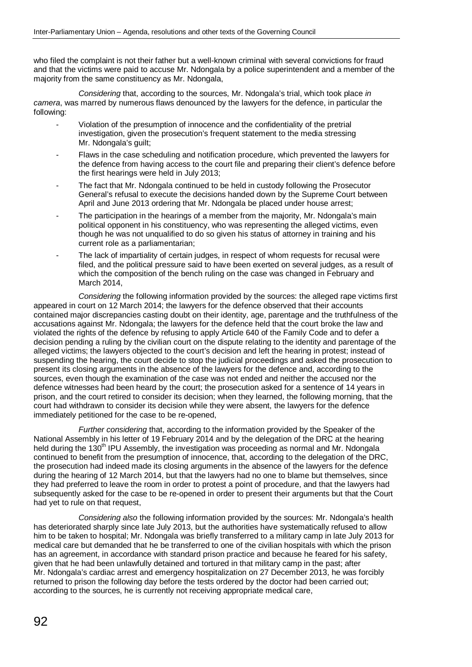who filed the complaint is not their father but a well-known criminal with several convictions for fraud and that the victims were paid to accuse Mr. Ndongala by a police superintendent and a member of the majority from the same constituency as Mr. Ndongala,

*Considering* that, according to the sources, Mr. Ndongala's trial, which took place *in camera*, was marred by numerous flaws denounced by the lawyers for the defence, in particular the following:

- Violation of the presumption of innocence and the confidentiality of the pretrial investigation, given the prosecution's frequent statement to the media stressing Mr. Ndongala's guilt;
- Flaws in the case scheduling and notification procedure, which prevented the lawyers for the defence from having access to the court file and preparing their client's defence before the first hearings were held in July 2013;
- The fact that Mr. Ndongala continued to be held in custody following the Prosecutor General's refusal to execute the decisions handed down by the Supreme Court between April and June 2013 ordering that Mr. Ndongala be placed under house arrest;
- The participation in the hearings of a member from the majority, Mr. Ndongala's main political opponent in his constituency, who was representing the alleged victims, even though he was not unqualified to do so given his status of attorney in training and his current role as a parliamentarian;
- The lack of impartiality of certain judges, in respect of whom requests for recusal were filed, and the political pressure said to have been exerted on several judges, as a result of which the composition of the bench ruling on the case was changed in February and March 2014,

*Considering* the following information provided by the sources: the alleged rape victims first appeared in court on 12 March 2014; the lawyers for the defence observed that their accounts contained major discrepancies casting doubt on their identity, age, parentage and the truthfulness of the accusations against Mr. Ndongala; the lawyers for the defence held that the court broke the law and violated the rights of the defence by refusing to apply Article 640 of the Family Code and to defer a decision pending a ruling by the civilian court on the dispute relating to the identity and parentage of the alleged victims; the lawyers objected to the court's decision and left the hearing in protest; instead of suspending the hearing, the court decide to stop the judicial proceedings and asked the prosecution to present its closing arguments in the absence of the lawyers for the defence and, according to the sources, even though the examination of the case was not ended and neither the accused nor the defence witnesses had been heard by the court; the prosecution asked for a sentence of 14 years in prison, and the court retired to consider its decision; when they learned, the following morning, that the court had withdrawn to consider its decision while they were absent, the lawyers for the defence immediately petitioned for the case to be re-opened,

*Further considering* that, according to the information provided by the Speaker of the National Assembly in his letter of 19 February 2014 and by the delegation of the DRC at the hearing held during the 130<sup>th</sup> IPU Assembly, the investigation was proceeding as normal and Mr. Ndongala continued to benefit from the presumption of innocence, that, according to the delegation of the DRC, the prosecution had indeed made its closing arguments in the absence of the lawyers for the defence during the hearing of 12 March 2014, but that the lawyers had no one to blame but themselves, since they had preferred to leave the room in order to protest a point of procedure, and that the lawyers had subsequently asked for the case to be re-opened in order to present their arguments but that the Court had yet to rule on that request,

*Considering also* the following information provided by the sources: Mr. Ndongala's health has deteriorated sharply since late July 2013, but the authorities have systematically refused to allow him to be taken to hospital; Mr. Ndongala was briefly transferred to a military camp in late July 2013 for medical care but demanded that he be transferred to one of the civilian hospitals with which the prison has an agreement, in accordance with standard prison practice and because he feared for his safety, given that he had been unlawfully detained and tortured in that military camp in the past; after Mr. Ndongala's cardiac arrest and emergency hospitalization on 27 December 2013, he was forcibly returned to prison the following day before the tests ordered by the doctor had been carried out; according to the sources, he is currently not receiving appropriate medical care,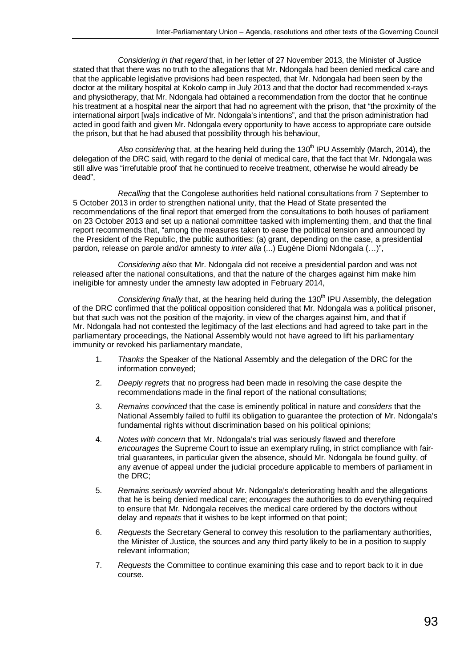*Considering in that regard* that, in her letter of 27 November 2013, the Minister of Justice stated that that there was no truth to the allegations that Mr. Ndongala had been denied medical care and that the applicable legislative provisions had been respected, that Mr. Ndongala had been seen by the doctor at the military hospital at Kokolo camp in July 2013 and that the doctor had recommended x-rays and physiotherapy, that Mr. Ndongala had obtained a recommendation from the doctor that he continue his treatment at a hospital near the airport that had no agreement with the prison, that "the proximity of the international airport [wa]s indicative of Mr. Ndongala's intentions", and that the prison administration had acted in good faith and given Mr. Ndongala every opportunity to have access to appropriate care outside the prison, but that he had abused that possibility through his behaviour,

Also considering that, at the hearing held during the 130<sup>th</sup> IPU Assembly (March, 2014), the delegation of the DRC said, with regard to the denial of medical care, that the fact that Mr. Ndongala was still alive was "irrefutable proof that he continued to receive treatment, otherwise he would already be dead",

*Recalling* that the Congolese authorities held national consultations from 7 September to 5 October 2013 in order to strengthen national unity, that the Head of State presented the recommendations of the final report that emerged from the consultations to both houses of parliament on 23 October 2013 and set up a national committee tasked with implementing them, and that the final report recommends that, "among the measures taken to ease the political tension and announced by the President of the Republic, the public authorities: (a) grant, depending on the case, a presidential pardon, release on parole and/or amnesty to *inter alia* (...) Eugène Diomi Ndongala (…)",

*Considering also* that Mr. Ndongala did not receive a presidential pardon and was not released after the national consultations, and that the nature of the charges against him make him ineligible for amnesty under the amnesty law adopted in February 2014,

*Considering finally* that, at the hearing held during the 130<sup>th</sup> IPU Assembly, the delegation of the DRC confirmed that the political opposition considered that Mr. Ndongala was a political prisoner, but that such was not the position of the majority, in view of the charges against him, and that if Mr. Ndongala had not contested the legitimacy of the last elections and had agreed to take part in the parliamentary proceedings, the National Assembly would not have agreed to lift his parliamentary immunity or revoked his parliamentary mandate,

- 1. *Thanks* the Speaker of the National Assembly and the delegation of the DRC for the information conveyed;
- 2. *Deeply regrets* that no progress had been made in resolving the case despite the recommendations made in the final report of the national consultations;
- 3. *Remains convinced* that the case is eminently political in nature and *considers* that the National Assembly failed to fulfil its obligation to guarantee the protection of Mr. Ndongala's fundamental rights without discrimination based on his political opinions;
- 4. *Notes with concern* that Mr. Ndongala's trial was seriously flawed and therefore *encourages* the Supreme Court to issue an exemplary ruling, in strict compliance with fairtrial guarantees, in particular given the absence, should Mr. Ndongala be found guilty, of any avenue of appeal under the judicial procedure applicable to members of parliament in the DRC;
- 5. *Remains seriously worried* about Mr. Ndongala's deteriorating health and the allegations that he is being denied medical care; *encourages* the authorities to do everything required to ensure that Mr. Ndongala receives the medical care ordered by the doctors without delay and *repeats* that it wishes to be kept informed on that point;
- 6. *Requests* the Secretary General to convey this resolution to the parliamentary authorities, the Minister of Justice, the sources and any third party likely to be in a position to supply relevant information;
- 7. *Requests* the Committee to continue examining this case and to report back to it in due course.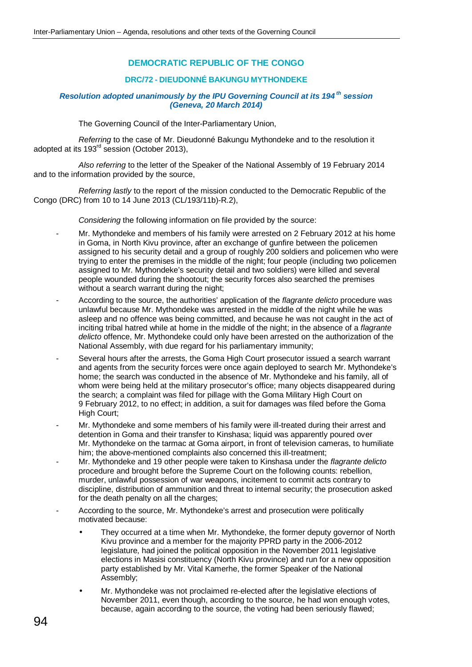# **DEMOCRATIC REPUBLIC OF THE CONGO**

### **DRC/72 - DIEUDONNÉ BAKUNGU MYTHONDEKE**

#### *Resolution adopted unanimously by the IPU Governing Council at its 194<sup>th</sup> session (Geneva, 20 March 2014)*

The Governing Council of the Inter-Parliamentary Union,

*Referring* to the case of Mr. Dieudonné Bakungu Mythondeke and to the resolution it adopted at its 193<sup>rd</sup> session (October 2013),

*Also referring* to the letter of the Speaker of the National Assembly of 19 February 2014 and to the information provided by the source,

*Referring lastly* to the report of the mission conducted to the Democratic Republic of the Congo (DRC) from 10 to 14 June 2013 (CL/193/11b)-R.2),

*Considering* the following information on file provided by the source:

- Mr. Mythondeke and members of his family were arrested on 2 February 2012 at his home in Goma, in North Kivu province, after an exchange of gunfire between the policemen assigned to his security detail and a group of roughly 200 soldiers and policemen who were trying to enter the premises in the middle of the night; four people (including two policemen assigned to Mr. Mythondeke's security detail and two soldiers) were killed and several people wounded during the shootout; the security forces also searched the premises without a search warrant during the night;
- According to the source, the authorities' application of the *flagrante delicto* procedure was unlawful because Mr. Mythondeke was arrested in the middle of the night while he was asleep and no offence was being committed, and because he was not caught in the act of inciting tribal hatred while at home in the middle of the night; in the absence of a *flagrante delicto* offence, Mr. Mythondeke could only have been arrested on the authorization of the National Assembly, with due regard for his parliamentary immunity;
- Several hours after the arrests, the Goma High Court prosecutor issued a search warrant and agents from the security forces were once again deployed to search Mr. Mythondeke's home; the search was conducted in the absence of Mr. Mythondeke and his family, all of whom were being held at the military prosecutor's office; many objects disappeared during the search; a complaint was filed for pillage with the Goma Military High Court on 9 February 2012, to no effect; in addition, a suit for damages was filed before the Goma High Court;
- Mr. Mythondeke and some members of his family were ill-treated during their arrest and detention in Goma and their transfer to Kinshasa; liquid was apparently poured over Mr. Mythondeke on the tarmac at Goma airport, in front of television cameras, to humiliate him; the above-mentioned complaints also concerned this ill-treatment;
- Mr. Mythondeke and 19 other people were taken to Kinshasa under the *flagrante delicto* procedure and brought before the Supreme Court on the following counts: rebellion, murder, unlawful possession of war weapons, incitement to commit acts contrary to discipline, distribution of ammunition and threat to internal security; the prosecution asked for the death penalty on all the charges;
- According to the source, Mr. Mythondeke's arrest and prosecution were politically motivated because:
	- They occurred at a time when Mr. Mythondeke, the former deputy governor of North Kivu province and a member for the majority PPRD party in the 2006-2012 legislature, had joined the political opposition in the November 2011 legislative elections in Masisi constituency (North Kivu province) and run for a new opposition party established by Mr. Vital Kamerhe, the former Speaker of the National Assembly;
		- Mr. Mythondeke was not proclaimed re-elected after the legislative elections of November 2011, even though, according to the source, he had won enough votes, because, again according to the source, the voting had been seriously flawed;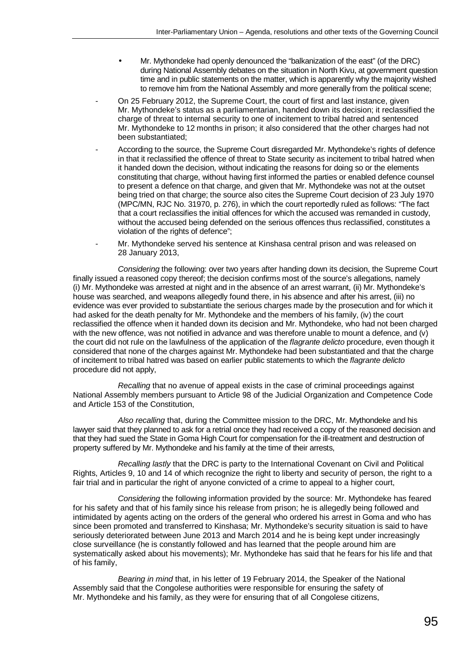- Mr. Mythondeke had openly denounced the "balkanization of the east" (of the DRC) during National Assembly debates on the situation in North Kivu, at government question time and in public statements on the matter, which is apparently why the majority wished to remove him from the National Assembly and more generally from the political scene;
- On 25 February 2012, the Supreme Court, the court of first and last instance, given Mr. Mythondeke's status as a parliamentarian, handed down its decision; it reclassified the charge of threat to internal security to one of incitement to tribal hatred and sentenced Mr. Mythondeke to 12 months in prison; it also considered that the other charges had not been substantiated;
- According to the source, the Supreme Court disregarded Mr. Mythondeke's rights of defence in that it reclassified the offence of threat to State security as incitement to tribal hatred when it handed down the decision, without indicating the reasons for doing so or the elements constituting that charge, without having first informed the parties or enabled defence counsel to present a defence on that charge, and given that Mr. Mythondeke was not at the outset being tried on that charge; the source also cites the Supreme Court decision of 23 July 1970 (MPC/MN, RJC No. 31970, p. 276), in which the court reportedly ruled as follows: "The fact that a court reclassifies the initial offences for which the accused was remanded in custody, without the accused being defended on the serious offences thus reclassified, constitutes a violation of the rights of defence":
- Mr. Mythondeke served his sentence at Kinshasa central prison and was released on 28 January 2013,

*Considering* the following: over two years after handing down its decision, the Supreme Court finally issued a reasoned copy thereof; the decision confirms most of the source's allegations, namely (i) Mr. Mythondeke was arrested at night and in the absence of an arrest warrant, (ii) Mr. Mythondeke's house was searched, and weapons allegedly found there, in his absence and after his arrest, (iii) no evidence was ever provided to substantiate the serious charges made by the prosecution and for which it had asked for the death penalty for Mr. Mythondeke and the members of his family, (iv) the court reclassified the offence when it handed down its decision and Mr. Mythondeke, who had not been charged with the new offence, was not notified in advance and was therefore unable to mount a defence, and (v) the court did not rule on the lawfulness of the application of the *flagrante delicto* procedure, even though it considered that none of the charges against Mr. Mythondeke had been substantiated and that the charge of incitement to tribal hatred was based on earlier public statements to which the *flagrante delicto* procedure did not apply,

*Recalling* that no avenue of appeal exists in the case of criminal proceedings against National Assembly members pursuant to Article 98 of the Judicial Organization and Competence Code and Article 153 of the Constitution,

*Also recalling* that, during the Committee mission to the DRC, Mr. Mythondeke and his lawyer said that they planned to ask for a retrial once they had received a copy of the reasoned decision and that they had sued the State in Goma High Court for compensation for the ill-treatment and destruction of property suffered by Mr. Mythondeke and his family at the time of their arrests,

*Recalling lastly* that the DRC is party to the International Covenant on Civil and Political Rights, Articles 9, 10 and 14 of which recognize the right to liberty and security of person, the right to a fair trial and in particular the right of anyone convicted of a crime to appeal to a higher court,

*Considering* the following information provided by the source: Mr. Mythondeke has feared for his safety and that of his family since his release from prison; he is allegedly being followed and intimidated by agents acting on the orders of the general who ordered his arrest in Goma and who has since been promoted and transferred to Kinshasa; Mr. Mythondeke's security situation is said to have seriously deteriorated between June 2013 and March 2014 and he is being kept under increasingly close surveillance (he is constantly followed and has learned that the people around him are systematically asked about his movements); Mr. Mythondeke has said that he fears for his life and that of his family,

*Bearing in mind* that, in his letter of 19 February 2014, the Speaker of the National Assembly said that the Congolese authorities were responsible for ensuring the safety of Mr. Mythondeke and his family, as they were for ensuring that of all Congolese citizens,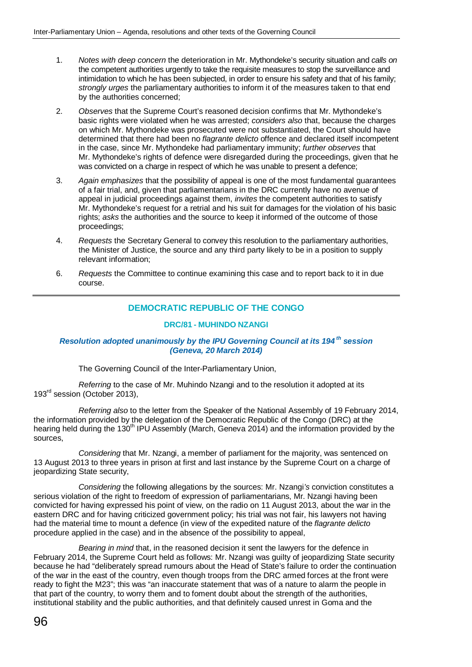- 1. *Notes with deep concern* the deterioration in Mr. Mythondeke's security situation and *calls on*  the competent authorities urgently to take the requisite measures to stop the surveillance and intimidation to which he has been subjected, in order to ensure his safety and that of his family; *strongly urges* the parliamentary authorities to inform it of the measures taken to that end by the authorities concerned;
- 2. *Observes* that the Supreme Court's reasoned decision confirms that Mr. Mythondeke's basic rights were violated when he was arrested; *considers also* that, because the charges on which Mr. Mythondeke was prosecuted were not substantiated, the Court should have determined that there had been no *flagrante delicto* offence and declared itself incompetent in the case, since Mr. Mythondeke had parliamentary immunity; *further observes* that Mr. Mythondeke's rights of defence were disregarded during the proceedings, given that he was convicted on a charge in respect of which he was unable to present a defence;
- 3. *Again emphasizes* that the possibility of appeal is one of the most fundamental guarantees of a fair trial, and, given that parliamentarians in the DRC currently have no avenue of appeal in judicial proceedings against them, *invites* the competent authorities to satisfy Mr. Mythondeke's request for a retrial and his suit for damages for the violation of his basic rights; *asks* the authorities and the source to keep it informed of the outcome of those proceedings;
- 4. *Requests* the Secretary General to convey this resolution to the parliamentary authorities, the Minister of Justice, the source and any third party likely to be in a position to supply relevant information;
- 6. *Requests* the Committee to continue examining this case and to report back to it in due course.

# **DEMOCRATIC REPUBLIC OF THE CONGO**

### **DRC/81 - MUHINDO NZANGI**

#### *Resolution adopted unanimously by the IPU Governing Council at its 194 th session (Geneva, 20 March 2014)*

The Governing Council of the Inter-Parliamentary Union,

*Referring* to the case of Mr. Muhindo Nzangi and to the resolution it adopted at its 193<sup>rd</sup> session (October 2013),

*Referring also* to the letter from the Speaker of the National Assembly of 19 February 2014, the information provided by the delegation of the Democratic Republic of the Congo (DRC) at the hearing held during the 130<sup>th</sup> IPU Assembly (March, Geneva 2014) and the information provided by the sources,

*Considering* that Mr. Nzangi, a member of parliament for the majority, was sentenced on 13 August 2013 to three years in prison at first and last instance by the Supreme Court on a charge of jeopardizing State security,

*Considering* the following allegations by the sources: Mr. Nzangi*'s* conviction constitutes a serious violation of the right to freedom of expression of parliamentarians, Mr. Nzangi having been convicted for having expressed his point of view, on the radio on 11 August 2013, about the war in the eastern DRC and for having criticized government policy; his trial was not fair, his lawyers not having had the material time to mount a defence (in view of the expedited nature of the *flagrante delicto* procedure applied in the case) and in the absence of the possibility to appeal,

*Bearing in mind* that, in the reasoned decision it sent the lawyers for the defence in February 2014, the Supreme Court held as follows: Mr. Nzangi was guilty of jeopardizing State security because he had "deliberately spread rumours about the Head of State's failure to order the continuation of the war in the east of the country, even though troops from the DRC armed forces at the front were ready to fight the M23"; this was "an inaccurate statement that was of a nature to alarm the people in that part of the country, to worry them and to foment doubt about the strength of the authorities, institutional stability and the public authorities, and that definitely caused unrest in Goma and the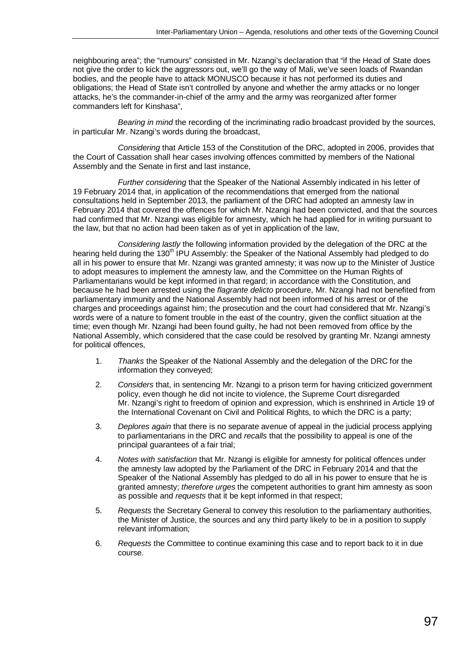neighbouring area"; the "rumours" consisted in Mr. Nzangi's declaration that "if the Head of State does not give the order to kick the aggressors out, we'll go the way of Mali, we've seen loads of Rwandan bodies, and the people have to attack MONUSCO because it has not performed its duties and obligations; the Head of State isn't controlled by anyone and whether the army attacks or no longer attacks, he's the commander-in-chief of the army and the army was reorganized after former commanders left for Kinshasa",

*Bearing in mind* the recording of the incriminating radio broadcast provided by the sources, in particular Mr. Nzangi's words during the broadcast,

*Considering* that Article 153 of the Constitution of the DRC, adopted in 2006, provides that the Court of Cassation shall hear cases involving offences committed by members of the National Assembly and the Senate in first and last instance,

*Further considering* that the Speaker of the National Assembly indicated in his letter of 19 February 2014 that, in application of the recommendations that emerged from the national consultations held in September 2013, the parliament of the DRC had adopted an amnesty law in February 2014 that covered the offences for which Mr. Nzangi had been convicted, and that the sources had confirmed that Mr. Nzangi was eligible for amnesty, which he had applied for in writing pursuant to the law, but that no action had been taken as of yet in application of the law,

*Considering lastly* the following information provided by the delegation of the DRC at the hearing held during the 130<sup>th</sup> IPU Assembly: the Speaker of the National Assembly had pledged to do all in his power to ensure that Mr. Nzangi was granted amnesty; it was now up to the Minister of Justice to adopt measures to implement the amnesty law, and the Committee on the Human Rights of Parliamentarians would be kept informed in that regard; in accordance with the Constitution, and because he had been arrested using the *flagrante delicto* procedure, Mr. Nzangi had not benefited from parliamentary immunity and the National Assembly had not been informed of his arrest or of the charges and proceedings against him; the prosecution and the court had considered that Mr. Nzangi's words were of a nature to foment trouble in the east of the country, given the conflict situation at the time; even though Mr. Nzangi had been found guilty, he had not been removed from office by the National Assembly, which considered that the case could be resolved by granting Mr. Nzangi amnesty for political offences,

- 1. *Thanks* the Speaker of the National Assembly and the delegation of the DRC for the information they conveyed;
- 2. *Considers* that, in sentencing Mr. Nzangi to a prison term for having criticized government policy, even though he did not incite to violence, the Supreme Court disregarded Mr. Nzangi's right to freedom of opinion and expression, which is enshrined in Article 19 of the International Covenant on Civil and Political Rights, to which the DRC is a party;
- 3. *Deplores again* that there is no separate avenue of appeal in the judicial process applying to parliamentarians in the DRC and *recalls* that the possibility to appeal is one of the principal guarantees of a fair trial;
- 4. *Notes with satisfaction* that Mr. Nzangi is eligible for amnesty for political offences under the amnesty law adopted by the Parliament of the DRC in February 2014 and that the Speaker of the National Assembly has pledged to do all in his power to ensure that he is granted amnesty; *therefore urges* the competent authorities to grant him amnesty as soon as possible and *requests* that it be kept informed in that respect;
- 5. *Requests* the Secretary General to convey this resolution to the parliamentary authorities, the Minister of Justice, the sources and any third party likely to be in a position to supply relevant information;
- 6. *Requests* the Committee to continue examining this case and to report back to it in due course.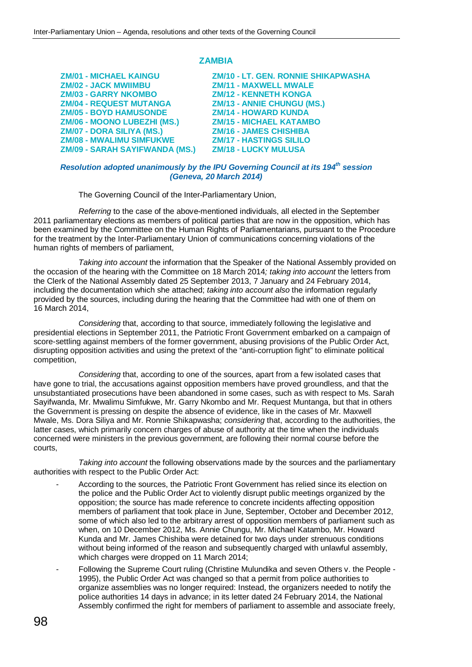#### **ZAMBIA**

| <b>ZM/10 - LT. GEN. RONNIE SHIKAPWASHA</b> |
|--------------------------------------------|
| <b>ZM/11 - MAXWELL MWALE</b>               |
| <b>ZM/12 - KENNETH KONGA</b>               |
| <b>ZM/13 - ANNIE CHUNGU (MS.)</b>          |
| <b>ZM/14 - HOWARD KUNDA</b>                |
| <b>ZM/15 - MICHAEL KATAMBO</b>             |
| <b>ZM/16 - JAMES CHISHIBA</b>              |
| <b>ZM/17 - HASTINGS SILILO</b>             |
| <b>ZM/18 - LUCKY MULUSA</b>                |
|                                            |

#### *Resolution adopted unanimously by the IPU Governing Council at its 194<sup>th</sup> session (Geneva, 20 March 2014)*

The Governing Council of the Inter-Parliamentary Union,

*Referring* to the case of the above-mentioned individuals, all elected in the September 2011 parliamentary elections as members of political parties that are now in the opposition, which has been examined by the Committee on the Human Rights of Parliamentarians, pursuant to the Procedure for the treatment by the Inter-Parliamentary Union of communications concerning violations of the human rights of members of parliament,

*Taking into account* the information that the Speaker of the National Assembly provided on the occasion of the hearing with the Committee on 18 March 2014*; taking into account* the letters from the Clerk of the National Assembly dated 25 September 2013, 7 January and 24 February 2014, including the documentation which she attached; *taking into account also* the information regularly provided by the sources, including during the hearing that the Committee had with one of them on 16 March 2014,

*Considering* that, according to that source, immediately following the legislative and presidential elections in September 2011, the Patriotic Front Government embarked on a campaign of score-settling against members of the former government, abusing provisions of the Public Order Act, disrupting opposition activities and using the pretext of the "anti-corruption fight" to eliminate political competition,

*Considering* that, according to one of the sources, apart from a few isolated cases that have gone to trial, the accusations against opposition members have proved groundless, and that the unsubstantiated prosecutions have been abandoned in some cases, such as with respect to Ms. Sarah Sayifwanda, Mr. Mwalimu Simfukwe, Mr. Garry Nkombo and Mr. Request Muntanga, but that in others the Government is pressing on despite the absence of evidence, like in the cases of Mr. Maxwell Mwale, Ms. Dora Siliya and Mr. Ronnie Shikapwasha; *considering* that, according to the authorities, the latter cases, which primarily concern charges of abuse of authority at the time when the individuals concerned were ministers in the previous government, are following their normal course before the courts,

*Taking into account* the following observations made by the sources and the parliamentary authorities with respect to the Public Order Act:

- According to the sources, the Patriotic Front Government has relied since its election on the police and the Public Order Act to violently disrupt public meetings organized by the opposition; the source has made reference to concrete incidents affecting opposition members of parliament that took place in June, September, October and December 2012, some of which also led to the arbitrary arrest of opposition members of parliament such as when, on 10 December 2012, Ms. Annie Chungu, Mr. Michael Katambo, Mr. Howard Kunda and Mr. James Chishiba were detained for two days under strenuous conditions without being informed of the reason and subsequently charged with unlawful assembly, which charges were dropped on 11 March 2014;
- Following the Supreme Court ruling (Christine Mulundika and seven Others v. the People 1995), the Public Order Act was changed so that a permit from police authorities to organize assemblies was no longer required: Instead, the organizers needed to notify the police authorities 14 days in advance; in its letter dated 24 February 2014, the National Assembly confirmed the right for members of parliament to assemble and associate freely,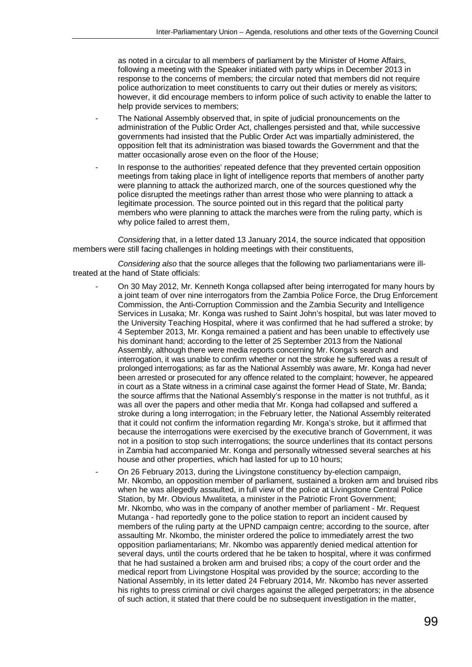as noted in a circular to all members of parliament by the Minister of Home Affairs, following a meeting with the Speaker initiated with party whips in December 2013 in response to the concerns of members; the circular noted that members did not require police authorization to meet constituents to carry out their duties or merely as visitors; however, it did encourage members to inform police of such activity to enable the latter to help provide services to members;

- The National Assembly observed that, in spite of judicial pronouncements on the administration of the Public Order Act, challenges persisted and that, while successive governments had insisted that the Public Order Act was impartially administered, the opposition felt that its administration was biased towards the Government and that the matter occasionally arose even on the floor of the House;
- In response to the authorities' repeated defence that they prevented certain opposition meetings from taking place in light of intelligence reports that members of another party were planning to attack the authorized march, one of the sources questioned why the police disrupted the meetings rather than arrest those who were planning to attack a legitimate procession. The source pointed out in this regard that the political party members who were planning to attack the marches were from the ruling party, which is why police failed to arrest them,

*Considering* that, in a letter dated 13 January 2014, the source indicated that opposition members were still facing challenges in holding meetings with their constituents,

*Considering also* that the source alleges that the following two parliamentarians were illtreated at the hand of State officials:

- On 30 May 2012, Mr. Kenneth Konga collapsed after being interrogated for many hours by a joint team of over nine interrogators from the Zambia Police Force, the Drug Enforcement Commission, the Anti-Corruption Commission and the Zambia Security and Intelligence Services in Lusaka; Mr. Konga was rushed to Saint John's hospital, but was later moved to the University Teaching Hospital, where it was confirmed that he had suffered a stroke; by 4 September 2013, Mr. Konga remained a patient and has been unable to effectively use his dominant hand; according to the letter of 25 September 2013 from the National Assembly, although there were media reports concerning Mr. Konga's search and interrogation, it was unable to confirm whether or not the stroke he suffered was a result of prolonged interrogations; as far as the National Assembly was aware, Mr. Konga had never been arrested or prosecuted for any offence related to the complaint; however, he appeared in court as a State witness in a criminal case against the former Head of State, Mr. Banda; the source affirms that the National Assembly's response in the matter is not truthful, as it was all over the papers and other media that Mr. Konga had collapsed and suffered a stroke during a long interrogation; in the February letter, the National Assembly reiterated that it could not confirm the information regarding Mr. Konga's stroke, but it affirmed that because the interrogations were exercised by the executive branch of Government, it was not in a position to stop such interrogations; the source underlines that its contact persons in Zambia had accompanied Mr. Konga and personally witnessed several searches at his house and other properties, which had lasted for up to 10 hours;
- On 26 February 2013, during the Livingstone constituency by-election campaign, Mr. Nkombo, an opposition member of parliament, sustained a broken arm and bruised ribs when he was allegedly assaulted, in full view of the police at Livingstone Central Police Station, by Mr. Obvious Mwaliteta, a minister in the Patriotic Front Government; Mr. Nkombo, who was in the company of another member of parliament - Mr. Request Mutanga - had reportedly gone to the police station to report an incident caused by members of the ruling party at the UPND campaign centre; according to the source, after assaulting Mr. Nkombo, the minister ordered the police to immediately arrest the two opposition parliamentarians; Mr. Nkombo was apparently denied medical attention for several days, until the courts ordered that he be taken to hospital, where it was confirmed that he had sustained a broken arm and bruised ribs; a copy of the court order and the medical report from Livingstone Hospital was provided by the source; according to the National Assembly, in its letter dated 24 February 2014, Mr. Nkombo has never asserted his rights to press criminal or civil charges against the alleged perpetrators; in the absence of such action, it stated that there could be no subsequent investigation in the matter,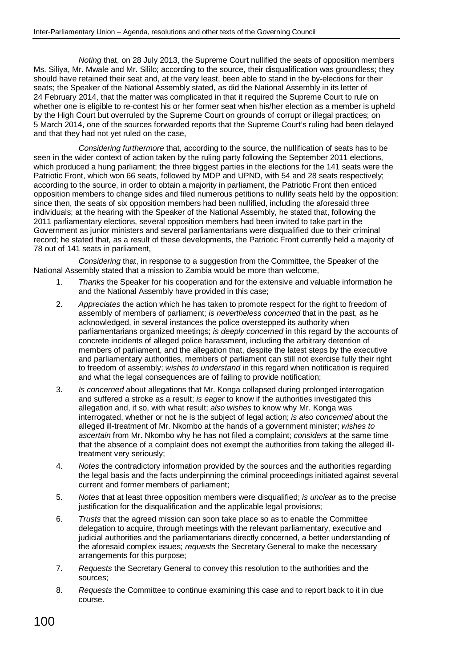*Noting* that, on 28 July 2013, the Supreme Court nullified the seats of opposition members Ms. Siliya, Mr. Mwale and Mr. Sililo; according to the source, their disqualification was groundless; they should have retained their seat and, at the very least, been able to stand in the by-elections for their seats; the Speaker of the National Assembly stated, as did the National Assembly in its letter of 24 February 2014, that the matter was complicated in that it required the Supreme Court to rule on whether one is eligible to re-contest his or her former seat when his/her election as a member is upheld by the High Court but overruled by the Supreme Court on grounds of corrupt or illegal practices; on 5 March 2014, one of the sources forwarded reports that the Supreme Court's ruling had been delayed and that they had not yet ruled on the case,

*Considering furthermore* that, according to the source, the nullification of seats has to be seen in the wider context of action taken by the ruling party following the September 2011 elections, which produced a hung parliament; the three biggest parties in the elections for the 141 seats were the Patriotic Front, which won 66 seats, followed by MDP and UPND, with 54 and 28 seats respectively; according to the source, in order to obtain a majority in parliament, the Patriotic Front then enticed opposition members to change sides and filed numerous petitions to nullify seats held by the opposition; since then, the seats of six opposition members had been nullified, including the aforesaid three individuals; at the hearing with the Speaker of the National Assembly, he stated that, following the 2011 parliamentary elections, several opposition members had been invited to take part in the Government as junior ministers and several parliamentarians were disqualified due to their criminal record; he stated that, as a result of these developments, the Patriotic Front currently held a majority of 78 out of 141 seats in parliament,

*Considering* that, in response to a suggestion from the Committee, the Speaker of the National Assembly stated that a mission to Zambia would be more than welcome,

- 1. *Thanks* the Speaker for his cooperation and for the extensive and valuable information he and the National Assembly have provided in this case;
- 2. *Appreciates* the action which he has taken to promote respect for the right to freedom of assembly of members of parliament; *is nevertheless concerned* that in the past, as he acknowledged, in several instances the police overstepped its authority when parliamentarians organized meetings; *is deeply concerned* in this regard by the accounts of concrete incidents of alleged police harassment, including the arbitrary detention of members of parliament, and the allegation that, despite the latest steps by the executive and parliamentary authorities, members of parliament can still not exercise fully their right to freedom of assembly; *wishes to understand* in this regard when notification is required and what the legal consequences are of failing to provide notification;
- 3. *Is concerned* about allegations that Mr. Konga collapsed during prolonged interrogation and suffered a stroke as a result; *is eager* to know if the authorities investigated this allegation and, if so, with what result; *also wishes* to know why Mr. Konga was interrogated, whether or not he is the subject of legal action; *is also concerned* about the alleged ill-treatment of Mr. Nkombo at the hands of a government minister; *wishes to ascertain* from Mr. Nkombo why he has not filed a complaint; *considers* at the same time that the absence of a complaint does not exempt the authorities from taking the alleged illtreatment very seriously;
- 4. *Notes* the contradictory information provided by the sources and the authorities regarding the legal basis and the facts underpinning the criminal proceedings initiated against several current and former members of parliament;
- 5. *Notes* that at least three opposition members were disqualified; *is unclear* as to the precise justification for the disqualification and the applicable legal provisions;
- 6. *Trusts* that the agreed mission can soon take place so as to enable the Committee delegation to acquire, through meetings with the relevant parliamentary, executive and judicial authorities and the parliamentarians directly concerned, a better understanding of the aforesaid complex issues; *requests* the Secretary General to make the necessary arrangements for this purpose;
- 7. *Requests* the Secretary General to convey this resolution to the authorities and the sources;
- 8. *Requests* the Committee to continue examining this case and to report back to it in due course.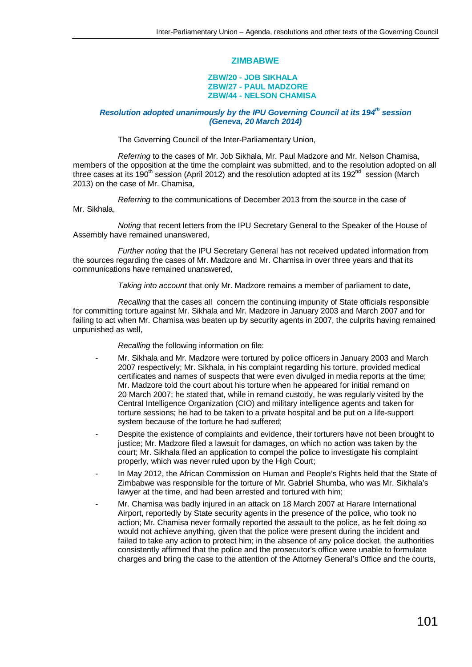# **ZIMBABWE**

#### **ZBW/20 - JOB SIKHALA ZBW/27 - PAUL MADZORE ZBW/44 - NELSON CHAMISA**

#### *Resolution adopted unanimously by the IPU Governing Council at its 194<sup>th</sup> session (Geneva, 20 March 2014)*

The Governing Council of the Inter-Parliamentary Union,

*Referring* to the cases of Mr. Job Sikhala, Mr. Paul Madzore and Mr. Nelson Chamisa, members of the opposition at the time the complaint was submitted, and to the resolution adopted on all three cases at its 190<sup>th</sup> session (April 2012) and the resolution adopted at its 192<sup>nd</sup> session (March 2013) on the case of Mr. Chamisa,

*Referring* to the communications of December 2013 from the source in the case of Mr. Sikhala,

*Noting* that recent letters from the IPU Secretary General to the Speaker of the House of Assembly have remained unanswered,

*Further noting* that the IPU Secretary General has not received updated information from the sources regarding the cases of Mr. Madzore and Mr. Chamisa in over three years and that its communications have remained unanswered,

*Taking into account* that only Mr. Madzore remains a member of parliament to date,

*Recalling* that the cases all concern the continuing impunity of State officials responsible for committing torture against Mr. Sikhala and Mr. Madzore in January 2003 and March 2007 and for failing to act when Mr. Chamisa was beaten up by security agents in 2007, the culprits having remained unpunished as well,

*Recalling* the following information on file:

- Mr. Sikhala and Mr. Madzore were tortured by police officers in January 2003 and March 2007 respectively; Mr. Sikhala, in his complaint regarding his torture, provided medical certificates and names of suspects that were even divulged in media reports at the time; Mr. Madzore told the court about his torture when he appeared for initial remand on 20 March 2007; he stated that, while in remand custody, he was regularly visited by the Central Intelligence Organization (CIO) and military intelligence agents and taken for torture sessions; he had to be taken to a private hospital and be put on a life-support system because of the torture he had suffered;
- Despite the existence of complaints and evidence, their torturers have not been brought to justice; Mr. Madzore filed a lawsuit for damages, on which no action was taken by the court; Mr. Sikhala filed an application to compel the police to investigate his complaint properly, which was never ruled upon by the High Court;
- In May 2012, the African Commission on Human and People's Rights held that the State of Zimbabwe was responsible for the torture of Mr. Gabriel Shumba, who was Mr. Sikhala's lawyer at the time, and had been arrested and tortured with him;
- Mr. Chamisa was badly injured in an attack on 18 March 2007 at Harare International Airport, reportedly by State security agents in the presence of the police, who took no action; Mr. Chamisa never formally reported the assault to the police, as he felt doing so would not achieve anything, given that the police were present during the incident and failed to take any action to protect him; in the absence of any police docket, the authorities consistently affirmed that the police and the prosecutor's office were unable to formulate charges and bring the case to the attention of the Attorney General's Office and the courts,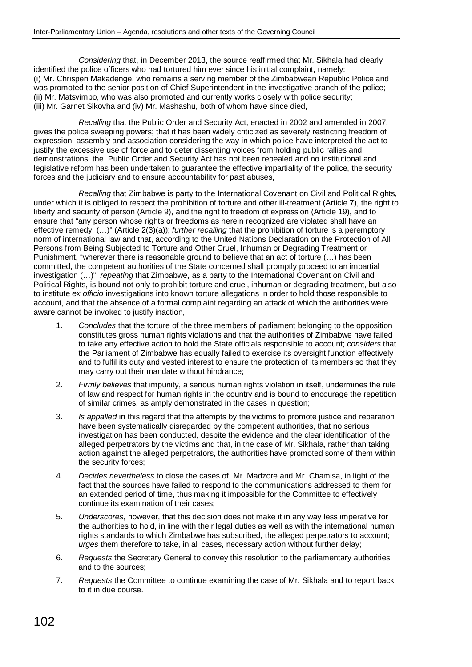*Considering* that, in December 2013, the source reaffirmed that Mr. Sikhala had clearly identified the police officers who had tortured him ever since his initial complaint, namely: (i) Mr. Chrispen Makadenge, who remains a serving member of the Zimbabwean Republic Police and was promoted to the senior position of Chief Superintendent in the investigative branch of the police; (ii) Mr. Matsvimbo, who was also promoted and currently works closely with police security; (iii) Mr. Garnet Sikovha and (iv) Mr. Mashashu, both of whom have since died,

*Recalling* that the Public Order and Security Act, enacted in 2002 and amended in 2007, gives the police sweeping powers; that it has been widely criticized as severely restricting freedom of expression, assembly and association considering the way in which police have interpreted the act to justify the excessive use of force and to deter dissenting voices from holding public rallies and demonstrations; the Public Order and Security Act has not been repealed and no institutional and legislative reform has been undertaken to guarantee the effective impartiality of the police, the security forces and the judiciary and to ensure accountability for past abuses,

*Recalling* that Zimbabwe is party to the International Covenant on Civil and Political Rights, under which it is obliged to respect the prohibition of torture and other ill-treatment (Article 7), the right to liberty and security of person (Article 9), and the right to freedom of expression (Article 19), and to ensure that "any person whose rights or freedoms as herein recognized are violated shall have an effective remedy (…)" (Article 2(3)(a)); *further recalling* that the prohibition of torture is a peremptory norm of international law and that, according to the United Nations Declaration on the Protection of All Persons from Being Subjected to Torture and Other Cruel, Inhuman or Degrading Treatment or Punishment, "wherever there is reasonable ground to believe that an act of torture (…) has been committed, the competent authorities of the State concerned shall promptly proceed to an impartial investigation (…)"; *repeating* that Zimbabwe, as a party to the International Covenant on Civil and Political Rights, is bound not only to prohibit torture and cruel, inhuman or degrading treatment, but also to institute *ex officio* investigations into known torture allegations in order to hold those responsible to account, and that the absence of a formal complaint regarding an attack of which the authorities were aware cannot be invoked to justify inaction,

- 1. *Concludes* that the torture of the three members of parliament belonging to the opposition constitutes gross human rights violations and that the authorities of Zimbabwe have failed to take any effective action to hold the State officials responsible to account; *considers* that the Parliament of Zimbabwe has equally failed to exercise its oversight function effectively and to fulfil its duty and vested interest to ensure the protection of its members so that they may carry out their mandate without hindrance;
- 2. *Firmly believes* that impunity, a serious human rights violation in itself, undermines the rule of law and respect for human rights in the country and is bound to encourage the repetition of similar crimes, as amply demonstrated in the cases in question;
- 3. *Is appalled* in this regard that the attempts by the victims to promote justice and reparation have been systematically disregarded by the competent authorities, that no serious investigation has been conducted, despite the evidence and the clear identification of the alleged perpetrators by the victims and that, in the case of Mr. Sikhala, rather than taking action against the alleged perpetrators, the authorities have promoted some of them within the security forces;
- 4. *Decides nevertheless* to close the cases of Mr. Madzore and Mr. Chamisa, in light of the fact that the sources have failed to respond to the communications addressed to them for an extended period of time, thus making it impossible for the Committee to effectively continue its examination of their cases;
- 5. *Underscores*, however, that this decision does not make it in any way less imperative for the authorities to hold, in line with their legal duties as well as with the international human rights standards to which Zimbabwe has subscribed, the alleged perpetrators to account; *urges* them therefore to take, in all cases, necessary action without further delay;
- 6. *Requests* the Secretary General to convey this resolution to the parliamentary authorities and to the sources;
- 7. *Requests* the Committee to continue examining the case of Mr. Sikhala and to report back to it in due course.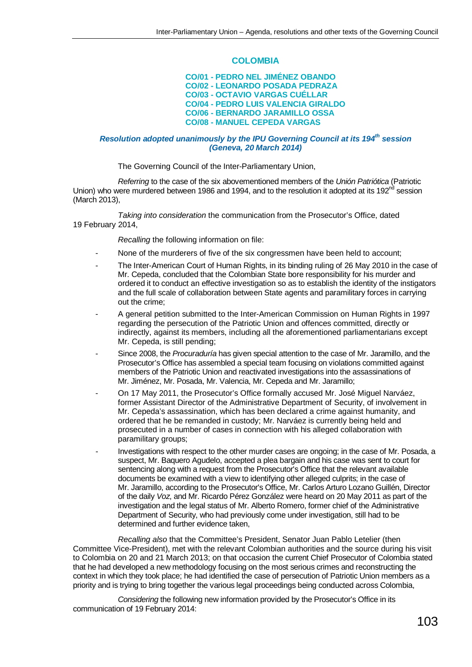# **COLOMBIA**

#### **CO/01 - PEDRO NEL JIMÉNEZ OBANDO CO/02 - LEONARDO POSADA PEDRAZA CO/03 - OCTAVIO VARGAS CUÉLLAR CO/04 - PEDRO LUIS VALENCIA GIRALDO CO/06 - BERNARDO JARAMILLO OSSA CO/08 - MANUEL CEPEDA VARGAS**

#### *Resolution adopted unanimously by the IPU Governing Council at its 194<sup>th</sup> session (Geneva, 20 March 2014)*

The Governing Council of the Inter-Parliamentary Union,

*Referring* to the case of the six abovementioned members of the *Unión Patriótica* (Patriotic Union) who were murdered between 1986 and 1994, and to the resolution it adopted at its 192 $^{\text{nd}}$  session (March 2013),

*Taking into consideration* the communication from the Prosecutor's Office, dated 19 February 2014,

*Recalling* the following information on file:

- None of the murderers of five of the six congressmen have been held to account;
- The Inter-American Court of Human Rights, in its binding ruling of 26 May 2010 in the case of Mr. Cepeda, concluded that the Colombian State bore responsibility for his murder and ordered it to conduct an effective investigation so as to establish the identity of the instigators and the full scale of collaboration between State agents and paramilitary forces in carrying out the crime;
- A general petition submitted to the Inter-American Commission on Human Rights in 1997 regarding the persecution of the Patriotic Union and offences committed, directly or indirectly, against its members, including all the aforementioned parliamentarians except Mr. Cepeda, is still pending;
- Since 2008, the *Procuraduría* has given special attention to the case of Mr. Jaramillo, and the Prosecutor's Office has assembled a special team focusing on violations committed against members of the Patriotic Union and reactivated investigations into the assassinations of Mr. Jiménez, Mr. Posada, Mr. Valencia, Mr. Cepeda and Mr. Jaramillo;
- On 17 May 2011, the Prosecutor's Office formally accused Mr. José Miguel Narváez, former Assistant Director of the Administrative Department of Security, of involvement in Mr. Cepeda's assassination, which has been declared a crime against humanity, and ordered that he be remanded in custody; Mr. Narváez is currently being held and prosecuted in a number of cases in connection with his alleged collaboration with paramilitary groups;
- Investigations with respect to the other murder cases are ongoing; in the case of Mr. Posada, a suspect, Mr. Baquero Agudelo, accepted a plea bargain and his case was sent to court for sentencing along with a request from the Prosecutor's Office that the relevant available documents be examined with a view to identifying other alleged culprits; in the case of Mr. Jaramillo, according to the Prosecutor's Office, Mr. Carlos Arturo Lozano Guillén, Director of the daily *Voz*, and Mr. Ricardo Pérez González were heard on 20 May 2011 as part of the investigation and the legal status of Mr. Alberto Romero, former chief of the Administrative Department of Security, who had previously come under investigation, still had to be determined and further evidence taken,

*Recalling also* that the Committee's President, Senator Juan Pablo Letelier (then Committee Vice-President), met with the relevant Colombian authorities and the source during his visit to Colombia on 20 and 21 March 2013; on that occasion the current Chief Prosecutor of Colombia stated that he had developed a new methodology focusing on the most serious crimes and reconstructing the context in which they took place; he had identified the case of persecution of Patriotic Union members as a priority and is trying to bring together the various legal proceedings being conducted across Colombia,

*Considering* the following new information provided by the Prosecutor's Office in its communication of 19 February 2014: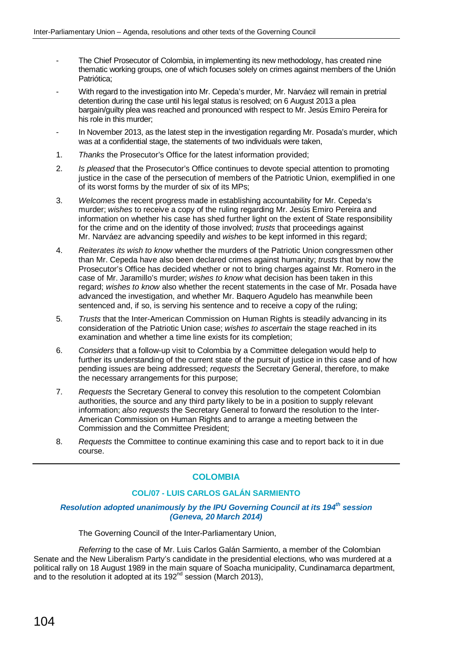- The Chief Prosecutor of Colombia, in implementing its new methodology, has created nine thematic working groups, one of which focuses solely on crimes against members of the Unión Patriótica;
- With regard to the investigation into Mr. Cepeda's murder, Mr. Narváez will remain in pretrial detention during the case until his legal status is resolved; on 6 August 2013 a plea bargain/guilty plea was reached and pronounced with respect to Mr. Jesús Emiro Pereira for his role in this murder;
- In November 2013, as the latest step in the investigation regarding Mr. Posada's murder, which was at a confidential stage, the statements of two individuals were taken,
- 1. *Thanks* the Prosecutor's Office for the latest information provided;
- 2. *Is pleased* that the Prosecutor's Office continues to devote special attention to promoting justice in the case of the persecution of members of the Patriotic Union, exemplified in one of its worst forms by the murder of six of its MPs;
- 3. *Welcomes* the recent progress made in establishing accountability for Mr. Cepeda's murder; *wishes* to receive a copy of the ruling regarding Mr. Jesús Emiro Pereira and information on whether his case has shed further light on the extent of State responsibility for the crime and on the identity of those involved; *trusts* that proceedings against Mr. Narváez are advancing speedily and *wishes* to be kept informed in this regard;
- 4. *Reiterates its wish to know* whether the murders of the Patriotic Union congressmen other than Mr. Cepeda have also been declared crimes against humanity; *trusts* that by now the Prosecutor's Office has decided whether or not to bring charges against Mr. Romero in the case of Mr. Jaramillo's murder; *wishes to know* what decision has been taken in this regard; *wishes to know* also whether the recent statements in the case of Mr. Posada have advanced the investigation, and whether Mr. Baquero Agudelo has meanwhile been sentenced and, if so, is serving his sentence and to receive a copy of the ruling;
- 5. *Trusts* that the Inter-American Commission on Human Rights is steadily advancing in its consideration of the Patriotic Union case; *wishes to ascertain* the stage reached in its examination and whether a time line exists for its completion;
- 6. *Considers* that a follow-up visit to Colombia by a Committee delegation would help to further its understanding of the current state of the pursuit of justice in this case and of how pending issues are being addressed; *requests* the Secretary General, therefore, to make the necessary arrangements for this purpose;
- 7. *Requests* the Secretary General to convey this resolution to the competent Colombian authorities, the source and any third party likely to be in a position to supply relevant information; *also requests* the Secretary General to forward the resolution to the Inter-American Commission on Human Rights and to arrange a meeting between the Commission and the Committee President;
- 8. *Requests* the Committee to continue examining this case and to report back to it in due course.

# **COLOMBIA**

# **COL/07 - LUIS CARLOS GALÁN SARMIENTO**

#### *Resolution adopted unanimously by the IPU Governing Council at its 194<sup>th</sup> session (Geneva, 20 March 2014)*

The Governing Council of the Inter-Parliamentary Union,

*Referring* to the case of Mr. Luis Carlos Galán Sarmiento, a member of the Colombian Senate and the New Liberalism Party's candidate in the presidential elections, who was murdered at a political rally on 18 August 1989 in the main square of Soacha municipality, Cundinamarca department, and to the resolution it adopted at its  $192<sup>nd</sup>$  session (March 2013),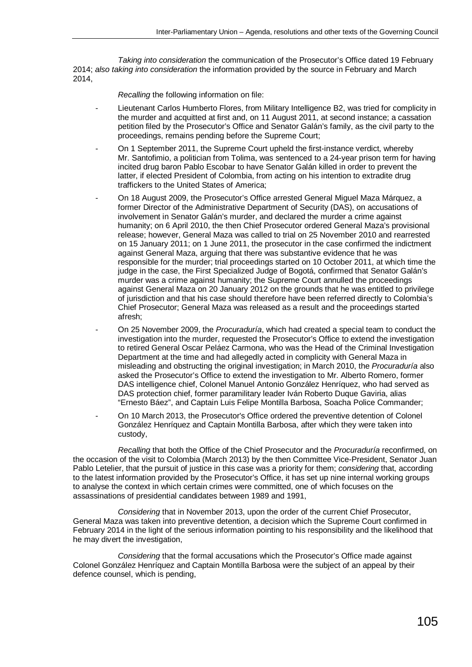*Taking into consideration* the communication of the Prosecutor's Office dated 19 February 2014; *also taking into consideration* the information provided by the source in February and March 2014,

- *Recalling* the following information on file:
- Lieutenant Carlos Humberto Flores, from Military Intelligence B2, was tried for complicity in the murder and acquitted at first and, on 11 August 2011, at second instance; a cassation petition filed by the Prosecutor's Office and Senator Galán's family, as the civil party to the proceedings, remains pending before the Supreme Court;
- On 1 September 2011, the Supreme Court upheld the first-instance verdict, whereby Mr. Santofimio, a politician from Tolima, was sentenced to a 24-year prison term for having incited drug baron Pablo Escobar to have Senator Galán killed in order to prevent the latter. if elected President of Colombia, from acting on his intention to extradite drug traffickers to the United States of America;
- On 18 August 2009, the Prosecutor's Office arrested General Miguel Maza Márquez, a former Director of the Administrative Department of Security (DAS), on accusations of involvement in Senator Galán's murder, and declared the murder a crime against humanity; on 6 April 2010, the then Chief Prosecutor ordered General Maza's provisional release; however, General Maza was called to trial on 25 November 2010 and rearrested on 15 January 2011; on 1 June 2011, the prosecutor in the case confirmed the indictment against General Maza, arguing that there was substantive evidence that he was responsible for the murder; trial proceedings started on 10 October 2011, at which time the judge in the case, the First Specialized Judge of Bogotá, confirmed that Senator Galán's murder was a crime against humanity; the Supreme Court annulled the proceedings against General Maza on 20 January 2012 on the grounds that he was entitled to privilege of jurisdiction and that his case should therefore have been referred directly to Colombia's Chief Prosecutor; General Maza was released as a result and the proceedings started afresh;
- On 25 November 2009, the *Procuraduría*, which had created a special team to conduct the investigation into the murder, requested the Prosecutor's Office to extend the investigation to retired General Oscar Peláez Carmona, who was the Head of the Criminal Investigation Department at the time and had allegedly acted in complicity with General Maza in misleading and obstructing the original investigation; in March 2010, the *Procuraduría* also asked the Prosecutor's Office to extend the investigation to Mr. Alberto Romero, former DAS intelligence chief, Colonel Manuel Antonio González Henríquez, who had served as DAS protection chief, former paramilitary leader Iván Roberto Duque Gaviria, alias "Ernesto Báez", and Captain Luis Felipe Montilla Barbosa, Soacha Police Commander;
- On 10 March 2013, the Prosecutor's Office ordered the preventive detention of Colonel González Henríquez and Captain Montilla Barbosa, after which they were taken into custody,

*Recalling* that both the Office of the Chief Prosecutor and the *Procuraduría* reconfirmed, on the occasion of the visit to Colombia (March 2013) by the then Committee Vice-President, Senator Juan Pablo Letelier, that the pursuit of justice in this case was a priority for them; *considering* that, according to the latest information provided by the Prosecutor's Office, it has set up nine internal working groups to analyse the context in which certain crimes were committed, one of which focuses on the assassinations of presidential candidates between 1989 and 1991,

*Considering* that in November 2013, upon the order of the current Chief Prosecutor, General Maza was taken into preventive detention, a decision which the Supreme Court confirmed in February 2014 in the light of the serious information pointing to his responsibility and the likelihood that he may divert the investigation,

*Considering* that the formal accusations which the Prosecutor's Office made against Colonel González Henríquez and Captain Montilla Barbosa were the subject of an appeal by their defence counsel, which is pending,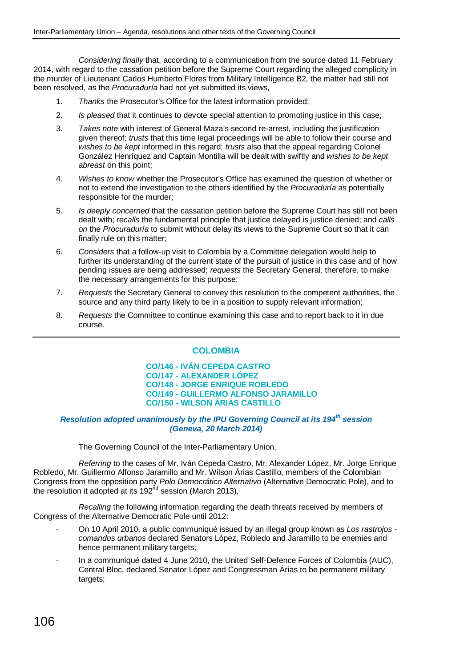*Considering finally* that, according to a communication from the source dated 11 February 2014, with regard to the cassation petition before the Supreme Court regarding the alleged complicity in the murder of Lieutenant Carlos Humberto Flores from Military Intelligence B2, the matter had still not been resolved, as the *Procuraduría* had not yet submitted its views,

- 1. *Thanks* the Prosecutor's Office for the latest information provided;
- 2. *Is pleased* that it continues to devote special attention to promoting justice in this case;
- 3. *Takes note* with interest of General Maza's second re-arrest, including the justification given thereof; *trusts* that this time legal proceedings will be able to follow their course and *wishes to be kept* informed in this regard; *trusts* also that the appeal regarding Colonel González Henríquez and Captain Montilla will be dealt with swiftly and *wishes to be kept abreast* on this point;
- 4. *Wishes to know* whether the Prosecutor's Office has examined the question of whether or not to extend the investigation to the others identified by the *Procuraduría* as potentially responsible for the murder;
- 5. *Is deeply concerned* that the cassation petition before the Supreme Court has still not been dealt with; *recalls* the fundamental principle that justice delayed is justice denied; and *calls on* the *Procuraduría* to submit without delay its views to the Supreme Court so that it can finally rule on this matter;
- 6. *Considers* that a follow-up visit to Colombia by a Committee delegation would help to further its understanding of the current state of the pursuit of justice in this case and of how pending issues are being addressed; *requests* the Secretary General, therefore, to make the necessary arrangements for this purpose;
- 7. *Requests* the Secretary General to convey this resolution to the competent authorities, the source and any third party likely to be in a position to supply relevant information;
- 8. *Requests* the Committee to continue examining this case and to report back to it in due course.

#### **COLOMBIA**

#### **CO/146 - IVÁN CEPEDA CASTRO CO/147 - ALEXANDER LÓPEZ CO/148 - JORGE ENRIQUE ROBLEDO CO/149 - GUILLERMO ALFONSO JARAMILLO CO/150 - WILSON ÁRIAS CASTILLO**

#### *Resolution adopted unanimously by the IPU Governing Council at its 194<sup>th</sup> session (Geneva, 20 March 2014)*

The Governing Council of the Inter-Parliamentary Union,

*Referring* to the cases of Mr. Iván Cepeda Castro, Mr. Alexander López, Mr. Jorge Enrique Robledo, Mr. Guillermo Alfonso Jaramillo and Mr. Wilson Árias Castillo, members of the Colombian Congress from the opposition party *Polo Democrático Alternativo* (Alternative Democratic Pole), and to the resolution it adopted at its  $192<sup>nd</sup>$  session (March 2013),

*Recalling* the following information regarding the death threats received by members of Congress of the Alternative Democratic Pole until 2012:

- On 10 April 2010, a public communiqué issued by an illegal group known as *Los rastrojos comandos urbanos* declared Senators López, Robledo and Jaramillo to be enemies and hence permanent military targets:
- In a communiqué dated 4 June 2010, the United Self-Defence Forces of Colombia (AUC), Central Bloc, declared Senator López and Congressman Árias to be permanent military targets: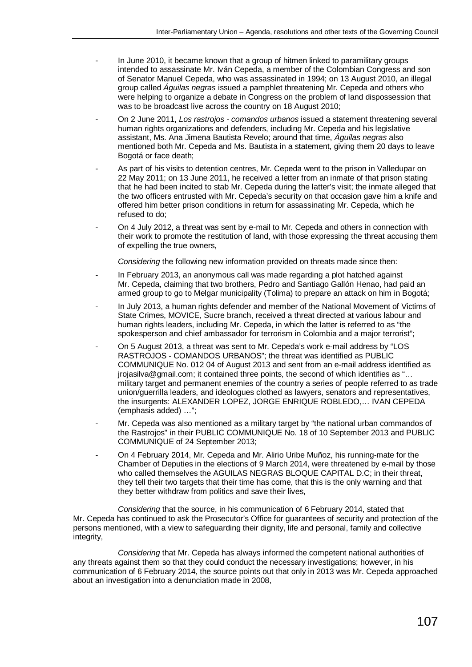- In June 2010, it became known that a group of hitmen linked to paramilitary groups intended to assassinate Mr. Iván Cepeda, a member of the Colombian Congress and son of Senator Manuel Cepeda, who was assassinated in 1994; on 13 August 2010, an illegal group called *Águilas negras* issued a pamphlet threatening Mr. Cepeda and others who were helping to organize a debate in Congress on the problem of land dispossession that was to be broadcast live across the country on 18 August 2010;
- On 2 June 2011, *Los rastrojos - comandos urbanos* issued a statement threatening several human rights organizations and defenders, including Mr. Cepeda and his legislative assistant, Ms. Ana Jimena Bautista Revelo; around that time, *Águilas negras* also mentioned both Mr. Cepeda and Ms. Bautista in a statement, giving them 20 days to leave Bogotá or face death;
- As part of his visits to detention centres, Mr. Cepeda went to the prison in Valledupar on 22 May 2011; on 13 June 2011, he received a letter from an inmate of that prison stating that he had been incited to stab Mr. Cepeda during the latter's visit; the inmate alleged that the two officers entrusted with Mr. Cepeda's security on that occasion gave him a knife and offered him better prison conditions in return for assassinating Mr. Cepeda, which he refused to do;
- On 4 July 2012, a threat was sent by e-mail to Mr. Cepeda and others in connection with their work to promote the restitution of land, with those expressing the threat accusing them of expelling the true owners,

*Considering* the following new information provided on threats made since then:

- In February 2013, an anonymous call was made regarding a plot hatched against Mr. Cepeda, claiming that two brothers, Pedro and Santiago Gallón Henao, had paid an armed group to go to Melgar municipality (Tolima) to prepare an attack on him in Bogotá;
- In July 2013, a human rights defender and member of the National Movement of Victims of State Crimes, MOVICE, Sucre branch, received a threat directed at various labour and human rights leaders, including Mr. Cepeda, in which the latter is referred to as "the spokesperson and chief ambassador for terrorism in Colombia and a major terrorist";
- On 5 August 2013, a threat was sent to Mr. Cepeda's work e-mail address by "LOS RASTROJOS - COMANDOS URBANOS"; the threat was identified as PUBLIC COMMUNIQUE No. 012 04 of August 2013 and sent from an e-mail address identified as jrojasilva@gmail.com; it contained three points, the second of which identifies as "… military target and permanent enemies of the country a series of people referred to as trade union/guerrilla leaders, and ideologues clothed as lawyers, senators and representatives, the insurgents: ALEXANDER LOPEZ, JORGE ENRIQUE ROBLEDO,… IVAN CEPEDA (emphasis added) …";
- Mr. Cepeda was also mentioned as a military target by "the national urban commandos of the Rastrojos" in their PUBLIC COMMUNIQUE No. 18 of 10 September 2013 and PUBLIC COMMUNIQUE of 24 September 2013;
- On 4 February 2014, Mr. Cepeda and Mr. Alirio Uribe Muñoz, his running-mate for the Chamber of Deputies in the elections of 9 March 2014, were threatened by e-mail by those who called themselves the AGUILAS NEGRAS BLOQUE CAPITAL D.C; in their threat, they tell their two targets that their time has come, that this is the only warning and that they better withdraw from politics and save their lives,

*Considering* that the source, in his communication of 6 February 2014, stated that Mr. Cepeda has continued to ask the Prosecutor's Office for guarantees of security and protection of the persons mentioned, with a view to safeguarding their dignity, life and personal, family and collective integrity,

*Considering* that Mr. Cepeda has always informed the competent national authorities of any threats against them so that they could conduct the necessary investigations; however, in his communication of 6 February 2014, the source points out that only in 2013 was Mr. Cepeda approached about an investigation into a denunciation made in 2008,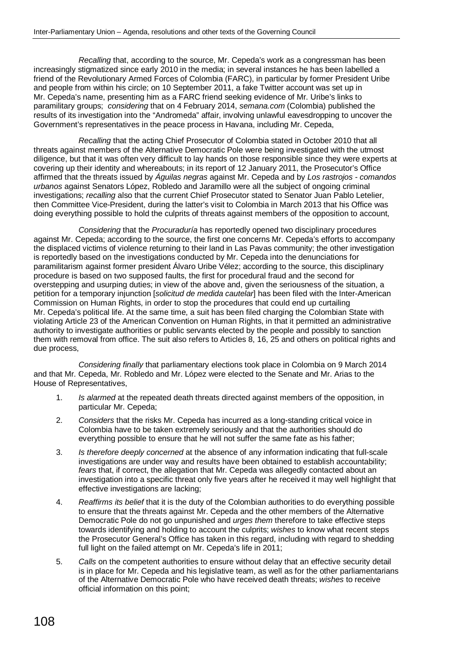*Recalling* that, according to the source, Mr. Cepeda's work as a congressman has been increasingly stigmatized since early 2010 in the media; in several instances he has been labelled a friend of the Revolutionary Armed Forces of Colombia (FARC), in particular by former President Uribe and people from within his circle; on 10 September 2011, a fake Twitter account was set up in Mr. Cepeda's name, presenting him as a FARC friend seeking evidence of Mr. Uribe's links to paramilitary groups; *considering* that on 4 February 2014, *semana.com* (Colombia) published the results of its investigation into the "Andromeda" affair, involving unlawful eavesdropping to uncover the Government's representatives in the peace process in Havana, including Mr. Cepeda,

*Recalling* that the acting Chief Prosecutor of Colombia stated in October 2010 that all threats against members of the Alternative Democratic Pole were being investigated with the utmost diligence, but that it was often very difficult to lay hands on those responsible since they were experts at covering up their identity and whereabouts; in its report of 12 January 2011, the Prosecutor's Office affirmed that the threats issued by *Águilas negras* against Mr. Cepeda and by *Los rastrojos - comandos urbanos* against Senators López, Robledo and Jaramillo were all the subject of ongoing criminal investigations; *recalling* also that the current Chief Prosecutor stated to Senator Juan Pablo Letelier, then Committee Vice-President, during the latter's visit to Colombia in March 2013 that his Office was doing everything possible to hold the culprits of threats against members of the opposition to account,

*Considering* that the *Procuraduría* has reportedly opened two disciplinary procedures against Mr. Cepeda; according to the source, the first one concerns Mr. Cepeda's efforts to accompany the displaced victims of violence returning to their land in Las Pavas community; the other investigation is reportedly based on the investigations conducted by Mr. Cepeda into the denunciations for paramilitarism against former president Álvaro Uribe Vélez; according to the source, this disciplinary procedure is based on two supposed faults, the first for procedural fraud and the second for overstepping and usurping duties; in view of the above and, given the seriousness of the situation, a petition for a temporary injunction [*solicitud de medida cautelar*] has been filed with the Inter-American Commission on Human Rights, in order to stop the procedures that could end up curtailing Mr. Cepeda's political life. At the same time, a suit has been filed charging the Colombian State with violating Article 23 of the American Convention on Human Rights, in that it permitted an administrative authority to investigate authorities or public servants elected by the people and possibly to sanction them with removal from office. The suit also refers to Articles 8, 16, 25 and others on political rights and due process,

*Considering finally* that parliamentary elections took place in Colombia on 9 March 2014 and that Mr. Cepeda, Mr. Robledo and Mr. López were elected to the Senate and Mr. Arias to the House of Representatives,

- 1. *Is alarmed* at the repeated death threats directed against members of the opposition, in particular Mr. Cepeda;
- 2. *Considers* that the risks Mr. Cepeda has incurred as a long-standing critical voice in Colombia have to be taken extremely seriously and that the authorities should do everything possible to ensure that he will not suffer the same fate as his father;
- 3. *Is therefore deeply concerned* at the absence of any information indicating that full-scale investigations are under way and results have been obtained to establish accountability; *fears* that, if correct, the allegation that Mr. Cepeda was allegedly contacted about an investigation into a specific threat only five years after he received it may well highlight that effective investigations are lacking;
- 4. *Reaffirms its belief* that it is the duty of the Colombian authorities to do everything possible to ensure that the threats against Mr. Cepeda and the other members of the Alternative Democratic Pole do not go unpunished and *urges them* therefore to take effective steps towards identifying and holding to account the culprits; *wishes* to know what recent steps the Prosecutor General's Office has taken in this regard, including with regard to shedding full light on the failed attempt on Mr. Cepeda's life in 2011;
- 5. *Calls* on the competent authorities to ensure without delay that an effective security detail is in place for Mr. Cepeda and his legislative team, as well as for the other parliamentarians of the Alternative Democratic Pole who have received death threats; *wishes* to receive official information on this point;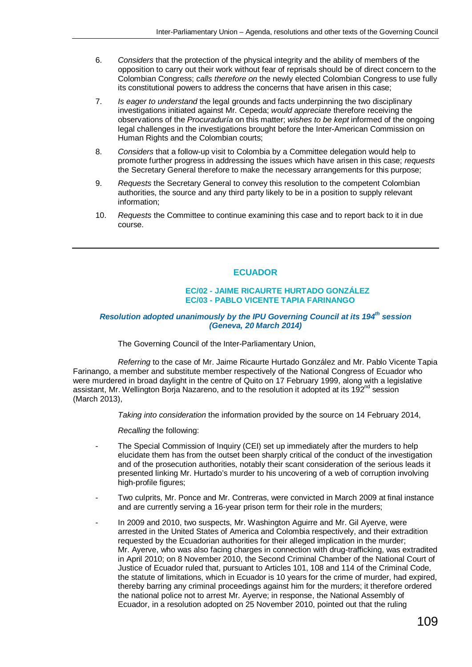- 6. *Considers* that the protection of the physical integrity and the ability of members of the opposition to carry out their work without fear of reprisals should be of direct concern to the Colombian Congress; *calls therefore on* the newly elected Colombian Congress to use fully its constitutional powers to address the concerns that have arisen in this case;
- 7. *Is eager to understand* the legal grounds and facts underpinning the two disciplinary investigations initiated against Mr. Cepeda; *would appreciate* therefore receiving the observations of the *Procuraduría* on this matter; *wishes to be kept* informed of the ongoing legal challenges in the investigations brought before the Inter-American Commission on Human Rights and the Colombian courts;
- 8. *Considers* that a follow-up visit to Colombia by a Committee delegation would help to promote further progress in addressing the issues which have arisen in this case; *requests*  the Secretary General therefore to make the necessary arrangements for this purpose;
- 9. *Requests* the Secretary General to convey this resolution to the competent Colombian authorities, the source and any third party likely to be in a position to supply relevant information;
- 10. *Requests* the Committee to continue examining this case and to report back to it in due course.

# **ECUADOR**

#### **EC/02 - JAIME RICAURTE HURTADO GONZÁLEZ EC/03 - PABLO VICENTE TAPIA FARINANGO**

#### *Resolution adopted unanimously by the IPU Governing Council at its 194<sup>th</sup> session (Geneva, 20 March 2014)*

The Governing Council of the Inter-Parliamentary Union,

*Referring* to the case of Mr. Jaime Ricaurte Hurtado González and Mr. Pablo Vicente Tapia Farinango, a member and substitute member respectively of the National Congress of Ecuador who were murdered in broad daylight in the centre of Quito on 17 February 1999, along with a legislative assistant, Mr. Wellington Boria Nazareno, and to the resolution it adopted at its 192<sup>nd</sup> session (March 2013),

*Taking into consideration* the information provided by the source on 14 February 2014,

*Recalling* the following:

- The Special Commission of Inquiry (CEI) set up immediately after the murders to help elucidate them has from the outset been sharply critical of the conduct of the investigation and of the prosecution authorities, notably their scant consideration of the serious leads it presented linking Mr. Hurtado's murder to his uncovering of a web of corruption involving high-profile figures;
- Two culprits, Mr. Ponce and Mr. Contreras, were convicted in March 2009 at final instance and are currently serving a 16-year prison term for their role in the murders;
- In 2009 and 2010, two suspects, Mr. Washington Aguirre and Mr. Gil Ayerve, were arrested in the United States of America and Colombia respectively, and their extradition requested by the Ecuadorian authorities for their alleged implication in the murder; Mr. Ayerve, who was also facing charges in connection with drug-trafficking, was extradited in April 2010; on 8 November 2010, the Second Criminal Chamber of the National Court of Justice of Ecuador ruled that, pursuant to Articles 101, 108 and 114 of the Criminal Code, the statute of limitations, which in Ecuador is 10 years for the crime of murder, had expired, thereby barring any criminal proceedings against him for the murders; it therefore ordered the national police not to arrest Mr. Ayerve; in response, the National Assembly of Ecuador, in a resolution adopted on 25 November 2010, pointed out that the ruling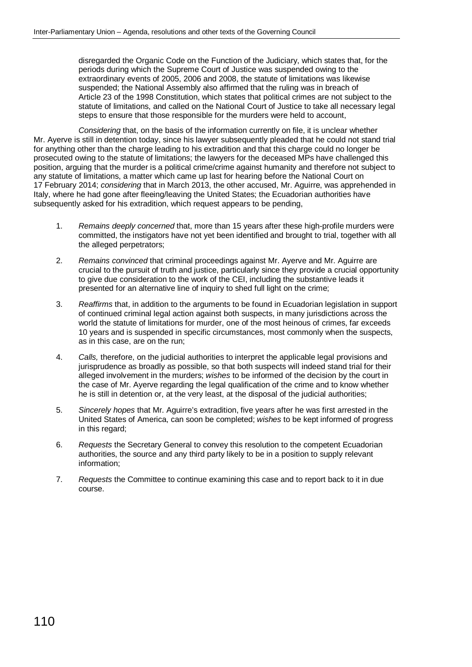disregarded the Organic Code on the Function of the Judiciary, which states that, for the periods during which the Supreme Court of Justice was suspended owing to the extraordinary events of 2005, 2006 and 2008, the statute of limitations was likewise suspended; the National Assembly also affirmed that the ruling was in breach of Article 23 of the 1998 Constitution, which states that political crimes are not subject to the statute of limitations, and called on the National Court of Justice to take all necessary legal steps to ensure that those responsible for the murders were held to account,

*Considering* that, on the basis of the information currently on file, it is unclear whether Mr. Ayerve is still in detention today, since his lawyer subsequently pleaded that he could not stand trial for anything other than the charge leading to his extradition and that this charge could no longer be prosecuted owing to the statute of limitations; the lawyers for the deceased MPs have challenged this position, arguing that the murder is a political crime/crime against humanity and therefore not subject to any statute of limitations, a matter which came up last for hearing before the National Court on 17 February 2014; *considering* that in March 2013, the other accused, Mr. Aguirre, was apprehended in Italy, where he had gone after fleeing/leaving the United States; the Ecuadorian authorities have subsequently asked for his extradition, which request appears to be pending,

- 1. *Remains deeply concerned* that, more than 15 years after these high-profile murders were committed, the instigators have not yet been identified and brought to trial, together with all the alleged perpetrators;
- 2. *Remains convinced* that criminal proceedings against Mr. Ayerve and Mr. Aguirre are crucial to the pursuit of truth and justice, particularly since they provide a crucial opportunity to give due consideration to the work of the CEI, including the substantive leads it presented for an alternative line of inquiry to shed full light on the crime;
- 3. *Reaffirms* that, in addition to the arguments to be found in Ecuadorian legislation in support of continued criminal legal action against both suspects, in many jurisdictions across the world the statute of limitations for murder, one of the most heinous of crimes, far exceeds 10 years and is suspended in specific circumstances, most commonly when the suspects, as in this case, are on the run;
- 4. *Calls,* therefore, on the judicial authorities to interpret the applicable legal provisions and jurisprudence as broadly as possible, so that both suspects will indeed stand trial for their alleged involvement in the murders; *wishes* to be informed of the decision by the court in the case of Mr. Ayerve regarding the legal qualification of the crime and to know whether he is still in detention or, at the very least, at the disposal of the judicial authorities;
- 5. *Sincerely hopes* that Mr. Aguirre's extradition, five years after he was first arrested in the United States of America, can soon be completed; *wishes* to be kept informed of progress in this regard;
- 6. *Requests* the Secretary General to convey this resolution to the competent Ecuadorian authorities, the source and any third party likely to be in a position to supply relevant information;
- 7. *Requests* the Committee to continue examining this case and to report back to it in due course.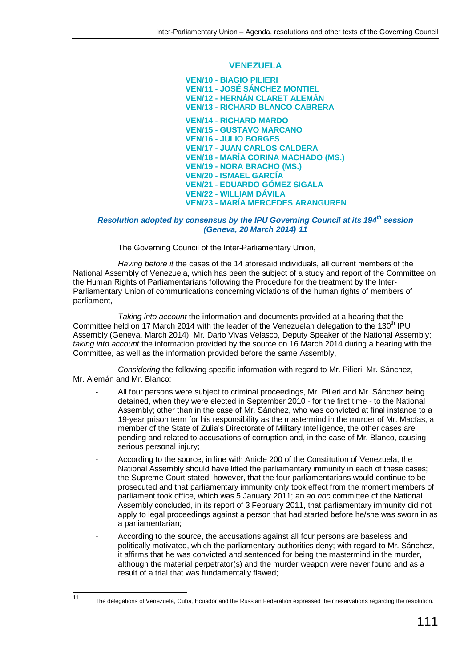### **VENEZUELA**

**VEN/10 - BIAGIO PILIERI VEN/11 - JOSÉ SÁNCHEZ MONTIEL VEN/12 - HERNÁN CLARET ALEMÁN VEN/13 - RICHARD BLANCO CABRERA VEN/14 - RICHARD MARDO VEN/15 - GUSTAVO MARCANO VEN/16 - JULIO BORGES VEN/17 - JUAN CARLOS CALDERA VEN/18 - MARÍA CORINA MACHADO (MS.) VEN/19 - NORA BRACHO (MS.) VEN/20 - ISMAEL GARCÍA VEN/21 - EDUARDO GÓMEZ SIGALA VEN/22 - WILLIAM DÁVILA VEN/23 - MARÍA MERCEDES ARANGUREN**

#### *Resolution adopted by consensus by the IPU Governing Council at its 194<sup>th</sup> session (Geneva, 20 March 2014) [11](#page-110-0)*

The Governing Council of the Inter-Parliamentary Union,

*Having before it* the cases of the 14 aforesaid individuals, all current members of the National Assembly of Venezuela, which has been the subject of a study and report of the Committee on the Human Rights of Parliamentarians following the Procedure for the treatment by the Inter-Parliamentary Union of communications concerning violations of the human rights of members of parliament,

*Taking into account* the information and documents provided at a hearing that the Committee held on 17 March 2014 with the leader of the Venezuelan delegation to the 130<sup>th</sup> IPU Assembly (Geneva, March 2014), Mr. Dario Vivas Velasco, Deputy Speaker of the National Assembly; *taking into account* the information provided by the source on 16 March 2014 during a hearing with the Committee, as well as the information provided before the same Assembly,

*Considering* the following specific information with regard to Mr. Pilieri, Mr. Sánchez, Mr. Alemán and Mr. Blanco:

- All four persons were subject to criminal proceedings, Mr. Pilieri and Mr. Sánchez being detained, when they were elected in September 2010 - for the first time - to the National Assembly; other than in the case of Mr. Sánchez, who was convicted at final instance to a 19-year prison term for his responsibility as the mastermind in the murder of Mr. Macías, a member of the State of Zulia's Directorate of Military Intelligence, the other cases are pending and related to accusations of corruption and, in the case of Mr. Blanco, causing serious personal injury;
- According to the source, in line with Article 200 of the Constitution of Venezuela, the National Assembly should have lifted the parliamentary immunity in each of these cases; the Supreme Court stated, however, that the four parliamentarians would continue to be prosecuted and that parliamentary immunity only took effect from the moment members of parliament took office, which was 5 January 2011; an *ad hoc* committee of the National Assembly concluded, in its report of 3 February 2011, that parliamentary immunity did not apply to legal proceedings against a person that had started before he/she was sworn in as a parliamentarian;
- According to the source, the accusations against all four persons are baseless and politically motivated, which the parliamentary authorities deny; with regard to Mr. Sánchez, it affirms that he was convicted and sentenced for being the mastermind in the murder, although the material perpetrator(s) and the murder weapon were never found and as a result of a trial that was fundamentally flawed;

<span id="page-110-0"></span> <sup>11</sup> The delegations of Venezuela, Cuba, Ecuador and the Russian Federation expressed their reservations regarding the resolution.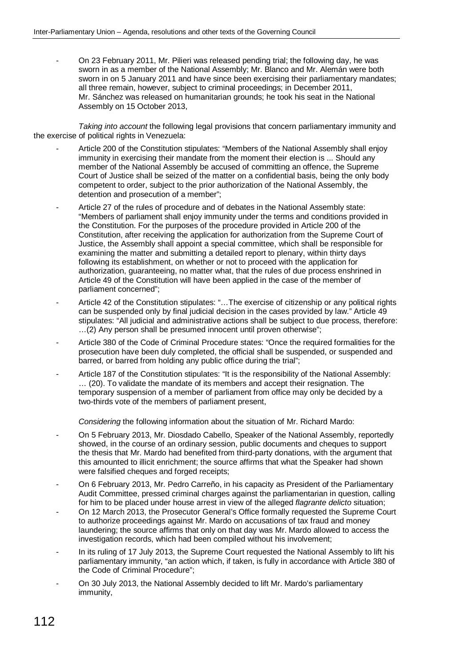- On 23 February 2011, Mr. Pilieri was released pending trial; the following day, he was sworn in as a member of the National Assembly; Mr. Blanco and Mr. Alemán were both sworn in on 5 January 2011 and have since been exercising their parliamentary mandates; all three remain, however, subject to criminal proceedings; in December 2011, Mr. Sánchez was released on humanitarian grounds; he took his seat in the National Assembly on 15 October 2013,

*Taking into account* the following legal provisions that concern parliamentary immunity and the exercise of political rights in Venezuela:

- Article 200 of the Constitution stipulates: "Members of the National Assembly shall enjoy immunity in exercising their mandate from the moment their election is ... Should any member of the National Assembly be accused of committing an offence, the Supreme Court of Justice shall be seized of the matter on a confidential basis, being the only body competent to order, subject to the prior authorization of the National Assembly, the detention and prosecution of a member";
- Article 27 of the rules of procedure and of debates in the National Assembly state: "Members of parliament shall enjoy immunity under the terms and conditions provided in the Constitution. For the purposes of the procedure provided in Article 200 of the Constitution, after receiving the application for authorization from the Supreme Court of Justice, the Assembly shall appoint a special committee, which shall be responsible for examining the matter and submitting a detailed report to plenary, within thirty days following its establishment, on whether or not to proceed with the application for authorization, guaranteeing, no matter what, that the rules of due process enshrined in Article 49 of the Constitution will have been applied in the case of the member of parliament concerned";
- Article 42 of the Constitution stipulates: "...The exercise of citizenship or any political rights can be suspended only by final judicial decision in the cases provided by law." Article 49 stipulates: "All judicial and administrative actions shall be subject to due process, therefore: …(2) Any person shall be presumed innocent until proven otherwise";
- Article 380 of the Code of Criminal Procedure states: "Once the required formalities for the prosecution have been duly completed, the official shall be suspended, or suspended and barred, or barred from holding any public office during the trial";
- Article 187 of the Constitution stipulates: "It is the responsibility of the National Assembly: … (20). To validate the mandate of its members and accept their resignation. The temporary suspension of a member of parliament from office may only be decided by a two-thirds vote of the members of parliament present,

*Considering* the following information about the situation of Mr. Richard Mardo:

- On 5 February 2013, Mr. Diosdado Cabello, Speaker of the National Assembly, reportedly showed, in the course of an ordinary session, public documents and cheques to support the thesis that Mr. Mardo had benefited from third-party donations, with the argument that this amounted to illicit enrichment; the source affirms that what the Speaker had shown were falsified cheques and forged receipts;
- On 6 February 2013, Mr. Pedro Carreño, in his capacity as President of the Parliamentary Audit Committee, pressed criminal charges against the parliamentarian in question, calling for him to be placed under house arrest in view of the alleged *flagrante delicto* situation;
- On 12 March 2013, the Prosecutor General's Office formally requested the Supreme Court to authorize proceedings against Mr. Mardo on accusations of tax fraud and money laundering; the source affirms that only on that day was Mr. Mardo allowed to access the investigation records, which had been compiled without his involvement;
- In its ruling of 17 July 2013, the Supreme Court requested the National Assembly to lift his parliamentary immunity, "an action which, if taken, is fully in accordance with Article 380 of the Code of Criminal Procedure";
- On 30 July 2013, the National Assembly decided to lift Mr. Mardo's parliamentary immunity,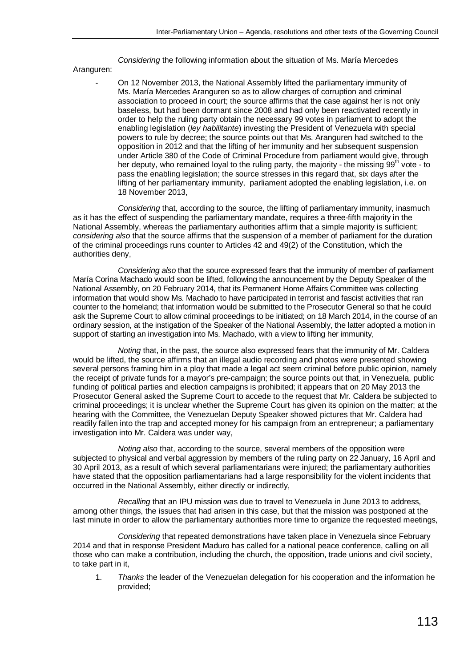*Considering* the following information about the situation of Ms. María Mercedes

Aranguren:

- On 12 November 2013, the National Assembly lifted the parliamentary immunity of Ms. María Mercedes Aranguren so as to allow charges of corruption and criminal association to proceed in court; the source affirms that the case against her is not only baseless, but had been dormant since 2008 and had only been reactivated recently in order to help the ruling party obtain the necessary 99 votes in parliament to adopt the enabling legislation (*ley habilitante*) investing the President of Venezuela with special powers to rule by decree; the source points out that Ms. Aranguren had switched to the opposition in 2012 and that the lifting of her immunity and her subsequent suspension under Article 380 of the Code of Criminal Procedure from parliament would give, through her deputy, who remained loyal to the ruling party, the majority - the missing 99<sup>th</sup> vote - to pass the enabling legislation; the source stresses in this regard that, six days after the lifting of her parliamentary immunity, parliament adopted the enabling legislation, i.e. on 18 November 2013,

*Considering* that, according to the source, the lifting of parliamentary immunity, inasmuch as it has the effect of suspending the parliamentary mandate, requires a three-fifth majority in the National Assembly, whereas the parliamentary authorities affirm that a simple majority is sufficient; *considering also* that the source affirms that the suspension of a member of parliament for the duration of the criminal proceedings runs counter to Articles 42 and 49(2) of the Constitution, which the authorities deny,

*Considering also* that the source expressed fears that the immunity of member of parliament María Corina Machado would soon be lifted, following the announcement by the Deputy Speaker of the National Assembly, on 20 February 2014, that its Permanent Home Affairs Committee was collecting information that would show Ms. Machado to have participated in terrorist and fascist activities that ran counter to the homeland; that information would be submitted to the Prosecutor General so that he could ask the Supreme Court to allow criminal proceedings to be initiated; on 18 March 2014, in the course of an ordinary session, at the instigation of the Speaker of the National Assembly, the latter adopted a motion in support of starting an investigation into Ms. Machado, with a view to lifting her immunity,

*Noting* that, in the past, the source also expressed fears that the immunity of Mr. Caldera would be lifted, the source affirms that an illegal audio recording and photos were presented showing several persons framing him in a ploy that made a legal act seem criminal before public opinion, namely the receipt of private funds for a mayor's pre-campaign; the source points out that, in Venezuela, public funding of political parties and election campaigns is prohibited; it appears that on 20 May 2013 the Prosecutor General asked the Supreme Court to accede to the request that Mr. Caldera be subjected to criminal proceedings; it is unclear whether the Supreme Court has given its opinion on the matter; at the hearing with the Committee, the Venezuelan Deputy Speaker showed pictures that Mr. Caldera had readily fallen into the trap and accepted money for his campaign from an entrepreneur; a parliamentary investigation into Mr. Caldera was under way,

*Noting also* that, according to the source, several members of the opposition were subjected to physical and verbal aggression by members of the ruling party on 22 January, 16 April and 30 April 2013, as a result of which several parliamentarians were injured; the parliamentary authorities have stated that the opposition parliamentarians had a large responsibility for the violent incidents that occurred in the National Assembly, either directly or indirectly,

*Recalling* that an IPU mission was due to travel to Venezuela in June 2013 to address, among other things, the issues that had arisen in this case, but that the mission was postponed at the last minute in order to allow the parliamentary authorities more time to organize the requested meetings,

*Considering* that repeated demonstrations have taken place in Venezuela since February 2014 and that in response President Maduro has called for a national peace conference, calling on all those who can make a contribution, including the church, the opposition, trade unions and civil society, to take part in it,

1. *Thanks* the leader of the Venezuelan delegation for his cooperation and the information he provided;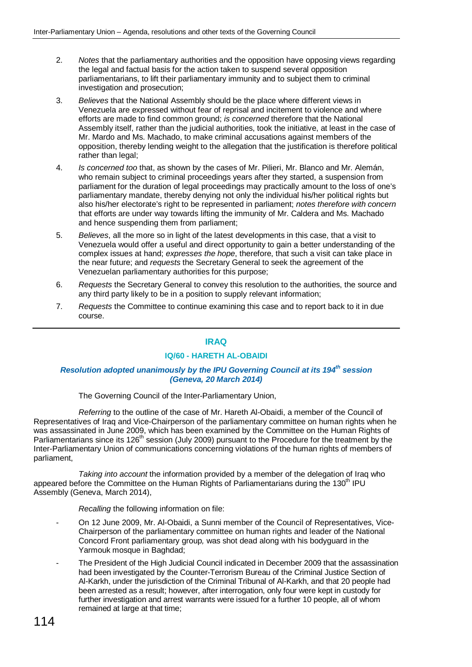- 2. *Notes* that the parliamentary authorities and the opposition have opposing views regarding the legal and factual basis for the action taken to suspend several opposition parliamentarians, to lift their parliamentary immunity and to subject them to criminal investigation and prosecution;
- 3. *Believes* that the National Assembly should be the place where different views in Venezuela are expressed without fear of reprisal and incitement to violence and where efforts are made to find common ground; *is concerned* therefore that the National Assembly itself, rather than the judicial authorities, took the initiative, at least in the case of Mr. Mardo and Ms. Machado, to make criminal accusations against members of the opposition, thereby lending weight to the allegation that the justification is therefore political rather than legal;
- 4. *Is concerned too* that, as shown by the cases of Mr. Pilieri, Mr. Blanco and Mr. Alemán, who remain subject to criminal proceedings years after they started, a suspension from parliament for the duration of legal proceedings may practically amount to the loss of one's parliamentary mandate, thereby denying not only the individual his/her political rights but also his/her electorate's right to be represented in parliament; *notes therefore with concern* that efforts are under way towards lifting the immunity of Mr. Caldera and Ms. Machado and hence suspending them from parliament;
- 5. *Believes*, all the more so in light of the latest developments in this case, that a visit to Venezuela would offer a useful and direct opportunity to gain a better understanding of the complex issues at hand; *expresses the hope*, therefore, that such a visit can take place in the near future; and *requests* the Secretary General to seek the agreement of the Venezuelan parliamentary authorities for this purpose;
- 6. *Requests* the Secretary General to convey this resolution to the authorities, the source and any third party likely to be in a position to supply relevant information;
- 7. *Requests* the Committee to continue examining this case and to report back to it in due course.

# **IRAQ**

#### **IQ/60 - HARETH AL-OBAIDI**

#### *Resolution adopted unanimously by the IPU Governing Council at its 194<sup>th</sup> session (Geneva, 20 March 2014)*

The Governing Council of the Inter-Parliamentary Union,

*Referring* to the outline of the case of Mr. Hareth Al-Obaidi, a member of the Council of Representatives of Iraq and Vice-Chairperson of the parliamentary committee on human rights when he was assassinated in June 2009, which has been examined by the Committee on the Human Rights of Parliamentarians since its 126<sup>th</sup> session (July 2009) pursuant to the Procedure for the treatment by the Inter-Parliamentary Union of communications concerning violations of the human rights of members of parliament,

*Taking into account* the information provided by a member of the delegation of Iraq who appeared before the Committee on the Human Rights of Parliamentarians during the 130<sup>th</sup> IPU Assembly (Geneva, March 2014),

#### *Recalling* the following information on file:

- On 12 June 2009, Mr. Al-Obaidi, a Sunni member of the Council of Representatives, Vice-Chairperson of the parliamentary committee on human rights and leader of the National Concord Front parliamentary group*,* was shot dead along with his bodyguard in the Yarmouk mosque in Baghdad;
- The President of the High Judicial Council indicated in December 2009 that the assassination had been investigated by the Counter-Terrorism Bureau of the Criminal Justice Section of Al-Karkh, under the jurisdiction of the Criminal Tribunal of Al-Karkh, and that 20 people had been arrested as a result; however, after interrogation, only four were kept in custody for further investigation and arrest warrants were issued for a further 10 people, all of whom remained at large at that time;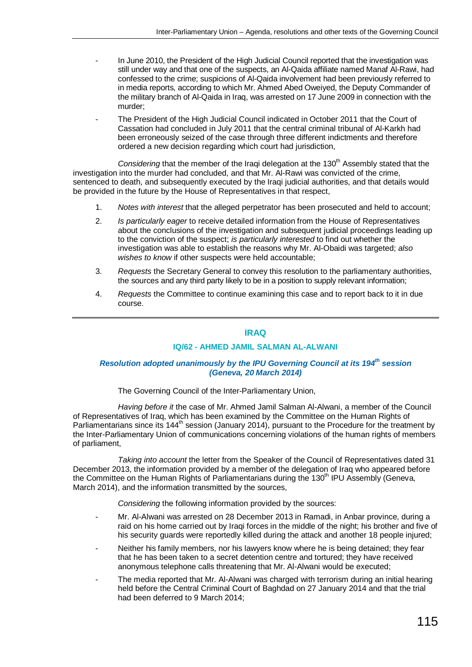- In June 2010, the President of the High Judicial Council reported that the investigation was still under way and that one of the suspects, an Al-Qaida affiliate named Manaf Al-Rawi, had confessed to the crime; suspicions of Al-Qaida involvement had been previously referred to in media reports, according to which Mr. Ahmed Abed Oweiyed, the Deputy Commander of the military branch of Al-Qaida in Iraq, was arrested on 17 June 2009 in connection with the murder;
- The President of the High Judicial Council indicated in October 2011 that the Court of Cassation had concluded in July 2011 that the central criminal tribunal of Al-Karkh had been erroneously seized of the case through three different indictments and therefore ordered a new decision regarding which court had jurisdiction,

*Considering* that the member of the Iraqi delegation at the 130<sup>th</sup> Assembly stated that the investigation into the murder had concluded, and that Mr. Al-Rawi was convicted of the crime, sentenced to death, and subsequently executed by the Iraqi judicial authorities, and that details would be provided in the future by the House of Representatives in that respect,

- 1. *Notes with interest* that the alleged perpetrator has been prosecuted and held to account;
- 2. *Is particularly eager* to receive detailed information from the House of Representatives about the conclusions of the investigation and subsequent judicial proceedings leading up to the conviction of the suspect; *is particularly interested* to find out whether the investigation was able to establish the reasons why Mr. Al-Obaidi was targeted; *also wishes to know* if other suspects were held accountable;
- 3. *Requests* the Secretary General to convey this resolution to the parliamentary authorities, the sources and any third party likely to be in a position to supply relevant information;
- 4. *Requests* the Committee to continue examining this case and to report back to it in due course.

## **IRAQ**

#### **IQ/62 - AHMED JAMIL SALMAN AL-ALWANI**

#### *Resolution adopted unanimously by the IPU Governing Council at its 194<sup>th</sup> session (Geneva, 20 March 2014)*

The Governing Council of the Inter-Parliamentary Union,

*Having before it* the case of Mr. Ahmed Jamil Salman Al-Alwani, a member of the Council of Representatives of Iraq, which has been examined by the Committee on the Human Rights of Parliamentarians since its 144<sup>th</sup> session (January 2014), pursuant to the Procedure for the treatment by the Inter-Parliamentary Union of communications concerning violations of the human rights of members of parliament,

*Taking into account* the letter from the Speaker of the Council of Representatives dated 31 December 2013, the information provided by a member of the delegation of Iraq who appeared before the Committee on the Human Rights of Parliamentarians during the 130<sup>th</sup> IPU Assembly (Geneva, March 2014), and the information transmitted by the sources,

*Considering* the following information provided by the sources:

- Mr. Al-Alwani was arrested on 28 December 2013 in Ramadi, in Anbar province, during a raid on his home carried out by Iraqi forces in the middle of the night; his brother and five of his security guards were reportedly killed during the attack and another 18 people injured;
- Neither his family members, nor his lawyers know where he is being detained; they fear that he has been taken to a secret detention centre and tortured; they have received anonymous telephone calls threatening that Mr. Al-Alwani would be executed;
- The media reported that Mr. Al-Alwani was charged with terrorism during an initial hearing held before the Central Criminal Court of Baghdad on 27 January 2014 and that the trial had been deferred to 9 March 2014;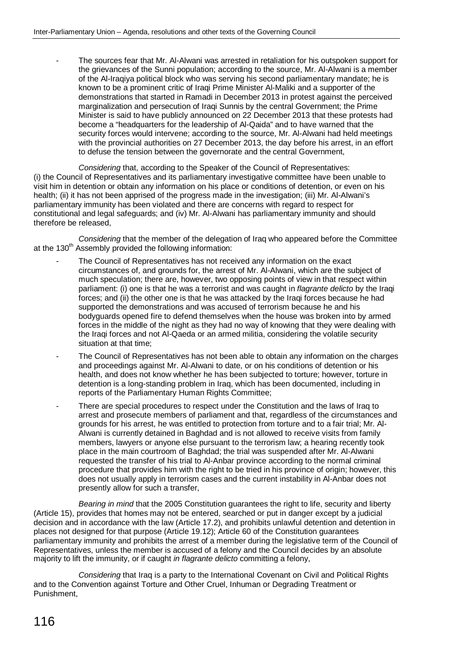The sources fear that Mr. Al-Alwani was arrested in retaliation for his outspoken support for the grievances of the Sunni population; according to the source, Mr. Al-Alwani is a member of the Al-Iraqiya political block who was serving his second parliamentary mandate; he is known to be a prominent critic of Iraqi Prime Minister Al-Maliki and a supporter of the demonstrations that started in Ramadi in December 2013 in protest against the perceived marginalization and persecution of Iraqi Sunnis by the central Government; the Prime Minister is said to have publicly announced on 22 December 2013 that these protests had become a "headquarters for the leadership of Al-Qaida" and to have warned that the security forces would intervene; according to the source, Mr. Al-Alwani had held meetings with the provincial authorities on 27 December 2013, the day before his arrest, in an effort to defuse the tension between the governorate and the central Government,

*Considering* that, according to the Speaker of the Council of Representatives: (i) the Council of Representatives and its parliamentary investigative committee have been unable to visit him in detention or obtain any information on his place or conditions of detention, or even on his health; (ii) it has not been apprised of the progress made in the investigation; (iii) Mr. Al-Alwani's parliamentary immunity has been violated and there are concerns with regard to respect for constitutional and legal safeguards; and (iv) Mr. Al-Alwani has parliamentary immunity and should therefore be released,

*Considering* that the member of the delegation of Iraq who appeared before the Committee at the 130<sup>th</sup> Assembly provided the following information:

- The Council of Representatives has not received any information on the exact circumstances of, and grounds for, the arrest of Mr. Al-Alwani, which are the subject of much speculation; there are, however, two opposing points of view in that respect within parliament: (i) one is that he was a terrorist and was caught in *flagrante delicto* by the Iraqi forces; and (ii) the other one is that he was attacked by the Iraqi forces because he had supported the demonstrations and was accused of terrorism because he and his bodyguards opened fire to defend themselves when the house was broken into by armed forces in the middle of the night as they had no way of knowing that they were dealing with the Iraqi forces and not Al-Qaeda or an armed militia, considering the volatile security situation at that time;
- The Council of Representatives has not been able to obtain any information on the charges and proceedings against Mr. Al-Alwani to date, or on his conditions of detention or his health, and does not know whether he has been subjected to torture; however, torture in detention is a long-standing problem in Iraq, which has been documented, including in reports of the Parliamentary Human Rights Committee;
- There are special procedures to respect under the Constitution and the laws of Iraq to arrest and prosecute members of parliament and that, regardless of the circumstances and grounds for his arrest, he was entitled to protection from torture and to a fair trial; Mr. Al-Alwani is currently detained in Baghdad and is not allowed to receive visits from family members, lawyers or anyone else pursuant to the terrorism law; a hearing recently took place in the main courtroom of Baghdad; the trial was suspended after Mr. Al-Alwani requested the transfer of his trial to Al-Anbar province according to the normal criminal procedure that provides him with the right to be tried in his province of origin; however, this does not usually apply in terrorism cases and the current instability in Al-Anbar does not presently allow for such a transfer,

*Bearing in mind* that the 2005 Constitution guarantees the right to life, security and liberty (Article 15), provides that homes may not be entered, searched or put in danger except by a judicial decision and in accordance with the law (Article 17.2), and prohibits unlawful detention and detention in places not designed for that purpose (Article 19.12); Article 60 of the Constitution guarantees parliamentary immunity and prohibits the arrest of a member during the legislative term of the Council of Representatives, unless the member is accused of a felony and the Council decides by an absolute majority to lift the immunity, or if caught *in flagrante delicto* committing a felony,

*Considering* that Iraq is a party to the International Covenant on Civil and Political Rights and to the Convention against Torture and Other Cruel, Inhuman or Degrading Treatment or Punishment,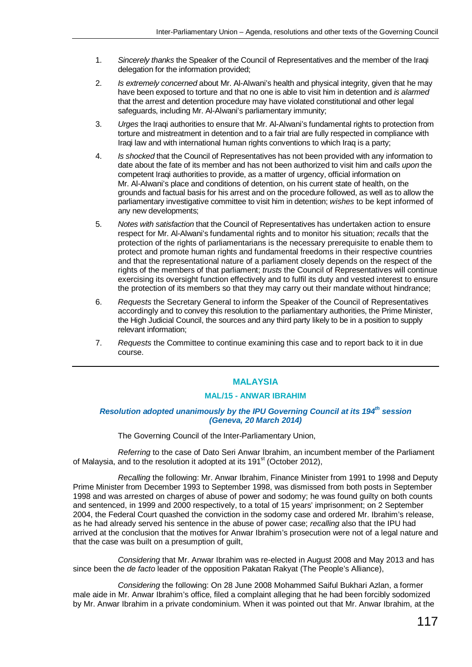- 1. *Sincerely thanks* the Speaker of the Council of Representatives and the member of the Iraqi delegation for the information provided;
- 2. *Is extremely concerned* about Mr. Al-Alwani's health and physical integrity, given that he may have been exposed to torture and that no one is able to visit him in detention and *is alarmed* that the arrest and detention procedure may have violated constitutional and other legal safeguards, including Mr. Al-Alwani's parliamentary immunity;
- 3. *Urges* the Iraqi authorities to ensure that Mr. Al-Alwani's fundamental rights to protection from torture and mistreatment in detention and to a fair trial are fully respected in compliance with Iraqi law and with international human rights conventions to which Iraq is a party;
- 4. *Is shocked* that the Council of Representatives has not been provided with any information to date about the fate of its member and has not been authorized to visit him and c*alls upon* the competent Iraqi authorities to provide, as a matter of urgency, official information on Mr. Al-Alwani's place and conditions of detention, on his current state of health, on the grounds and factual basis for his arrest and on the procedure followed, as well as to allow the parliamentary investigative committee to visit him in detention; *wishes* to be kept informed of any new developments;
- 5. *Notes with satisfaction* that the Council of Representatives has undertaken action to ensure respect for Mr. Al-Alwani's fundamental rights and to monitor his situation; *recalls* that the protection of the rights of parliamentarians is the necessary prerequisite to enable them to protect and promote human rights and fundamental freedoms in their respective countries and that the representational nature of a parliament closely depends on the respect of the rights of the members of that parliament; *trusts* the Council of Representatives will continue exercising its oversight function effectively and to fulfil its duty and vested interest to ensure the protection of its members so that they may carry out their mandate without hindrance;
- 6. *Requests* the Secretary General to inform the Speaker of the Council of Representatives accordingly and to convey this resolution to the parliamentary authorities, the Prime Minister, the High Judicial Council, the sources and any third party likely to be in a position to supply relevant information;
- 7. *Requests* the Committee to continue examining this case and to report back to it in due course.

# **MALAYSIA**

## **MAL/15 - ANWAR IBRAHIM**

#### *Resolution adopted unanimously by the IPU Governing Council at its 194<sup>th</sup> session (Geneva, 20 March 2014)*

The Governing Council of the Inter-Parliamentary Union,

*Referring* to the case of Dato Seri Anwar Ibrahim, an incumbent member of the Parliament of Malaysia, and to the resolution it adopted at its 191<sup>st</sup> (October 2012),

*Recalling* the following: Mr. Anwar Ibrahim, Finance Minister from 1991 to 1998 and Deputy Prime Minister from December 1993 to September 1998, was dismissed from both posts in September 1998 and was arrested on charges of abuse of power and sodomy; he was found guilty on both counts and sentenced, in 1999 and 2000 respectively, to a total of 15 years' imprisonment; on 2 September 2004, the Federal Court quashed the conviction in the sodomy case and ordered Mr. Ibrahim's release, as he had already served his sentence in the abuse of power case; *recalling* also that the IPU had arrived at the conclusion that the motives for Anwar Ibrahim's prosecution were not of a legal nature and that the case was built on a presumption of guilt,

*Considering* that Mr. Anwar Ibrahim was re-elected in August 2008 and May 2013 and has since been the *de facto* leader of the opposition Pakatan Rakyat (The People's Alliance),

*Considering* the following: On 28 June 2008 Mohammed Saiful Bukhari Azlan, a former male aide in Mr. Anwar Ibrahim's office, filed a complaint alleging that he had been forcibly sodomized by Mr. Anwar Ibrahim in a private condominium. When it was pointed out that Mr. Anwar Ibrahim, at the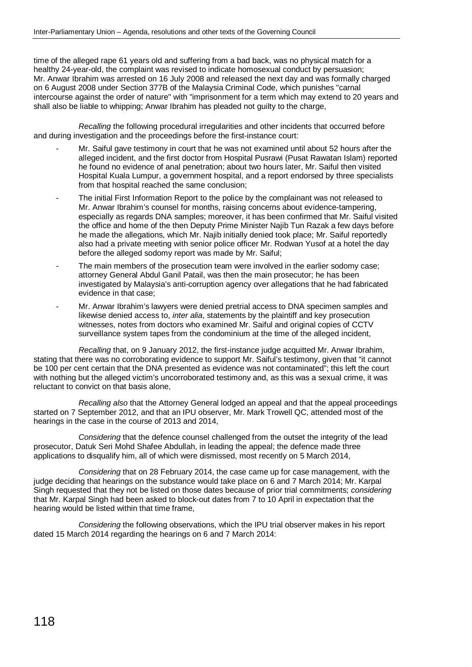time of the alleged rape 61 years old and suffering from a bad back, was no physical match for a healthy 24-year-old, the complaint was revised to indicate homosexual conduct by persuasion; Mr. Anwar Ibrahim was arrested on 16 July 2008 and released the next day and was formally charged on 6 August 2008 under Section 377B of the Malaysia Criminal Code, which punishes "carnal intercourse against the order of nature" with "imprisonment for a term which may extend to 20 years and shall also be liable to whipping; Anwar Ibrahim has pleaded not guilty to the charge,

*Recalling* the following procedural irregularities and other incidents that occurred before and during investigation and the proceedings before the first-instance court:

- Mr. Saiful gave testimony in court that he was not examined until about 52 hours after the alleged incident, and the first doctor from Hospital Pusrawi (Pusat Rawatan Islam) reported he found no evidence of anal penetration; about two hours later, Mr. Saiful then visited Hospital Kuala Lumpur, a government hospital, and a report endorsed by three specialists from that hospital reached the same conclusion;
- The initial First Information Report to the police by the complainant was not released to Mr. Anwar Ibrahim's counsel for months, raising concerns about evidence-tampering, especially as regards DNA samples; moreover, it has been confirmed that Mr. Saiful visited the office and home of the then Deputy Prime Minister Najib Tun Razak a few days before he made the allegations, which Mr. Najib initially denied took place; Mr. Saiful reportedly also had a private meeting with senior police officer Mr. Rodwan Yusof at a hotel the day before the alleged sodomy report was made by Mr. Saiful;
- The main members of the prosecution team were involved in the earlier sodomy case; attorney General Abdul Ganil Patail, was then the main prosecutor; he has been investigated by Malaysia's anti-corruption agency over allegations that he had fabricated evidence in that case;
- Mr. Anwar Ibrahim's lawyers were denied pretrial access to DNA specimen samples and likewise denied access to, *inter alia*, statements by the plaintiff and key prosecution witnesses, notes from doctors who examined Mr. Saiful and original copies of CCTV surveillance system tapes from the condominium at the time of the alleged incident,

*Recalling* that, on 9 January 2012, the first-instance judge acquitted Mr. Anwar Ibrahim, stating that there was no corroborating evidence to support Mr. Saiful's testimony, given that "it cannot be 100 per cent certain that the DNA presented as evidence was not contaminated"; this left the court with nothing but the alleged victim's uncorroborated testimony and, as this was a sexual crime, it was reluctant to convict on that basis alone,

*Recalling also* that the Attorney General lodged an appeal and that the appeal proceedings started on 7 September 2012, and that an IPU observer, Mr. Mark Trowell QC, attended most of the hearings in the case in the course of 2013 and 2014,

*Considering* that the defence counsel challenged from the outset the integrity of the lead prosecutor, Datuk Seri Mohd Shafee Abdullah, in leading the appeal; the defence made three applications to disqualify him, all of which were dismissed, most recently on 5 March 2014,

*Considering* that on 28 February 2014, the case came up for case management, with the judge deciding that hearings on the substance would take place on 6 and 7 March 2014; Mr. Karpal Singh requested that they not be listed on those dates because of prior trial commitments; *considering* that Mr. Karpal Singh had been asked to block-out dates from 7 to 10 April in expectation that the hearing would be listed within that time frame,

*Considering* the following observations, which the IPU trial observer makes in his report dated 15 March 2014 regarding the hearings on 6 and 7 March 2014: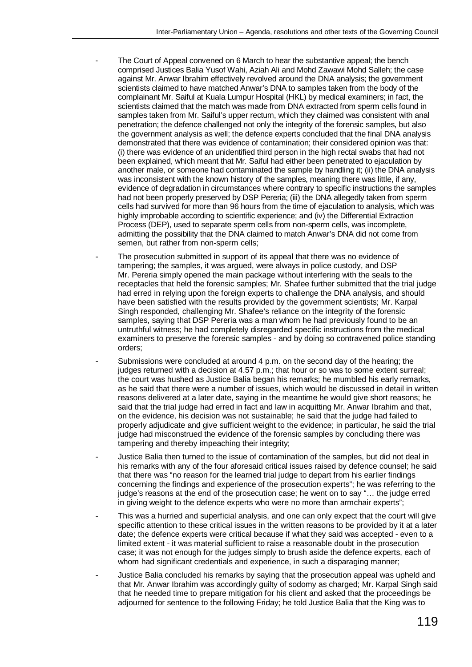The Court of Appeal convened on 6 March to hear the substantive appeal; the bench comprised Justices Balia Yusof Wahi, Aziah Ali and Mohd Zawawi Mohd Salleh; the case against Mr. Anwar Ibrahim effectively revolved around the DNA analysis; the government scientists claimed to have matched Anwar's DNA to samples taken from the body of the complainant Mr. Saiful at Kuala Lumpur Hospital (HKL) by medical examiners; in fact, the scientists claimed that the match was made from DNA extracted from sperm cells found in samples taken from Mr. Saiful's upper rectum, which they claimed was consistent with anal penetration; the defence challenged not only the integrity of the forensic samples, but also the government analysis as well; the defence experts concluded that the final DNA analysis demonstrated that there was evidence of contamination; their considered opinion was that: (i) there was evidence of an unidentified third person in the high rectal swabs that had not been explained, which meant that Mr. Saiful had either been penetrated to ejaculation by another male, or someone had contaminated the sample by handling it; (ii) the DNA analysis was inconsistent with the known history of the samples, meaning there was little, if any, evidence of degradation in circumstances where contrary to specific instructions the samples had not been properly preserved by DSP Pereria; (iii) the DNA allegedly taken from sperm cells had survived for more than 96 hours from the time of ejaculation to analysis, which was highly improbable according to scientific experience; and (iv) the Differential Extraction Process (DEP), used to separate sperm cells from non-sperm cells, was incomplete, admitting the possibility that the DNA claimed to match Anwar's DNA did not come from semen, but rather from non-sperm cells;

The prosecution submitted in support of its appeal that there was no evidence of tampering; the samples, it was argued, were always in police custody, and DSP Mr. Pereria simply opened the main package without interfering with the seals to the receptacles that held the forensic samples; Mr. Shafee further submitted that the trial judge had erred in relying upon the foreign experts to challenge the DNA analysis, and should have been satisfied with the results provided by the government scientists; Mr. Karpal Singh responded, challenging Mr. Shafee's reliance on the integrity of the forensic samples, saying that DSP Pereria was a man whom he had previously found to be an untruthful witness; he had completely disregarded specific instructions from the medical examiners to preserve the forensic samples - and by doing so contravened police standing orders;

- Submissions were concluded at around 4 p.m. on the second day of the hearing; the judges returned with a decision at 4.57 p.m.; that hour or so was to some extent surreal; the court was hushed as Justice Balia began his remarks; he mumbled his early remarks, as he said that there were a number of issues, which would be discussed in detail in written reasons delivered at a later date, saying in the meantime he would give short reasons; he said that the trial judge had erred in fact and law in acquitting Mr. Anwar Ibrahim and that, on the evidence, his decision was not sustainable; he said that the judge had failed to properly adjudicate and give sufficient weight to the evidence; in particular, he said the trial judge had misconstrued the evidence of the forensic samples by concluding there was tampering and thereby impeaching their integrity;
- Justice Balia then turned to the issue of contamination of the samples, but did not deal in his remarks with any of the four aforesaid critical issues raised by defence counsel; he said that there was "no reason for the learned trial judge to depart from his earlier findings concerning the findings and experience of the prosecution experts"; he was referring to the judge's reasons at the end of the prosecution case; he went on to say "… the judge erred in giving weight to the defence experts who were no more than armchair experts";
- This was a hurried and superficial analysis, and one can only expect that the court will give specific attention to these critical issues in the written reasons to be provided by it at a later date; the defence experts were critical because if what they said was accepted - even to a limited extent - it was material sufficient to raise a reasonable doubt in the prosecution case; it was not enough for the judges simply to brush aside the defence experts, each of whom had significant credentials and experience, in such a disparaging manner;
- Justice Balia concluded his remarks by saying that the prosecution appeal was upheld and that Mr. Anwar Ibrahim was accordingly guilty of sodomy as charged; Mr. Karpal Singh said that he needed time to prepare mitigation for his client and asked that the proceedings be adjourned for sentence to the following Friday; he told Justice Balia that the King was to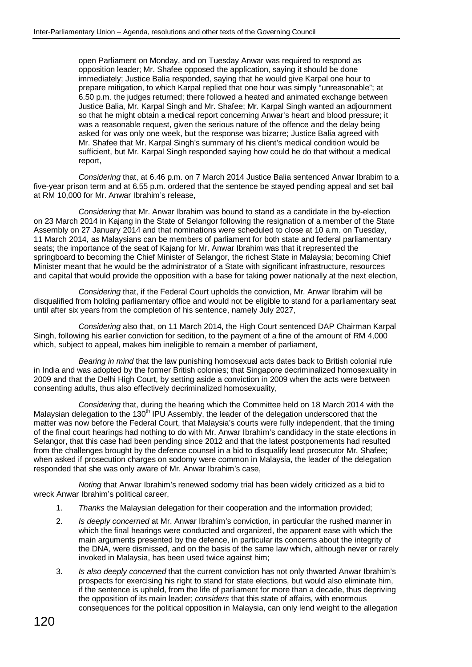open Parliament on Monday, and on Tuesday Anwar was required to respond as opposition leader; Mr. Shafee opposed the application, saying it should be done immediately; Justice Balia responded, saying that he would give Karpal one hour to prepare mitigation, to which Karpal replied that one hour was simply "unreasonable"; at 6.50 p.m. the judges returned; there followed a heated and animated exchange between Justice Balia, Mr. Karpal Singh and Mr. Shafee; Mr. Karpal Singh wanted an adjournment so that he might obtain a medical report concerning Anwar's heart and blood pressure; it was a reasonable request, given the serious nature of the offence and the delay being asked for was only one week, but the response was bizarre; Justice Balia agreed with Mr. Shafee that Mr. Karpal Singh's summary of his client's medical condition would be sufficient, but Mr. Karpal Singh responded saying how could he do that without a medical report,

*Considering* that, at 6.46 p.m. on 7 March 2014 Justice Balia sentenced Anwar Ibrabim to a five-year prison term and at 6.55 p.m. ordered that the sentence be stayed pending appeal and set bail at RM 10,000 for Mr. Anwar Ibrahim's release,

*Considering* that Mr. Anwar Ibrahim was bound to stand as a candidate in the by-election on 23 March 2014 in Kajang in the State of Selangor following the resignation of a member of the State Assembly on 27 January 2014 and that nominations were scheduled to close at 10 a.m. on Tuesday, 11 March 2014, as Malaysians can be members of parliament for both state and federal parliamentary seats; the importance of the seat of Kajang for Mr. Anwar Ibrahim was that it represented the springboard to becoming the Chief Minister of Selangor, the richest State in Malaysia; becoming Chief Minister meant that he would be the administrator of a State with significant infrastructure, resources and capital that would provide the opposition with a base for taking power nationally at the next election,

*Considering* that, if the Federal Court upholds the conviction, Mr. Anwar Ibrahim will be disqualified from holding parliamentary office and would not be eligible to stand for a parliamentary seat until after six years from the completion of his sentence, namely July 2027,

*Considering* also that, on 11 March 2014, the High Court sentenced DAP Chairman Karpal Singh, following his earlier conviction for sedition, to the payment of a fine of the amount of RM 4,000 which, subject to appeal, makes him ineligible to remain a member of parliament,

*Bearing in mind* that the law punishing homosexual acts dates back to British colonial rule in India and was adopted by the former British colonies; that Singapore decriminalized homosexuality in 2009 and that the Delhi High Court, by setting aside a conviction in 2009 when the acts were between consenting adults, thus also effectively decriminalized homosexuality,

*Considering* that, during the hearing which the Committee held on 18 March 2014 with the Malaysian delegation to the  $130<sup>th</sup>$  IPU Assembly, the leader of the delegation underscored that the matter was now before the Federal Court, that Malaysia's courts were fully independent, that the timing of the final court hearings had nothing to do with Mr. Anwar Ibrahim's candidacy in the state elections in Selangor, that this case had been pending since 2012 and that the latest postponements had resulted from the challenges brought by the defence counsel in a bid to disqualify lead prosecutor Mr. Shafee; when asked if prosecution charges on sodomy were common in Malaysia, the leader of the delegation responded that she was only aware of Mr. Anwar Ibrahim's case,

*Noting* that Anwar Ibrahim's renewed sodomy trial has been widely criticized as a bid to wreck Anwar Ibrahim's political career,

- 1. *Thanks* the Malaysian delegation for their cooperation and the information provided;
- 2. *Is deeply concerned* at Mr. Anwar Ibrahim's conviction, in particular the rushed manner in which the final hearings were conducted and organized, the apparent ease with which the main arguments presented by the defence, in particular its concerns about the integrity of the DNA, were dismissed, and on the basis of the same law which, although never or rarely invoked in Malaysia, has been used twice against him;
- 3. *Is also deeply concerned* that the current conviction has not only thwarted Anwar Ibrahim's prospects for exercising his right to stand for state elections, but would also eliminate him, if the sentence is upheld, from the life of parliament for more than a decade, thus depriving the opposition of its main leader; *considers* that this state of affairs, with enormous consequences for the political opposition in Malaysia, can only lend weight to the allegation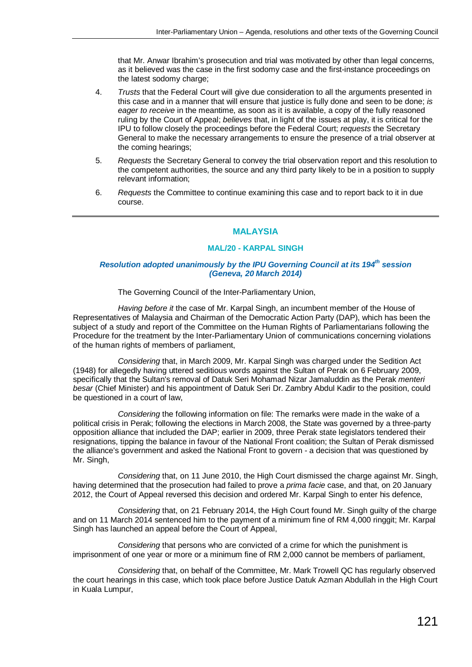that Mr. Anwar Ibrahim's prosecution and trial was motivated by other than legal concerns, as it believed was the case in the first sodomy case and the first-instance proceedings on the latest sodomy charge;

- 4. *Trusts* that the Federal Court will give due consideration to all the arguments presented in this case and in a manner that will ensure that justice is fully done and seen to be done; *is eager to receive* in the meantime, as soon as it is available, a copy of the fully reasoned ruling by the Court of Appeal; *believes* that, in light of the issues at play, it is critical for the IPU to follow closely the proceedings before the Federal Court; *requests* the Secretary General to make the necessary arrangements to ensure the presence of a trial observer at the coming hearings;
- 5. *Requests* the Secretary General to convey the trial observation report and this resolution to the competent authorities, the source and any third party likely to be in a position to supply relevant information;
- 6. *Requests* the Committee to continue examining this case and to report back to it in due course.

# **MALAYSIA**

#### **MAL/20 - KARPAL SINGH**

#### *Resolution adopted unanimously by the IPU Governing Council at its 194<sup>th</sup> session (Geneva, 20 March 2014)*

#### The Governing Council of the Inter-Parliamentary Union,

*Having before it* the case of Mr. Karpal Singh, an incumbent member of the House of Representatives of Malaysia and Chairman of the Democratic Action Party (DAP), which has been the subject of a study and report of the Committee on the Human Rights of Parliamentarians following the Procedure for the treatment by the Inter-Parliamentary Union of communications concerning violations of the human rights of members of parliament,

*Considering* that, in March 2009, Mr. Karpal Singh was charged under the Sedition Act (1948) for allegedly having uttered seditious words against the Sultan of Perak on 6 February 2009, specifically that the Sultan's removal of Datuk Seri Mohamad Nizar Jamaluddin as the Perak *menteri besar* (Chief Minister) and his appointment of Datuk Seri Dr. Zambry Abdul Kadir to the position, could be questioned in a court of law,

*Considering* the following information on file: The remarks were made in the wake of a political crisis in Perak; following the elections in March 2008, the State was governed by a three-party opposition alliance that included the DAP; earlier in 2009, three Perak state legislators tendered their resignations, tipping the balance in favour of the National Front coalition; the Sultan of Perak dismissed the alliance's government and asked the National Front to govern - a decision that was questioned by Mr. Singh,

*Considering* that, on 11 June 2010, the High Court dismissed the charge against Mr. Singh, having determined that the prosecution had failed to prove a *prima facie* case, and that, on 20 January 2012, the Court of Appeal reversed this decision and ordered Mr. Karpal Singh to enter his defence,

*Considering* that, on 21 February 2014, the High Court found Mr. Singh guilty of the charge and on 11 March 2014 sentenced him to the payment of a minimum fine of RM 4,000 ringgit; Mr. Karpal Singh has launched an appeal before the Court of Appeal,

*Considering* that persons who are convicted of a crime for which the punishment is imprisonment of one year or more or a minimum fine of RM 2,000 cannot be members of parliament,

*Considering* that, on behalf of the Committee, Mr. Mark Trowell QC has regularly observed the court hearings in this case, which took place before Justice Datuk Azman Abdullah in the High Court in Kuala Lumpur,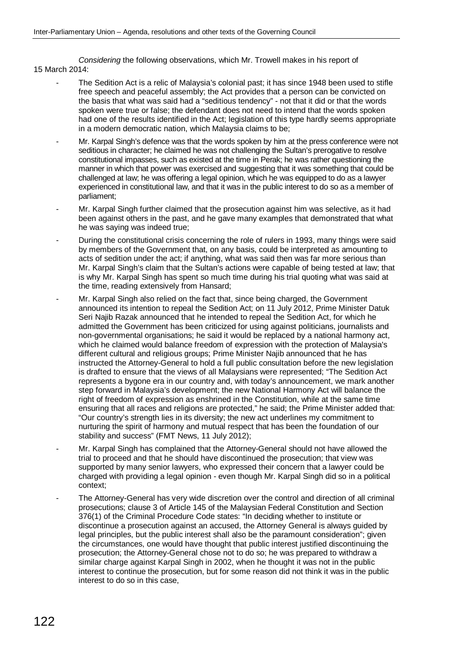*Considering* the following observations, which Mr. Trowell makes in his report of 15 March 2014:

- The Sedition Act is a relic of Malaysia's colonial past; it has since 1948 been used to stifle free speech and peaceful assembly; the Act provides that a person can be convicted on the basis that what was said had a "seditious tendency" - not that it did or that the words spoken were true or false; the defendant does not need to intend that the words spoken had one of the results identified in the Act; legislation of this type hardly seems appropriate in a modern democratic nation, which Malaysia claims to be;
- Mr. Karpal Singh's defence was that the words spoken by him at the press conference were not seditious in character; he claimed he was not challenging the Sultan's prerogative to resolve constitutional impasses, such as existed at the time in Perak; he was rather questioning the manner in which that power was exercised and suggesting that it was something that could be challenged at law; he was offering a legal opinion, which he was equipped to do as a lawyer experienced in constitutional law, and that it was in the public interest to do so as a member of parliament;
- Mr. Karpal Singh further claimed that the prosecution against him was selective, as it had been against others in the past, and he gave many examples that demonstrated that what he was saying was indeed true;
- During the constitutional crisis concerning the role of rulers in 1993, many things were said by members of the Government that, on any basis, could be interpreted as amounting to acts of sedition under the act; if anything, what was said then was far more serious than Mr. Karpal Singh's claim that the Sultan's actions were capable of being tested at law; that is why Mr. Karpal Singh has spent so much time during his trial quoting what was said at the time, reading extensively from Hansard;
- Mr. Karpal Singh also relied on the fact that, since being charged, the Government announced its intention to repeal the Sedition Act; on 11 July 2012, Prime Minister Datuk Seri Najib Razak announced that he intended to repeal the Sedition Act, for which he admitted the Government has been criticized for using against politicians, journalists and non-governmental organisations; he said it would be replaced by a national harmony act, which he claimed would balance freedom of expression with the protection of Malaysia's different cultural and religious groups; Prime Minister Najib announced that he has instructed the Attorney-General to hold a full public consultation before the new legislation is drafted to ensure that the views of all Malaysians were represented; "The Sedition Act represents a bygone era in our country and, with today's announcement, we mark another step forward in Malaysia's development; the new National Harmony Act will balance the right of freedom of expression as enshrined in the Constitution, while at the same time ensuring that all races and religions are protected," he said; the Prime Minister added that: "Our country's strength lies in its diversity; the new act underlines my commitment to nurturing the spirit of harmony and mutual respect that has been the foundation of our stability and success" (FMT News, 11 July 2012);
- Mr. Karpal Singh has complained that the Attorney-General should not have allowed the trial to proceed and that he should have discontinued the prosecution; that view was supported by many senior lawyers, who expressed their concern that a lawyer could be charged with providing a legal opinion - even though Mr. Karpal Singh did so in a political context;
- The Attorney-General has very wide discretion over the control and direction of all criminal prosecutions; clause 3 of Article 145 of the Malaysian Federal Constitution and Section 376(1) of the Criminal Procedure Code states: "In deciding whether to institute or discontinue a prosecution against an accused, the Attorney General is always guided by legal principles, but the public interest shall also be the paramount consideration"; given the circumstances, one would have thought that public interest justified discontinuing the prosecution; the Attorney-General chose not to do so; he was prepared to withdraw a similar charge against Karpal Singh in 2002, when he thought it was not in the public interest to continue the prosecution, but for some reason did not think it was in the public interest to do so in this case,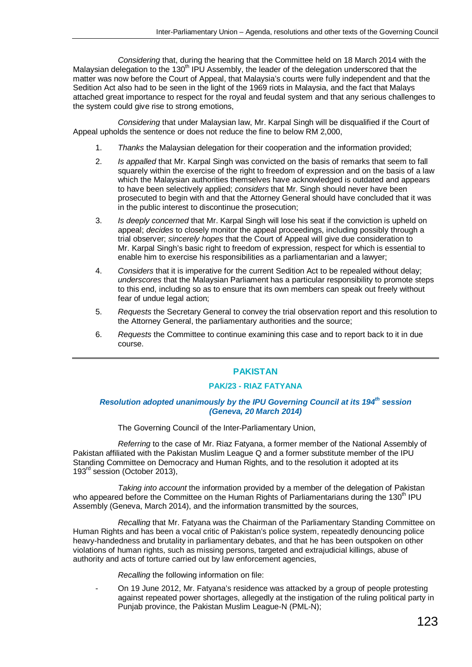*Considering* that, during the hearing that the Committee held on 18 March 2014 with the Malaysian delegation to the  $130<sup>th</sup>$  IPU Assembly, the leader of the delegation underscored that the matter was now before the Court of Appeal, that Malaysia's courts were fully independent and that the Sedition Act also had to be seen in the light of the 1969 riots in Malaysia, and the fact that Malays attached great importance to respect for the royal and feudal system and that any serious challenges to the system could give rise to strong emotions,

*Considering* that under Malaysian law, Mr. Karpal Singh will be disqualified if the Court of Appeal upholds the sentence or does not reduce the fine to below RM 2,000,

- 1. *Thanks* the Malaysian delegation for their cooperation and the information provided;
- 2. *Is appalled* that Mr. Karpal Singh was convicted on the basis of remarks that seem to fall squarely within the exercise of the right to freedom of expression and on the basis of a law which the Malaysian authorities themselves have acknowledged is outdated and appears to have been selectively applied; *considers* that Mr. Singh should never have been prosecuted to begin with and that the Attorney General should have concluded that it was in the public interest to discontinue the prosecution;
- 3. *Is deeply concerned* that Mr. Karpal Singh will lose his seat if the conviction is upheld on appeal; *decides* to closely monitor the appeal proceedings, including possibly through a trial observer; *sincerely hopes* that the Court of Appeal will give due consideration to Mr. Karpal Singh's basic right to freedom of expression, respect for which is essential to enable him to exercise his responsibilities as a parliamentarian and a lawyer;
- 4. *Considers* that it is imperative for the current Sedition Act to be repealed without delay; *underscores* that the Malaysian Parliament has a particular responsibility to promote steps to this end, including so as to ensure that its own members can speak out freely without fear of undue legal action;
- 5. *Requests* the Secretary General to convey the trial observation report and this resolution to the Attorney General, the parliamentary authorities and the source;
- 6. *Requests* the Committee to continue examining this case and to report back to it in due course.

# **PAKISTAN**

# **PAK/23 - RIAZ FATYANA**

#### *Resolution adopted unanimously by the IPU Governing Council at its 194<sup>th</sup> session (Geneva, 20 March 2014)*

The Governing Council of the Inter-Parliamentary Union,

*Referring* to the case of Mr. Riaz Fatyana, a former member of the National Assembly of Pakistan affiliated with the Pakistan Muslim League Q and a former substitute member of the IPU Standing Committee on Democracy and Human Rights, and to the resolution it adopted at its 193<sup>rd</sup> session (October 2013),

*Taking into account* the information provided by a member of the delegation of Pakistan who appeared before the Committee on the Human Rights of Parliamentarians during the 130<sup>th</sup> IPU Assembly (Geneva, March 2014), and the information transmitted by the sources,

*Recalling* that Mr. Fatyana was the Chairman of the Parliamentary Standing Committee on Human Rights and has been a vocal critic of Pakistan's police system, repeatedly denouncing police heavy-handedness and brutality in parliamentary debates, and that he has been outspoken on other violations of human rights, such as missing persons, targeted and extrajudicial killings, abuse of authority and acts of torture carried out by law enforcement agencies,

*Recalling* the following information on file:

- On 19 June 2012, Mr. Fatyana's residence was attacked by a group of people protesting against repeated power shortages, allegedly at the instigation of the ruling political party in Punjab province, the Pakistan Muslim League-N (PML-N);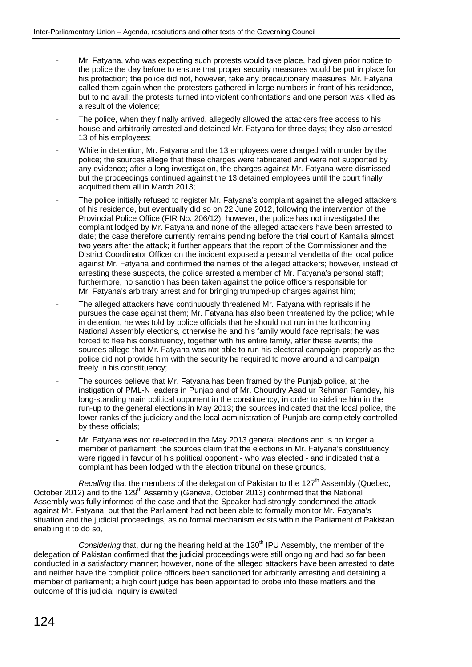- Mr. Fatyana, who was expecting such protests would take place, had given prior notice to the police the day before to ensure that proper security measures would be put in place for his protection; the police did not, however, take any precautionary measures; Mr. Fatyana called them again when the protesters gathered in large numbers in front of his residence, but to no avail; the protests turned into violent confrontations and one person was killed as a result of the violence;
- The police, when they finally arrived, allegedly allowed the attackers free access to his house and arbitrarily arrested and detained Mr. Fatyana for three days; they also arrested 13 of his employees;
- While in detention, Mr. Fatyana and the 13 employees were charged with murder by the police; the sources allege that these charges were fabricated and were not supported by any evidence; after a long investigation, the charges against Mr. Fatyana were dismissed but the proceedings continued against the 13 detained employees until the court finally acquitted them all in March 2013;
- The police initially refused to register Mr. Fatyana's complaint against the alleged attackers of his residence, but eventually did so on 22 June 2012, following the intervention of the Provincial Police Office (FIR No. 206/12); however, the police has not investigated the complaint lodged by Mr. Fatyana and none of the alleged attackers have been arrested to date; the case therefore currently remains pending before the trial court of Kamalia almost two years after the attack; it further appears that the report of the Commissioner and the District Coordinator Officer on the incident exposed a personal vendetta of the local police against Mr. Fatyana and confirmed the names of the alleged attackers; however, instead of arresting these suspects, the police arrested a member of Mr. Fatyana's personal staff; furthermore, no sanction has been taken against the police officers responsible for Mr. Fatyana's arbitrary arrest and for bringing trumped-up charges against him;
- The alleged attackers have continuously threatened Mr. Fatyana with reprisals if he pursues the case against them; Mr. Fatyana has also been threatened by the police; while in detention, he was told by police officials that he should not run in the forthcoming National Assembly elections, otherwise he and his family would face reprisals; he was forced to flee his constituency, together with his entire family, after these events; the sources allege that Mr. Fatyana was not able to run his electoral campaign properly as the police did not provide him with the security he required to move around and campaign freely in his constituency;
- The sources believe that Mr. Fatyana has been framed by the Punjab police, at the instigation of PML-N leaders in Punjab and of Mr. Chourdry Asad ur Rehman Ramdey, his long-standing main political opponent in the constituency, in order to sideline him in the run-up to the general elections in May 2013; the sources indicated that the local police, the lower ranks of the judiciary and the local administration of Punjab are completely controlled by these officials;
- Mr. Fatyana was not re-elected in the May 2013 general elections and is no longer a member of parliament; the sources claim that the elections in Mr. Fatyana's constituency were rigged in favour of his political opponent - who was elected - and indicated that a complaint has been lodged with the election tribunal on these grounds,

*Recalling* that the members of the delegation of Pakistan to the 127<sup>th</sup> Assembly (Quebec, October 2012) and to the 129<sup>th</sup> Assembly (Geneva, October 2013) confirmed that the National Assembly was fully informed of the case and that the Speaker had strongly condemned the attack against Mr. Fatyana, but that the Parliament had not been able to formally monitor Mr. Fatyana's situation and the judicial proceedings, as no formal mechanism exists within the Parliament of Pakistan enabling it to do so,

*Considering* that, during the hearing held at the 130<sup>th</sup> IPU Assembly, the member of the delegation of Pakistan confirmed that the judicial proceedings were still ongoing and had so far been conducted in a satisfactory manner; however, none of the alleged attackers have been arrested to date and neither have the complicit police officers been sanctioned for arbitrarily arresting and detaining a member of parliament; a high court judge has been appointed to probe into these matters and the outcome of this judicial inquiry is awaited,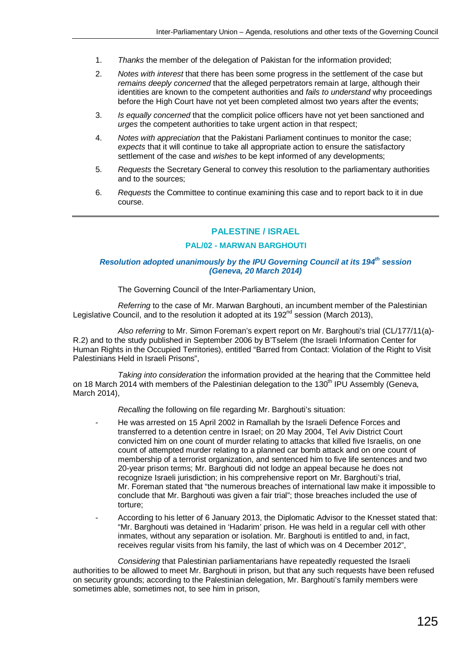- 1. *Thanks* the member of the delegation of Pakistan for the information provided;
- 2. *Notes with interest* that there has been some progress in the settlement of the case but *remains deeply concerned* that the alleged perpetrators remain at large, although their identities are known to the competent authorities and *fails to understand* why proceedings before the High Court have not yet been completed almost two years after the events;
- 3. *Is equally concerned* that the complicit police officers have not yet been sanctioned and *urges* the competent authorities to take urgent action in that respect;
- 4. *Notes with appreciation* that the Pakistani Parliament continues to monitor the case; *expects* that it will continue to take all appropriate action to ensure the satisfactory settlement of the case and *wishes* to be kept informed of any developments;
- 5. *Requests* the Secretary General to convey this resolution to the parliamentary authorities and to the sources;
- 6. *Requests* the Committee to continue examining this case and to report back to it in due course.

# **PALESTINE / ISRAEL**

## **PAL/02 - MARWAN BARGHOUTI**

#### *Resolution adopted unanimously by the IPU Governing Council at its 194<sup>th</sup> session (Geneva, 20 March 2014)*

The Governing Council of the Inter-Parliamentary Union,

*Referring* to the case of Mr. Marwan Barghouti, an incumbent member of the Palestinian Legislative Council, and to the resolution it adopted at its  $192<sup>nd</sup>$  session (March 2013),

*Also referring* to Mr. Simon Foreman's expert report on Mr. Barghouti's trial (CL/177/11(a)- R.2) and to the study published in September 2006 by B'Tselem (the Israeli Information Center for Human Rights in the Occupied Territories), entitled "Barred from Contact: Violation of the Right to Visit Palestinians Held in Israeli Prisons",

*Taking into consideration* the information provided at the hearing that the Committee held on 18 March 2014 with members of the Palestinian delegation to the  $130<sup>th</sup>$  IPU Assembly (Geneva, March 2014),

*Recalling* the following on file regarding Mr. Barghouti's situation:

- He was arrested on 15 April 2002 in Ramallah by the Israeli Defence Forces and transferred to a detention centre in Israel; on 20 May 2004, Tel Aviv District Court convicted him on one count of murder relating to attacks that killed five Israelis, on one count of attempted murder relating to a planned car bomb attack and on one count of membership of a terrorist organization, and sentenced him to five life sentences and two 20-year prison terms; Mr. Barghouti did not lodge an appeal because he does not recognize Israeli jurisdiction; in his comprehensive report on Mr. Barghouti's trial, Mr. Foreman stated that "the numerous breaches of international law make it impossible to conclude that Mr. Barghouti was given a fair trial"; those breaches included the use of torture;
- According to his letter of 6 January 2013, the Diplomatic Advisor to the Knesset stated that: "Mr. Barghouti was detained in 'Hadarim' prison. He was held in a regular cell with other inmates, without any separation or isolation. Mr. Barghouti is entitled to and, in fact, receives regular visits from his family, the last of which was on 4 December 2012",

*Considering* that Palestinian parliamentarians have repeatedly requested the Israeli authorities to be allowed to meet Mr. Barghouti in prison, but that any such requests have been refused on security grounds; according to the Palestinian delegation, Mr. Barghouti's family members were sometimes able, sometimes not, to see him in prison,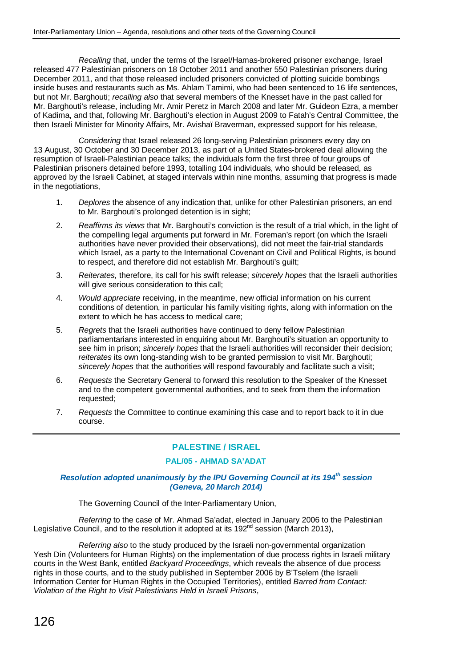*Recalling* that, under the terms of the Israel/Hamas-brokered prisoner exchange, Israel released 477 Palestinian prisoners on 18 October 2011 and another 550 Palestinian prisoners during December 2011, and that those released included prisoners convicted of plotting suicide bombings inside buses and restaurants such as Ms. Ahlam Tamimi, who had been sentenced to 16 life sentences, but not Mr. Barghouti; *recalling also* that several members of the Knesset have in the past called for Mr. Barghouti's release, including Mr. Amir Peretz in March 2008 and later Mr. Guideon Ezra, a member of Kadima, and that, following Mr. Barghouti's election in August 2009 to Fatah's Central Committee, the then Israeli Minister for Minority Affairs, Mr. Avishaï Braverman, expressed support for his release,

*Considering* that Israel released 26 long-serving Palestinian prisoners every day on 13 August, 30 October and 30 December 2013, as part of a United States-brokered deal allowing the resumption of Israeli-Palestinian peace talks; the individuals form the first three of four groups of Palestinian prisoners detained before 1993, totalling 104 individuals, who should be released, as approved by the Israeli Cabinet, at staged intervals within nine months, assuming that progress is made in the negotiations,

- 1. *Deplores* the absence of any indication that, unlike for other Palestinian prisoners, an end to Mr. Barghouti's prolonged detention is in sight;
- 2. *Reaffirms its views* that Mr. Barghouti's conviction is the result of a trial which, in the light of the compelling legal arguments put forward in Mr. Foreman's report (on which the Israeli authorities have never provided their observations), did not meet the fair-trial standards which Israel, as a party to the International Covenant on Civil and Political Rights, is bound to respect, and therefore did not establish Mr. Barghouti's guilt;
- 3. *Reiterates,* therefore, its call for his swift release; *sincerely hopes* that the Israeli authorities will give serious consideration to this call:
- 4. *Would appreciate* receiving, in the meantime, new official information on his current conditions of detention, in particular his family visiting rights, along with information on the extent to which he has access to medical care;
- 5. *Regrets* that the Israeli authorities have continued to deny fellow Palestinian parliamentarians interested in enquiring about Mr. Barghouti's situation an opportunity to see him in prison; *sincerely hopes* that the Israeli authorities will reconsider their decision; *reiterates* its own long-standing wish to be granted permission to visit Mr. Barghouti; *sincerely hopes* that the authorities will respond favourably and facilitate such a visit;
- 6. *Requests* the Secretary General to forward this resolution to the Speaker of the Knesset and to the competent governmental authorities, and to seek from them the information requested;
- 7. *Requests* the Committee to continue examining this case and to report back to it in due course.

# **PALESTINE / ISRAEL**

#### **PAL/05 - AHMAD SA'ADAT**

#### *Resolution adopted unanimously by the IPU Governing Council at its 194th session (Geneva, 20 March 2014)*

The Governing Council of the Inter-Parliamentary Union,

*Referring* to the case of Mr. Ahmad Sa'adat, elected in January 2006 to the Palestinian Legislative Council, and to the resolution it adopted at its 192 $^{nd}$  session (March 2013),

*Referring also* to the study produced by the Israeli non-governmental organization Yesh Din (Volunteers for Human Rights) on the implementation of due process rights in Israeli military courts in the West Bank, entitled *Backyard Proceedings*, which reveals the absence of due process rights in those courts, and to the study published in September 2006 by B'Tselem (the Israeli Information Center for Human Rights in the Occupied Territories), entitled *Barred from Contact: Violation of the Right to Visit Palestinians Held in Israeli Prisons*,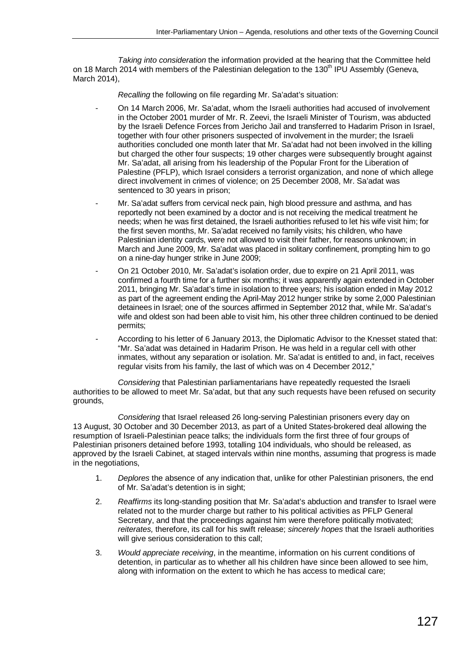*Taking into consideration* the information provided at the hearing that the Committee held on 18 March 2014 with members of the Palestinian delegation to the 130<sup>th</sup> IPU Assembly (Geneva, March 2014),

*Recalling* the following on file regarding Mr. Sa'adat's situation:

- On 14 March 2006, Mr. Sa'adat, whom the Israeli authorities had accused of involvement in the October 2001 murder of Mr. R. Zeevi, the Israeli Minister of Tourism, was abducted by the Israeli Defence Forces from Jericho Jail and transferred to Hadarim Prison in Israel, together with four other prisoners suspected of involvement in the murder; the Israeli authorities concluded one month later that Mr. Sa'adat had not been involved in the killing but charged the other four suspects; 19 other charges were subsequently brought against Mr. Sa'adat, all arising from his leadership of the Popular Front for the Liberation of Palestine (PFLP), which Israel considers a terrorist organization, and none of which allege direct involvement in crimes of violence; on 25 December 2008, Mr. Sa'adat was sentenced to 30 years in prison;
- Mr. Sa'adat suffers from cervical neck pain, high blood pressure and asthma, and has reportedly not been examined by a doctor and is not receiving the medical treatment he needs; when he was first detained, the Israeli authorities refused to let his wife visit him; for the first seven months, Mr. Sa'adat received no family visits; his children, who have Palestinian identity cards, were not allowed to visit their father, for reasons unknown; in March and June 2009, Mr. Sa'adat was placed in solitary confinement, prompting him to go on a nine-day hunger strike in June 2009;
- On 21 October 2010, Mr. Sa'adat's isolation order, due to expire on 21 April 2011, was confirmed a fourth time for a further six months; it was apparently again extended in October 2011, bringing Mr. Sa'adat's time in isolation to three years; his isolation ended in May 2012 as part of the agreement ending the April-May 2012 hunger strike by some 2,000 Palestinian detainees in Israel; one of the sources affirmed in September 2012 that, while Mr. Sa'adat's wife and oldest son had been able to visit him, his other three children continued to be denied permits;
- According to his letter of 6 January 2013, the Diplomatic Advisor to the Knesset stated that: "Mr. Sa'adat was detained in Hadarim Prison. He was held in a regular cell with other inmates, without any separation or isolation. Mr. Sa'adat is entitled to and, in fact, receives regular visits from his family, the last of which was on 4 December 2012,"

*Considering* that Palestinian parliamentarians have repeatedly requested the Israeli authorities to be allowed to meet Mr. Sa'adat, but that any such requests have been refused on security grounds,

*Considering* that Israel released 26 long-serving Palestinian prisoners every day on 13 August, 30 October and 30 December 2013, as part of a United States-brokered deal allowing the resumption of Israeli-Palestinian peace talks; the individuals form the first three of four groups of Palestinian prisoners detained before 1993, totalling 104 individuals, who should be released, as approved by the Israeli Cabinet, at staged intervals within nine months, assuming that progress is made in the negotiations,

- 1. *Deplores* the absence of any indication that, unlike for other Palestinian prisoners, the end of Mr. Sa'adat's detention is in sight;
- 2. *Reaffirms* its long-standing position that Mr. Sa'adat's abduction and transfer to Israel were related not to the murder charge but rather to his political activities as PFLP General Secretary, and that the proceedings against him were therefore politically motivated; *reiterates,* therefore, its call for his swift release; *sincerely hopes* that the Israeli authorities will give serious consideration to this call:
- 3. *Would appreciate receiving*, in the meantime, information on his current conditions of detention, in particular as to whether all his children have since been allowed to see him, along with information on the extent to which he has access to medical care;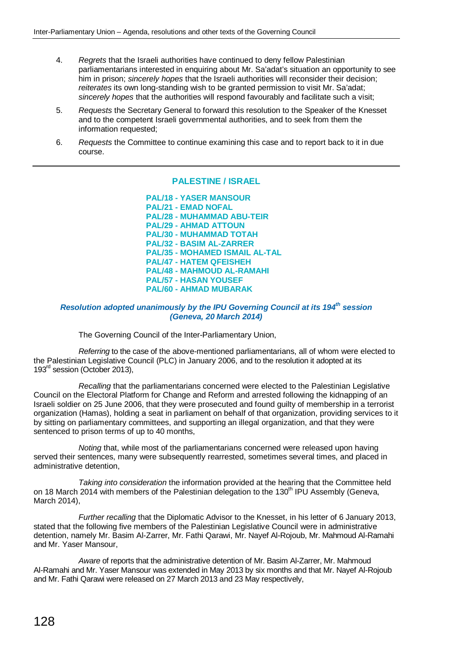- 4. *Regrets* that the Israeli authorities have continued to deny fellow Palestinian parliamentarians interested in enquiring about Mr. Sa'adat's situation an opportunity to see him in prison; *sincerely hopes* that the Israeli authorities will reconsider their decision; *reiterates* its own long-standing wish to be granted permission to visit Mr. Sa'adat; *sincerely hopes* that the authorities will respond favourably and facilitate such a visit;
- 5. *Requests* the Secretary General to forward this resolution to the Speaker of the Knesset and to the competent Israeli governmental authorities, and to seek from them the information requested;
- 6. *Requests* the Committee to continue examining this case and to report back to it in due course.

## **PALESTINE / ISRAEL**

**PAL/18 - YASER MANSOUR PAL/21 - EMAD NOFAL PAL/28 - MUHAMMAD ABU-TEIR PAL/29 - AHMAD ATTOUN PAL/30 - MUHAMMAD TOTAH PAL/32 - BASIM AL-ZARRER PAL/35 - MOHAMED ISMAIL AL-TAL PAL/47 - HATEM QFEISHEH PAL/48 - MAHMOUD AL-RAMAHI PAL/57 - HASAN YOUSEF PAL/60 - AHMAD MUBARAK**

#### *Resolution adopted unanimously by the IPU Governing Council at its 194<sup>th</sup> session (Geneva, 20 March 2014)*

The Governing Council of the Inter-Parliamentary Union,

*Referring* to the case of the above-mentioned parliamentarians, all of whom were elected to the Palestinian Legislative Council (PLC) in January 2006, and to the resolution it adopted at its 193<sup>rd</sup> session (October 2013),

*Recalling* that the parliamentarians concerned were elected to the Palestinian Legislative Council on the Electoral Platform for Change and Reform and arrested following the kidnapping of an Israeli soldier on 25 June 2006, that they were prosecuted and found guilty of membership in a terrorist organization (Hamas), holding a seat in parliament on behalf of that organization, providing services to it by sitting on parliamentary committees, and supporting an illegal organization, and that they were sentenced to prison terms of up to 40 months,

*Noting* that, while most of the parliamentarians concerned were released upon having served their sentences, many were subsequently rearrested, sometimes several times, and placed in administrative detention,

*Taking into consideration* the information provided at the hearing that the Committee held on 18 March 2014 with members of the Palestinian delegation to the 130<sup>th</sup> IPU Assembly (Geneva, March 2014),

*Further recalling* that the Diplomatic Advisor to the Knesset, in his letter of 6 January 2013, stated that the following five members of the Palestinian Legislative Council were in administrative detention, namely Mr. Basim Al-Zarrer, Mr. Fathi Qarawi, Mr. Nayef Al-Rojoub, Mr. Mahmoud Al-Ramahi and Mr. Yaser Mansour,

*Aware* of reports that the administrative detention of Mr. Basim Al-Zarrer, Mr. Mahmoud Al-Ramahi and Mr. Yaser Mansour was extended in May 2013 by six months and that Mr. Nayef Al-Rojoub and Mr. Fathi Qarawi were released on 27 March 2013 and 23 May respectively,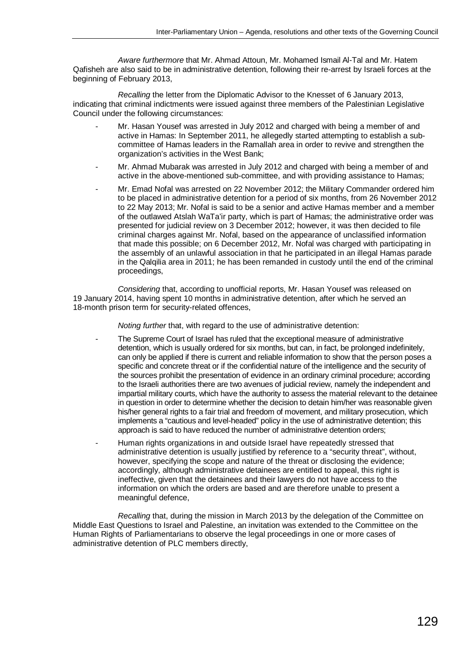*Aware furthermore* that Mr. Ahmad Attoun, Mr. Mohamed Ismail Al-Tal and Mr. Hatem Qafisheh are also said to be in administrative detention, following their re-arrest by Israeli forces at the beginning of February 2013,

*Recalling* the letter from the Diplomatic Advisor to the Knesset of 6 January 2013, indicating that criminal indictments were issued against three members of the Palestinian Legislative Council under the following circumstances:

- Mr. Hasan Yousef was arrested in July 2012 and charged with being a member of and active in Hamas: In September 2011, he allegedly started attempting to establish a subcommittee of Hamas leaders in the Ramallah area in order to revive and strengthen the organization's activities in the West Bank;
- Mr. Ahmad Mubarak was arrested in July 2012 and charged with being a member of and active in the above-mentioned sub-committee, and with providing assistance to Hamas;
- Mr. Emad Nofal was arrested on 22 November 2012; the Military Commander ordered him to be placed in administrative detention for a period of six months, from 26 November 2012 to 22 May 2013; Mr. Nofal is said to be a senior and active Hamas member and a member of the outlawed Atslah WaTa'ir party, which is part of Hamas; the administrative order was presented for judicial review on 3 December 2012; however, it was then decided to file criminal charges against Mr. Nofal, based on the appearance of unclassified information that made this possible; on 6 December 2012, Mr. Nofal was charged with participating in the assembly of an unlawful association in that he participated in an illegal Hamas parade in the Qalqilia area in 2011; he has been remanded in custody until the end of the criminal proceedings,

*Considering* that, according to unofficial reports, Mr. Hasan Yousef was released on 19 January 2014, having spent 10 months in administrative detention, after which he served an 18-month prison term for security-related offences,

*Noting further* that, with regard to the use of administrative detention:

- The Supreme Court of Israel has ruled that the exceptional measure of administrative detention, which is usually ordered for six months, but can, in fact, be prolonged indefinitely, can only be applied if there is current and reliable information to show that the person poses a specific and concrete threat or if the confidential nature of the intelligence and the security of the sources prohibit the presentation of evidence in an ordinary criminal procedure; according to the Israeli authorities there are two avenues of judicial review, namely the independent and impartial military courts, which have the authority to assess the material relevant to the detainee in question in order to determine whether the decision to detain him/her was reasonable given his/her general rights to a fair trial and freedom of movement, and military prosecution, which implements a "cautious and level-headed" policy in the use of administrative detention; this approach is said to have reduced the number of administrative detention orders;
- Human rights organizations in and outside Israel have repeatedly stressed that administrative detention is usually justified by reference to a "security threat", without, however, specifying the scope and nature of the threat or disclosing the evidence; accordingly, although administrative detainees are entitled to appeal, this right is ineffective, given that the detainees and their lawyers do not have access to the information on which the orders are based and are therefore unable to present a meaningful defence,

*Recalling* that, during the mission in March 2013 by the delegation of the Committee on Middle East Questions to Israel and Palestine, an invitation was extended to the Committee on the Human Rights of Parliamentarians to observe the legal proceedings in one or more cases of administrative detention of PLC members directly,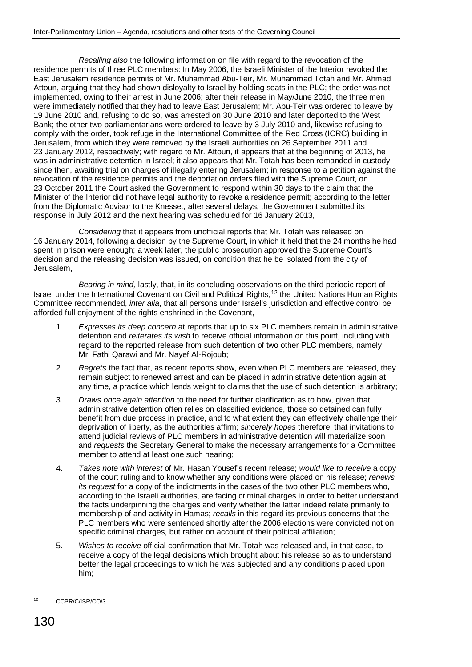*Recalling also* the following information on file with regard to the revocation of the residence permits of three PLC members: In May 2006, the Israeli Minister of the Interior revoked the East Jerusalem residence permits of Mr. Muhammad Abu-Teir, Mr. Muhammad Totah and Mr. Ahmad Attoun, arguing that they had shown disloyalty to Israel by holding seats in the PLC; the order was not implemented, owing to their arrest in June 2006; after their release in May/June 2010, the three men were immediately notified that they had to leave East Jerusalem; Mr. Abu-Teir was ordered to leave by 19 June 2010 and, refusing to do so, was arrested on 30 June 2010 and later deported to the West Bank; the other two parliamentarians were ordered to leave by 3 July 2010 and, likewise refusing to comply with the order, took refuge in the International Committee of the Red Cross (ICRC) building in Jerusalem, from which they were removed by the Israeli authorities on 26 September 2011 and 23 January 2012, respectively; with regard to Mr. Attoun, it appears that at the beginning of 2013, he was in administrative detention in Israel; it also appears that Mr. Totah has been remanded in custody since then, awaiting trial on charges of illegally entering Jerusalem; in response to a petition against the revocation of the residence permits and the deportation orders filed with the Supreme Court, on 23 October 2011 the Court asked the Government to respond within 30 days to the claim that the Minister of the Interior did not have legal authority to revoke a residence permit; according to the letter from the Diplomatic Advisor to the Knesset, after several delays, the Government submitted its response in July 2012 and the next hearing was scheduled for 16 January 2013,

*Considering* that it appears from unofficial reports that Mr. Totah was released on 16 January 2014, following a decision by the Supreme Court, in which it held that the 24 months he had spent in prison were enough; a week later, the public prosecution approved the Supreme Court's decision and the releasing decision was issued, on condition that he be isolated from the city of Jerusalem,

*Bearing in mind,* lastly, that, in its concluding observations on the third periodic report of Israel under the International Covenant on Civil and Political Rights,[12](#page-129-0) the United Nations Human Rights Committee recommended, *inter alia*, that all persons under Israel's jurisdiction and effective control be afforded full enjoyment of the rights enshrined in the Covenant,

- 1. *Expresses its deep concern* at reports that up to six PLC members remain in administrative detention and *reiterates its wish* to receive official information on this point, including with regard to the reported release from such detention of two other PLC members, namely Mr. Fathi Qarawi and Mr. Nayef Al-Rojoub;
- 2. *Regrets* the fact that, as recent reports show, even when PLC members are released, they remain subject to renewed arrest and can be placed in administrative detention again at any time, a practice which lends weight to claims that the use of such detention is arbitrary;
- 3. *Draws once again attention* to the need for further clarification as to how, given that administrative detention often relies on classified evidence, those so detained can fully benefit from due process in practice, and to what extent they can effectively challenge their deprivation of liberty, as the authorities affirm; *sincerely hopes* therefore, that invitations to attend judicial reviews of PLC members in administrative detention will materialize soon and *requests* the Secretary General to make the necessary arrangements for a Committee member to attend at least one such hearing;
- 4. *Takes note with interest* of Mr. Hasan Yousef's recent release; *would like to receive* a copy of the court ruling and to know whether any conditions were placed on his release; *renews its request* for a copy of the indictments in the cases of the two other PLC members who, according to the Israeli authorities, are facing criminal charges in order to better understand the facts underpinning the charges and verify whether the latter indeed relate primarily to membership of and activity in Hamas; *recalls* in this regard its previous concerns that the PLC members who were sentenced shortly after the 2006 elections were convicted not on specific criminal charges, but rather on account of their political affiliation;
- 5. *Wishes to receive* official confirmation that Mr. Totah was released and, in that case, to receive a copy of the legal decisions which brought about his release so as to understand better the legal proceedings to which he was subjected and any conditions placed upon him;

<span id="page-129-0"></span> <sup>12</sup> CCPR/C/ISR/CO/3.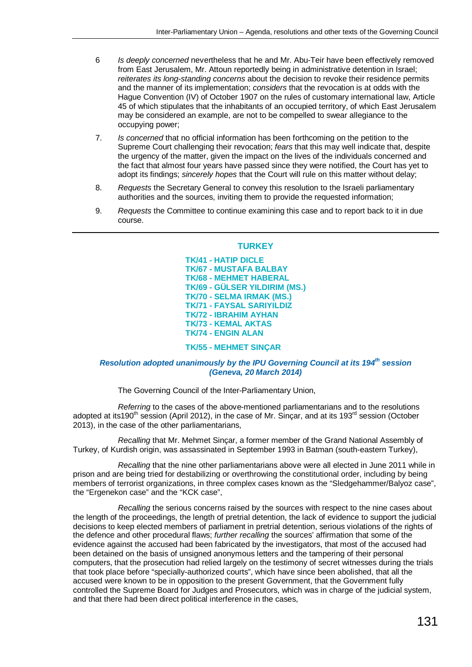- 6 *Is deeply concerned* nevertheless that he and Mr. Abu-Teir have been effectively removed from East Jerusalem, Mr. Attoun reportedly being in administrative detention in Israel; *reiterates its long-standing concerns* about the decision to revoke their residence permits and the manner of its implementation; *considers* that the revocation is at odds with the Hague Convention (IV) of October 1907 on the rules of customary international law, Article 45 of which stipulates that the inhabitants of an occupied territory, of which East Jerusalem may be considered an example, are not to be compelled to swear allegiance to the occupying power;
- 7. *Is concerned* that no official information has been forthcoming on the petition to the Supreme Court challenging their revocation; *fears* that this may well indicate that, despite the urgency of the matter, given the impact on the lives of the individuals concerned and the fact that almost four years have passed since they were notified, the Court has yet to adopt its findings; *sincerely hopes* that the Court will rule on this matter without delay;
- 8. *Requests* the Secretary General to convey this resolution to the Israeli parliamentary authorities and the sources, inviting them to provide the requested information;
- 9. *Requests* the Committee to continue examining this case and to report back to it in due course.

#### **TURKEY**

**TK/41 - HATIP DICLE TK/67 - MUSTAFA BALBAY TK/68 - MEHMET HABERAL TK/69 - GÜLSER YILDIRIM (MS.) TK/70 - SELMA IRMAK (MS.) TK/71 - FAYSAL SARIYILDIZ TK/72 - IBRAHIM AYHAN TK/73 - KEMAL AKTAS TK/74 - ENGIN ALAN**

#### **TK/55 - MEHMET SINÇAR**

#### *Resolution adopted unanimously by the IPU Governing Council at its 194<sup>th</sup> session (Geneva, 20 March 2014)*

The Governing Council of the Inter-Parliamentary Union,

*Referring* to the cases of the above-mentioned parliamentarians and to the resolutions adopted at its190<sup>th</sup> session (April 2012), in the case of Mr. Sincar, and at its 193<sup>rd</sup> session (October 2013), in the case of the other parliamentarians,

*Recalling* that Mr. Mehmet Sinçar, a former member of the Grand National Assembly of Turkey, of Kurdish origin, was assassinated in September 1993 in Batman (south-eastern Turkey),

*Recalling* that the nine other parliamentarians above were all elected in June 2011 while in prison and are being tried for destabilizing or overthrowing the constitutional order, including by being members of terrorist organizations, in three complex cases known as the "Sledgehammer/Balyoz case", the "Ergenekon case" and the "KCK case",

*Recalling* the serious concerns raised by the sources with respect to the nine cases about the length of the proceedings, the length of pretrial detention, the lack of evidence to support the judicial decisions to keep elected members of parliament in pretrial detention, serious violations of the rights of the defence and other procedural flaws; *further recalling* the sources' affirmation that some of the evidence against the accused had been fabricated by the investigators, that most of the accused had been detained on the basis of unsigned anonymous letters and the tampering of their personal computers, that the prosecution had relied largely on the testimony of secret witnesses during the trials that took place before "specially-authorized courts", which have since been abolished, that all the accused were known to be in opposition to the present Government, that the Government fully controlled the Supreme Board for Judges and Prosecutors, which was in charge of the judicial system, and that there had been direct political interference in the cases,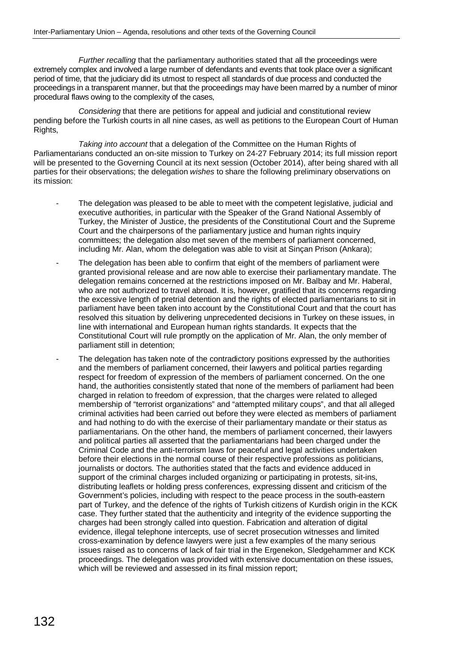*Further recalling* that the parliamentary authorities stated that all the proceedings were extremely complex and involved a large number of defendants and events that took place over a significant period of time, that the judiciary did its utmost to respect all standards of due process and conducted the proceedings in a transparent manner, but that the proceedings may have been marred by a number of minor procedural flaws owing to the complexity of the cases,

*Considering* that there are petitions for appeal and judicial and constitutional review pending before the Turkish courts in all nine cases, as well as petitions to the European Court of Human Rights.

*Taking into account* that a delegation of the Committee on the Human Rights of Parliamentarians conducted an on-site mission to Turkey on 24-27 February 2014; its full mission report will be presented to the Governing Council at its next session (October 2014), after being shared with all parties for their observations; the delegation *wishes* to share the following preliminary observations on its mission:

- The delegation was pleased to be able to meet with the competent legislative, judicial and executive authorities, in particular with the Speaker of the Grand National Assembly of Turkey, the Minister of Justice, the presidents of the Constitutional Court and the Supreme Court and the chairpersons of the parliamentary justice and human rights inquiry committees; the delegation also met seven of the members of parliament concerned, including Mr. Alan, whom the delegation was able to visit at Sinçan Prison (Ankara);
- The delegation has been able to confirm that eight of the members of parliament were granted provisional release and are now able to exercise their parliamentary mandate. The delegation remains concerned at the restrictions imposed on Mr. Balbay and Mr. Haberal, who are not authorized to travel abroad. It is, however, gratified that its concerns regarding the excessive length of pretrial detention and the rights of elected parliamentarians to sit in parliament have been taken into account by the Constitutional Court and that the court has resolved this situation by delivering unprecedented decisions in Turkey on these issues, in line with international and European human rights standards. It expects that the Constitutional Court will rule promptly on the application of Mr. Alan, the only member of parliament still in detention;
- The delegation has taken note of the contradictory positions expressed by the authorities and the members of parliament concerned, their lawyers and political parties regarding respect for freedom of expression of the members of parliament concerned. On the one hand, the authorities consistently stated that none of the members of parliament had been charged in relation to freedom of expression, that the charges were related to alleged membership of "terrorist organizations" and "attempted military coups", and that all alleged criminal activities had been carried out before they were elected as members of parliament and had nothing to do with the exercise of their parliamentary mandate or their status as parliamentarians. On the other hand, the members of parliament concerned, their lawyers and political parties all asserted that the parliamentarians had been charged under the Criminal Code and the anti-terrorism laws for peaceful and legal activities undertaken before their elections in the normal course of their respective professions as politicians, journalists or doctors. The authorities stated that the facts and evidence adduced in support of the criminal charges included organizing or participating in protests, sit-ins, distributing leaflets or holding press conferences, expressing dissent and criticism of the Government's policies, including with respect to the peace process in the south-eastern part of Turkey, and the defence of the rights of Turkish citizens of Kurdish origin in the KCK case. They further stated that the authenticity and integrity of the evidence supporting the charges had been strongly called into question. Fabrication and alteration of digital evidence, illegal telephone intercepts, use of secret prosecution witnesses and limited cross-examination by defence lawyers were just a few examples of the many serious issues raised as to concerns of lack of fair trial in the Ergenekon, Sledgehammer and KCK proceedings. The delegation was provided with extensive documentation on these issues, which will be reviewed and assessed in its final mission report;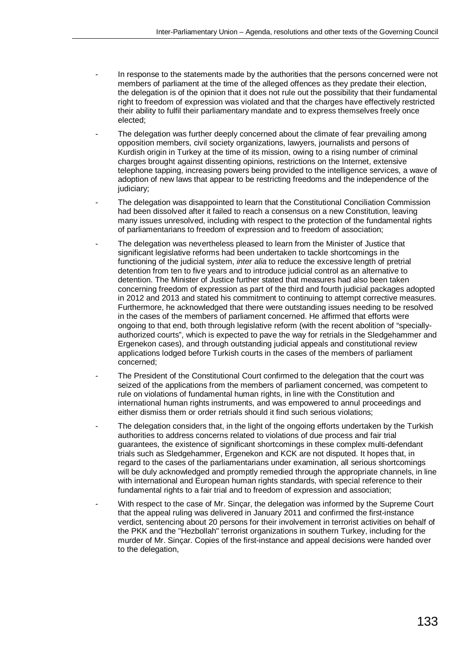- In response to the statements made by the authorities that the persons concerned were not members of parliament at the time of the alleged offences as they predate their election, the delegation is of the opinion that it does not rule out the possibility that their fundamental right to freedom of expression was violated and that the charges have effectively restricted their ability to fulfil their parliamentary mandate and to express themselves freely once elected;
- The delegation was further deeply concerned about the climate of fear prevailing among opposition members, civil society organizations, lawyers, journalists and persons of Kurdish origin in Turkey at the time of its mission, owing to a rising number of criminal charges brought against dissenting opinions, restrictions on the Internet, extensive telephone tapping, increasing powers being provided to the intelligence services, a wave of adoption of new laws that appear to be restricting freedoms and the independence of the judiciary;
- The delegation was disappointed to learn that the Constitutional Conciliation Commission had been dissolved after it failed to reach a consensus on a new Constitution, leaving many issues unresolved, including with respect to the protection of the fundamental rights of parliamentarians to freedom of expression and to freedom of association;
- The delegation was nevertheless pleased to learn from the Minister of Justice that significant legislative reforms had been undertaken to tackle shortcomings in the functioning of the judicial system, *inter alia* to reduce the excessive length of pretrial detention from ten to five years and to introduce judicial control as an alternative to detention. The Minister of Justice further stated that measures had also been taken concerning freedom of expression as part of the third and fourth judicial packages adopted in 2012 and 2013 and stated his commitment to continuing to attempt corrective measures. Furthermore, he acknowledged that there were outstanding issues needing to be resolved in the cases of the members of parliament concerned. He affirmed that efforts were ongoing to that end, both through legislative reform (with the recent abolition of "speciallyauthorized courts", which is expected to pave the way for retrials in the Sledgehammer and Ergenekon cases), and through outstanding judicial appeals and constitutional review applications lodged before Turkish courts in the cases of the members of parliament concerned;
- The President of the Constitutional Court confirmed to the delegation that the court was seized of the applications from the members of parliament concerned, was competent to rule on violations of fundamental human rights, in line with the Constitution and international human rights instruments, and was empowered to annul proceedings and either dismiss them or order retrials should it find such serious violations;
- The delegation considers that, in the light of the ongoing efforts undertaken by the Turkish authorities to address concerns related to violations of due process and fair trial guarantees, the existence of significant shortcomings in these complex multi-defendant trials such as Sledgehammer, Ergenekon and KCK are not disputed. It hopes that, in regard to the cases of the parliamentarians under examination, all serious shortcomings will be duly acknowledged and promptly remedied through the appropriate channels, in line with international and European human rights standards, with special reference to their fundamental rights to a fair trial and to freedom of expression and association;
- With respect to the case of Mr. Sincar, the delegation was informed by the Supreme Court that the appeal ruling was delivered in January 2011 and confirmed the first-instance verdict, sentencing about 20 persons for their involvement in terrorist activities on behalf of the PKK and the "Hezbollah" terrorist organizations in southern Turkey, including for the murder of Mr. Sinçar. Copies of the first-instance and appeal decisions were handed over to the delegation,